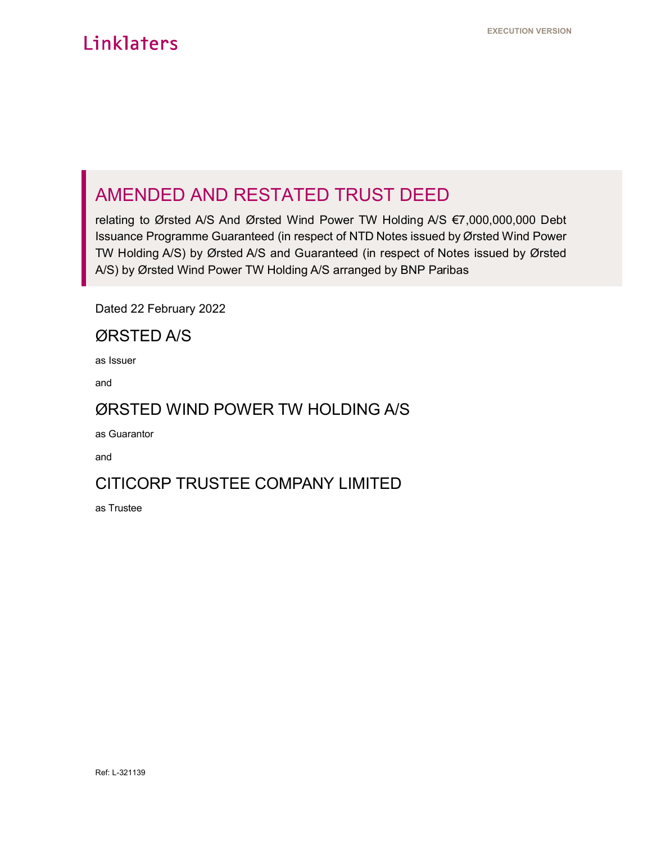# AMENDED AND RESTATED TRUST DEED

relating to Ørsted A/S And Ørsted Wind Power TW Holding A/S €7,000,000,000 Debt Issuance Programme Guaranteed (in respect of NTD Notes issued by Ørsted Wind Power TW Holding A/S) by Ørsted A/S and Guaranteed (in respect of Notes issued by Ørsted A/S) by Ørsted Wind Power TW Holding A/S arranged by BNP Paribas

Dated 22 February 2022

## ØRSTED A/S

as Issuer

and

## ØRSTED WIND POWER TW HOLDING A/S

as Guarantor

and

## CITICORP TRUSTEE COMPANY LIMITED

as Trustee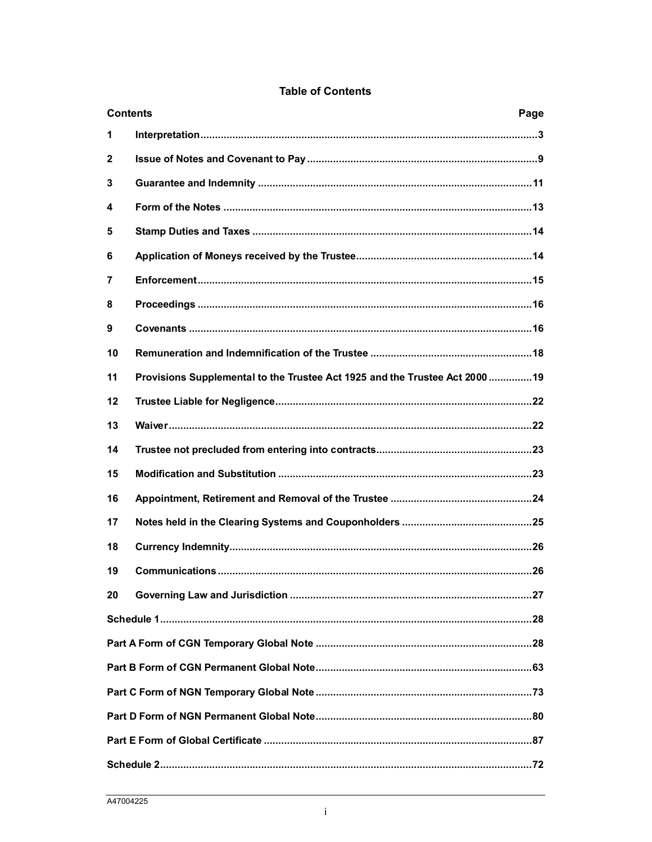|              | <b>Contents</b><br>Page                                                      |  |  |  |  |
|--------------|------------------------------------------------------------------------------|--|--|--|--|
| 1            |                                                                              |  |  |  |  |
| $\mathbf{2}$ |                                                                              |  |  |  |  |
| 3            |                                                                              |  |  |  |  |
| 4            |                                                                              |  |  |  |  |
| 5            |                                                                              |  |  |  |  |
| 6            |                                                                              |  |  |  |  |
| 7            |                                                                              |  |  |  |  |
| 8            |                                                                              |  |  |  |  |
| 9            |                                                                              |  |  |  |  |
| 10           |                                                                              |  |  |  |  |
| 11           | Provisions Supplemental to the Trustee Act 1925 and the Trustee Act 2000  19 |  |  |  |  |
| 12           |                                                                              |  |  |  |  |
| 13           |                                                                              |  |  |  |  |
| 14           |                                                                              |  |  |  |  |
| 15           |                                                                              |  |  |  |  |
| 16           |                                                                              |  |  |  |  |
| 17           |                                                                              |  |  |  |  |
| 18           |                                                                              |  |  |  |  |
| 19           |                                                                              |  |  |  |  |
| 20           |                                                                              |  |  |  |  |
|              |                                                                              |  |  |  |  |
|              |                                                                              |  |  |  |  |
|              |                                                                              |  |  |  |  |
|              |                                                                              |  |  |  |  |
|              |                                                                              |  |  |  |  |
|              |                                                                              |  |  |  |  |
|              |                                                                              |  |  |  |  |

## **Table of Contents**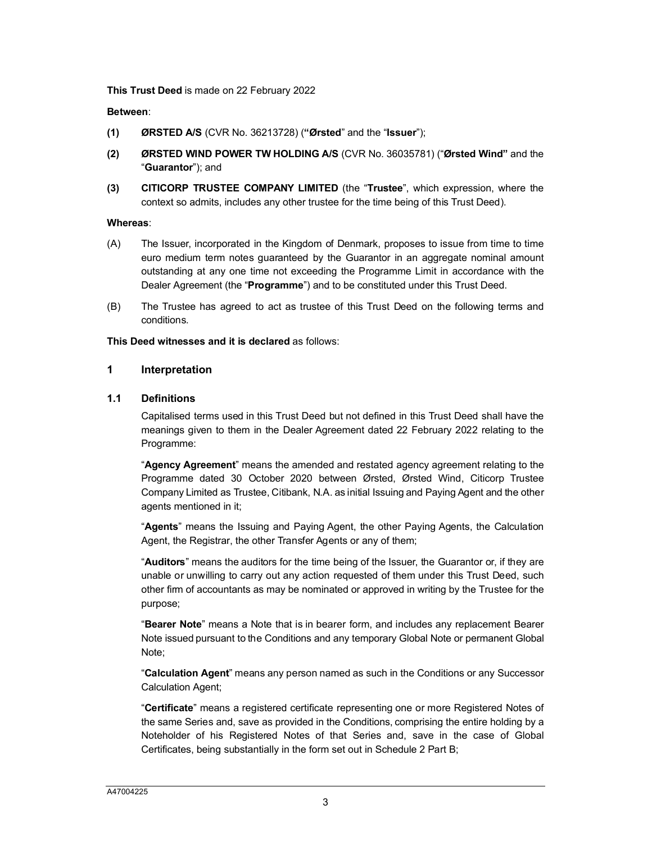**This Trust Deed** is made on 22 February 2022

#### **Between**:

- **(1) ØRSTED A/S** (CVR No. 36213728) (**"Ørsted**" and the "**Issuer**");
- **(2) ØRSTED WIND POWER TW HOLDING A/S** (CVR No. 36035781) ("**Ørsted Wind"** and the "**Guarantor**"); and
- **(3) CITICORP TRUSTEE COMPANY LIMITED** (the "**Trustee**", which expression, where the context so admits, includes any other trustee for the time being of this Trust Deed).

#### **Whereas**:

- (A) The Issuer, incorporated in the Kingdom of Denmark, proposes to issue from time to time euro medium term notes guaranteed by the Guarantor in an aggregate nominal amount outstanding at any one time not exceeding the Programme Limit in accordance with the Dealer Agreement (the "**Programme**") and to be constituted under this Trust Deed.
- (B) The Trustee has agreed to act as trustee of this Trust Deed on the following terms and conditions.

#### **This Deed witnesses and it is declared** as follows:

#### **1 Interpretation**

#### **1.1 Definitions**

Capitalised terms used in this Trust Deed but not defined in this Trust Deed shall have the meanings given to them in the Dealer Agreement dated 22 February 2022 relating to the Programme:

"**Agency Agreement**" means the amended and restated agency agreement relating to the Programme dated 30 October 2020 between Ørsted, Ørsted Wind, Citicorp Trustee Company Limited as Trustee, Citibank, N.A. as initial Issuing and Paying Agent and the other agents mentioned in it;

"**Agents**" means the Issuing and Paying Agent, the other Paying Agents, the Calculation Agent, the Registrar, the other Transfer Agents or any of them;

"**Auditors**" means the auditors for the time being of the Issuer, the Guarantor or, if they are unable or unwilling to carry out any action requested of them under this Trust Deed, such other firm of accountants as may be nominated or approved in writing by the Trustee for the purpose;

"**Bearer Note**" means a Note that is in bearer form, and includes any replacement Bearer Note issued pursuant to the Conditions and any temporary Global Note or permanent Global Note;

"**Calculation Agent**" means any person named as such in the Conditions or any Successor Calculation Agent;

"**Certificate**" means a registered certificate representing one or more Registered Notes of the same Series and, save as provided in the Conditions, comprising the entire holding by a Noteholder of his Registered Notes of that Series and, save in the case of Global Certificates, being substantially in the form set out in Schedule 2 Part B;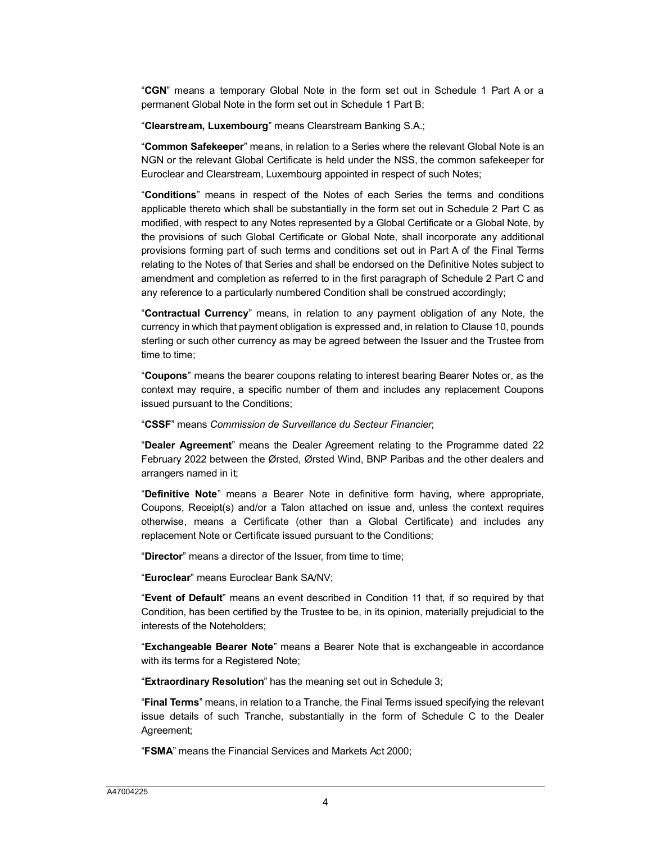"**CGN**" means a temporary Global Note in the form set out in Schedule 1 Part A or a permanent Global Note in the form set out in Schedule 1 Part B;

"**Clearstream, Luxembourg**" means Clearstream Banking S.A.;

"**Common Safekeeper**" means, in relation to a Series where the relevant Global Note is an NGN or the relevant Global Certificate is held under the NSS, the common safekeeper for Euroclear and Clearstream, Luxembourg appointed in respect of such Notes;

"**Conditions**" means in respect of the Notes of each Series the terms and conditions applicable thereto which shall be substantially in the form set out in Schedule 2 Part C as modified, with respect to any Notes represented by a Global Certificate or a Global Note, by the provisions of such Global Certificate or Global Note, shall incorporate any additional provisions forming part of such terms and conditions set out in Part A of the Final Terms relating to the Notes of that Series and shall be endorsed on the Definitive Notes subject to amendment and completion as referred to in the first paragraph of Schedule 2 Part C and any reference to a particularly numbered Condition shall be construed accordin[gly;](#page-18-1)

"**Contractual Currency**" means, in relation to any payment obligation of any Note, the currency in which that payment obligation is expressed and, in relation to Clause 10, pounds sterling or such other currency as may be agreed between the Issuer and the Trustee from time to time;

"**Coupons**" means the bearer coupons relating to interest bearing Bearer Notes or, as the context may require, a specific number of them and includes any replacement Coupons issued pursuant to the Conditions;

"**CSSF**" means *Commission de Surveillance du Secteur Financier*;

"**Dealer Agreement**" means the Dealer Agreement relating to the Programme dated 22 February 2022 between the Ørsted, Ørsted Wind, BNP Paribas and the other dealers and arrangers named in it;

"**Definitive Note**" means a Bearer Note in definitive form having, where appropriate, Coupons, Receipt(s) and/or a Talon attached on issue and, unless the context requires otherwise, means a Certificate (other than a Global Certificate) and includes any replacement Note or Certificate issued pursuant to the Conditions;

"**Director**" means a director of the Issuer, from time to time;

"**Euroclear**" means Euroclear Bank SA/NV;

"**Event of Default**" means an event described in Condition 11 that, if so required by that Condition, has been certified by the Trustee to be, in its opinion, materially prejudicial to the interests of the Noteholders;

"**Exchangeable Bearer Note**" means a Bearer Note that is exchangeable in accordance with its terms for a Registered Note;

"**Extraordinary Resolution**" has the meaning set out in Schedule 3;

"**Final Terms**" means, in relation to a Tranche, the Final Terms issued specifying the relevant issue details of such Tranche, substantially in the form of Schedule C to the Dealer Agreement;

"**FSMA**" means the Financial Services and Markets Act 2000;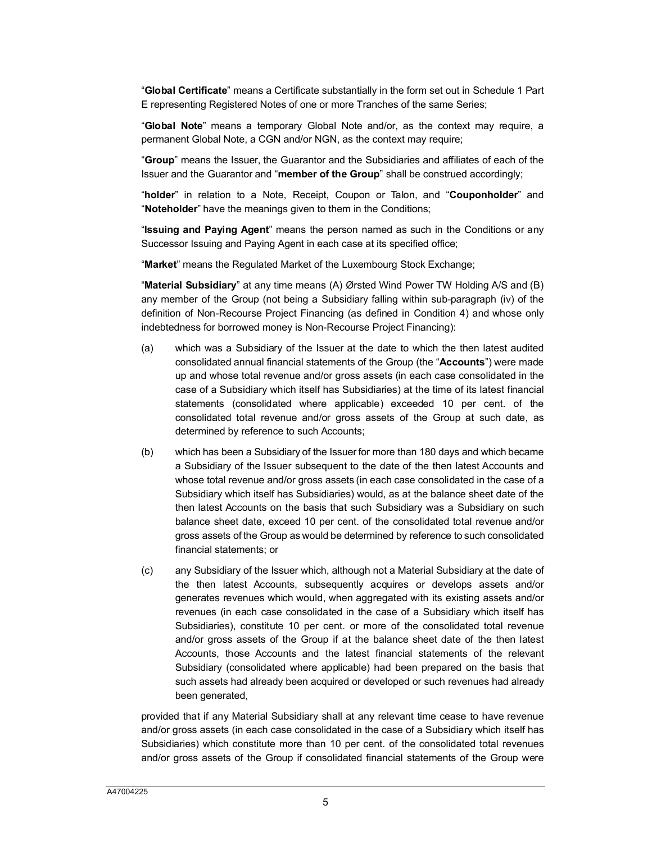"**Global Certificate**" means a Certificate substantially in the form set out in Schedule 1 Part E representing Registered Notes of one or more Tranches of the same Series;

"**Global Note**" means a temporary Global Note and/or, as the context may require, a permanent Global Note, a CGN and/or NGN, as the context may require;

"**Group**" means the Issuer, the Guarantor and the Subsidiaries and affiliates of each of the Issuer and the Guarantor and "**member of the Group**" shall be construed accordingly;

"**holder**" in relation to a Note, Receipt, Coupon or Talon, and "**Couponholder**" and "**Noteholder**" have the meanings given to them in the Conditions;

"**Issuing and Paying Agent**" means the person named as such in the Conditions or any Successor Issuing and Paying Agent in each case at its specified office;

"**Market**" means the Regulated Market of the Luxembourg Stock Exchange;

"**Material Subsidiary**" at any time means (A) Ørsted Wind Power TW Holding A/S and (B) any member of the Group (not being a Subsidiary falling within sub-paragraph (iv) of the definition of Non-Recourse Project Financing (as defined in Condition 4) and whose only indebtedness for borrowed money is Non-Recourse Project Financing):

- (a) which was a Subsidiary of the Issuer at the date to which the then latest audited consolidated annual financial statements of the Group (the "**Accounts**") were made up and whose total revenue and/or gross assets (in each case consolidated in the case of a Subsidiary which itself has Subsidiaries) at the time of its latest financial statements (consolidated where applicable) exceeded 10 per cent. of the consolidated total revenue and/or gross assets of the Group at such date, as determined by reference to such Accounts;
- (b) which has been a Subsidiary of the Issuer for more than 180 days and which became a Subsidiary of the Issuer subsequent to the date of the then latest Accounts and whose total revenue and/or gross assets (in each case consolidated in the case of a Subsidiary which itself has Subsidiaries) would, as at the balance sheet date of the then latest Accounts on the basis that such Subsidiary was a Subsidiary on such balance sheet date, exceed 10 per cent. of the consolidated total revenue and/or gross assets of the Group as would be determined by reference to such consolidated financial statements; or
- (c) any Subsidiary of the Issuer which, although not a Material Subsidiary at the date of the then latest Accounts, subsequently acquires or develops assets and/or generates revenues which would, when aggregated with its existing assets and/or revenues (in each case consolidated in the case of a Subsidiary which itself has Subsidiaries), constitute 10 per cent. or more of the consolidated total revenue and/or gross assets of the Group if at the balance sheet date of the then latest Accounts, those Accounts and the latest financial statements of the relevant Subsidiary (consolidated where applicable) had been prepared on the basis that such assets had already been acquired or developed or such revenues had already been generated,

provided that if any Material Subsidiary shall at any relevant time cease to have revenue and/or gross assets (in each case consolidated in the case of a Subsidiary which itself has Subsidiaries) which constitute more than 10 per cent. of the consolidated total revenues and/or gross assets of the Group if consolidated financial statements of the Group were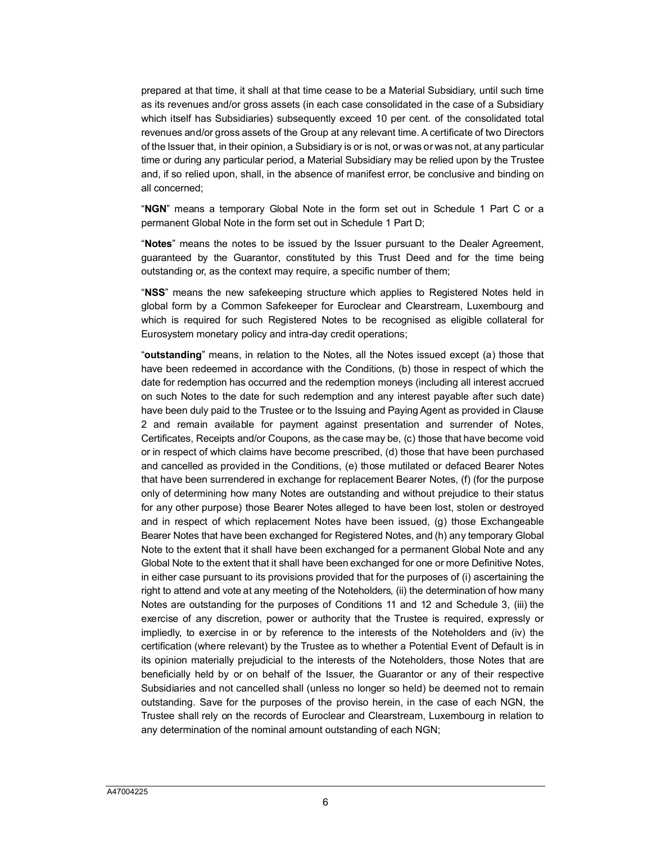prepared at that time, it shall at that time cease to be a Material Subsidiary, until such time as its revenues and/or gross assets (in each case consolidated in the case of a Subsidiary which itself has Subsidiaries) subsequently exceed 10 per cent. of the consolidated total revenues and/or gross assets of the Group at any relevant time. A certificate of two Directors of the Issuer that, in their opinion, a Subsidiary is or is not, or was or was not, at any particular time or during any particular period, a Material Subsidiary may be relied upon by the Trustee and, if so relied upon, shall, in the absence of manifest error, be conclusive and binding on all concerned;

"**NGN**" means a temporary Global Note in the form set out in Schedule 1 Part C or a permanent Global Note in the form set out in Schedule 1 Part D;

"**Notes**" means the notes to be issued by the Issuer pursuant to the Dealer Agreement, guaranteed by the Guarantor, constituted by this Trust Deed and for the time being outstanding or, as the context may require, a specific number of them;

"**NSS**" means the new safekeeping structure which applies to Registered Notes held in global form by a Common Safekeeper for Euroclear and Clearstream, Luxembourg and which is required for such Registered Notes to be recognised as eligible collateral for Eurosystem monetary policy and intra-day credit operations;

"**outstanding**" means, in relation to the Notes, all the Notes issued except (a) those that have been redeemed in accordance with the Conditions, (b) those in respect of which the date for redemption has occurred and the redemption moneys (including all interest accrued on such Notes to the date for such redemption and any interest payable after such date) have been duly paid to the Trustee or to the Issuing and Paying Agent as provided in Clause 2 and remain available for payment against presentation and surrender of Notes, Certificates, Receipts and/or Coupons, as the case may be, (c) those that have become void or in respect of which claims have become prescribed, (d) those that have been purchased and cancelled as provided in the Conditions, (e) those mutilated or defaced Bearer Notes that have been surrendered in exchange for replacement Bearer Notes, (f) (for the purpose only of determining how many Notes are outstanding and without prejudice to their status for any other purpose) those Bearer Notes alleged to have been lost, stolen or destroyed and in respect of which replacement Notes have been issued, (g) those Exchangeable Bearer Notes that have been exchanged for Registered Notes, and (h) any temporary Global Note to the extent that it shall have been exchanged for a permanent Global Note and any Global Note to the extent that it shall have been exchanged for one or more Definitive Notes, in either case pursuant to its provisions provided that for the purposes of (i) ascertaining the right to attend and vote at any meeting of the Noteholders, (ii) the determination of how many Notes are outstanding for the purposes of Conditions 11 and 12 and Schedule 3, (iii) the exercise of any discretion, power or authority that the Trustee is required, expressly or impliedly, to exercise in or by reference to the interests of the Noteholders and (iv) the certification (where relevant) by the Trustee as to whether a Potential Event of Default is in its opinion materially prejudicial to the interests of the Noteholders, those Notes that are beneficially held by or on behalf of the Issuer, the Guarantor or any of their respective Subsidiaries and not cancelled shall (unless no longer so held) be deemed not to remain outstanding. Save for the purposes of the proviso herein, in the case of each NGN, the Trustee shall rely on the records of Euroclear and Clearstream, Luxembourg in relation to any determination of the nominal amount outstanding of each NGN;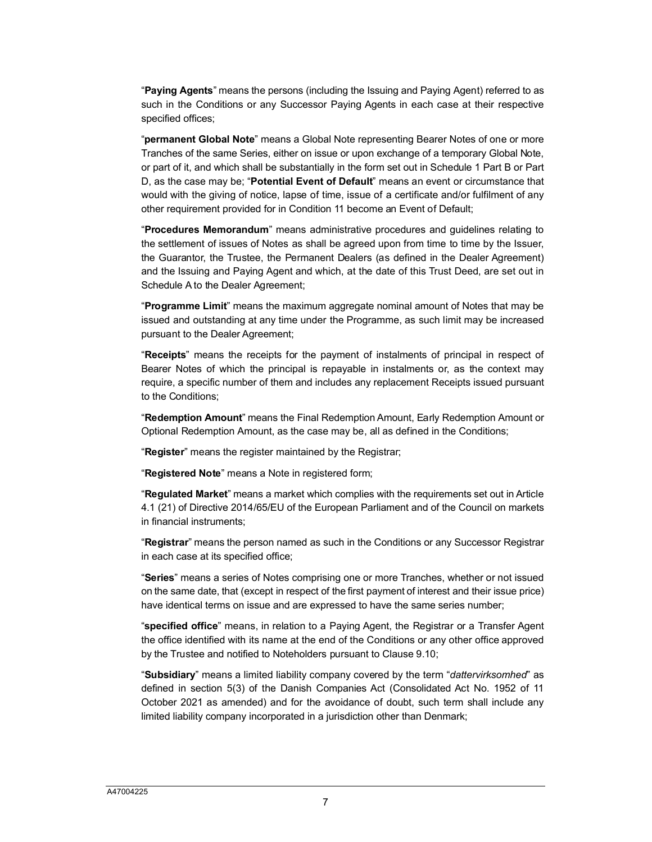"**Paying Agents**" means the persons (including the Issuing and Paying Agent) referred to as such in the Conditions or any Successor Paying Agents in each case at their respective specified offices;

"**permanent Global Note**" means a Global Note representing Bearer Notes of one or more Tranches of the same Series, either on issue or upon exchange of a temporary Global Note, or part of it, and which shall be substantially in the form set out in Schedule 1 Part B or Part D, as the case may be; "**Potential Event of Default**" means an event or circumstance that would with the giving of notice, lapse of time, issue of a certificate and/or fulfilment of any other requirement provided for in Condition 11 become an Event of Default;

"**Procedures Memorandum**" means administrative procedures and guidelines relating to the settlement of issues of Notes as shall be agreed upon from time to time by the Issuer, the Guarantor, the Trustee, the Permanent Dealers (as defined in the Dealer Agreement) and the Issuing and Paying Agent and which, at the date of this Trust Deed, are set out in Schedule A to the Dealer Agreement;

"**Programme Limit**" means the maximum aggregate nominal amount of Notes that may be issued and outstanding at any time under the Programme, as such limit may be increased pursuant to the Dealer Agreement;

"**Receipts**" means the receipts for the payment of instalments of principal in respect of Bearer Notes of which the principal is repayable in instalments or, as the context may require, a specific number of them and includes any replacement Receipts issued pursuant to the Conditions;

"**Redemption Amount**" means the Final Redemption Amount, Early Redemption Amount or Optional Redemption Amount, as the case may be, all as defined in the Conditions;

"**Register**" means the register maintained by the Registrar;

"**Registered Note**" means a Note in registered form;

"**Regulated Market**" means a market which complies with the requirements set out in Article 4.1 (21) of Directive 2014/65/EU of the European Parliament and of the Council on markets in financial instruments;

"**Registrar**" means the person named as such in the Conditions or any Successor Registrar in each case at its specified office;

"**Series**" means a series of Notes comprising one or more Tranches, whether or not issued on the same date, that (except in respect of the first payment of interest and their issue price) have identical terms on issue and are expressed to have the same series number;

"**specified office**" means, in relation to a Paying Agent, the Registrar or a Transfer Agent the office identified with its name at the end of the Conditions or any other office approved by the Trustee and notified to Noteholders pursuant to Claus[e 9.10](#page-17-0);

"**Subsidiary**" means a limited liability company covered by the term "*dattervirksomhed*" as defined in section 5(3) of the Danish Companies Act (Consolidated Act No. 1952 of 11 October 2021 as amended) and for the avoidance of doubt, such term shall include any limited liability company incorporated in a jurisdiction other than Denmark;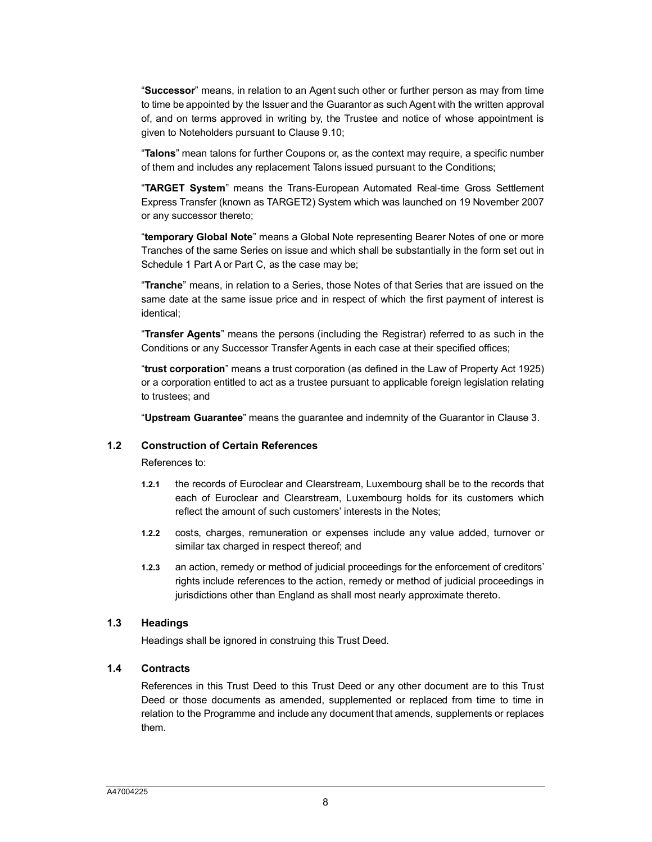"**Successor**" means, in relation to an [Agent](#page-17-0) such other or further person as may from time to time be appointed by the Issuer and the Guarantor as such Agent with the written approval of, and on terms approved in writing by, the Trustee and notice of whose appointment is given to Noteholders pursuant to Clause 9.10;

"**Talons**" mean talons for further Coupons or, as the context may require, a specific number of them and includes any replacement Talons issued pursuant to the Conditions;

"**TARGET System**" means the Trans-European Automated Real-time Gross Settlement Express Transfer (known as TARGET2) System which was launched on 19 November 2007 or any successor thereto;

"**temporary Global Note**" means a Global Note representing Bearer Notes of one or more Tranches of the same Series on issue and which shall be substantially in the form set out in Schedule 1 Part A or Part C, as the case may be;

"**Tranche**" means, in relation to a Series, those Notes of that Series that are issued on the same date at the same issue price and in respect of which the first payment of interest is identical;

"**Transfer Agents**" means the persons (including the Registrar) referred to as such in the Conditions or any Successor Transfer Agents in each case at their specified offices;

"**trust corporation**" means a trust corporation (as defined in the Law of Property Act 1925) or a corporation entitled to act as a trustee pursuant to applicable foreign legislation relati[ng](#page-11-1)  to trustees; and

"**Upstream Guarantee**" means the guarantee and indemnity of the Guarantor in Clause 3.

#### **1.2 Construction of Certain References**

References to:

- **1.2.1** the records of Euroclear and Clearstream, Luxembourg shall be to the records that each of Euroclear and Clearstream, Luxembourg holds for its customers which reflect the amount of such customers' interests in the Notes;
- **1.2.2** costs, charges, remuneration or expenses include any value added, turnover or similar tax charged in respect thereof; and
- **1.2.3** an action, remedy or method of judicial proceedings for the enforcement of creditors' rights include references to the action, remedy or method of judicial proceedings in jurisdictions other than England as shall most nearly approximate thereto.

#### **1.3 Headings**

Headings shall be ignored in construing this Trust Deed.

#### **1.4 Contracts**

References in this Trust Deed to this Trust Deed or any other document are to this Trust Deed or those documents as amended, supplemented or replaced from time to time in relation to the Programme and include any document that amends, supplements or replaces them.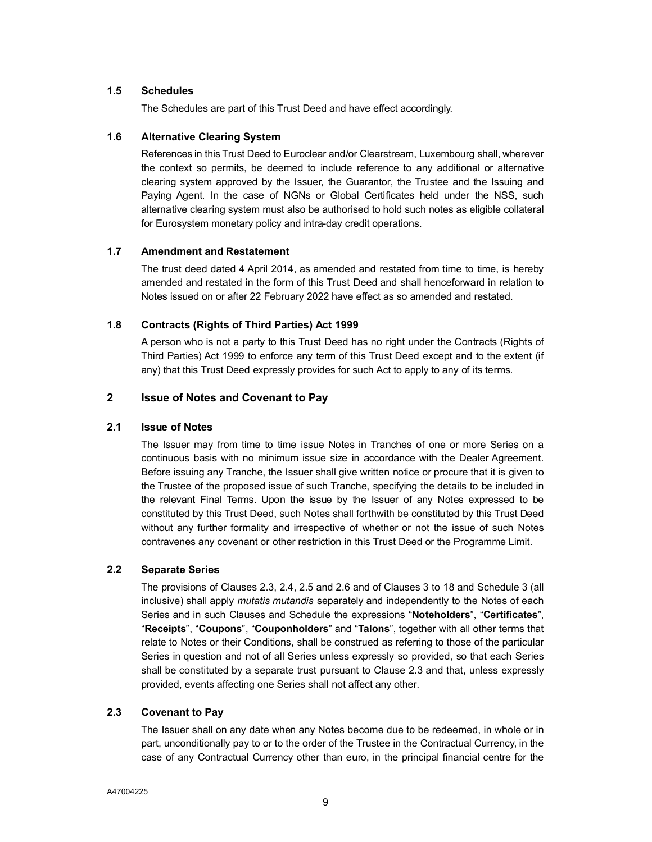## **1.5 Schedules**

The Schedules are part of this Trust Deed and have effect accordingly.

#### **1.6 Alternative Clearing System**

References in this Trust Deed to Euroclear and/or Clearstream, Luxembourg shall, wherever the context so permits, be deemed to include reference to any additional or alternative clearing system approved by the Issuer, the Guarantor, the Trustee and the Issuing and Paying Agent. In the case of NGNs or Global Certificates held under the NSS, such alternative clearing system must also be authorised to hold such notes as eligible collateral for Eurosystem monetary policy and intra-day credit operations.

#### **1.7 Amendment and Restatement**

The trust deed dated 4 April 2014, as amended and restated from time to time, is hereby amended and restated in the form of this Trust Deed and shall henceforward in relation to Notes issued on or after 22 February 2022 have effect as so amended and restated.

## **1.8 Contracts (Rights of Third Parties) Act 1999**

A person who is not a party to this Trust Deed has no right under the Contracts (Rights of Third Parties) Act 1999 to enforce any term of this Trust Deed except and to the extent (if any) that this Trust Deed expressly provides for such Act to apply to any of its terms.

## <span id="page-9-2"></span><span id="page-9-0"></span>**2 Issue of Notes and Covenant to Pay**

#### **2.1 Issue of Notes**

The Issuer may from time to time issue Notes in Tranches of one or more Series on a continuous basis with no minimum issue size in accordance with the Dealer Agreement. Before issuing any Tranche, the Issuer shall give written notice or procure that it is given to the Trustee of the proposed issue of such Tranche, specifying the details to be included in the relevant Final Terms. Upon the issue by the Issuer of any Notes expressed to be constituted by this Trust Deed, such Notes shall forthwith be constituted by this Trust Deed without any further formality and irrespective of whether or not the issue of such Notes contravenes any covenant or other restriction in this Trust Deed or the Programme Limit.

## **2.2 Separate Series**

The provisions of Clauses 2.3, 2.4, 2.5 and 2.6 and of Clauses 3 to 18 and Schedule 3 (all inclusive) shall apply *mutatis mutandis* separately and independently to the Notes of each Series and in such Clauses and Schedule the expressions "**Noteholders**", "**Certificates**", "**Receipts**", "**Coupons**", "**Couponholders**" and "**Talons**", together with all other terms that relate to Notes or their Conditions, shall be construed as referring to those of the particular Series in question and not of all Series unless expressly [so pro](#page-9-1)vided, so that each Series shall be constituted by a separate trust pursuant to Clause 2.3 and that, unless expressly provided, events affecting one Series shall not affect any other.

## <span id="page-9-1"></span>**2.3 Covenant to Pay**

The Issuer shall on any date when any Notes become due to be redeemed, in whole or in part, unconditionally pay to or to the order of the Trustee in the Contractual Currency, in the case of any Contractual Currency other than euro, in the principal financial centre for the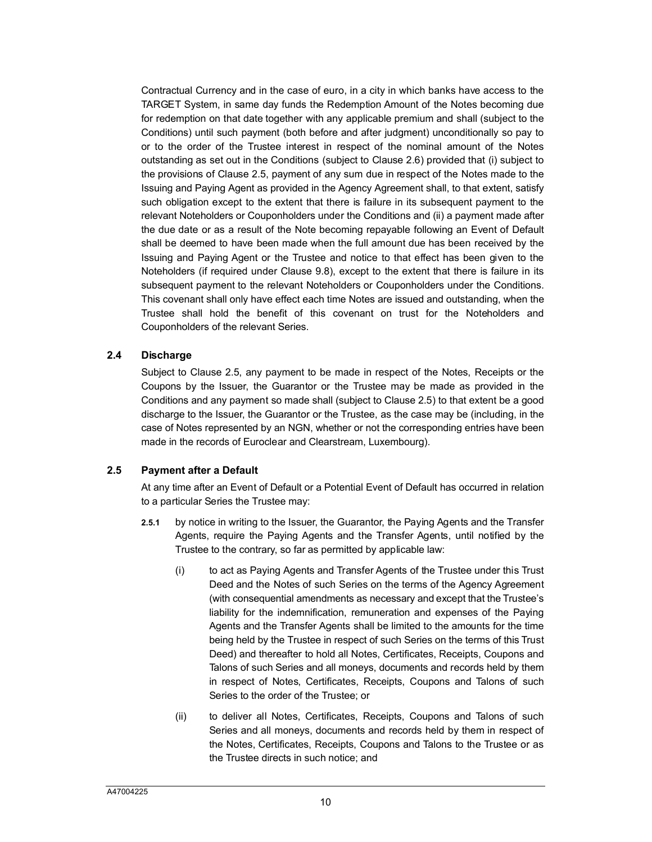Contractual Currency and in the case of euro, in a city in which banks have access to the TARGET System, in same day funds the Redemption Amount of the Notes becoming due for redemption on that date together with any applicable p[remi](#page-11-2)um and shall (subject to the Conditions) until suc[h pay](#page-10-0)ment (both before and after judgment) unconditionally so pay to or to the order of the Trustee interest in respect of the nominal amount of the Notes outstanding as set out in the Conditions (subject to Clause 2.6) provided that (i) subject to the provisions of Clause 2.5, payment of any sum due in respect of the Notes made to the Issuing and Paying Agent as provided in the Agency Agreement shall, to that extent, satisfy such obligation except to the extent that there is failure in its subsequent payment to the relevant Noteholders or Couponholders under the Conditions and (ii) a payment made after the due date or as a result of the Note becoming repayable following an Event of Default shall be deemed to have been mad[e wh](#page-17-1)en the full amount due has been received by the Issuing and Paying Agent or the Trustee and notice to that effect has been given to the Noteholders (if required under Clause 9.8), except to the extent that there is failure in its subsequent payment to the relevant Noteholders or Couponholders under the Conditions. This covenant shall only have effect each time Notes are issued and outstanding, when the Trustee shall hold the benefit of this covenant on trust for the Noteholders and Couponholders of the relevant Series.

#### **2.4 Discharge**

Subject to Clause 2.5, any payment to be made in respect [of th](#page-10-0)e Notes, Receipts or the Coupons by the Issuer, the Guarantor or the Trustee may be made as provided in the Conditions and any payment so made shall (subject to Clause 2.5) to that extent be a good discharge to the Issuer, the Guarantor or the Trustee, as the case may be (including, in the case of Notes represented by an NGN, whether or not the corresponding entries have been made in the records of Euroclear and Clearstream, Luxembourg).

## <span id="page-10-0"></span>**2.5 Payment after a Default**

At any time after an Event of Default or a Potential Event of Default has occurred in relation to a particular Series the Trustee may:

- **2.5.1** by notice in writing to the Issuer, the Guarantor, the Paying Agents and the Transfer Agents, require the Paying Agents and the Transfer Agents, until notified by the Trustee to the contrary, so far as permitted by applicable law:
	- (i) to act as Paying Agents and Transfer Agents of the Trustee under this Trust Deed and the Notes of such Series on the terms of the Agency Agreement (with consequential amendments as necessary and except that the Trustee's liability for the indemnification, remuneration and expenses of the Paying Agents and the Transfer Agents shall be limited to the amounts for the time being held by the Trustee in respect of such Series on the terms of this Trust Deed) and thereafter to hold all Notes, Certificates, Receipts, Coupons and Talons of such Series and all moneys, documents and records held by them in respect of Notes, Certificates, Receipts, Coupons and Talons of such Series to the order of the Trustee; or
	- (ii) to deliver all Notes, Certificates, Receipts, Coupons and Talons of such Series and all moneys, documents and records held by them in respect of the Notes, Certificates, Receipts, Coupons and Talons to the Trustee or as the Trustee directs in such notice; and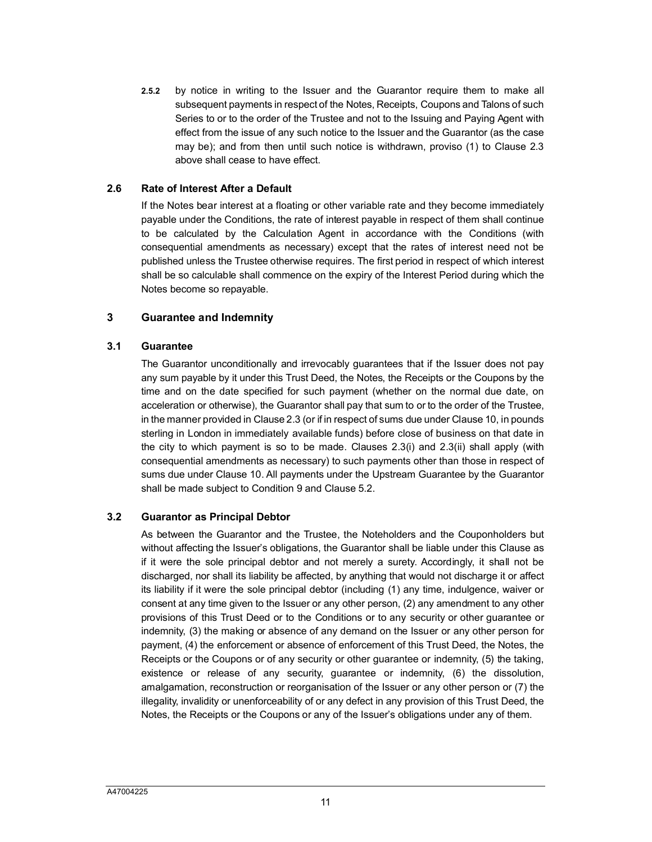**2.5.2** by notice in writing to the Issuer and the Guarantor require them to make all subsequent payments in respect of the Notes, Receipts, Coupons and Talons of s[uch](#page-9-1)  Series to or to the order of the Trustee and not to the Issuing and Paying Agent with effect from the issue of any such notice to the Issuer and the Guarantor (as the case may be); and from then until such notice is withdrawn, proviso (1) to Clause 2.3 above shall cease to have effect.

#### <span id="page-11-2"></span>**2.6 Rate of Interest After a Default**

If the Notes bear interest at a floating or other variable rate and they become immediately payable under the Conditions, the rate of interest payable in respect of them shall continue to be calculated by the Calculation Agent in accordance with the Conditions (with consequential amendments as necessary) except that the rates of interest need not be published unless the Trustee otherwise requires. The first period in respect of which interest shall be so calculable shall commence on the expiry of the Interest Period during which the Notes become so repayable.

#### <span id="page-11-1"></span><span id="page-11-0"></span>**3 Guarantee and Indemnity**

#### **3.1 Guarantee**

The Guarantor unconditionally and irrevocably guarantees that if the Issuer does not pay any sum payable by it under this Trust Deed, the Notes, the Receipts or the Coupons by the time and on the date specifi[ed fo](#page-9-1)r such payment (whether on the normal [due](#page-18-1) date, on acceleration or otherwise), the Guarantor shall pay that sum to or to the order of the Trustee, in the manner provided in Clause 2.3 (or if in respect of sums due under Clause 10, in pounds sterling in London in immediately available funds) before close of business on that date in the city to which payment is so to be made. Clauses 2.3(i) and 2.3(ii) shall apply (with consequential amen[dme](#page-18-1)nts as necessary) to such payments other than those in respect of sums due under Clause 10. All payments unde[r the](#page-14-2) Upstream Guarantee by the Guarantor shall be made subject to Condition 9 and Clause 5.2.

## **3.2 Guarantor as Principal Debtor**

As between the Guarantor and the Trustee, the Noteholders and the Couponholders but without affecting the Issuer's obligations, the Guarantor shall be liable under this Clause as if it were the sole principal debtor and not merely a surety. Accordingly, it shall not be discharged, nor shall its liability be affected, by anything that would not discharge it or affect its liability if it were the sole principal debtor (including (1) any time, indulgence, waiver or consent at any time given to the Issuer or any other person, (2) any amendment to any other provisions of this Trust Deed or to the Conditions or to any security or other guarantee or indemnity, (3) the making or absence of any demand on the Issuer or any other person for payment, (4) the enforcement or absence of enforcement of this Trust Deed, the Notes, the Receipts or the Coupons or of any security or other guarantee or indemnity, (5) the taking, existence or release of any security, guarantee or indemnity, (6) the dissolution, amalgamation, reconstruction or reorganisation of the Issuer or any other person or (7) the illegality, invalidity or unenforceability of or any defect in any provision of this Trust Deed, the Notes, the Receipts or the Coupons or any of the Issuer's obligations under any of them.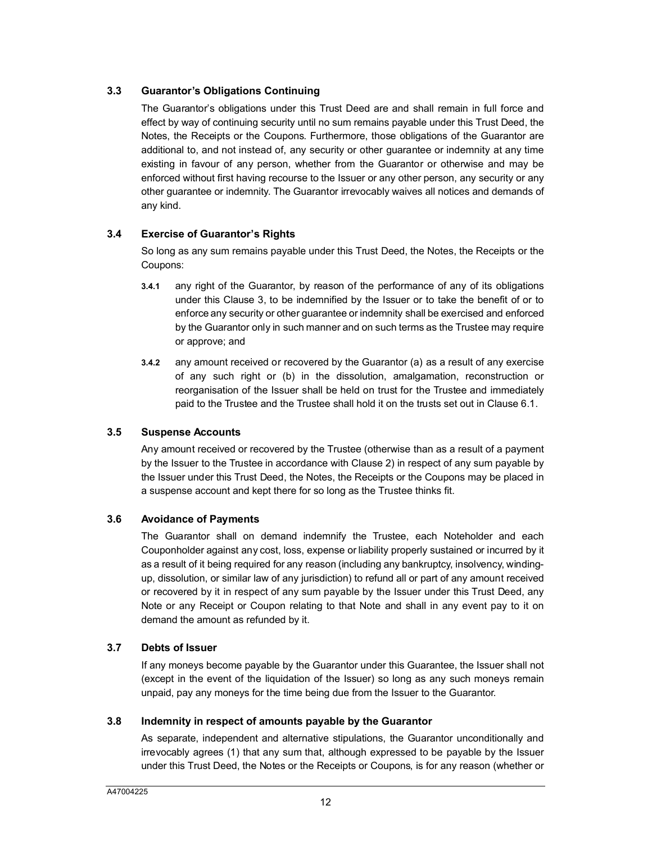## **3.3 Guarantor's Obligations Continuing**

The Guarantor's obligations under this Trust Deed are and shall remain in full force and effect by way of continuing security until no sum remains payable under this Trust Deed, the Notes, the Receipts or the Coupons. Furthermore, those obligations of the Guarantor are additional to, and not instead of, any security or other guarantee or indemnity at any time existing in favour of any person, whether from the Guarantor or otherwise and may be enforced without first having recourse to the Issuer or any other person, any security or any other guarantee or indemnity. The Guarantor irrevocably waives all notices and demands of any kind.

## **3.4 Exercise of Guarantor's Rights**

So long as any sum remains payable under this Trust Deed, the Notes, the Receipts or the Coupons:

- **3.4.1** any right of the Guarantor, by reason of the performance of any of its obligations under this Clause 3, to be indemnified by the Issuer or to take the benefit of or to enforce any security or other guarantee or indemnity shall be exercised and enforced by the Guarantor only in such manner and on such terms as the Trustee may require or approve; and
- **3.4.2** any amount received or recovered by the Guarantor (a) as a result of any exercise of any such right or (b) in the dissolution, amalgamation, reconstructi[on or](#page-14-3) reorganisation of the Issuer shall be held on trust for the Trustee and immediately paid to the Trustee and the Trustee shall hold it on the trusts set out in Clause 6.1.

## **3.5 Suspense Accounts**

Any amount received or recovered by the Trustee (ot[her](#page-9-2)wise than as a result of a payment by the Issuer to the Trustee in accordance with Clause 2) in respect of any sum payable by the Issuer under this Trust Deed, the Notes, the Receipts or the Coupons may be placed in a suspense account and kept there for so long as the Trustee thinks fit.

## **3.6 Avoidance of Payments**

The Guarantor shall on demand indemnify the Trustee, each Noteholder and each Couponholder against any cost, loss, expense or liability properly sustained or incurred by it as a result of it being required for any reason (including any bankruptcy, insolvency, windingup, dissolution, or similar law of any jurisdiction) to refund all or part of any amount received or recovered by it in respect of any sum payable by the Issuer under this Trust Deed, any Note or any Receipt or Coupon relating to that Note and shall in any event pay to it on demand the amount as refunded by it.

## **3.7 Debts of Issuer**

If any moneys become payable by the Guarantor under this Guarantee, the Issuer shall not (except in the event of the liquidation of the Issuer) so long as any such moneys remain unpaid, pay any moneys for the time being due from the Issuer to the Guarantor.

## **3.8 Indemnity in respect of amounts payable by the Guarantor**

As separate, independent and alternative stipulations, the Guarantor unconditionally and irrevocably agrees (1) that any sum that, although expressed to be payable by the Issuer under this Trust Deed, the Notes or the Receipts or Coupons, is for any reason (whether or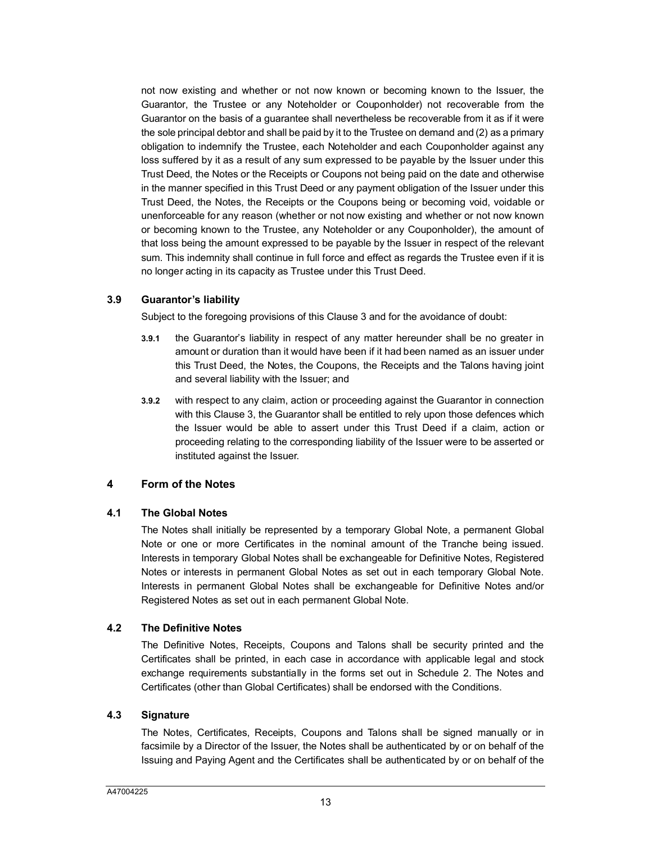not now existing and whether or not now known or becoming known to the Issuer, the Guarantor, the Trustee or any Noteholder or Couponholder) not recoverable from the Guarantor on the basis of a guarantee shall nevertheless be recoverable from it as if it were the sole principal debtor and shall be paid by it to the Trustee on demand and (2) as a primary obligation to indemnify the Trustee, each Noteholder and each Couponholder against any loss suffered by it as a result of any sum expressed to be payable by the Issuer under this Trust Deed, the Notes or the Receipts or Coupons not being paid on the date and otherwise in the manner specified in this Trust Deed or any payment obligation of the Issuer under this Trust Deed, the Notes, the Receipts or the Coupons being or becoming void, voidable or unenforceable for any reason (whether or not now existing and whether or not now known or becoming known to the Trustee, any Noteholder or any Couponholder), the amount of that loss being the amount expressed to be payable by the Issuer in respect of the relevant sum. This indemnity shall continue in full force and effect as regards the Trustee even if it is no longer acting in its capacity as Trustee under this Trust Deed.

#### **3.9 Guarantor's liability**

Subject to the foregoing provisions of this Clause 3 and for the avoidance of doubt:

- **3.9.1** the Guarantor's liability in respect of any matter hereunder shall be no greater in amount or duration than it would have been if it had been named as an issuer under this Trust Deed, the Notes, the Coupons, the Receipts and the Talons having joint and several liability with the Issuer; and
- **3.9.2** with respect to any claim, action or proceeding against the Guarantor in connection with this Clause 3, the Guarantor shall be entitled to rely upon those defences which the Issuer would be able to assert under this Trust Deed if a claim, action or proceeding relating to the corresponding liability of the Issuer were to be asserted or instituted against the Issuer.

## <span id="page-13-0"></span>**4 Form of the Notes**

#### **4.1 The Global Notes**

The Notes shall initially be represented by a temporary Global Note, a permanent Global Note or one or more Certificates in the nominal amount of the Tranche being issued. Interests in temporary Global Notes shall be exchangeable for Definitive Notes, Registered Notes or interests in permanent Global Notes as set out in each temporary Global Note. Interests in permanent Global Notes shall be exchangeable for Definitive Notes and/or Registered Notes as set out in each permanent Global Note.

## **4.2 The Definitive Notes**

The Definitive Notes, Receipts, Coupons and Talons shall be security printed and the Certificates shall be printed, in each case in accordance with applicable legal and stock exchange requirements substantially in the forms set out in Schedule 2. The Notes and Certificates (other than Global Certificates) shall be endorsed with the Conditions.

#### **4.3 Signature**

The Notes, Certificates, Receipts, Coupons and Talons shall be signed manually or in facsimile by a Director of the Issuer, the Notes shall be authenticated by or on behalf of the Issuing and Paying Agent and the Certificates shall be authenticated by or on behalf of the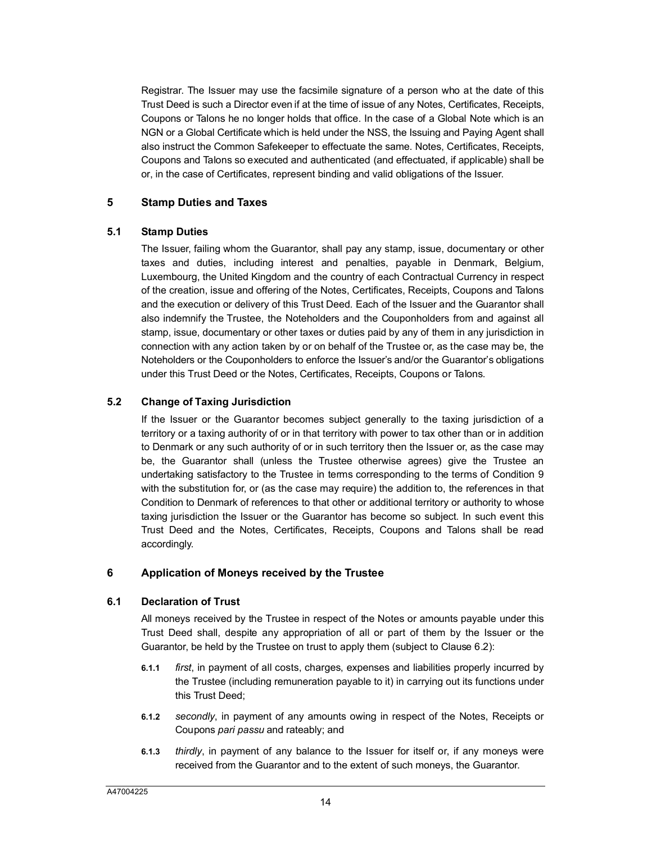Registrar. The Issuer may use the facsimile signature of a person who at the date of this Trust Deed is such a Director even if at the time of issue of any Notes, Certificates, Receipts, Coupons or Talons he no longer holds that office. In the case of a Global Note which is an NGN or a Global Certificate which is held under the NSS, the Issuing and Paying Agent shall also instruct the Common Safekeeper to effectuate the same. Notes, Certificates, Receipts, Coupons and Talons so executed and authenticated (and effectuated, if applicable) shall be or, in the case of Certificates, represent binding and valid obligations of the Issuer.

## <span id="page-14-0"></span>**5 Stamp Duties and Taxes**

## **5.1 Stamp Duties**

The Issuer, failing whom the Guarantor, shall pay any stamp, issue, documentary or other taxes and duties, including interest and penalties, payable in Denmark, Belgium, Luxembourg, the United Kingdom and the country of each Contractual Currency in respect of the creation, issue and offering of the Notes, Certificates, Receipts, Coupons and Talons and the execution or delivery of this Trust Deed. Each of the Issuer and the Guarantor shall also indemnify the Trustee, the Noteholders and the Couponholders from and against all stamp, issue, documentary or other taxes or duties paid by any of them in any jurisdiction in connection with any action taken by or on behalf of the Trustee or, as the case may be, the Noteholders or the Couponholders to enforce the Issuer's and/or the Guarantor's obligations under this Trust Deed or the Notes, Certificates, Receipts, Coupons or Talons.

## <span id="page-14-2"></span>**5.2 Change of Taxing Jurisdiction**

If the Issuer or the Guarantor becomes subject generally to the taxing jurisdiction of a territory or a taxing authority of or in that territory with power to tax other than or in addition to Denmark or any such authority of or in such territory then the Issuer or, as the case may be, the Guarantor shall (unless the Trustee otherwise agrees) give the Trustee an undertaking satisfactory to the Trustee in terms corresponding to the terms of Condition 9 with the substitution for, or (as the case may require) the addition to, the references in that Condition to Denmark of references to that other or additional territory or authority to whose taxing jurisdiction the Issuer or the Guarantor has become so subject. In such event this Trust Deed and the Notes, Certificates, Receipts, Coupons and Talons shall be read accordingly.

## <span id="page-14-3"></span><span id="page-14-1"></span>**6 Application of Moneys received by the Trustee**

## **6.1 Declaration of Trust**

All moneys received by the Trustee in respect of the Notes or amounts payable under this Trust Deed shall, despite any appropriation of all or part of them by the Issuer or the Guarantor, be held by the Trustee on trust to apply them (subject to Clause [6.2\)](#page-15-1):

- **6.1.1** *first*, in payment of all costs, charges, expenses and liabilities properly incurred by the Trustee (including remuneration payable to it) in carrying out its functions under this Trust Deed;
- **6.1.2** *secondly*, in payment of any amounts owing in respect of the Notes, Receipts or Coupons *pari passu* and rateably; and
- **6.1.3** *thirdly*, in payment of any balance to the Issuer for itself or, if any moneys were received from the Guarantor and to the extent of such moneys, the Guarantor.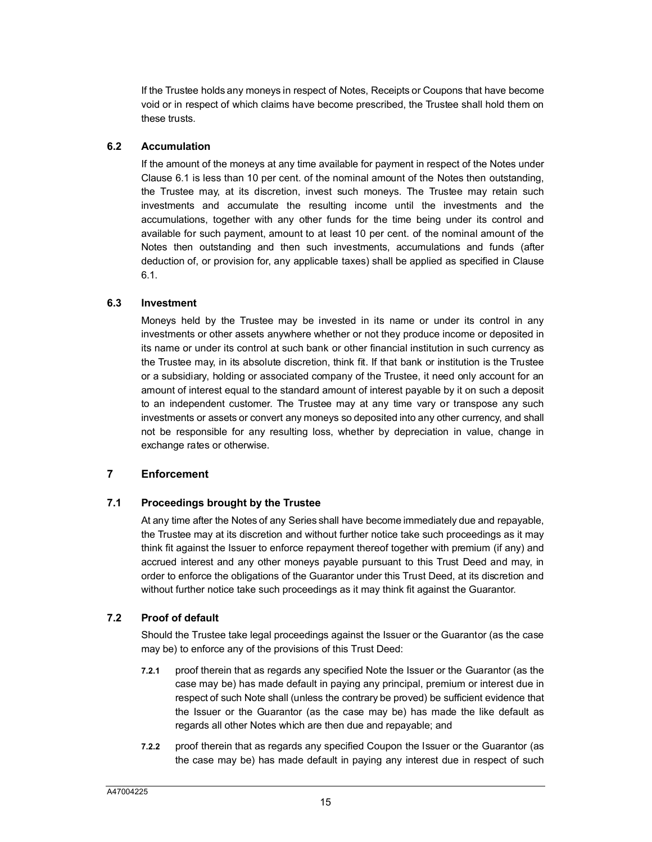If the Trustee holds any moneys in respect of Notes, Receipts or Coupons that have become void or in respect of which claims have become prescribed, the Trustee shall hold them on these trusts.

## <span id="page-15-1"></span>**6.2 A[ccum](#page-14-3)ulation**

If the amount of the moneys at any time available for payment in respect of the Notes under Clause 6.1 is less than 10 per cent. of the nominal amount of the Notes then outstanding, the Trustee may, at its discretion, invest such moneys. The Trustee may retain such investments and accumulate the resulting income until the investments and the accumulations, together with any other funds for the time being under its control and available for such payment, amount to at least 10 per cent. of the nominal amount of the Notes then outstanding and then such investments, accumulations and funds (after deduction of, or provision for, any applicable taxes) shall be applied as specified in Clause 6.1.

#### **6.3 Investment**

Moneys held by the Trustee may be invested in its name or under its control in any investments or other assets anywhere whether or not they produce income or deposited in its name or under its control at such bank or other financial institution in such currency as the Trustee may, in its absolute discretion, think fit. If that bank or institution is the Trustee or a subsidiary, holding or associated company of the Trustee, it need only account for an amount of interest equal to the standard amount of interest payable by it on such a deposit to an independent customer. The Trustee may at any time vary or transpose any such investments or assets or convert any moneys so deposited into any other currency, and shall not be responsible for any resulting loss, whether by depreciation in value, change in exchange rates or otherwise.

## <span id="page-15-2"></span><span id="page-15-0"></span>**7 Enforcement**

## **7.1 Proceedings brought by the Trustee**

At any time after the Notes of any Series shall have become immediately due and repayable, the Trustee may at its discretion and without further notice take such proceedings as it may think fit against the Issuer to enforce repayment thereof together with premium (if any) and accrued interest and any other moneys payable pursuant to this Trust Deed and may, in order to enforce the obligations of the Guarantor under this Trust Deed, at its discretion and without further notice take such proceedings as it may think fit against the Guarantor.

## **7.2 Proof of default**

Should the Trustee take legal proceedings against the Issuer or the Guarantor (as the case may be) to enforce any of the provisions of this Trust Deed:

- **7.2.1** proof therein that as regards any specified Note the Issuer or the Guarantor (as the case may be) has made default in paying any principal, premium or interest due in respect of such Note shall (unless the contrary be proved) be sufficient evidence that the Issuer or the Guarantor (as the case may be) has made the like default as regards all other Notes which are then due and repayable; and
- **7.2.2** proof therein that as regards any specified Coupon the Issuer or the Guarantor (as the case may be) has made default in paying any interest due in respect of such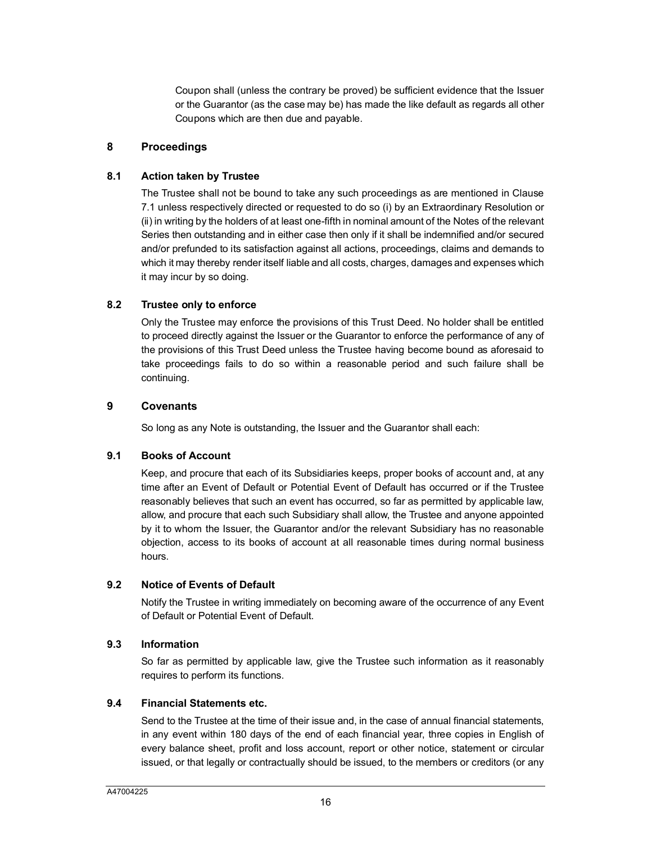Coupon shall (unless the contrary be proved) be sufficient evidence that the Issuer or the Guarantor (as the case may be) has made the like default as regards all other Coupons which are then due and payable.

#### <span id="page-16-0"></span>**8 Proceedings**

#### **8.[1](#page-15-2) Action taken by Trustee**

The Trustee shall not be bound to take any such proceedings as are mentioned in Clause 7.1 unless respectively directed or requested to do so (i) by an Extraordinary Resolution or (ii) in writing by the holders of at least one-fifth in nominal amount of the Notes of the relevant Series then outstanding and in either case then only if it shall be indemnified and/or secured and/or prefunded to its satisfaction against all actions, proceedings, claims and demands to which it may thereby render itself liable and all costs, charges, damages and expenses which it may incur by so doing.

#### **8.2 Trustee only to enforce**

Only the Trustee may enforce the provisions of this Trust Deed. No holder shall be entitled to proceed directly against the Issuer or the Guarantor to enforce the performance of any of the provisions of this Trust Deed unless the Trustee having become bound as aforesaid to take proceedings fails to do so within a reasonable period and such failure shall be continuing.

#### <span id="page-16-1"></span>**9 Covenants**

So long as any Note is outstanding, the Issuer and the Guarantor shall each:

#### **9.1 Books of Account**

Keep, and procure that each of its Subsidiaries keeps, proper books of account and, at any time after an Event of Default or Potential Event of Default has occurred or if the Trustee reasonably believes that such an event has occurred, so far as permitted by applicable law, allow, and procure that each such Subsidiary shall allow, the Trustee and anyone appointed by it to whom the Issuer, the Guarantor and/or the relevant Subsidiary has no reasonable objection, access to its books of account at all reasonable times during normal business hours.

## **9.2 Notice of Events of Default**

Notify the Trustee in writing immediately on becoming aware of the occurrence of any Event of Default or Potential Event of Default.

#### **9.3 Information**

So far as permitted by applicable law, give the Trustee such information as it reasonably requires to perform its functions.

#### **9.4 Financial Statements etc.**

Send to the Trustee at the time of their issue and, in the case of annual financial statements, in any event within 180 days of the end of each financial year, three copies in English of every balance sheet, profit and loss account, report or other notice, statement or circular issued, or that legally or contractually should be issued, to the members or creditors (or any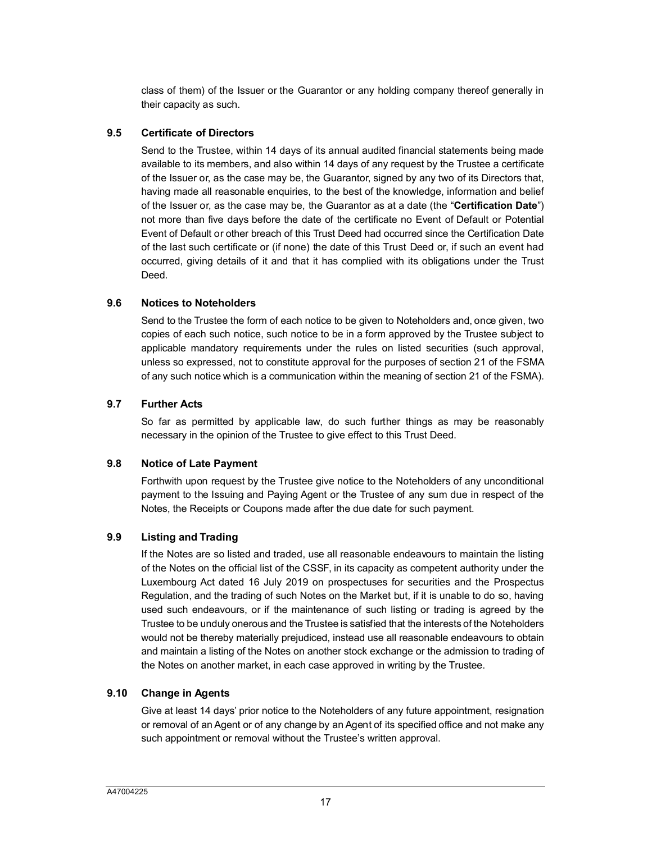class of them) of the Issuer or the Guarantor or any holding company thereof generally in their capacity as such.

#### **9.5 Certificate of Directors**

Send to the Trustee, within 14 days of its annual audited financial statements being made available to its members, and also within 14 days of any request by the Trustee a certificate of the Issuer or, as the case may be, the Guarantor, signed by any two of its Directors that, having made all reasonable enquiries, to the best of the knowledge, information and belief of the Issuer or, as the case may be, the Guarantor as at a date (the "**Certification Date**") not more than five days before the date of the certificate no Event of Default or Potential Event of Default or other breach of this Trust Deed had occurred since the Certification Date of the last such certificate or (if none) the date of this Trust Deed or, if such an event had occurred, giving details of it and that it has complied with its obligations under the Trust Deed.

#### **9.6 Notices to Noteholders**

Send to the Trustee the form of each notice to be given to Noteholders and, once given, two copies of each such notice, such notice to be in a form approved by the Trustee subject to applicable mandatory requirements under the rules on listed securities (such approval, unless so expressed, not to constitute approval for the purposes of section 21 of the FSMA of any such notice which is a communication within the meaning of section 21 of the FSMA).

## <span id="page-17-1"></span>**9.7 Further Acts**

So far as permitted by applicable law, do such further things as may be reasonably necessary in the opinion of the Trustee to give effect to this Trust Deed.

## **9.8 Notice of Late Payment**

Forthwith upon request by the Trustee give notice to the Noteholders of any unconditional payment to the Issuing and Paying Agent or the Trustee of any sum due in respect of the Notes, the Receipts or Coupons made after the due date for such payment.

## **9.9 Listing and Trading**

If the Notes are so listed and traded, use all reasonable endeavours to maintain the listing of the Notes on the official list of the CSSF, in its capacity as competent authority under the Luxembourg Act dated 16 July 2019 on prospectuses for securities and the Prospectus Regulation, and the trading of such Notes on the Market but, if it is unable to do so, having used such endeavours, or if the maintenance of such listing or trading is agreed by the Trustee to be unduly onerous and the Trustee is satisfied that the interests of the Noteholders would not be thereby materially prejudiced, instead use all reasonable endeavours to obtain and maintain a listing of the Notes on another stock exchange or the admission to trading of the Notes on another market, in each case approved in writing by the Trustee.

## <span id="page-17-0"></span>**9.10 Change in Agents**

Give at least 14 days' prior notice to the Noteholders of any future appointment, resignation or removal of an Agent or of any change by an Agent of its specified office and not make any such appointment or removal without the Trustee's written approval.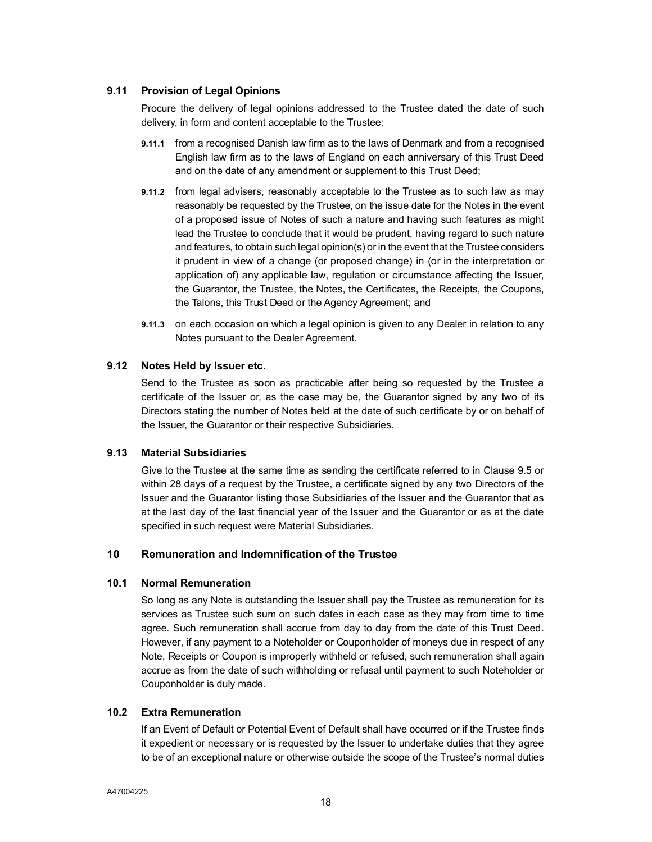## **9.11 Provision of Legal Opinions**

Procure the delivery of legal opinions addressed to the Trustee dated the date of such delivery, in form and content acceptable to the Trustee:

- **9.11.1** from a recognised Danish law firm as to the laws of Denmark and from a recognised English law firm as to the laws of England on each anniversary of this Trust Deed and on the date of any amendment or supplement to this Trust Deed;
- **9.11.2** from legal advisers, reasonably acceptable to the Trustee as to such law as may reasonably be requested by the Trustee, on the issue date for the Notes in the event of a proposed issue of Notes of such a nature and having such features as might lead the Trustee to conclude that it would be prudent, having regard to such nature and features, to obtain such legal opinion(s) or in the event that the Trustee considers it prudent in view of a change (or proposed change) in (or in the interpretation or application of) any applicable law, regulation or circumstance affecting the Issuer, the Guarantor, the Trustee, the Notes, the Certificates, the Receipts, the Coupons, the Talons, this Trust Deed or the Agency Agreement; and
- **9.11.3** on each occasion on which a legal opinion is given to any Dealer in relation to any Notes pursuant to the Dealer Agreement.

## **9.12 Notes Held by Issuer etc.**

Send to the Trustee as soon as practicable after being so requested by the Trustee a certificate of the Issuer or, as the case may be, the Guarantor signed by any two of its Directors stating the number of Notes held at the date of such certificate by or on behalf of the Issuer, the Guarantor or their respective Subsidiaries.

## **9.13 Material Subsidiaries**

Give to the Trustee at the same time as sending the certificate referred to in Clause 9.5 or within 28 days of a request by the Trustee, a certificate signed by any two Directors of the Issuer and the Guarantor listing those Subsidiaries of the Issuer and the Guarantor that as at the last day of the last financial year of the Issuer and the Guarantor or as at the date specified in such request were Material Subsidiaries.

## <span id="page-18-1"></span><span id="page-18-0"></span>**10 Remuneration and Indemnification of the Trustee**

#### **10.1 Normal Remuneration**

So long as any Note is outstanding the Issuer shall pay the Trustee as remuneration for its services as Trustee such sum on such dates in each case as they may from time to time agree. Such remuneration shall accrue from day to day from the date of this Trust Deed. However, if any payment to a Noteholder or Couponholder of moneys due in respect of any Note, Receipts or Coupon is improperly withheld or refused, such remuneration shall again accrue as from the date of such withholding or refusal until payment to such Noteholder or Couponholder is duly made.

## **10.2 Extra Remuneration**

If an Event of Default or Potential Event of Default shall have occurred or if the Trustee finds it expedient or necessary or is requested by the Issuer to undertake duties that they agree to be of an exceptional nature or otherwise outside the scope of the Trustee's normal duties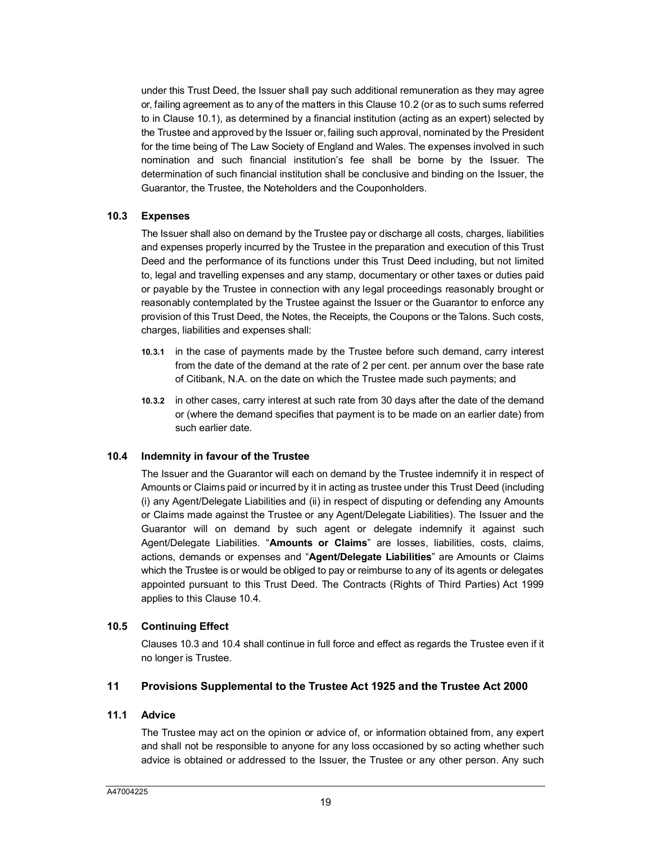under this Trust Deed, the Issuer shall pay such additional remuneration as they may agree or, failing agreement as to any of the matters in this Clause 10.2 (or as to such sums referred to in Clause 10.1), as determined by a financial institution (acting as an expert) selected by the Trustee and approved by the Issuer or, failing such approval, nominated by the President for the time being of The Law Society of England and Wales. The expenses involved in such nomination and such financial institution's fee shall be borne by the Issuer. The determination of such financial institution shall be conclusive and binding on the Issuer, the Guarantor, the Trustee, the Noteholders and the Couponholders.

#### <span id="page-19-2"></span>**10.3 Expenses**

The Issuer shall also on demand by the Trustee pay or discharge all costs, charges, liabilities and expenses properly incurred by the Trustee in the preparation and execution of this Trust Deed and the performance of its functions under this Trust Deed including, but not limited to, legal and travelling expenses and any stamp, documentary or other taxes or duties paid or payable by the Trustee in connection with any legal proceedings reasonably brought or reasonably contemplated by the Trustee against the Issuer or the Guarantor to enforce any provision of this Trust Deed, the Notes, the Receipts, the Coupons or the Talons. Such costs, charges, liabilities and expenses shall:

- **10.3.1** in the case of payments made by the Trustee before such demand, carry interest from the date of the demand at the rate of 2 per cent. per annum over the base rate of Citibank, N.A. on the date on which the Trustee made such payments; and
- **10.3.2** in other cases, carry interest at such rate from 30 days after the date of the demand or (where the demand specifies that payment is to be made on an earlier date) from such earlier date.

#### <span id="page-19-1"></span>**10.4 Indemnity in favour of the Trustee**

The Issuer and the Guarantor will each on demand by the Trustee indemnify it in respect of Amounts or Claims paid or incurred by it in acting as trustee under this Trust Deed (including (i) any Agent/Delegate Liabilities and (ii) in respect of disputing or defending any Amounts or Claims made against the Trustee or any Agent/Delegate Liabilities). The Issuer and the Guarantor will on demand by such agent or delegate indemnify it against such Agent/Delegate Liabilities. "**Amounts or Claims**" are losses, liabilities, costs, claims, actions, demands or expenses and "**Agent/Delegate Liabilities**" are Amounts or Claims which the Trustee is or would be obliged to pay or reimburse to any of its agents or delegates appointed pursua[nt to t](#page-19-1)his Trust Deed. The Contracts (Rights of Third Parties) Act 1999 applies to this Clause 10.4.

#### **10.5 Co[ntinui](#page-19-2)ng [Effect](#page-19-1)**

Clauses 10.3 and 10.4 shall continue in full force and effect as regards the Trustee even if it no longer is Trustee.

#### <span id="page-19-0"></span>**11 Provisions Supplemental to the Trustee Act 1925 and the Trustee Act 2000**

#### **11.1 Advice**

The Trustee may act on the opinion or advice of, or information obtained from, any expert and shall not be responsible to anyone for any loss occasioned by so acting whether such advice is obtained or addressed to the Issuer, the Trustee or any other person. Any such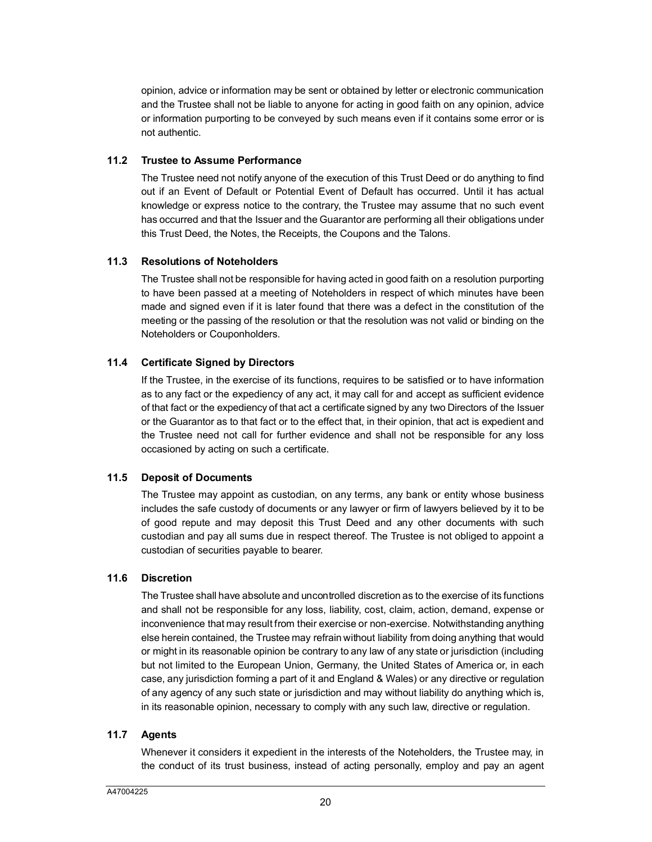opinion, advice or information may be sent or obtained by letter or electronic communication and the Trustee shall not be liable to anyone for acting in good faith on any opinion, advice or information purporting to be conveyed by such means even if it contains some error or is not authentic.

#### **11.2 Trustee to Assume Performance**

The Trustee need not notify anyone of the execution of this Trust Deed or do anything to find out if an Event of Default or Potential Event of Default has occurred. Until it has actual knowledge or express notice to the contrary, the Trustee may assume that no such event has occurred and that the Issuer and the Guarantor are performing all their obligations under this Trust Deed, the Notes, the Receipts, the Coupons and the Talons.

## **11.3 Resolutions of Noteholders**

The Trustee shall not be responsible for having acted in good faith on a resolution purporting to have been passed at a meeting of Noteholders in respect of which minutes have been made and signed even if it is later found that there was a defect in the constitution of the meeting or the passing of the resolution or that the resolution was not valid or binding on the Noteholders or Couponholders.

## **11.4 Certificate Signed by Directors**

If the Trustee, in the exercise of its functions, requires to be satisfied or to have information as to any fact or the expediency of any act, it may call for and accept as sufficient evidence of that fact or the expediency of that act a certificate signed by any two Directors of the Issuer or the Guarantor as to that fact or to the effect that, in their opinion, that act is expedient and the Trustee need not call for further evidence and shall not be responsible for any loss occasioned by acting on such a certificate.

## **11.5 Deposit of Documents**

The Trustee may appoint as custodian, on any terms, any bank or entity whose business includes the safe custody of documents or any lawyer or firm of lawyers believed by it to be of good repute and may deposit this Trust Deed and any other documents with such custodian and pay all sums due in respect thereof. The Trustee is not obliged to appoint a custodian of securities payable to bearer.

## **11.6 Discretion**

The Trustee shall have absolute and uncontrolled discretion as to the exercise of its functions and shall not be responsible for any loss, liability, cost, claim, action, demand, expense or inconvenience that may result from their exercise or non-exercise. Notwithstanding anything else herein contained, the Trustee may refrain without liability from doing anything that would or might in its reasonable opinion be contrary to any law of any state or jurisdiction (including but not limited to the European Union, Germany, the United States of America or, in each case, any jurisdiction forming a part of it and England & Wales) or any directive or regulation of any agency of any such state or jurisdiction and may without liability do anything which is, in its reasonable opinion, necessary to comply with any such law, directive or regulation.

#### **11.7 Agents**

Whenever it considers it expedient in the interests of the Noteholders, the Trustee may, in the conduct of its trust business, instead of acting personally, employ and pay an agent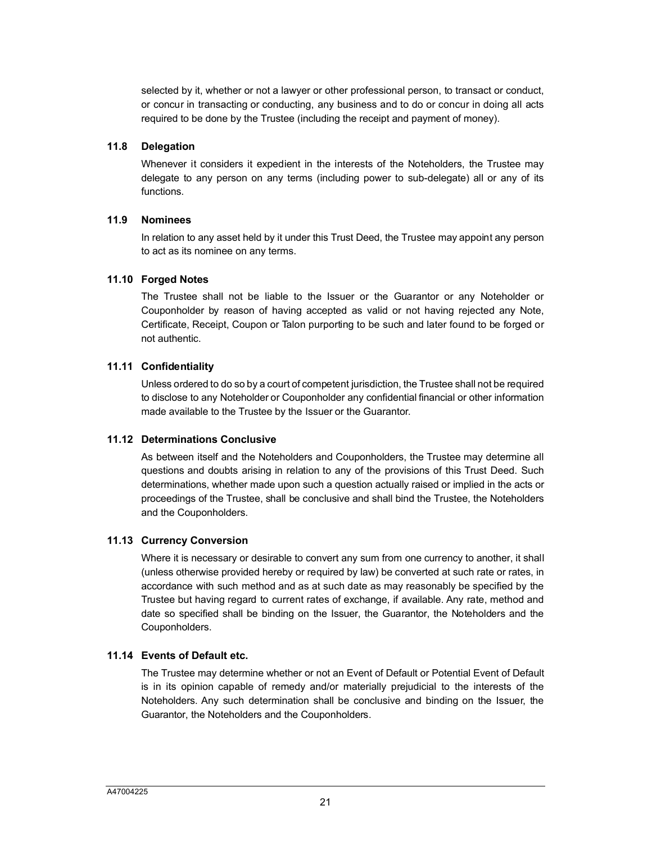selected by it, whether or not a lawyer or other professional person, to transact or conduct, or concur in transacting or conducting, any business and to do or concur in doing all acts required to be done by the Trustee (including the receipt and payment of money).

#### **11.8 Delegation**

Whenever it considers it expedient in the interests of the Noteholders, the Trustee may delegate to any person on any terms (including power to sub-delegate) all or any of its functions.

#### **11.9 Nominees**

In relation to any asset held by it under this Trust Deed, the Trustee may appoint any person to act as its nominee on any terms.

## **11.10 Forged Notes**

The Trustee shall not be liable to the Issuer or the Guarantor or any Noteholder or Couponholder by reason of having accepted as valid or not having rejected any Note, Certificate, Receipt, Coupon or Talon purporting to be such and later found to be forged or not authentic.

## **11.11 Confidentiality**

Unless ordered to do so by a court of competent jurisdiction, the Trustee shall not be required to disclose to any Noteholder or Couponholder any confidential financial or other information made available to the Trustee by the Issuer or the Guarantor.

#### **11.12 Determinations Conclusive**

As between itself and the Noteholders and Couponholders, the Trustee may determine all questions and doubts arising in relation to any of the provisions of this Trust Deed. Such determinations, whether made upon such a question actually raised or implied in the acts or proceedings of the Trustee, shall be conclusive and shall bind the Trustee, the Noteholders and the Couponholders.

## **11.13 Currency Conversion**

Where it is necessary or desirable to convert any sum from one currency to another, it shall (unless otherwise provided hereby or required by law) be converted at such rate or rates, in accordance with such method and as at such date as may reasonably be specified by the Trustee but having regard to current rates of exchange, if available. Any rate, method and date so specified shall be binding on the Issuer, the Guarantor, the Noteholders and the Couponholders.

## **11.14 Events of Default etc.**

The Trustee may determine whether or not an Event of Default or Potential Event of Default is in its opinion capable of remedy and/or materially prejudicial to the interests of the Noteholders. Any such determination shall be conclusive and binding on the Issuer, the Guarantor, the Noteholders and the Couponholders.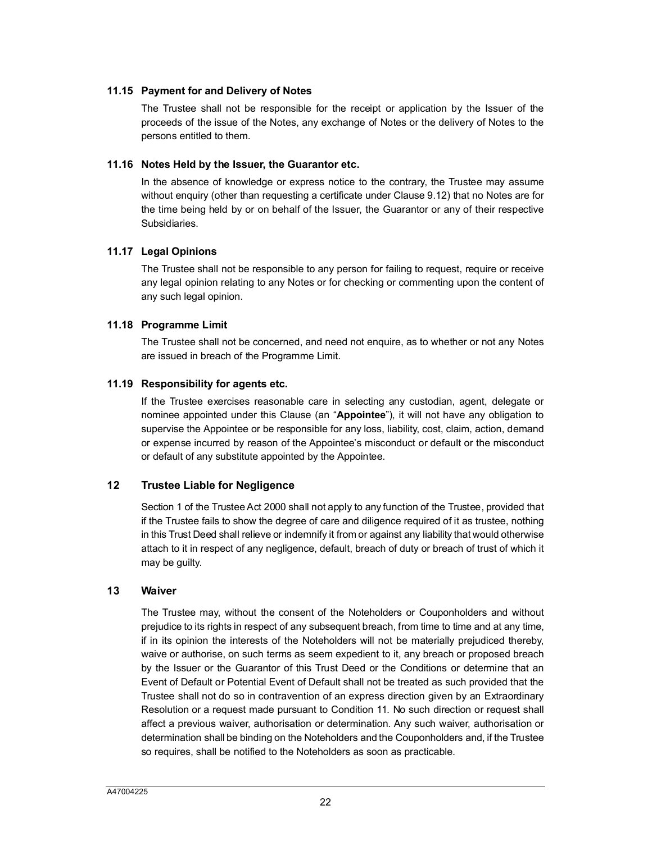#### **11.15 Payment for and Delivery of Notes**

The Trustee shall not be responsible for the receipt or application by the Issuer of the proceeds of the issue of the Notes, any exchange of Notes or the delivery of Notes to the persons entitled to them.

#### **11.16 Notes Held by the Issuer, the Guarantor etc.**

In the absence of knowledge or express notice to the contrary, the Trustee may assume without enquiry (other than requesting a certificate under Clause 9.12) that no Notes are for the time being held by or on behalf of the Issuer, the Guarantor or any of their respective Subsidiaries.

## **11.17 Legal Opinions**

The Trustee shall not be responsible to any person for failing to request, require or receive any legal opinion relating to any Notes or for checking or commenting upon the content of any such legal opinion.

## **11.18 Programme Limit**

The Trustee shall not be concerned, and need not enquire, as to whether or not any Notes are issued in breach of the Programme Limit.

#### **11.19 Responsibility for agents etc.**

If the Trustee exercises reasonable care in selecting any custodian, agent, delegate or nominee appointed under this Clause (an "**Appointee**"), it will not have any obligation to supervise the Appointee or be responsible for any loss, liability, cost, claim, action, demand or expense incurred by reason of the Appointee's misconduct or default or the misconduct or default of any substitute appointed by the Appointee.

## <span id="page-22-0"></span>**12 Trustee Liable for Negligence**

Section 1 of the Trustee Act 2000 shall not apply to any function of the Trustee, provided that if the Trustee fails to show the degree of care and diligence required of it as trustee, nothing in this Trust Deed shall relieve or indemnify it from or against any liability that would otherwise attach to it in respect of any negligence, default, breach of duty or breach of trust of which it may be guilty.

#### <span id="page-22-1"></span>**13 Waiver**

The Trustee may, without the consent of the Noteholders or Couponholders and without prejudice to its rights in respect of any subsequent breach, from time to time and at any time, if in its opinion the interests of the Noteholders will not be materially prejudiced thereby, waive or authorise, on such terms as seem expedient to it, any breach or proposed breach by the Issuer or the Guarantor of this Trust Deed or the Conditions or determine that an Event of Default or Potential Event of Default shall not be treated as such provided that the Trustee shall not do so in contravention of an express direction given by an Extraordinary Resolution or a request made pursuant to Condition 11. No such direction or request shall affect a previous waiver, authorisation or determination. Any such waiver, authorisation or determination shall be binding on the Noteholders and the Couponholders and, if the Trustee so requires, shall be notified to the Noteholders as soon as practicable.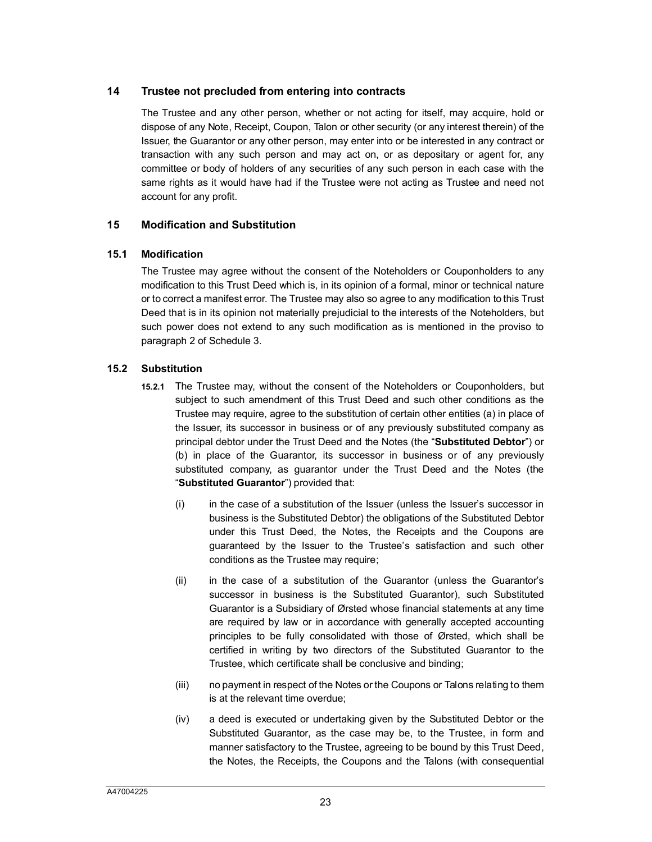## <span id="page-23-0"></span>**14 Trustee not precluded from entering into contracts**

The Trustee and any other person, whether or not acting for itself, may acquire, hold or dispose of any Note, Receipt, Coupon, Talon or other security (or any interest therein) of the Issuer, the Guarantor or any other person, may enter into or be interested in any contract or transaction with any such person and may act on, or as depositary or agent for, any committee or body of holders of any securities of any such person in each case with the same rights as it would have had if the Trustee were not acting as Trustee and need not account for any profit.

## <span id="page-23-1"></span>**15 Modification and Substitution**

## **15.1 Modification**

The Trustee may agree without the consent of the Noteholders or Couponholders to any modification to this Trust Deed which is, in its opinion of a formal, minor or technical nature or to correct a manifest error. The Trustee may also so agree to any modification to this Trust Deed that is in its opinion not materially prejudicial to the interests of the Noteholders, but such power does not extend to any such modification as is mentioned in the proviso to paragraph 2 of Schedule 3.

## <span id="page-23-2"></span>**15.2 Substitution**

- **15.2.1** The Trustee may, without the consent of the Noteholders or Couponholders, but subject to such amendment of this Trust Deed and such other conditions as the Trustee may require, agree to the substitution of certain other entities (a) in place of the Issuer, its successor in business or of any previously substituted company as principal debtor under the Trust Deed and the Notes (the "**Substituted Debtor**") or (b) in place of the Guarantor, its successor in business or of any previously substituted company, as guarantor under the Trust Deed and the Notes (the "**Substituted Guarantor**") provided that:
	- (i) in the case of a substitution of the Issuer (unless the Issuer's successor in business is the Substituted Debtor) the obligations of the Substituted Debtor under this Trust Deed, the Notes, the Receipts and the Coupons are guaranteed by the Issuer to the Trustee's satisfaction and such other conditions as the Trustee may require;
	- (ii) in the case of a substitution of the Guarantor (unless the Guarantor's successor in business is the Substituted Guarantor), such Substituted Guarantor is a Subsidiary of Ørsted whose financial statements at any time are required by law or in accordance with generally accepted accounting principles to be fully consolidated with those of Ørsted, which shall be certified in writing by two directors of the Substituted Guarantor to the Trustee, which certificate shall be conclusive and binding;
	- (iii) no payment in respect of the Notes or the Coupons or Talons relating to them is at the relevant time overdue;
	- (iv) a deed is executed or undertaking given by the Substituted Debtor or the Substituted Guarantor, as the case may be, to the Trustee, in form and manner satisfactory to the Trustee, agreeing to be bound by this Trust Deed, the Notes, the Receipts, the Coupons and the Talons (with consequential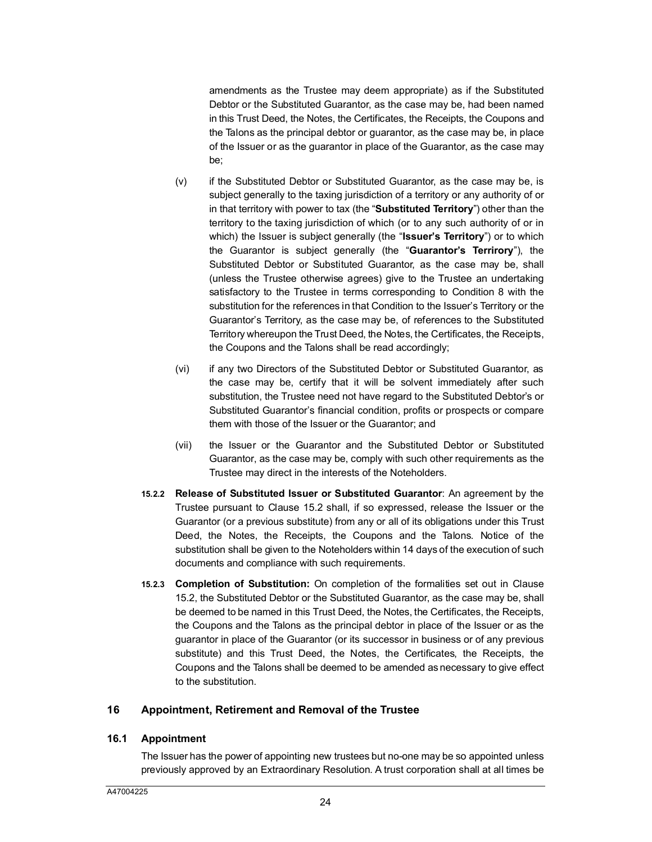amendments as the Trustee may deem appropriate) as if the Substituted Debtor or the Substituted Guarantor, as the case may be, had been named in this Trust Deed, the Notes, the Certificates, the Receipts, the Coupons and the Talons as the principal debtor or guarantor, as the case may be, in place of the Issuer or as the guarantor in place of the Guarantor, as the case may be;

- (v) if the Substituted Debtor or Substituted Guarantor, as the case may be, is subject generally to the taxing jurisdiction of a territory or any authority of or in that territory with power to tax (the "**Substituted Territory**") other than the territory to the taxing jurisdiction of which (or to any such authority of or in which) the Issuer is subject generally (the "**Issuer's Territory**") or to which the Guarantor is subject generally (the "**Guarantor's Terrirory**"), the Substituted Debtor or Substituted Guarantor, as the case may be, shall (unless the Trustee otherwise agrees) give to the Trustee an undertaking satisfactory to the Trustee in terms corresponding to Condition 8 with the substitution for the references in that Condition to the Issuer's Territory or the Guarantor's Territory, as the case may be, of references to the Substituted Territory whereupon the Trust Deed, the Notes, the Certificates, the Receipts, the Coupons and the Talons shall be read accordingly;
- (vi) if any two Directors of the Substituted Debtor or Substituted Guarantor, as the case may be, certify that it will be solvent immediately after such substitution, the Trustee need not have regard to the Substituted Debtor's or Substituted Guarantor's financial condition, profits or prospects or compare them with those of the Issuer or the Guarantor; and
- (vii) the Issuer or the Guarantor and the Substituted Debtor or Substituted Guarantor, as the case may be, comply with such other requirements as the Trustee may direct in the interests of the Noteholders.
- **15.2.2 Release of Substituted [Issuer](#page-23-2) or Substituted Guarantor**: An agreement by the Trustee pursuant to Clause 15.2 shall, if so expressed, release the Issuer or the Guarantor (or a previous substitute) from any or all of its obligations under this Trust Deed, the Notes, the Receipts, the Coupons and the Talons. Notice of the substitution shall be given to the Noteholders within 14 days of the execution of such documents and compliance with such requirements.
- **15.[2.3](#page-23-2) Completion of Substitution:** On completion of the formalities set out in Clause 15.2, the Substituted Debtor or the Substituted Guarantor, as the case may be, shall be deemed to be named in this Trust Deed, the Notes, the Certificates, the Receipts, the Coupons and the Talons as the principal debtor in place of the Issuer or as the guarantor in place of the Guarantor (or its successor in business or of any previous substitute) and this Trust Deed, the Notes, the Certificates, the Receipts, the Coupons and the Talons shall be deemed to be amended as necessary to give effect to the substitution.

## <span id="page-24-0"></span>**16 Appointment, Retirement and Removal of the Trustee**

## **16.1 Appointment**

The Issuer has the power of appointing new trustees but no-one may be so appointed unless previously approved by an Extraordinary Resolution. A trust corporation shall at all times be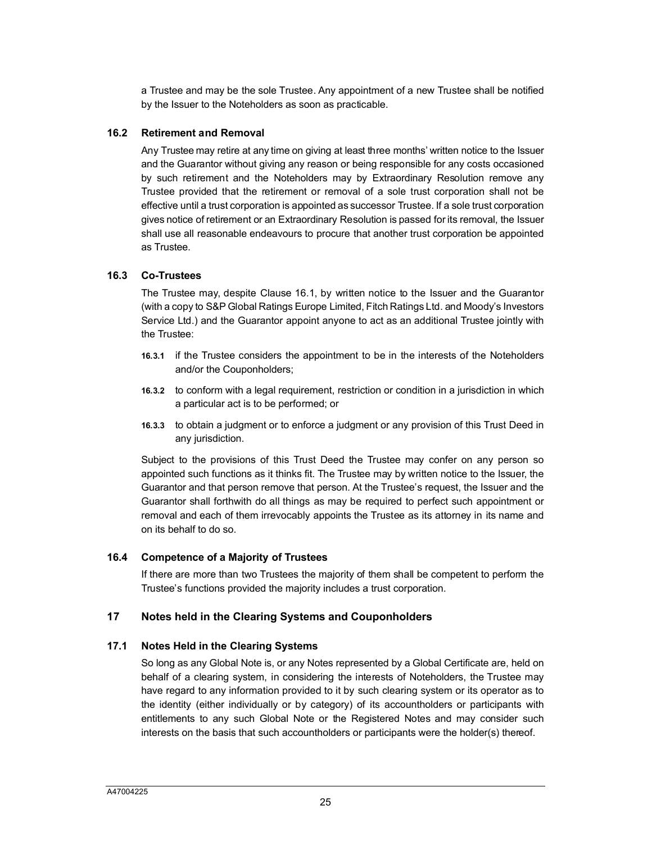a Trustee and may be the sole Trustee. Any appointment of a new Trustee shall be notified by the Issuer to the Noteholders as soon as practicable.

#### **16.2 Retirement and Removal**

Any Trustee may retire at any time on giving at least three months' written notice to the Issuer and the Guarantor without giving any reason or being responsible for any costs occasioned by such retirement and the Noteholders may by Extraordinary Resolution remove any Trustee provided that the retirement or removal of a sole trust corporation shall not be effective until a trust corporation is appointed as successor Trustee. If a sole trust corporation gives notice of retirement or an Extraordinary Resolution is passed for its removal, the Issuer shall use all reasonable endeavours to procure that another trust corporation be appointed as Trustee.

#### **16.3 Co-Trustees**

The Trustee may, despite Clause 16.1, by written notice to the Issuer and the Guarantor (with a copy to S&P Global Ratings Europe Limited, Fitch Ratings Ltd. and Moody's Investors Service Ltd.) and the Guarantor appoint anyone to act as an additional Trustee jointly with the Trustee:

- **16.3.1** if the Trustee considers the appointment to be in the interests of the Noteholders and/or the Couponholders;
- **16.3.2** to conform with a legal requirement, restriction or condition in a jurisdiction in which a particular act is to be performed; or
- **16.3.3** to obtain a judgment or to enforce a judgment or any provision of this Trust Deed in any jurisdiction.

Subject to the provisions of this Trust Deed the Trustee may confer on any person so appointed such functions as it thinks fit. The Trustee may by written notice to the Issuer, the Guarantor and that person remove that person. At the Trustee's request, the Issuer and the Guarantor shall forthwith do all things as may be required to perfect such appointment or removal and each of them irrevocably appoints the Trustee as its attorney in its name and on its behalf to do so.

## **16.4 Competence of a Majority of Trustees**

If there are more than two Trustees the majority of them shall be competent to perform the Trustee's functions provided the majority includes a trust corporation.

## <span id="page-25-0"></span>**17 Notes held in the Clearing Systems and Couponholders**

## **17.1 Notes Held in the Clearing Systems**

So long as any Global Note is, or any Notes represented by a Global Certificate are, held on behalf of a clearing system, in considering the interests of Noteholders, the Trustee may have regard to any information provided to it by such clearing system or its operator as to the identity (either individually or by category) of its accountholders or participants with entitlements to any such Global Note or the Registered Notes and may consider such interests on the basis that such accountholders or participants were the holder(s) thereof.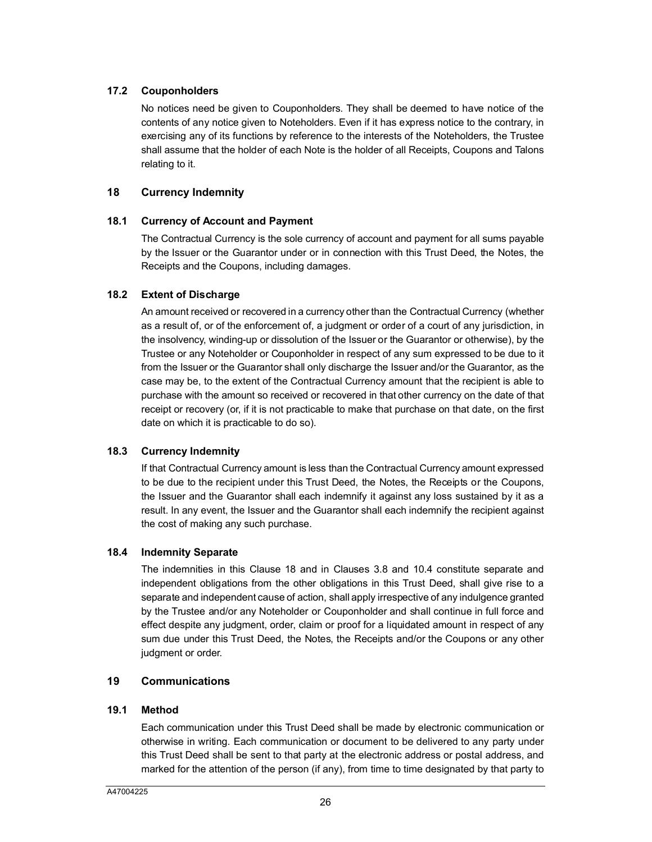## **17.2 Couponholders**

No notices need be given to Couponholders. They shall be deemed to have notice of the contents of any notice given to Noteholders. Even if it has express notice to the contrary, in exercising any of its functions by reference to the interests of the Noteholders, the Trustee shall assume that the holder of each Note is the holder of all Receipts, Coupons and Talons relating to it.

## <span id="page-26-0"></span>**18 Currency Indemnity**

## **18.1 Currency of Account and Payment**

The Contractual Currency is the sole currency of account and payment for all sums payable by the Issuer or the Guarantor under or in connection with this Trust Deed, the Notes, the Receipts and the Coupons, including damages.

## **18.2 Extent of Discharge**

An amount received or recovered in a currency other than the Contractual Currency (whether as a result of, or of the enforcement of, a judgment or order of a court of any jurisdiction, in the insolvency, winding-up or dissolution of the Issuer or the Guarantor or otherwise), by the Trustee or any Noteholder or Couponholder in respect of any sum expressed to be due to it from the Issuer or the Guarantor shall only discharge the Issuer and/or the Guarantor, as the case may be, to the extent of the Contractual Currency amount that the recipient is able to purchase with the amount so received or recovered in that other currency on the date of that receipt or recovery (or, if it is not practicable to make that purchase on that date, on the first date on which it is practicable to do so).

## **18.3 Currency Indemnity**

If that Contractual Currency amount is less than the Contractual Currency amount expressed to be due to the recipient under this Trust Deed, the Notes, the Receipts or the Coupons, the Issuer and the Guarantor shall each indemnify it against any loss sustained by it as a result. In any event, the Issuer and the Guarantor shall each indemnify the recipient against the cost of making any such purchase.

## **18.4 Indemnity Separate**

The indemnities in this Clause 18 and in Clauses 3.8 and 10.4 constitute separate and independent obligations from the other obligations in this Trust Deed, shall give rise to a separate and independent cause of action, shall apply irrespective of any indulgence granted by the Trustee and/or any Noteholder or Couponholder and shall continue in full force and effect despite any judgment, order, claim or proof for a liquidated amount in respect of any sum due under this Trust Deed, the Notes, the Receipts and/or the Coupons or any other judgment or order.

## <span id="page-26-1"></span>**19 Communications**

## **19.1 Method**

Each communication under this Trust Deed shall be made by electronic communication or otherwise in writing. Each communication or document to be delivered to any party under this Trust Deed shall be sent to that party at the electronic address or postal address, and marked for the attention of the person (if any), from time to time designated by that party to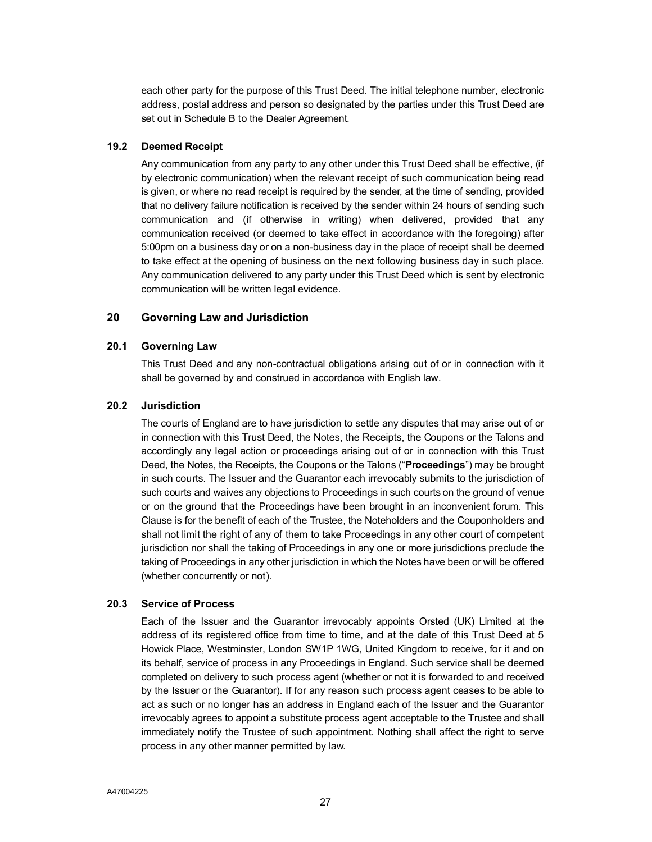each other party for the purpose of this Trust Deed. The initial telephone number, electronic address, postal address and person so designated by the parties under this Trust Deed are set out in Schedule B to the Dealer Agreement.

## **19.2 Deemed Receipt**

Any communication from any party to any other under this Trust Deed shall be effective, (if by electronic communication) when the relevant receipt of such communication being read is given, or where no read receipt is required by the sender, at the time of sending, provided that no delivery failure notification is received by the sender within 24 hours of sending such communication and (if otherwise in writing) when delivered, provided that any communication received (or deemed to take effect in accordance with the foregoing) after 5:00pm on a business day or on a non-business day in the place of receipt shall be deemed to take effect at the opening of business on the next following business day in such place. Any communication delivered to any party under this Trust Deed which is sent by electronic communication will be written legal evidence.

#### <span id="page-27-0"></span>**20 Governing Law and Jurisdiction**

#### **20.1 Governing Law**

This Trust Deed and any non-contractual obligations arising out of or in connection with it shall be governed by and construed in accordance with English law.

#### **20.2 Jurisdiction**

The courts of England are to have jurisdiction to settle any disputes that may arise out of or in connection with this Trust Deed, the Notes, the Receipts, the Coupons or the Talons and accordingly any legal action or proceedings arising out of or in connection with this Trust Deed, the Notes, the Receipts, the Coupons or the Talons ("**Proceedings**") may be brought in such courts. The Issuer and the Guarantor each irrevocably submits to the jurisdiction of such courts and waives any objections to Proceedings in such courts on the ground of venue or on the ground that the Proceedings have been brought in an inconvenient forum. This Clause is for the benefit of each of the Trustee, the Noteholders and the Couponholders and shall not limit the right of any of them to take Proceedings in any other court of competent jurisdiction nor shall the taking of Proceedings in any one or more jurisdictions preclude the taking of Proceedings in any other jurisdiction in which the Notes have been or will be offered (whether concurrently or not).

## **20.3 Service of Process**

Each of the Issuer and the Guarantor irrevocably appoints Orsted (UK) Limited at the address of its registered office from time to time, and at the date of this Trust Deed at 5 Howick Place, Westminster, London SW1P 1WG, United Kingdom to receive, for it and on its behalf, service of process in any Proceedings in England. Such service shall be deemed completed on delivery to such process agent (whether or not it is forwarded to and received by the Issuer or the Guarantor). If for any reason such process agent ceases to be able to act as such or no longer has an address in England each of the Issuer and the Guarantor irrevocably agrees to appoint a substitute process agent acceptable to the Trustee and shall immediately notify the Trustee of such appointment. Nothing shall affect the right to serve process in any other manner permitted by law.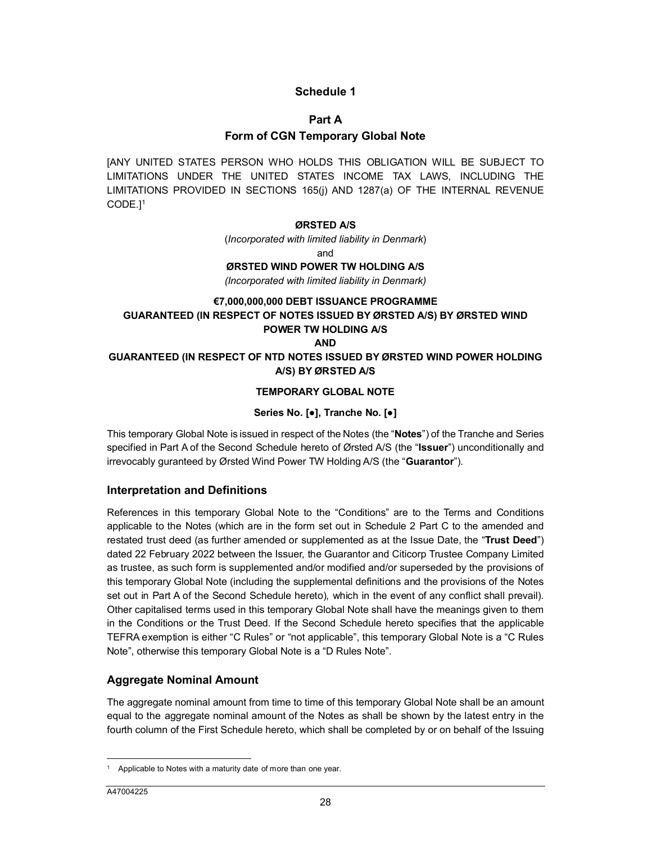## <span id="page-28-1"></span><span id="page-28-0"></span>**Schedule 1**

#### **Part A**

## **Form of CGN Temporary Global Note**

[A[N](#page-28-2)Y UNITED STATES PERSON WHO HOLDS THIS OBLIGATION WILL BE SUBJECT TO LIMITATIONS UNDER THE UNITED STATES INCOME TAX LAWS, INCLUDING THE LIMITATIONS PROVIDED IN SECTIONS 165(j) AND 1287(a) OF THE INTERNAL REVENUE CODE.] 1

#### **ØRSTED A/S**

(*Incorporated with limited liability in Denmark*)

and

## **ØRSTED WIND POWER TW HOLDING A/S**

*(Incorporated with limited liability in Denmark)*

#### **€7,000,000,000 DEBT ISSUANCE PROGRAMME GUARANTEED (IN RESPECT OF NOTES ISSUED BY ØRSTED A/S) BY ØRSTED WIND POWER TW HOLDING A/S AND**

**GUARANTEED (IN RESPECT OF NTD NOTES ISSUED BY ØRSTED WIND POWER HOLDING A/S) BY ØRSTED A/S**

#### **TEMPORARY GLOBAL NOTE**

#### **Series No. [●], Tranche No. [●]**

This temporary Global Note is issued in respect of the Notes (the "**Notes**") of the Tranche and Series specified in Part A of the Second Schedule hereto of Ørsted A/S (the "**Issuer**") unconditionally and irrevocably guranteed by Ørsted Wind Power TW Holding A/S (the "**Guarantor**").

## **Interpretation and Definitions**

References in this temporary Global Note to the "Conditions" are to the Terms and Conditions applicable to the Notes (which are in the form set out in Schedule 2 Part C to the amended and restated trust deed (as further amended or supplemented as at the Issue Date, the "**Trust Deed**") dated 22 February 2022 between the Issuer, the Guarantor and Citicorp Trustee Company Limited as trustee, as such form is supplemented and/or modified and/or superseded by the provisions of this temporary Global Note (including the supplemental definitions and the provisions of the Notes set out in Part A of the Second Schedule hereto), which in the event of any conflict shall prevail). Other capitalised terms used in this temporary Global Note shall have the meanings given to them in the Conditions or the Trust Deed. If the Second Schedule hereto specifies that the applicable TEFRA exemption is either "C Rules" or "not applicable", this temporary Global Note is a "C Rules Note", otherwise this temporary Global Note is a "D Rules Note".

#### **Aggregate Nominal Amount**

The aggregate nominal amount from time to time of this temporary Global Note shall be an amount equal to the aggregate nominal amount of the Notes as shall be shown by the latest entry in the fourth column of the First Schedule hereto, which shall be completed by or on behalf of the Issuing

 $\overline{a}$ 

<span id="page-28-2"></span><sup>&</sup>lt;sup>1</sup> Applicable to Notes with a maturity date of more than one year.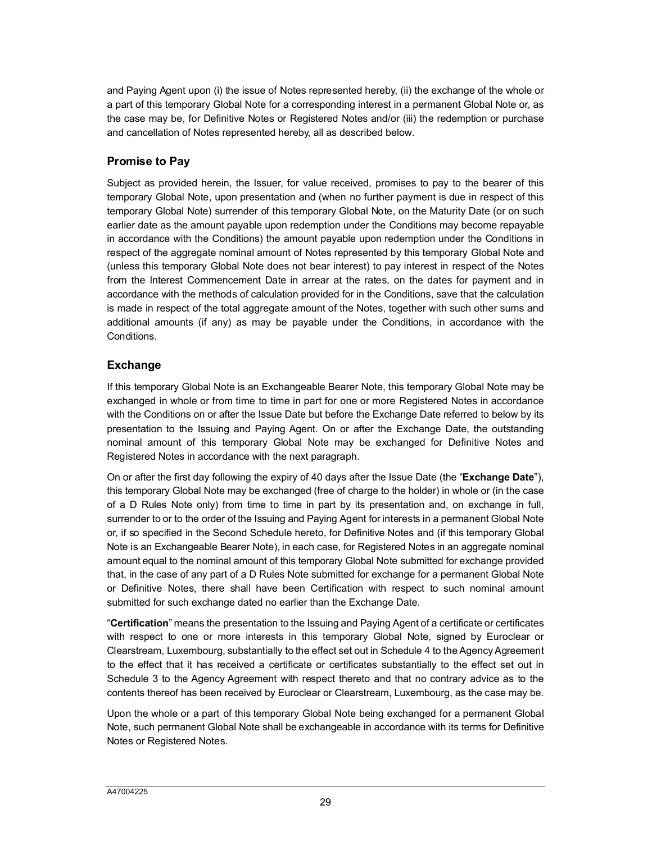and Paying Agent upon (i) the issue of Notes represented hereby, (ii) the exchange of the whole or a part of this temporary Global Note for a corresponding interest in a permanent Global Note or, as the case may be, for Definitive Notes or Registered Notes and/or (iii) the redemption or purchase and cancellation of Notes represented hereby, all as described below.

## **Promise to Pay**

Subject as provided herein, the Issuer, for value received, promises to pay to the bearer of this temporary Global Note, upon presentation and (when no further payment is due in respect of this temporary Global Note) surrender of this temporary Global Note, on the Maturity Date (or on such earlier date as the amount payable upon redemption under the Conditions may become repayable in accordance with the Conditions) the amount payable upon redemption under the Conditions in respect of the aggregate nominal amount of Notes represented by this temporary Global Note and (unless this temporary Global Note does not bear interest) to pay interest in respect of the Notes from the Interest Commencement Date in arrear at the rates, on the dates for payment and in accordance with the methods of calculation provided for in the Conditions, save that the calculation is made in respect of the total aggregate amount of the Notes, together with such other sums and additional amounts (if any) as may be payable under the Conditions, in accordance with the Conditions.

## **Exchange**

If this temporary Global Note is an Exchangeable Bearer Note, this temporary Global Note may be exchanged in whole or from time to time in part for one or more Registered Notes in accordance with the Conditions on or after the Issue Date but before the Exchange Date referred to below by its presentation to the Issuing and Paying Agent. On or after the Exchange Date, the outstanding nominal amount of this temporary Global Note may be exchanged for Definitive Notes and Registered Notes in accordance with the next paragraph.

On or after the first day following the expiry of 40 days after the Issue Date (the "**Exchange Date**"), this temporary Global Note may be exchanged (free of charge to the holder) in whole or (in the case of a D Rules Note only) from time to time in part by its presentation and, on exchange in full, surrender to or to the order of the Issuing and Paying Agent for interests in a permanent Global Note or, if so specified in the Second Schedule hereto, for Definitive Notes and (if this temporary Global Note is an Exchangeable Bearer Note), in each case, for Registered Notes in an aggregate nominal amount equal to the nominal amount of this temporary Global Note submitted for exchange provided that, in the case of any part of a D Rules Note submitted for exchange for a permanent Global Note or Definitive Notes, there shall have been Certification with respect to such nominal amount submitted for such exchange dated no earlier than the Exchange Date.

"**Certification**" means the presentation to the Issuing and Paying Agent of a certificate or certificates with respect to one or more interests in this temporary Global Note, signed by Euroclear or Clearstream, Luxembourg, substantially to the effect set out in Schedule 4 to the Agency Agreement to the effect that it has received a certificate or certificates substantially to the effect set out in Schedule 3 to the Agency Agreement with respect thereto and that no contrary advice as to the contents thereof has been received by Euroclear or Clearstream, Luxembourg, as the case may be.

Upon the whole or a part of this temporary Global Note being exchanged for a permanent Global Note, such permanent Global Note shall be exchangeable in accordance with its terms for Definitive Notes or Registered Notes.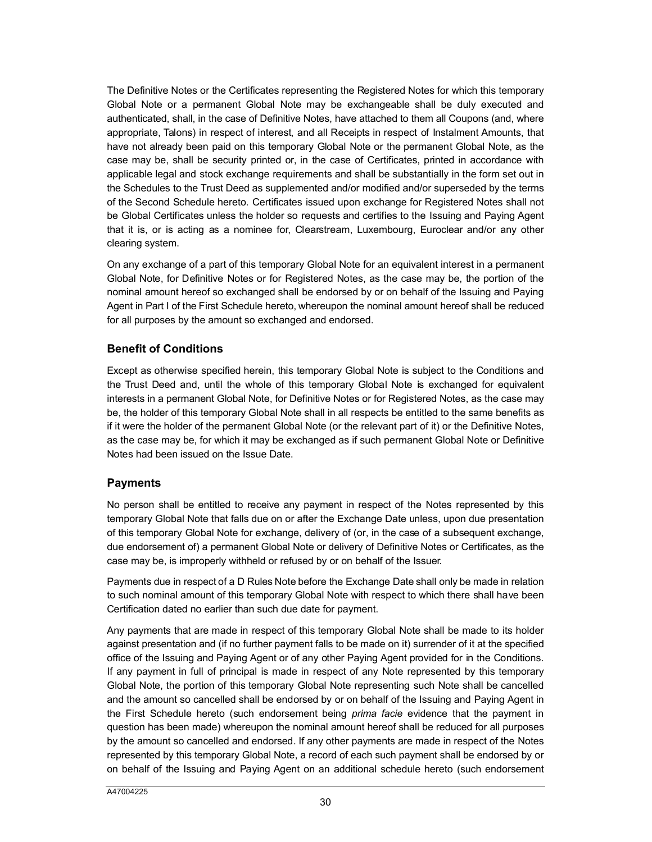The Definitive Notes or the Certificates representing the Registered Notes for which this temporary Global Note or a permanent Global Note may be exchangeable shall be duly executed and authenticated, shall, in the case of Definitive Notes, have attached to them all Coupons (and, where appropriate, Talons) in respect of interest, and all Receipts in respect of Instalment Amounts, that have not already been paid on this temporary Global Note or the permanent Global Note, as the case may be, shall be security printed or, in the case of Certificates, printed in accordance with applicable legal and stock exchange requirements and shall be substantially in the form set out in the Schedules to the Trust Deed as supplemented and/or modified and/or superseded by the terms of the Second Schedule hereto. Certificates issued upon exchange for Registered Notes shall not be Global Certificates unless the holder so requests and certifies to the Issuing and Paying Agent that it is, or is acting as a nominee for, Clearstream, Luxembourg, Euroclear and/or any other clearing system.

On any exchange of a part of this temporary Global Note for an equivalent interest in a permanent Global Note, for Definitive Notes or for Registered Notes, as the case may be, the portion of the nominal amount hereof so exchanged shall be endorsed by or on behalf of the Issuing and Paying Agent in Part I of the First Schedule hereto, whereupon the nominal amount hereof shall be reduced for all purposes by the amount so exchanged and endorsed.

## **Benefit of Conditions**

Except as otherwise specified herein, this temporary Global Note is subject to the Conditions and the Trust Deed and, until the whole of this temporary Global Note is exchanged for equivalent interests in a permanent Global Note, for Definitive Notes or for Registered Notes, as the case may be, the holder of this temporary Global Note shall in all respects be entitled to the same benefits as if it were the holder of the permanent Global Note (or the relevant part of it) or the Definitive Notes, as the case may be, for which it may be exchanged as if such permanent Global Note or Definitive Notes had been issued on the Issue Date.

## **Payments**

No person shall be entitled to receive any payment in respect of the Notes represented by this temporary Global Note that falls due on or after the Exchange Date unless, upon due presentation of this temporary Global Note for exchange, delivery of (or, in the case of a subsequent exchange, due endorsement of) a permanent Global Note or delivery of Definitive Notes or Certificates, as the case may be, is improperly withheld or refused by or on behalf of the Issuer.

Payments due in respect of a D Rules Note before the Exchange Date shall only be made in relation to such nominal amount of this temporary Global Note with respect to which there shall have been Certification dated no earlier than such due date for payment.

Any payments that are made in respect of this temporary Global Note shall be made to its holder against presentation and (if no further payment falls to be made on it) surrender of it at the specified office of the Issuing and Paying Agent or of any other Paying Agent provided for in the Conditions. If any payment in full of principal is made in respect of any Note represented by this temporary Global Note, the portion of this temporary Global Note representing such Note shall be cancelled and the amount so cancelled shall be endorsed by or on behalf of the Issuing and Paying Agent in the First Schedule hereto (such endorsement being *prima facie* evidence that the payment in question has been made) whereupon the nominal amount hereof shall be reduced for all purposes by the amount so cancelled and endorsed. If any other payments are made in respect of the Notes represented by this temporary Global Note, a record of each such payment shall be endorsed by or on behalf of the Issuing and Paying Agent on an additional schedule hereto (such endorsement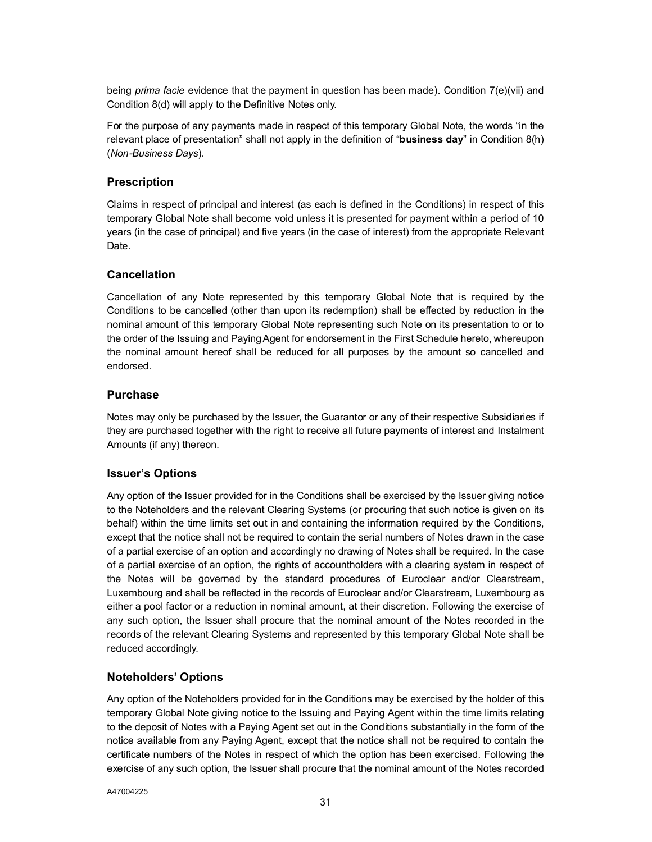being *prima facie* evidence that the payment in question has been made). Condition 7(e)(vii) and Condition 8(d) will apply to the Definitive Notes only.

For the purpose of any payments made in respect of this temporary Global Note, the words "in the relevant place of presentation" shall not apply in the definition of "**business day**" in Condition 8(h) (*Non-Business Days*).

## **Prescription**

Claims in respect of principal and interest (as each is defined in the Conditions) in respect of this temporary Global Note shall become void unless it is presented for payment within a period of 10 years (in the case of principal) and five years (in the case of interest) from the appropriate Relevant Date.

## **Cancellation**

Cancellation of any Note represented by this temporary Global Note that is required by the Conditions to be cancelled (other than upon its redemption) shall be effected by reduction in the nominal amount of this temporary Global Note representing such Note on its presentation to or to the order of the Issuing and Paying Agent for endorsement in the First Schedule hereto, whereupon the nominal amount hereof shall be reduced for all purposes by the amount so cancelled and endorsed.

## **Purchase**

Notes may only be purchased by the Issuer, the Guarantor or any of their respective Subsidiaries if they are purchased together with the right to receive all future payments of interest and Instalment Amounts (if any) thereon.

## **Issuer's Options**

Any option of the Issuer provided for in the Conditions shall be exercised by the Issuer giving notice to the Noteholders and the relevant Clearing Systems (or procuring that such notice is given on its behalf) within the time limits set out in and containing the information required by the Conditions, except that the notice shall not be required to contain the serial numbers of Notes drawn in the case of a partial exercise of an option and accordingly no drawing of Notes shall be required. In the case of a partial exercise of an option, the rights of accountholders with a clearing system in respect of the Notes will be governed by the standard procedures of Euroclear and/or Clearstream, Luxembourg and shall be reflected in the records of Euroclear and/or Clearstream, Luxembourg as either a pool factor or a reduction in nominal amount, at their discretion. Following the exercise of any such option, the Issuer shall procure that the nominal amount of the Notes recorded in the records of the relevant Clearing Systems and represented by this temporary Global Note shall be reduced accordingly.

## **Noteholders' Options**

Any option of the Noteholders provided for in the Conditions may be exercised by the holder of this temporary Global Note giving notice to the Issuing and Paying Agent within the time limits relating to the deposit of Notes with a Paying Agent set out in the Conditions substantially in the form of the notice available from any Paying Agent, except that the notice shall not be required to contain the certificate numbers of the Notes in respect of which the option has been exercised. Following the exercise of any such option, the Issuer shall procure that the nominal amount of the Notes recorded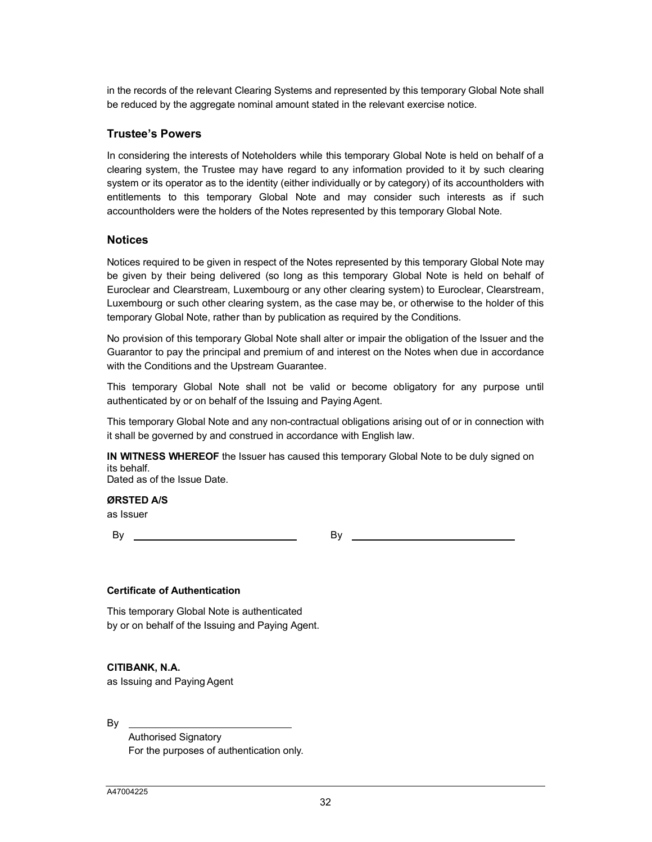in the records of the relevant Clearing Systems and represented by this temporary Global Note shall be reduced by the aggregate nominal amount stated in the relevant exercise notice.

#### **Trustee's Powers**

In considering the interests of Noteholders while this temporary Global Note is held on behalf of a clearing system, the Trustee may have regard to any information provided to it by such clearing system or its operator as to the identity (either individually or by category) of its accountholders with entitlements to this temporary Global Note and may consider such interests as if such accountholders were the holders of the Notes represented by this temporary Global Note.

#### **Notices**

Notices required to be given in respect of the Notes represented by this temporary Global Note may be given by their being delivered (so long as this temporary Global Note is held on behalf of Euroclear and Clearstream, Luxembourg or any other clearing system) to Euroclear, Clearstream, Luxembourg or such other clearing system, as the case may be, or otherwise to the holder of this temporary Global Note, rather than by publication as required by the Conditions.

No provision of this temporary Global Note shall alter or impair the obligation of the Issuer and the Guarantor to pay the principal and premium of and interest on the Notes when due in accordance with the Conditions and the Upstream Guarantee.

This temporary Global Note shall not be valid or become obligatory for any purpose until authenticated by or on behalf of the Issuing and Paying Agent.

This temporary Global Note and any non-contractual obligations arising out of or in connection with it shall be governed by and construed in accordance with English law.

**IN WITNESS WHEREOF** the Issuer has caused this temporary Global Note to be duly signed on its behalf. Dated as of the Issue Date.

**ØRSTED A/S**

as Issuer

By By By

#### **Certificate of Authentication**

This temporary Global Note is authenticated by or on behalf of the Issuing and Paying Agent.

#### **CITIBANK, N.A.**

as Issuing and Paying Agent

By

Authorised Signatory For the purposes of authentication only.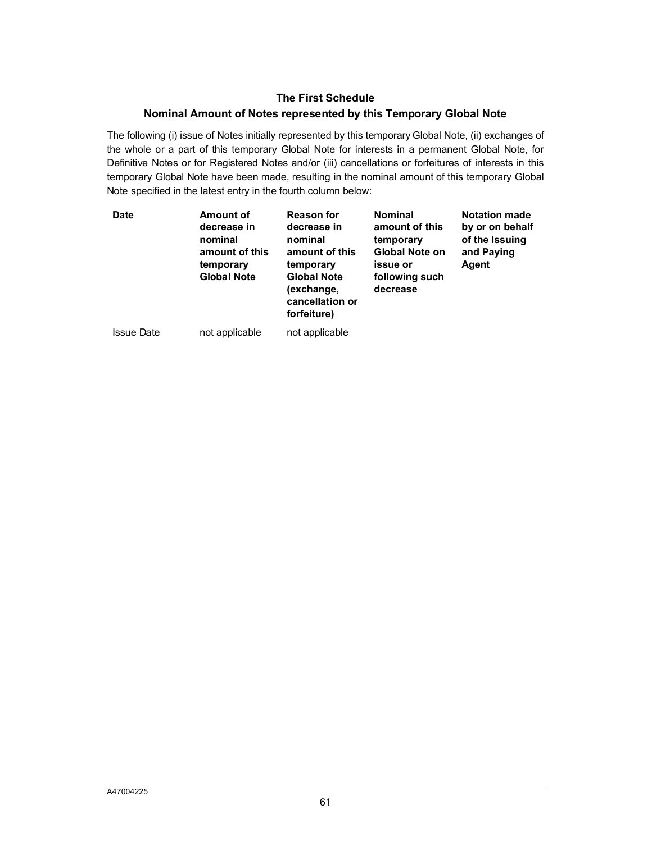## **The First Schedule**

## **Nominal Amount of Notes represented by this Temporary Global Note**

The following (i) issue of Notes initially represented by this temporary Global Note, (ii) exchanges of the whole or a part of this temporary Global Note for interests in a permanent Global Note, for Definitive Notes or for Registered Notes and/or (iii) cancellations or forfeitures of interests in this temporary Global Note have been made, resulting in the nominal amount of this temporary Global Note specified in the latest entry in the fourth column below:

| <b>Date</b>       | Amount of<br>decrease in<br>nominal<br>amount of this<br>temporary<br><b>Global Note</b> | <b>Reason for</b><br>decrease in<br>nominal<br>amount of this<br>temporary<br><b>Global Note</b><br>(exchange,<br>cancellation or<br>forfeiture) | <b>Nominal</b><br>amount of this<br>temporary<br><b>Global Note on</b><br>issue or<br>following such<br>decrease | <b>Notation made</b><br>by or on behalf<br>of the Issuing<br>and Paying<br>Agent |
|-------------------|------------------------------------------------------------------------------------------|--------------------------------------------------------------------------------------------------------------------------------------------------|------------------------------------------------------------------------------------------------------------------|----------------------------------------------------------------------------------|
| <b>Issue Date</b> | not applicable                                                                           | not applicable                                                                                                                                   |                                                                                                                  |                                                                                  |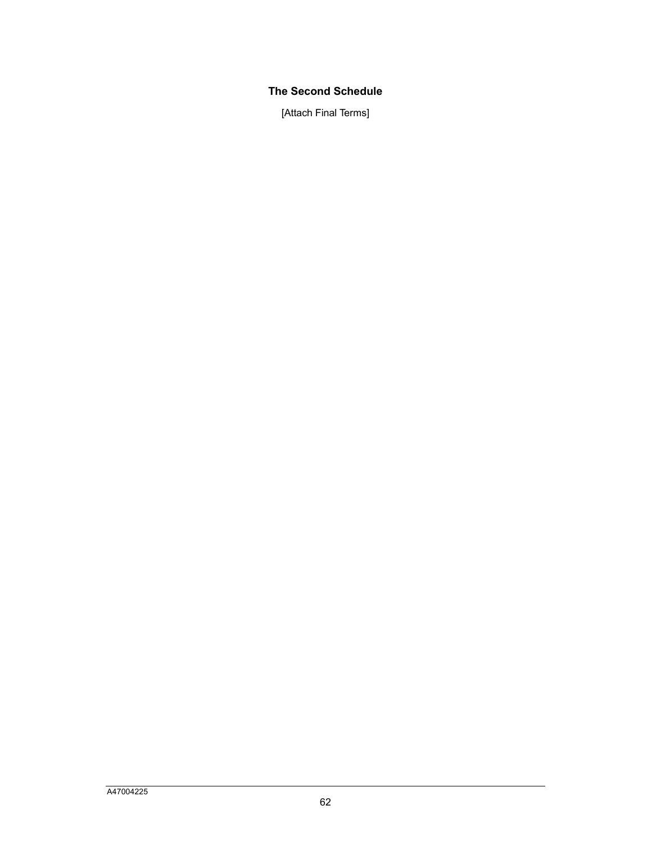## **The Second Schedule**

[Attach Final Terms]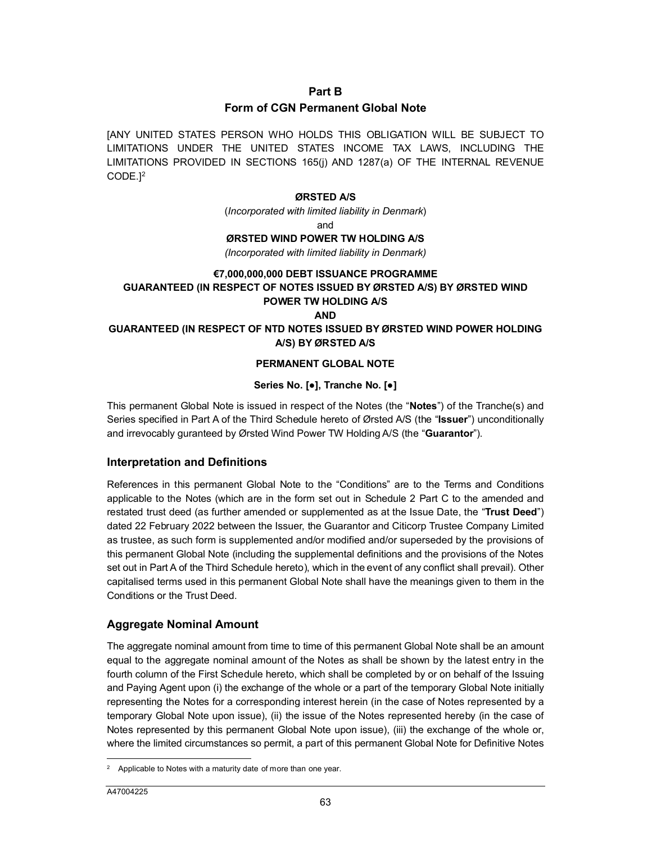#### <span id="page-35-0"></span>**Part B**

#### **Form of CGN Permanent Global Note**

[A[N](#page-35-1)Y UNITED STATES PERSON WHO HOLDS THIS OBLIGATION WILL BE SUBJECT TO LIMITATIONS UNDER THE UNITED STATES INCOME TAX LAWS, INCLUDING THE LIMITATIONS PROVIDED IN SECTIONS 165(j) AND 1287(a) OF THE INTERNAL REVENUE CODE.] 2

#### **ØRSTED A/S**

(*Incorporated with limited liability in Denmark*)

and

#### **ØRSTED WIND POWER TW HOLDING A/S**

*(Incorporated with limited liability in Denmark)*

#### **€7,000,000,000 DEBT ISSUANCE PROGRAMME**

## **GUARANTEED (IN RESPECT OF NOTES ISSUED BY ØRSTED A/S) BY ØRSTED WIND POWER TW HOLDING A/S**

**AND**

#### **GUARANTEED (IN RESPECT OF NTD NOTES ISSUED BY ØRSTED WIND POWER HOLDING A/S) BY ØRSTED A/S**

#### **PERMANENT GLOBAL NOTE**

## **Series No. [●], Tranche No. [●]**

This permanent Global Note is issued in respect of the Notes (the "**Notes**") of the Tranche(s) and Series specified in Part A of the Third Schedule hereto of Ørsted A/S (the "**Issuer**") unconditionally and irrevocably guranteed by Ørsted Wind Power TW Holding A/S (the "**Guarantor**").

## **Interpretation and Definitions**

References in this permanent Global Note to the "Conditions" are to the Terms and Conditions applicable to the Notes (which are in the form set out in Schedule 2 Part C to the amended and restated trust deed (as further amended or supplemented as at the Issue Date, the "**Trust Deed**") dated 22 February 2022 between the Issuer, the Guarantor and Citicorp Trustee Company Limited as trustee, as such form is supplemented and/or modified and/or superseded by the provisions of this permanent Global Note (including the supplemental definitions and the provisions of the Notes set out in Part A of the Third Schedule hereto), which in the event of any conflict shall prevail). Other capitalised terms used in this permanent Global Note shall have the meanings given to them in the Conditions or the Trust Deed.

## **Aggregate Nominal Amount**

The aggregate nominal amount from time to time of this permanent Global Note shall be an amount equal to the aggregate nominal amount of the Notes as shall be shown by the latest entry in the fourth column of the First Schedule hereto, which shall be completed by or on behalf of the Issuing and Paying Agent upon (i) the exchange of the whole or a part of the temporary Global Note initially representing the Notes for a corresponding interest herein (in the case of Notes represented by a temporary Global Note upon issue), (ii) the issue of the Notes represented hereby (in the case of Notes represented by this permanent Global Note upon issue), (iii) the exchange of the whole or, where the limited circumstances so permit, a part of this permanent Global Note for Definitive Notes

 $\overline{a}$ 

<span id="page-35-1"></span><sup>2</sup> Applicable to Notes with a maturity date of more than one year.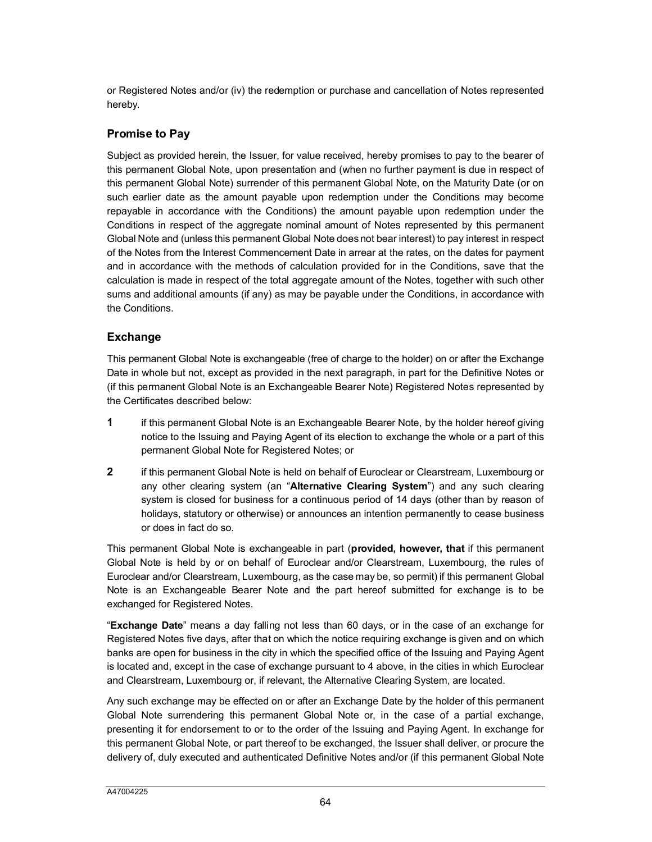or Registered Notes and/or (iv) the redemption or purchase and cancellation of Notes represented hereby.

## **Promise to Pay**

Subject as provided herein, the Issuer, for value received, hereby promises to pay to the bearer of this permanent Global Note, upon presentation and (when no further payment is due in respect of this permanent Global Note) surrender of this permanent Global Note, on the Maturity Date (or on such earlier date as the amount payable upon redemption under the Conditions may become repayable in accordance with the Conditions) the amount payable upon redemption under the Conditions in respect of the aggregate nominal amount of Notes represented by this permanent Global Note and (unless this permanent Global Note does not bear interest) to pay interest in respect of the Notes from the Interest Commencement Date in arrear at the rates, on the dates for payment and in accordance with the methods of calculation provided for in the Conditions, save that the calculation is made in respect of the total aggregate amount of the Notes, together with such other sums and additional amounts (if any) as may be payable under the Conditions, in accordance with the Conditions.

## **Exchange**

This permanent Global Note is exchangeable (free of charge to the holder) on or after the Exchange Date in whole but not, except as provided in the next paragraph, in part for the Definitive Notes or (if this permanent Global Note is an Exchangeable Bearer Note) Registered Notes represented by the Certificates described below:

- **1** if this permanent Global Note is an Exchangeable Bearer Note, by the holder hereof giving notice to the Issuing and Paying Agent of its election to exchange the whole or a part of this permanent Global Note for Registered Notes; or
- **2** if this permanent Global Note is held on behalf of Euroclear or Clearstream, Luxembourg or any other clearing system (an "**Alternative Clearing System**") and any such clearing system is closed for business for a continuous period of 14 days (other than by reason of holidays, statutory or otherwise) or announces an intention permanently to cease business or does in fact do so.

This permanent Global Note is exchangeable in part (**provided, however, that** if this permanent Global Note is held by or on behalf of Euroclear and/or Clearstream, Luxembourg, the rules of Euroclear and/or Clearstream, Luxembourg, as the case may be, so permit) if this permanent Global Note is an Exchangeable Bearer Note and the part hereof submitted for exchange is to be exchanged for Registered Notes.

"**Exchange Date**" means a day falling not less than 60 days, or in the case of an exchange for Registered Notes five days, after that on which the notice requiring exchange is given and on which banks are open for business in the city in which the specified office of the Issuing and Paying Agent is located and, except in the case of exchange pursuant to 4 above, in the cities in which Euroclear and Clearstream, Luxembourg or, if relevant, the Alternative Clearing System, are located.

Any such exchange may be effected on or after an Exchange Date by the holder of this permanent Global Note surrendering this permanent Global Note or, in the case of a partial exchange, presenting it for endorsement to or to the order of the Issuing and Paying Agent. In exchange for this permanent Global Note, or part thereof to be exchanged, the Issuer shall deliver, or procure the delivery of, duly executed and authenticated Definitive Notes and/or (if this permanent Global Note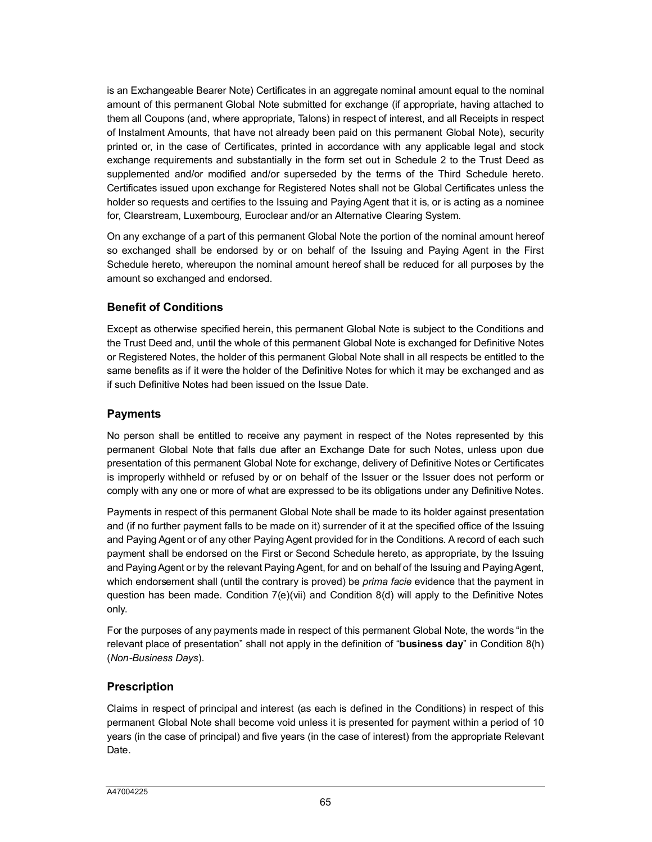is an Exchangeable Bearer Note) Certificates in an aggregate nominal amount equal to the nominal amount of this permanent Global Note submitted for exchange (if appropriate, having attached to them all Coupons (and, where appropriate, Talons) in respect of interest, and all Receipts in respect of Instalment Amounts, that have not already been paid on this permanent Global Note), security printed or, in the case of Certificates, printed in accordance with any applicable legal and stock exchange requirements and substantially in the form set out in Schedule 2 to the Trust Deed as supplemented and/or modified and/or superseded by the terms of the Third Schedule hereto. Certificates issued upon exchange for Registered Notes shall not be Global Certificates unless the holder so requests and certifies to the Issuing and Paying Agent that it is, or is acting as a nominee for, Clearstream, Luxembourg, Euroclear and/or an Alternative Clearing System.

On any exchange of a part of this permanent Global Note the portion of the nominal amount hereof so exchanged shall be endorsed by or on behalf of the Issuing and Paying Agent in the First Schedule hereto, whereupon the nominal amount hereof shall be reduced for all purposes by the amount so exchanged and endorsed.

# **Benefit of Conditions**

Except as otherwise specified herein, this permanent Global Note is subject to the Conditions and the Trust Deed and, until the whole of this permanent Global Note is exchanged for Definitive Notes or Registered Notes, the holder of this permanent Global Note shall in all respects be entitled to the same benefits as if it were the holder of the Definitive Notes for which it may be exchanged and as if such Definitive Notes had been issued on the Issue Date.

# **Payments**

No person shall be entitled to receive any payment in respect of the Notes represented by this permanent Global Note that falls due after an Exchange Date for such Notes, unless upon due presentation of this permanent Global Note for exchange, delivery of Definitive Notes or Certificates is improperly withheld or refused by or on behalf of the Issuer or the Issuer does not perform or comply with any one or more of what are expressed to be its obligations under any Definitive Notes.

Payments in respect of this permanent Global Note shall be made to its holder against presentation and (if no further payment falls to be made on it) surrender of it at the specified office of the Issuing and Paying Agent or of any other Paying Agent provided for in the Conditions. A record of each such payment shall be endorsed on the First or Second Schedule hereto, as appropriate, by the Issuing and Paying Agent or by the relevant Paying Agent, for and on behalf of the Issuing and Paying Agent, which endorsement shall (until the contrary is proved) be *prima facie* evidence that the payment in question has been made. Condition 7(e)(vii) and Condition 8(d) will apply to the Definitive Notes only.

For the purposes of any payments made in respect of this permanent Global Note, the words "in the relevant place of presentation" shall not apply in the definition of "**business day**" in Condition 8(h) (*Non-Business Days*).

# **Prescription**

Claims in respect of principal and interest (as each is defined in the Conditions) in respect of this permanent Global Note shall become void unless it is presented for payment within a period of 10 years (in the case of principal) and five years (in the case of interest) from the appropriate Relevant Date.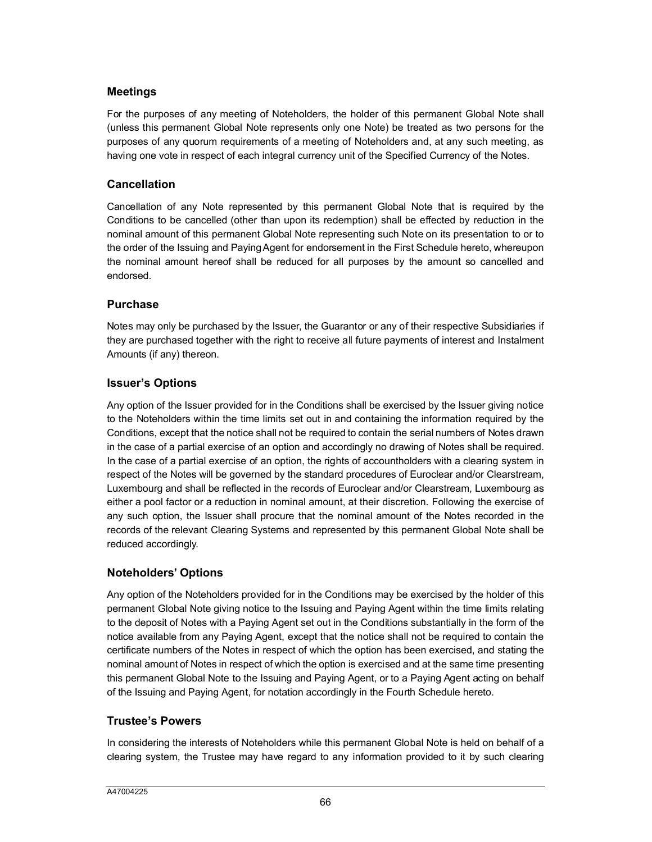# **Meetings**

For the purposes of any meeting of Noteholders, the holder of this permanent Global Note shall (unless this permanent Global Note represents only one Note) be treated as two persons for the purposes of any quorum requirements of a meeting of Noteholders and, at any such meeting, as having one vote in respect of each integral currency unit of the Specified Currency of the Notes.

## **Cancellation**

Cancellation of any Note represented by this permanent Global Note that is required by the Conditions to be cancelled (other than upon its redemption) shall be effected by reduction in the nominal amount of this permanent Global Note representing such Note on its presentation to or to the order of the Issuing and Paying Agent for endorsement in the First Schedule hereto, whereupon the nominal amount hereof shall be reduced for all purposes by the amount so cancelled and endorsed.

## **Purchase**

Notes may only be purchased by the Issuer, the Guarantor or any of their respective Subsidiaries if they are purchased together with the right to receive all future payments of interest and Instalment Amounts (if any) thereon.

## **Issuer's Options**

Any option of the Issuer provided for in the Conditions shall be exercised by the Issuer giving notice to the Noteholders within the time limits set out in and containing the information required by the Conditions, except that the notice shall not be required to contain the serial numbers of Notes drawn in the case of a partial exercise of an option and accordingly no drawing of Notes shall be required. In the case of a partial exercise of an option, the rights of accountholders with a clearing system in respect of the Notes will be governed by the standard procedures of Euroclear and/or Clearstream, Luxembourg and shall be reflected in the records of Euroclear and/or Clearstream, Luxembourg as either a pool factor or a reduction in nominal amount, at their discretion. Following the exercise of any such option, the Issuer shall procure that the nominal amount of the Notes recorded in the records of the relevant Clearing Systems and represented by this permanent Global Note shall be reduced accordingly.

# **Noteholders' Options**

Any option of the Noteholders provided for in the Conditions may be exercised by the holder of this permanent Global Note giving notice to the Issuing and Paying Agent within the time limits relating to the deposit of Notes with a Paying Agent set out in the Conditions substantially in the form of the notice available from any Paying Agent, except that the notice shall not be required to contain the certificate numbers of the Notes in respect of which the option has been exercised, and stating the nominal amount of Notes in respect of which the option is exercised and at the same time presenting this permanent Global Note to the Issuing and Paying Agent, or to a Paying Agent acting on behalf of the Issuing and Paying Agent, for notation accordingly in the Fourth Schedule hereto.

## **Trustee's Powers**

In considering the interests of Noteholders while this permanent Global Note is held on behalf of a clearing system, the Trustee may have regard to any information provided to it by such clearing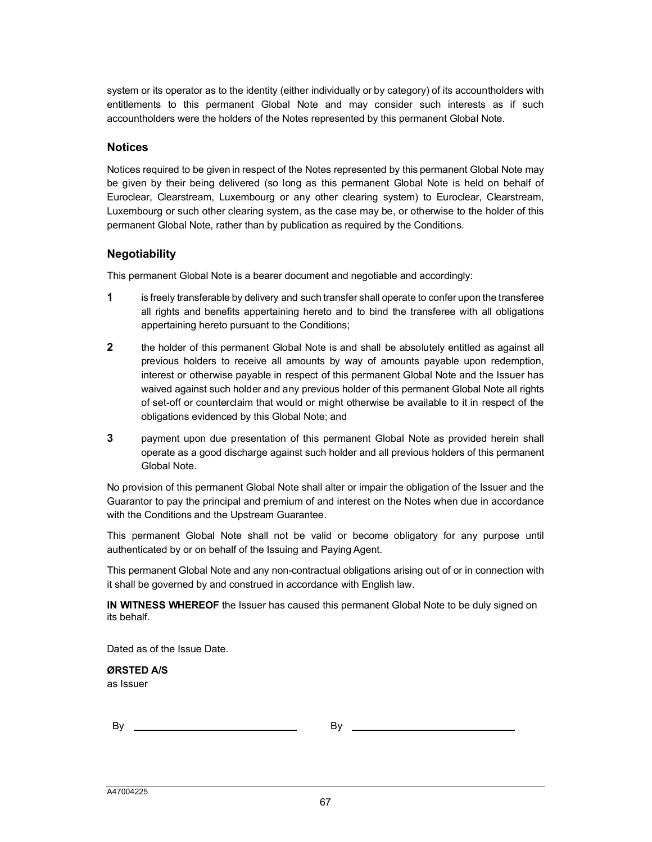system or its operator as to the identity (either individually or by category) of its accountholders with entitlements to this permanent Global Note and may consider such interests as if such accountholders were the holders of the Notes represented by this permanent Global Note.

#### **Notices**

Notices required to be given in respect of the Notes represented by this permanent Global Note may be given by their being delivered (so long as this permanent Global Note is held on behalf of Euroclear, Clearstream, Luxembourg or any other clearing system) to Euroclear, Clearstream, Luxembourg or such other clearing system, as the case may be, or otherwise to the holder of this permanent Global Note, rather than by publication as required by the Conditions.

## **Negotiability**

This permanent Global Note is a bearer document and negotiable and accordingly:

- **1** is freely transferable by delivery and such transfer shall operate to confer upon the transferee all rights and benefits appertaining hereto and to bind the transferee with all obligations appertaining hereto pursuant to the Conditions;
- **2** the holder of this permanent Global Note is and shall be absolutely entitled as against all previous holders to receive all amounts by way of amounts payable upon redemption, interest or otherwise payable in respect of this permanent Global Note and the Issuer has waived against such holder and any previous holder of this permanent Global Note all rights of set-off or counterclaim that would or might otherwise be available to it in respect of the obligations evidenced by this Global Note; and
- **3** payment upon due presentation of this permanent Global Note as provided herein shall operate as a good discharge against such holder and all previous holders of this permanent Global Note.

No provision of this permanent Global Note shall alter or impair the obligation of the Issuer and the Guarantor to pay the principal and premium of and interest on the Notes when due in accordance with the Conditions and the Upstream Guarantee.

This permanent Global Note shall not be valid or become obligatory for any purpose until authenticated by or on behalf of the Issuing and Paying Agent.

This permanent Global Note and any non-contractual obligations arising out of or in connection with it shall be governed by and construed in accordance with English law.

**IN WITNESS WHEREOF** the Issuer has caused this permanent Global Note to be duly signed on its behalf.

Dated as of the Issue Date.

**ØRSTED A/S** as Issuer

By By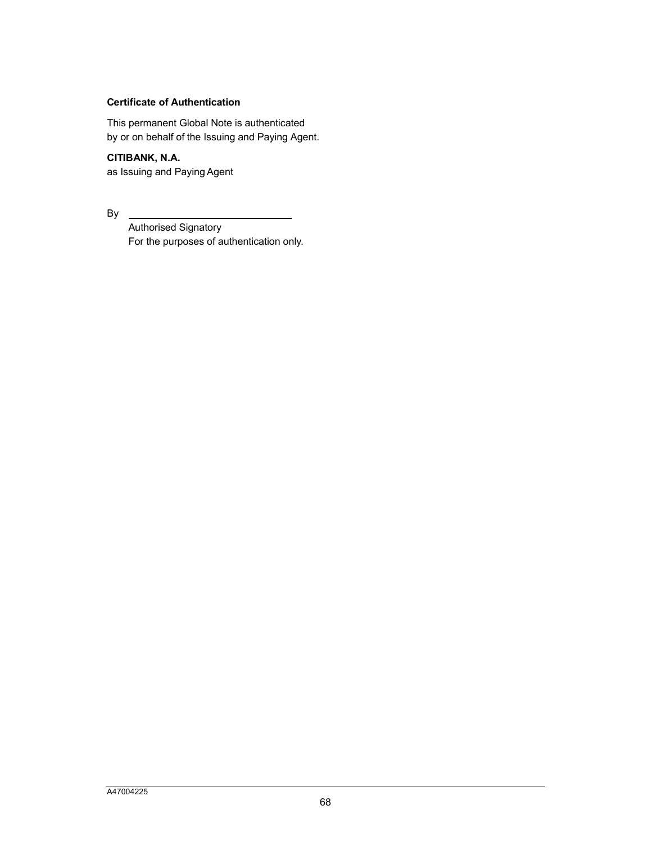## **Certificate of Authentication**

This permanent Global Note is authenticated by or on behalf of the Issuing and Paying Agent.

**CITIBANK, N.A.** as Issuing and Paying Agent

By

Authorised Signatory For the purposes of authentication only.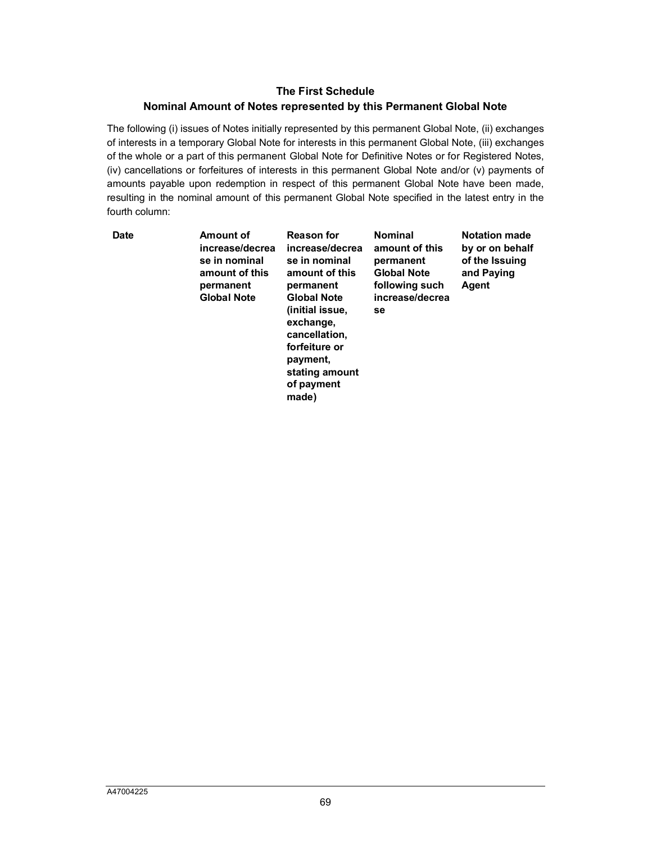## **The First Schedule**

#### **Nominal Amount of Notes represented by this Permanent Global Note**

The following (i) issues of Notes initially represented by this permanent Global Note, (ii) exchanges of interests in a temporary Global Note for interests in this permanent Global Note, (iii) exchanges of the whole or a part of this permanent Global Note for Definitive Notes or for Registered Notes, (iv) cancellations or forfeitures of interests in this permanent Global Note and/or (v) payments of amounts payable upon redemption in respect of this permanent Global Note have been made, resulting in the nominal amount of this permanent Global Note specified in the latest entry in the fourth column:

| Date | Amount of<br>increase/decrea<br>se in nominal<br>amount of this<br>permanent<br><b>Global Note</b> | Reason for<br>increase/decrea<br>se in nominal<br>amount of this<br>permanent<br><b>Global Note</b><br>(initial issue,<br>exchange,<br>cancellation,<br>forfeiture or<br>payment,<br>stating amount | <b>Nominal</b><br>amount of this<br>permanent<br><b>Global Note</b><br>following such<br>increase/decrea<br>se | <b>Notation made</b><br>by or on behalf<br>of the Issuing<br>and Paying<br>Agent |
|------|----------------------------------------------------------------------------------------------------|-----------------------------------------------------------------------------------------------------------------------------------------------------------------------------------------------------|----------------------------------------------------------------------------------------------------------------|----------------------------------------------------------------------------------|
|      |                                                                                                    | of payment<br>made)                                                                                                                                                                                 |                                                                                                                |                                                                                  |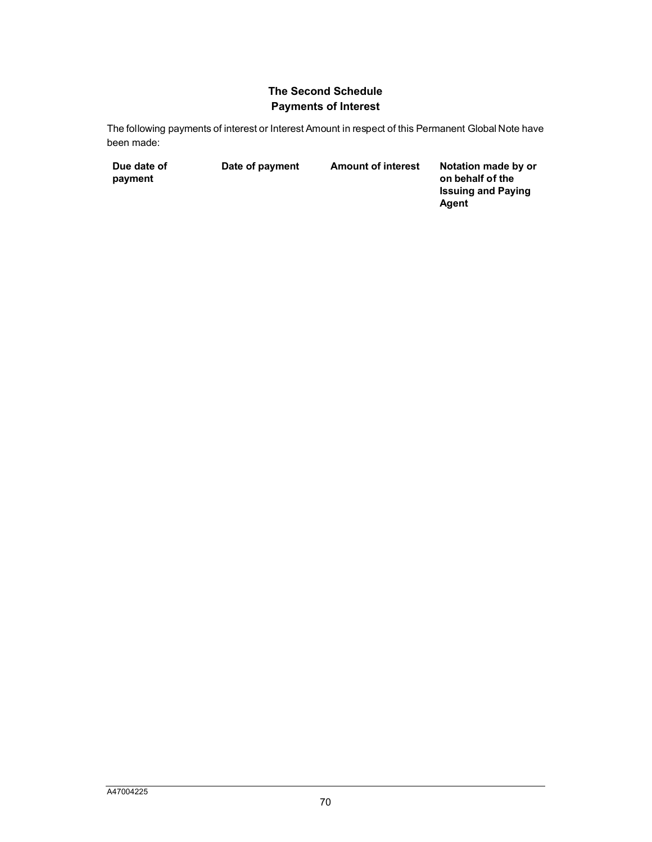# **The Second Schedule Payments of Interest**

The following payments of interest or Interest Amount in respect of this Permanent Global Note have been made:

| Due date of | Date of payment | <b>Amount of interest</b> | Notation made by or       |
|-------------|-----------------|---------------------------|---------------------------|
| payment     |                 |                           | on behalf of the          |
|             |                 |                           | <b>Issuing and Paying</b> |

**Agent**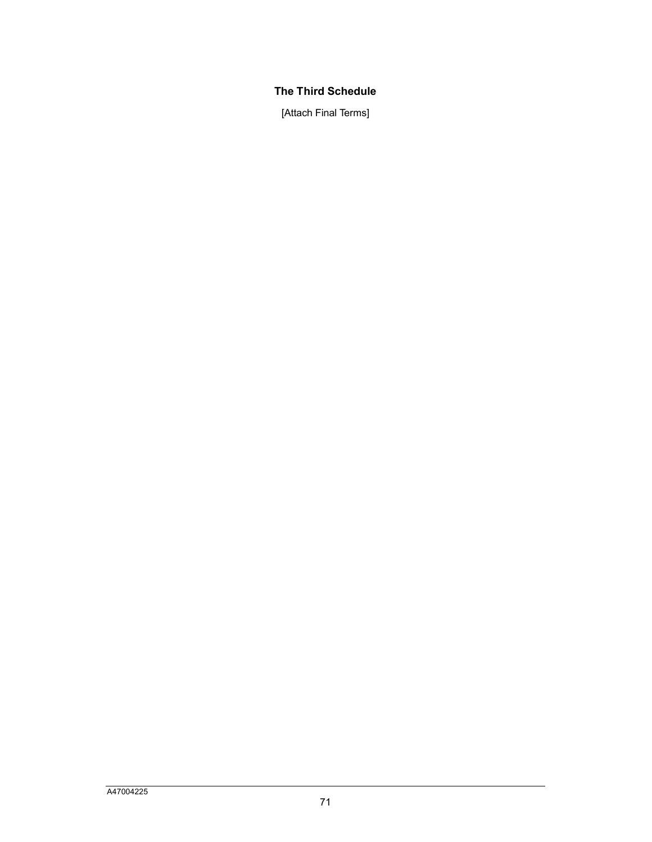# **The Third Schedule**

[Attach Final Terms]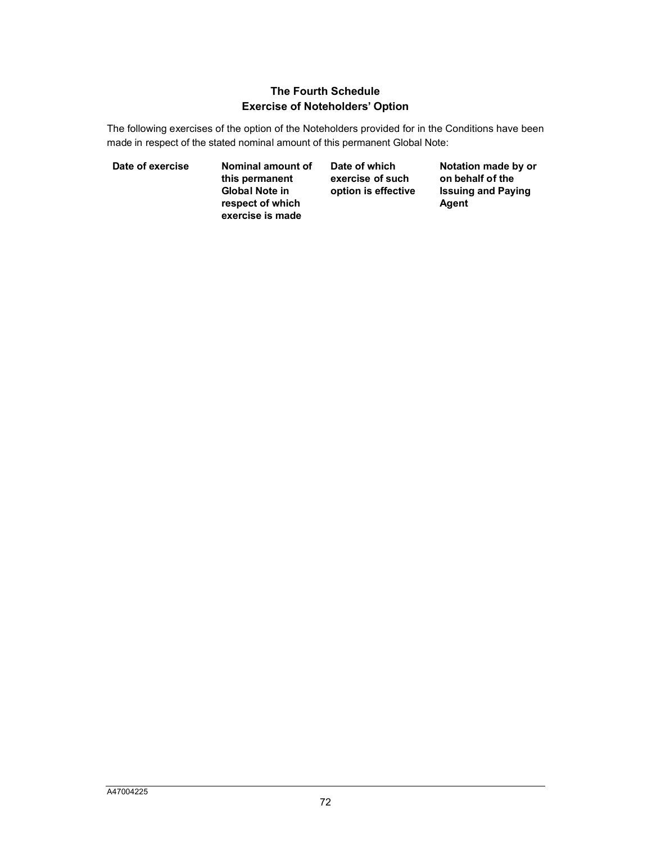# **The Fourth Schedule Exercise of Noteholders' Option**

The following exercises of the option of the Noteholders provided for in the Conditions have been made in respect of the stated nominal amount of this permanent Global Note:

**Date of exercise Nominal amount of this permanent Global Note in respect of which exercise is made**

**Date of which exercise of such option is effective** **Notation made by or on behalf of the Issuing and Paying Agent**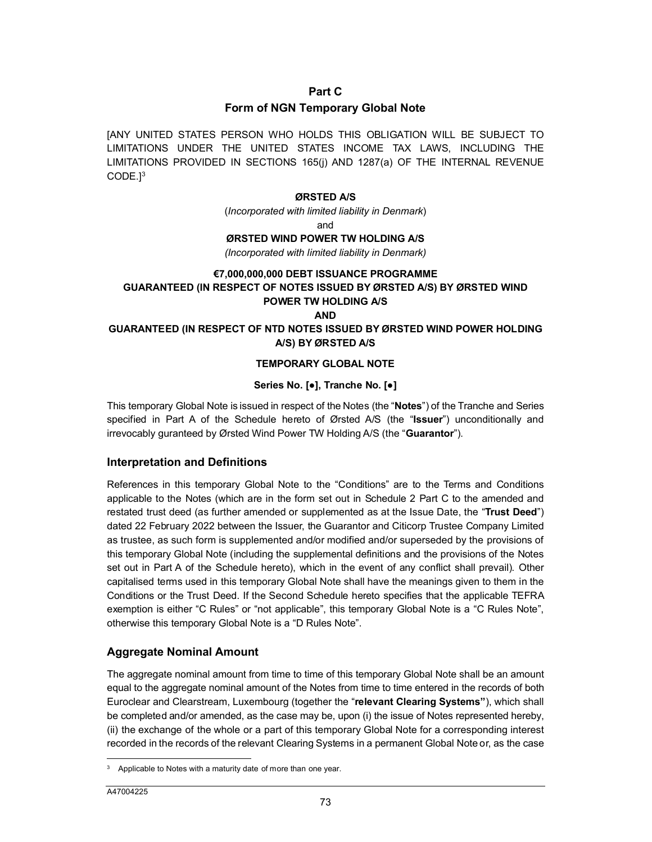#### **Part C**

#### **Form of NGN Temporary Global Note**

[A[N](#page-45-0)Y UNITED STATES PERSON WHO HOLDS THIS OBLIGATION WILL BE SUBJECT TO LIMITATIONS UNDER THE UNITED STATES INCOME TAX LAWS, INCLUDING THE LIMITATIONS PROVIDED IN SECTIONS 165(j) AND 1287(a) OF THE INTERNAL REVENUE CODE.] 3

#### **ØRSTED A/S**

(*Incorporated with limited liability in Denmark*)

and

#### **ØRSTED WIND POWER TW HOLDING A/S**

*(Incorporated with limited liability in Denmark)*

#### **€7,000,000,000 DEBT ISSUANCE PROGRAMME**

## **GUARANTEED (IN RESPECT OF NOTES ISSUED BY ØRSTED A/S) BY ØRSTED WIND POWER TW HOLDING A/S**

**AND**

#### **GUARANTEED (IN RESPECT OF NTD NOTES ISSUED BY ØRSTED WIND POWER HOLDING A/S) BY ØRSTED A/S**

#### **TEMPORARY GLOBAL NOTE**

#### **Series No. [●], Tranche No. [●]**

This temporary Global Note is issued in respect of the Notes (the "**Notes**") of the Tranche and Series specified in Part A of the Schedule hereto of Ørsted A/S (the "**Issuer**") unconditionally and irrevocably guranteed by Ørsted Wind Power TW Holding A/S (the "**Guarantor**").

#### **Interpretation and Definitions**

References in this temporary Global Note to the "Conditions" are to the Terms and Conditions applicable to the Notes (which are in the form set out in Schedule 2 Part C to the amended and restated trust deed (as further amended or supplemented as at the Issue Date, the "**Trust Deed**") dated 22 February 2022 between the Issuer, the Guarantor and Citicorp Trustee Company Limited as trustee, as such form is supplemented and/or modified and/or superseded by the provisions of this temporary Global Note (including the supplemental definitions and the provisions of the Notes set out in Part A of the Schedule hereto), which in the event of any conflict shall prevail). Other capitalised terms used in this temporary Global Note shall have the meanings given to them in the Conditions or the Trust Deed. If the Second Schedule hereto specifies that the applicable TEFRA exemption is either "C Rules" or "not applicable", this temporary Global Note is a "C Rules Note", otherwise this temporary Global Note is a "D Rules Note".

## **Aggregate Nominal Amount**

The aggregate nominal amount from time to time of this temporary Global Note shall be an amount equal to the aggregate nominal amount of the Notes from time to time entered in the records of both Euroclear and Clearstream, Luxembourg (together the "**relevant Clearing Systems"**), which shall be completed and/or amended, as the case may be, upon (i) the issue of Notes represented hereby, (ii) the exchange of the whole or a part of this temporary Global Note for a corresponding interest recorded in the records of the relevant Clearing Systems in a permanent Global Note or, as the case

 $\overline{a}$ 

<span id="page-45-0"></span><sup>&</sup>lt;sup>3</sup> Applicable to Notes with a maturity date of more than one year.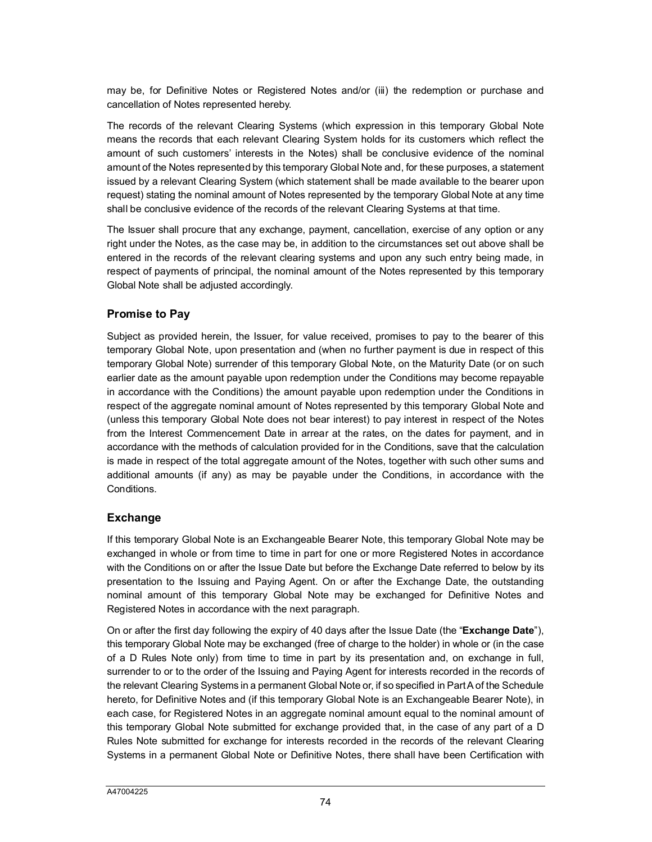may be, for Definitive Notes or Registered Notes and/or (iii) the redemption or purchase and cancellation of Notes represented hereby.

The records of the relevant Clearing Systems (which expression in this temporary Global Note means the records that each relevant Clearing System holds for its customers which reflect the amount of such customers' interests in the Notes) shall be conclusive evidence of the nominal amount of the Notes represented by this temporary Global Note and, for these purposes, a statement issued by a relevant Clearing System (which statement shall be made available to the bearer upon request) stating the nominal amount of Notes represented by the temporary Global Note at any time shall be conclusive evidence of the records of the relevant Clearing Systems at that time.

The Issuer shall procure that any exchange, payment, cancellation, exercise of any option or any right under the Notes, as the case may be, in addition to the circumstances set out above shall be entered in the records of the relevant clearing systems and upon any such entry being made, in respect of payments of principal, the nominal amount of the Notes represented by this temporary Global Note shall be adjusted accordingly.

## **Promise to Pay**

Subject as provided herein, the Issuer, for value received, promises to pay to the bearer of this temporary Global Note, upon presentation and (when no further payment is due in respect of this temporary Global Note) surrender of this temporary Global Note, on the Maturity Date (or on such earlier date as the amount payable upon redemption under the Conditions may become repayable in accordance with the Conditions) the amount payable upon redemption under the Conditions in respect of the aggregate nominal amount of Notes represented by this temporary Global Note and (unless this temporary Global Note does not bear interest) to pay interest in respect of the Notes from the Interest Commencement Date in arrear at the rates, on the dates for payment, and in accordance with the methods of calculation provided for in the Conditions, save that the calculation is made in respect of the total aggregate amount of the Notes, together with such other sums and additional amounts (if any) as may be payable under the Conditions, in accordance with the Conditions.

# **Exchange**

If this temporary Global Note is an Exchangeable Bearer Note, this temporary Global Note may be exchanged in whole or from time to time in part for one or more Registered Notes in accordance with the Conditions on or after the Issue Date but before the Exchange Date referred to below by its presentation to the Issuing and Paying Agent. On or after the Exchange Date, the outstanding nominal amount of this temporary Global Note may be exchanged for Definitive Notes and Registered Notes in accordance with the next paragraph.

On or after the first day following the expiry of 40 days after the Issue Date (the "**Exchange Date**"), this temporary Global Note may be exchanged (free of charge to the holder) in whole or (in the case of a D Rules Note only) from time to time in part by its presentation and, on exchange in full, surrender to or to the order of the Issuing and Paying Agent for interests recorded in the records of the relevant Clearing Systems in a permanent Global Note or, if so specified in Part A of the Schedule hereto, for Definitive Notes and (if this temporary Global Note is an Exchangeable Bearer Note), in each case, for Registered Notes in an aggregate nominal amount equal to the nominal amount of this temporary Global Note submitted for exchange provided that, in the case of any part of a D Rules Note submitted for exchange for interests recorded in the records of the relevant Clearing Systems in a permanent Global Note or Definitive Notes, there shall have been Certification with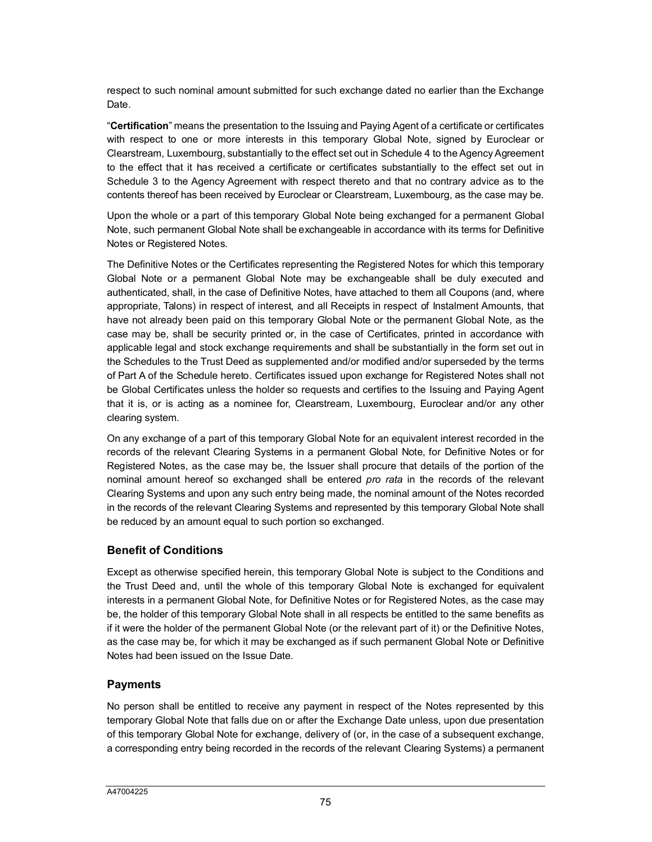respect to such nominal amount submitted for such exchange dated no earlier than the Exchange Date.

"**Certification**" means the presentation to the Issuing and Paying Agent of a certificate or certificates with respect to one or more interests in this temporary Global Note, signed by Euroclear or Clearstream, Luxembourg, substantially to the effect set out in Schedule 4 to the Agency Agreement to the effect that it has received a certificate or certificates substantially to the effect set out in Schedule 3 to the Agency Agreement with respect thereto and that no contrary advice as to the contents thereof has been received by Euroclear or Clearstream, Luxembourg, as the case may be.

Upon the whole or a part of this temporary Global Note being exchanged for a permanent Global Note, such permanent Global Note shall be exchangeable in accordance with its terms for Definitive Notes or Registered Notes.

The Definitive Notes or the Certificates representing the Registered Notes for which this temporary Global Note or a permanent Global Note may be exchangeable shall be duly executed and authenticated, shall, in the case of Definitive Notes, have attached to them all Coupons (and, where appropriate, Talons) in respect of interest, and all Receipts in respect of Instalment Amounts, that have not already been paid on this temporary Global Note or the permanent Global Note, as the case may be, shall be security printed or, in the case of Certificates, printed in accordance with applicable legal and stock exchange requirements and shall be substantially in the form set out in the Schedules to the Trust Deed as supplemented and/or modified and/or superseded by the terms of Part A of the Schedule hereto. Certificates issued upon exchange for Registered Notes shall not be Global Certificates unless the holder so requests and certifies to the Issuing and Paying Agent that it is, or is acting as a nominee for, Clearstream, Luxembourg, Euroclear and/or any other clearing system.

On any exchange of a part of this temporary Global Note for an equivalent interest recorded in the records of the relevant Clearing Systems in a permanent Global Note, for Definitive Notes or for Registered Notes, as the case may be, the Issuer shall procure that details of the portion of the nominal amount hereof so exchanged shall be entered *pro rata* in the records of the relevant Clearing Systems and upon any such entry being made, the nominal amount of the Notes recorded in the records of the relevant Clearing Systems and represented by this temporary Global Note shall be reduced by an amount equal to such portion so exchanged.

# **Benefit of Conditions**

Except as otherwise specified herein, this temporary Global Note is subject to the Conditions and the Trust Deed and, until the whole of this temporary Global Note is exchanged for equivalent interests in a permanent Global Note, for Definitive Notes or for Registered Notes, as the case may be, the holder of this temporary Global Note shall in all respects be entitled to the same benefits as if it were the holder of the permanent Global Note (or the relevant part of it) or the Definitive Notes, as the case may be, for which it may be exchanged as if such permanent Global Note or Definitive Notes had been issued on the Issue Date.

## **Payments**

No person shall be entitled to receive any payment in respect of the Notes represented by this temporary Global Note that falls due on or after the Exchange Date unless, upon due presentation of this temporary Global Note for exchange, delivery of (or, in the case of a subsequent exchange, a corresponding entry being recorded in the records of the relevant Clearing Systems) a permanent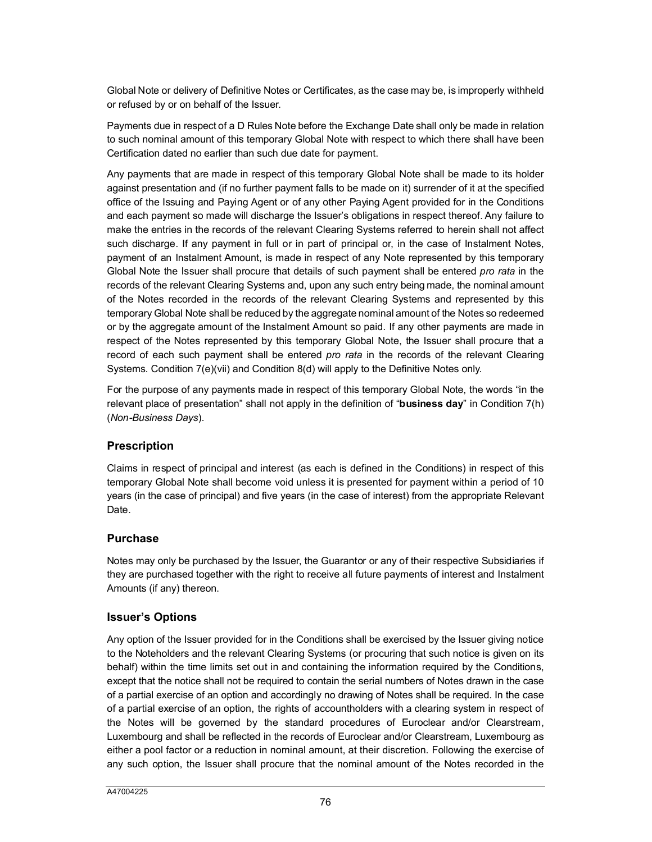Global Note or delivery of Definitive Notes or Certificates, as the case may be, is improperly withheld or refused by or on behalf of the Issuer.

Payments due in respect of a D Rules Note before the Exchange Date shall only be made in relation to such nominal amount of this temporary Global Note with respect to which there shall have been Certification dated no earlier than such due date for payment.

Any payments that are made in respect of this temporary Global Note shall be made to its holder against presentation and (if no further payment falls to be made on it) surrender of it at the specified office of the Issuing and Paying Agent or of any other Paying Agent provided for in the Conditions and each payment so made will discharge the Issuer's obligations in respect thereof. Any failure to make the entries in the records of the relevant Clearing Systems referred to herein shall not affect such discharge. If any payment in full or in part of principal or, in the case of Instalment Notes, payment of an Instalment Amount, is made in respect of any Note represented by this temporary Global Note the Issuer shall procure that details of such payment shall be entered *pro rata* in the records of the relevant Clearing Systems and, upon any such entry being made, the nominal amount of the Notes recorded in the records of the relevant Clearing Systems and represented by this temporary Global Note shall be reduced by the aggregate nominal amount of the Notes so redeemed or by the aggregate amount of the Instalment Amount so paid. If any other payments are made in respect of the Notes represented by this temporary Global Note, the Issuer shall procure that a record of each such payment shall be entered *pro rata* in the records of the relevant Clearing Systems. Condition 7(e)(vii) and Condition 8(d) will apply to the Definitive Notes only.

For the purpose of any payments made in respect of this temporary Global Note, the words "in the relevant place of presentation" shall not apply in the definition of "**business day**" in Condition 7(h) (*Non-Business Days*).

# **Prescription**

Claims in respect of principal and interest (as each is defined in the Conditions) in respect of this temporary Global Note shall become void unless it is presented for payment within a period of 10 years (in the case of principal) and five years (in the case of interest) from the appropriate Relevant Date.

## **Purchase**

Notes may only be purchased by the Issuer, the Guarantor or any of their respective Subsidiaries if they are purchased together with the right to receive all future payments of interest and Instalment Amounts (if any) thereon.

# **Issuer's Options**

Any option of the Issuer provided for in the Conditions shall be exercised by the Issuer giving notice to the Noteholders and the relevant Clearing Systems (or procuring that such notice is given on its behalf) within the time limits set out in and containing the information required by the Conditions, except that the notice shall not be required to contain the serial numbers of Notes drawn in the case of a partial exercise of an option and accordingly no drawing of Notes shall be required. In the case of a partial exercise of an option, the rights of accountholders with a clearing system in respect of the Notes will be governed by the standard procedures of Euroclear and/or Clearstream, Luxembourg and shall be reflected in the records of Euroclear and/or Clearstream, Luxembourg as either a pool factor or a reduction in nominal amount, at their discretion. Following the exercise of any such option, the Issuer shall procure that the nominal amount of the Notes recorded in the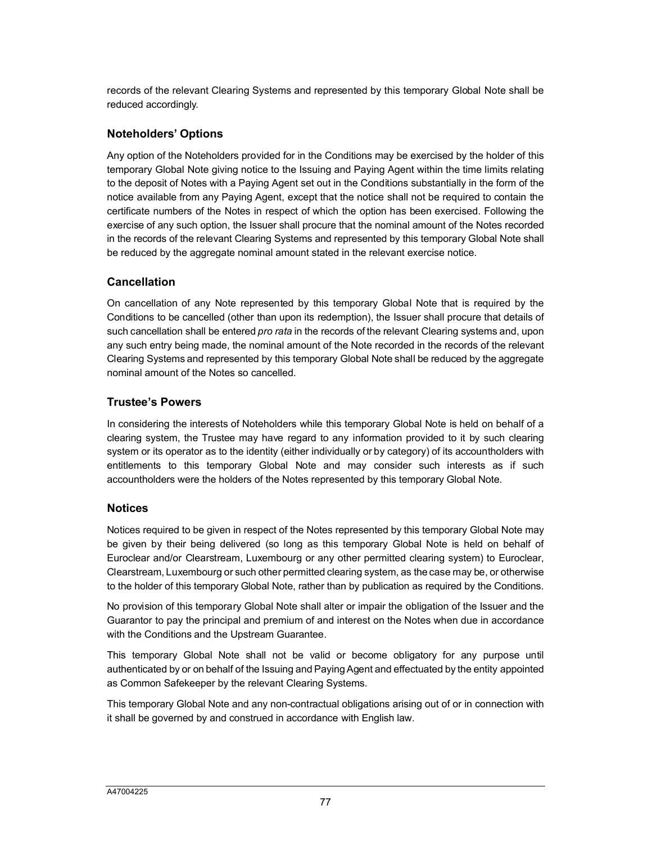records of the relevant Clearing Systems and represented by this temporary Global Note shall be reduced accordingly.

# **Noteholders' Options**

Any option of the Noteholders provided for in the Conditions may be exercised by the holder of this temporary Global Note giving notice to the Issuing and Paying Agent within the time limits relating to the deposit of Notes with a Paying Agent set out in the Conditions substantially in the form of the notice available from any Paying Agent, except that the notice shall not be required to contain the certificate numbers of the Notes in respect of which the option has been exercised. Following the exercise of any such option, the Issuer shall procure that the nominal amount of the Notes recorded in the records of the relevant Clearing Systems and represented by this temporary Global Note shall be reduced by the aggregate nominal amount stated in the relevant exercise notice.

# **Cancellation**

On cancellation of any Note represented by this temporary Global Note that is required by the Conditions to be cancelled (other than upon its redemption), the Issuer shall procure that details of such cancellation shall be entered *pro rata* in the records of the relevant Clearing systems and, upon any such entry being made, the nominal amount of the Note recorded in the records of the relevant Clearing Systems and represented by this temporary Global Note shall be reduced by the aggregate nominal amount of the Notes so cancelled.

## **Trustee's Powers**

In considering the interests of Noteholders while this temporary Global Note is held on behalf of a clearing system, the Trustee may have regard to any information provided to it by such clearing system or its operator as to the identity (either individually or by category) of its accountholders with entitlements to this temporary Global Note and may consider such interests as if such accountholders were the holders of the Notes represented by this temporary Global Note.

# **Notices**

Notices required to be given in respect of the Notes represented by this temporary Global Note may be given by their being delivered (so long as this temporary Global Note is held on behalf of Euroclear and/or Clearstream, Luxembourg or any other permitted clearing system) to Euroclear, Clearstream, Luxembourg or such other permitted clearing system, as the case may be, or otherwise to the holder of this temporary Global Note, rather than by publication as required by the Conditions.

No provision of this temporary Global Note shall alter or impair the obligation of the Issuer and the Guarantor to pay the principal and premium of and interest on the Notes when due in accordance with the Conditions and the Upstream Guarantee.

This temporary Global Note shall not be valid or become obligatory for any purpose until authenticated by or on behalf of the Issuing and Paying Agent and effectuated by the entity appointed as Common Safekeeper by the relevant Clearing Systems.

This temporary Global Note and any non-contractual obligations arising out of or in connection with it shall be governed by and construed in accordance with English law.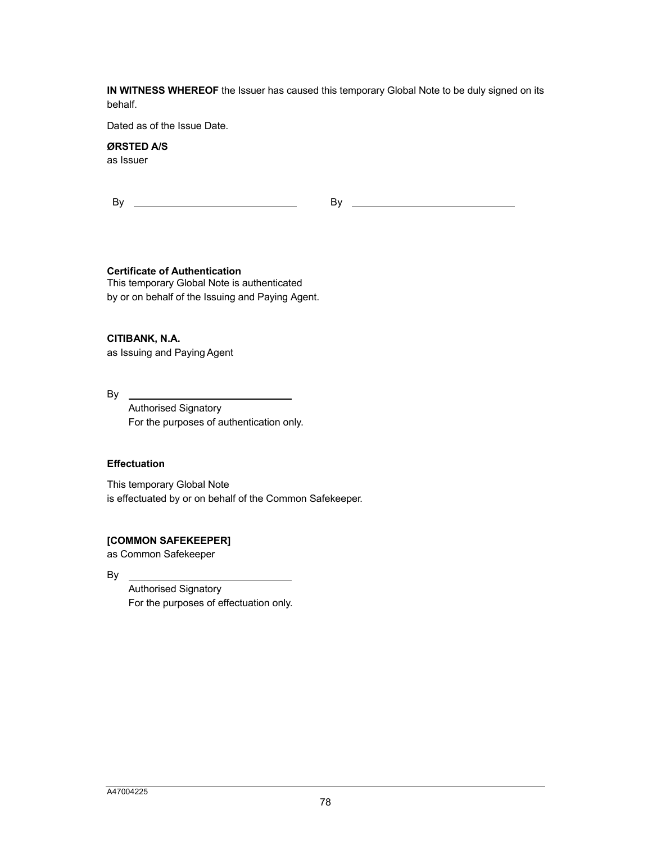**IN WITNESS WHEREOF** the Issuer has caused this temporary Global Note to be duly signed on its behalf.

Dated as of the Issue Date.

# **ØRSTED A/S**

as Issuer

By By

**Certificate of Authentication**

This temporary Global Note is authenticated by or on behalf of the Issuing and Paying Agent.

**CITIBANK, N.A.**

as Issuing and Paying Agent

 $By$ 

Authorised Signatory For the purposes of authentication only.

## **Effectuation**

This temporary Global Note is effectuated by or on behalf of the Common Safekeeper.

## **[COMMON SAFEKEEPER]**

as Common Safekeeper

By

Authorised Signatory For the purposes of effectuation only.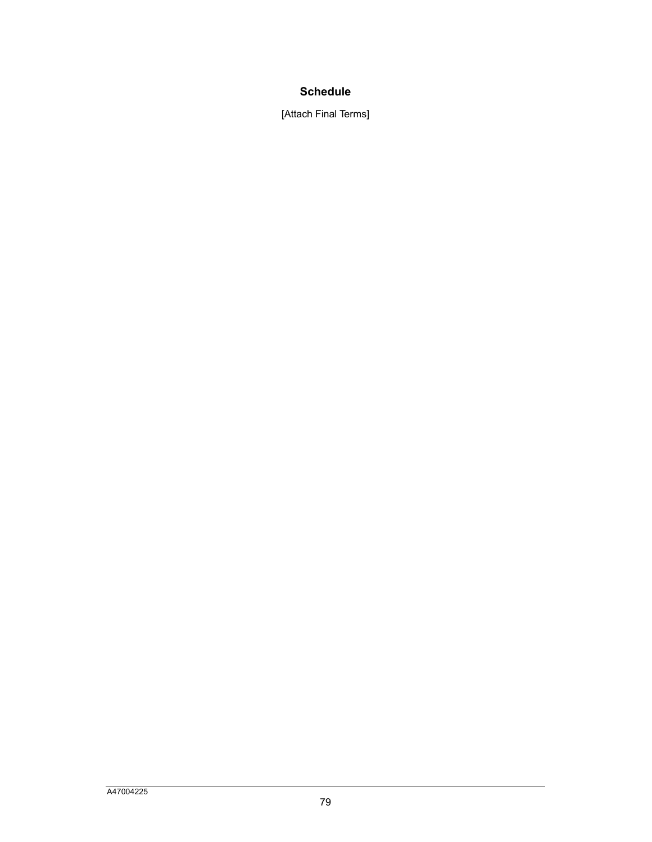# **Schedule**

[Attach Final Terms]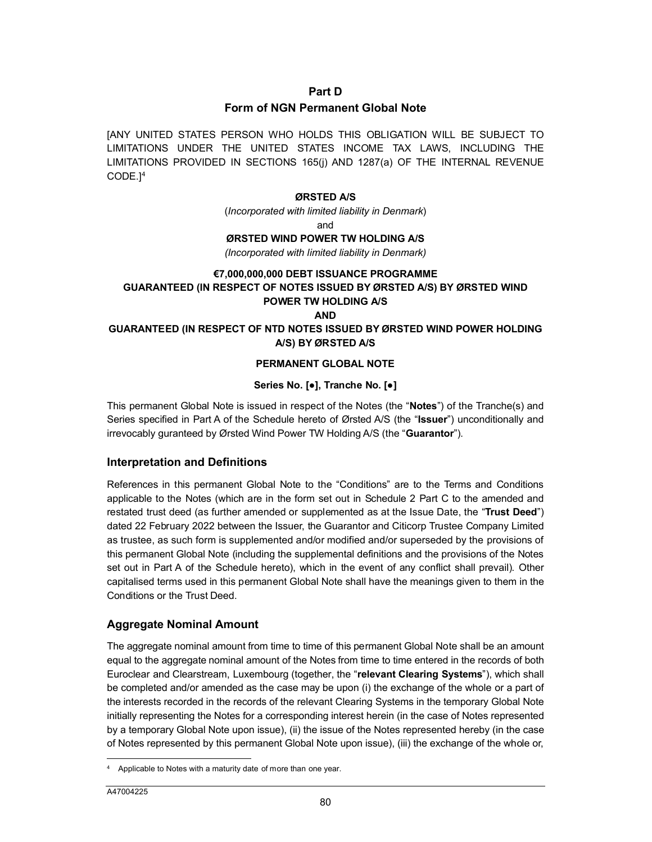#### **Part D**

## **Form of NGN Permanent Global Note**

[A[N](#page-52-0)Y UNITED STATES PERSON WHO HOLDS THIS OBLIGATION WILL BE SUBJECT TO LIMITATIONS UNDER THE UNITED STATES INCOME TAX LAWS, INCLUDING THE LIMITATIONS PROVIDED IN SECTIONS 165(j) AND 1287(a) OF THE INTERNAL REVENUE CODE.] 4

#### **ØRSTED A/S**

(*Incorporated with limited liability in Denmark*)

and

#### **ØRSTED WIND POWER TW HOLDING A/S**

*(Incorporated with limited liability in Denmark)*

#### **€7,000,000,000 DEBT ISSUANCE PROGRAMME**

## **GUARANTEED (IN RESPECT OF NOTES ISSUED BY ØRSTED A/S) BY ØRSTED WIND POWER TW HOLDING A/S**

**AND**

#### **GUARANTEED (IN RESPECT OF NTD NOTES ISSUED BY ØRSTED WIND POWER HOLDING A/S) BY ØRSTED A/S**

#### **PERMANENT GLOBAL NOTE**

## **Series No. [●], Tranche No. [●]**

This permanent Global Note is issued in respect of the Notes (the "**Notes**") of the Tranche(s) and Series specified in Part A of the Schedule hereto of Ørsted A/S (the "**Issuer**") unconditionally and irrevocably guranteed by Ørsted Wind Power TW Holding A/S (the "**Guarantor**").

## **Interpretation and Definitions**

References in this permanent Global Note to the "Conditions" are to the Terms and Conditions applicable to the Notes (which are in the form set out in Schedule 2 Part C to the amended and restated trust deed (as further amended or supplemented as at the Issue Date, the "**Trust Deed**") dated 22 February 2022 between the Issuer, the Guarantor and Citicorp Trustee Company Limited as trustee, as such form is supplemented and/or modified and/or superseded by the provisions of this permanent Global Note (including the supplemental definitions and the provisions of the Notes set out in Part A of the Schedule hereto), which in the event of any conflict shall prevail). Other capitalised terms used in this permanent Global Note shall have the meanings given to them in the Conditions or the Trust Deed.

## **Aggregate Nominal Amount**

The aggregate nominal amount from time to time of this permanent Global Note shall be an amount equal to the aggregate nominal amount of the Notes from time to time entered in the records of both Euroclear and Clearstream, Luxembourg (together, the "**relevant Clearing Systems**"), which shall be completed and/or amended as the case may be upon (i) the exchange of the whole or a part of the interests recorded in the records of the relevant Clearing Systems in the temporary Global Note initially representing the Notes for a corresponding interest herein (in the case of Notes represented by a temporary Global Note upon issue), (ii) the issue of the Notes represented hereby (in the case of Notes represented by this permanent Global Note upon issue), (iii) the exchange of the whole or,

 $\overline{a}$ 

<span id="page-52-0"></span><sup>4</sup> Applicable to Notes with a maturity date of more than one year.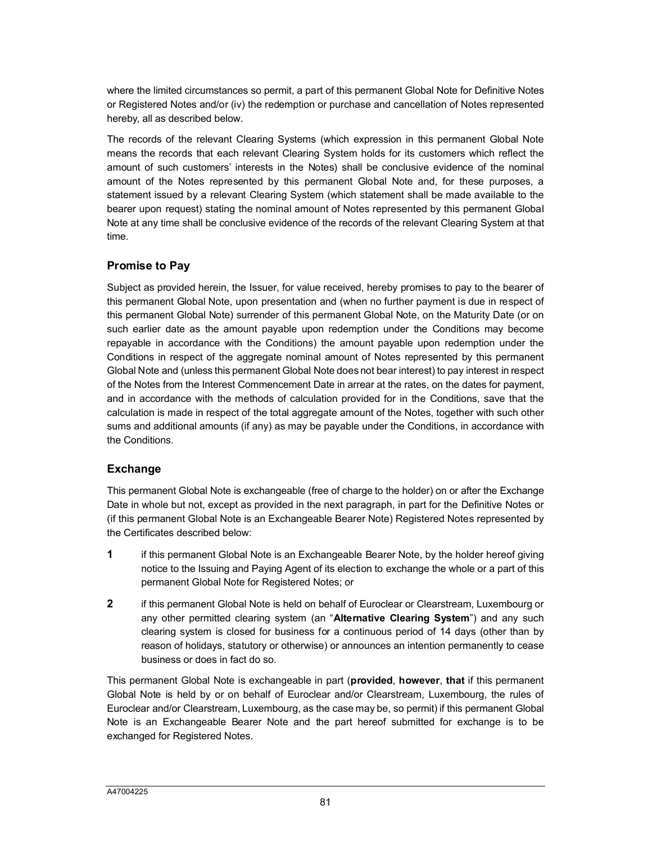where the limited circumstances so permit, a part of this permanent Global Note for Definitive Notes or Registered Notes and/or (iv) the redemption or purchase and cancellation of Notes represented hereby, all as described below.

The records of the relevant Clearing Systems (which expression in this permanent Global Note means the records that each relevant Clearing System holds for its customers which reflect the amount of such customers' interests in the Notes) shall be conclusive evidence of the nominal amount of the Notes represented by this permanent Global Note and, for these purposes, a statement issued by a relevant Clearing System (which statement shall be made available to the bearer upon request) stating the nominal amount of Notes represented by this permanent Global Note at any time shall be conclusive evidence of the records of the relevant Clearing System at that time.

# **Promise to Pay**

Subject as provided herein, the Issuer, for value received, hereby promises to pay to the bearer of this permanent Global Note, upon presentation and (when no further payment is due in respect of this permanent Global Note) surrender of this permanent Global Note, on the Maturity Date (or on such earlier date as the amount payable upon redemption under the Conditions may become repayable in accordance with the Conditions) the amount payable upon redemption under the Conditions in respect of the aggregate nominal amount of Notes represented by this permanent Global Note and (unless this permanent Global Note does not bear interest) to pay interest in respect of the Notes from the Interest Commencement Date in arrear at the rates, on the dates for payment, and in accordance with the methods of calculation provided for in the Conditions, save that the calculation is made in respect of the total aggregate amount of the Notes, together with such other sums and additional amounts (if any) as may be payable under the Conditions, in accordance with the Conditions.

# **Exchange**

This permanent Global Note is exchangeable (free of charge to the holder) on or after the Exchange Date in whole but not, except as provided in the next paragraph, in part for the Definitive Notes or (if this permanent Global Note is an Exchangeable Bearer Note) Registered Notes represented by the Certificates described below:

- **1** if this permanent Global Note is an Exchangeable Bearer Note, by the holder hereof giving notice to the Issuing and Paying Agent of its election to exchange the whole or a part of this permanent Global Note for Registered Notes; or
- **2** if this permanent Global Note is held on behalf of Euroclear or Clearstream, Luxembourg or any other permitted clearing system (an "**Alternative Clearing System**") and any such clearing system is closed for business for a continuous period of 14 days (other than by reason of holidays, statutory or otherwise) or announces an intention permanently to cease business or does in fact do so.

This permanent Global Note is exchangeable in part (**provided**, **however**, **that** if this permanent Global Note is held by or on behalf of Euroclear and/or Clearstream, Luxembourg, the rules of Euroclear and/or Clearstream, Luxembourg, as the case may be, so permit) if this permanent Global Note is an Exchangeable Bearer Note and the part hereof submitted for exchange is to be exchanged for Registered Notes.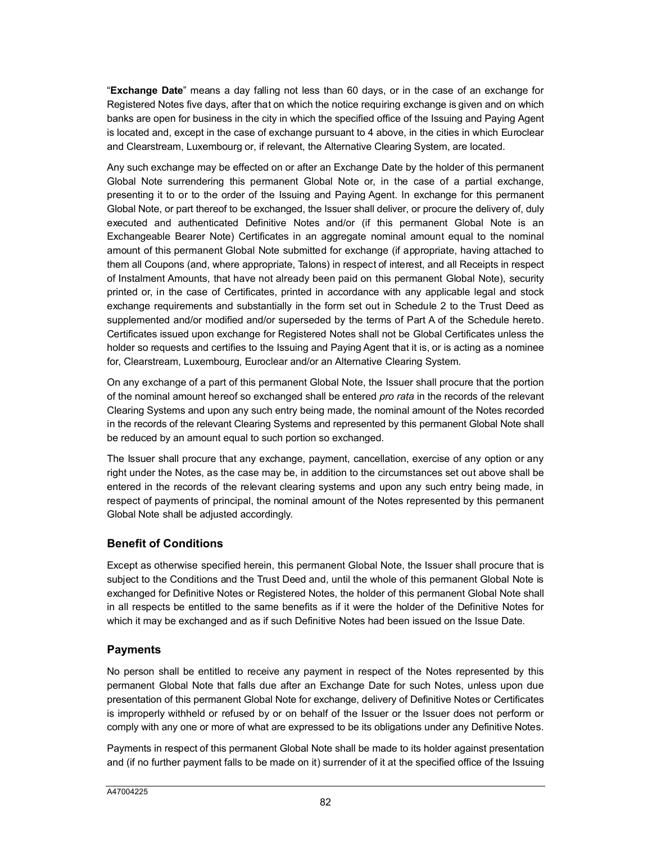"**Exchange Date**" means a day falling not less than 60 days, or in the case of an exchange for Registered Notes five days, after that on which the notice requiring exchange is given and on which banks are open for business in the city in which the specified office of the Issuing and Paying Agent is located and, except in the case of exchange pursuant to 4 above, in the cities in which Euroclear and Clearstream, Luxembourg or, if relevant, the Alternative Clearing System, are located.

Any such exchange may be effected on or after an Exchange Date by the holder of this permanent Global Note surrendering this permanent Global Note or, in the case of a partial exchange, presenting it to or to the order of the Issuing and Paying Agent. In exchange for this permanent Global Note, or part thereof to be exchanged, the Issuer shall deliver, or procure the delivery of, duly executed and authenticated Definitive Notes and/or (if this permanent Global Note is an Exchangeable Bearer Note) Certificates in an aggregate nominal amount equal to the nominal amount of this permanent Global Note submitted for exchange (if appropriate, having attached to them all Coupons (and, where appropriate, Talons) in respect of interest, and all Receipts in respect of Instalment Amounts, that have not already been paid on this permanent Global Note), security printed or, in the case of Certificates, printed in accordance with any applicable legal and stock exchange requirements and substantially in the form set out in Schedule 2 to the Trust Deed as supplemented and/or modified and/or superseded by the terms of Part A of the Schedule hereto. Certificates issued upon exchange for Registered Notes shall not be Global Certificates unless the holder so requests and certifies to the Issuing and Paying Agent that it is, or is acting as a nominee for, Clearstream, Luxembourg, Euroclear and/or an Alternative Clearing System.

On any exchange of a part of this permanent Global Note, the Issuer shall procure that the portion of the nominal amount hereof so exchanged shall be entered *pro rata* in the records of the relevant Clearing Systems and upon any such entry being made, the nominal amount of the Notes recorded in the records of the relevant Clearing Systems and represented by this permanent Global Note shall be reduced by an amount equal to such portion so exchanged.

The Issuer shall procure that any exchange, payment, cancellation, exercise of any option or any right under the Notes, as the case may be, in addition to the circumstances set out above shall be entered in the records of the relevant clearing systems and upon any such entry being made, in respect of payments of principal, the nominal amount of the Notes represented by this permanent Global Note shall be adjusted accordingly.

# **Benefit of Conditions**

Except as otherwise specified herein, this permanent Global Note, the Issuer shall procure that is subject to the Conditions and the Trust Deed and, until the whole of this permanent Global Note is exchanged for Definitive Notes or Registered Notes, the holder of this permanent Global Note shall in all respects be entitled to the same benefits as if it were the holder of the Definitive Notes for which it may be exchanged and as if such Definitive Notes had been issued on the Issue Date.

# **Payments**

No person shall be entitled to receive any payment in respect of the Notes represented by this permanent Global Note that falls due after an Exchange Date for such Notes, unless upon due presentation of this permanent Global Note for exchange, delivery of Definitive Notes or Certificates is improperly withheld or refused by or on behalf of the Issuer or the Issuer does not perform or comply with any one or more of what are expressed to be its obligations under any Definitive Notes.

Payments in respect of this permanent Global Note shall be made to its holder against presentation and (if no further payment falls to be made on it) surrender of it at the specified office of the Issuing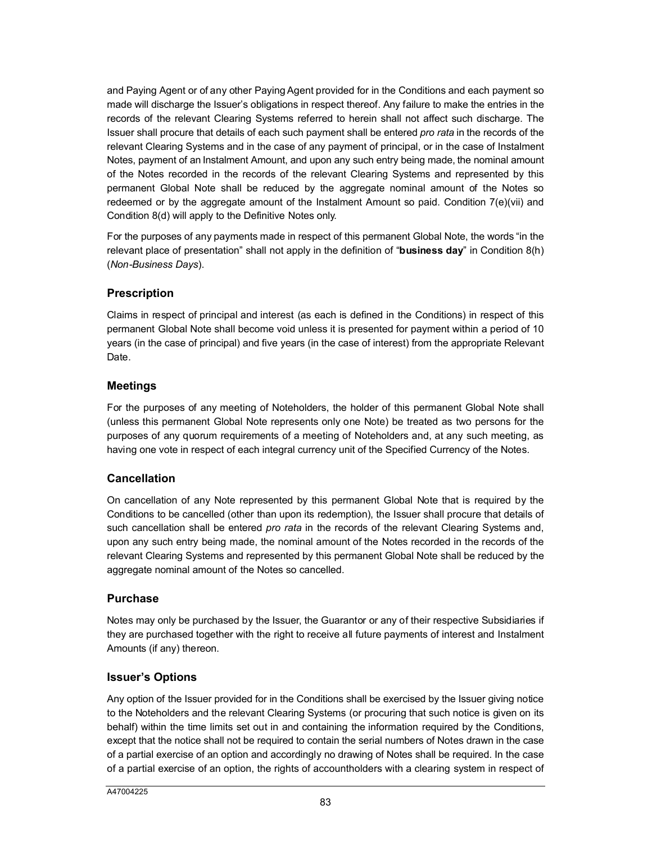and Paying Agent or of any other Paying Agent provided for in the Conditions and each payment so made will discharge the Issuer's obligations in respect thereof. Any failure to make the entries in the records of the relevant Clearing Systems referred to herein shall not affect such discharge. The Issuer shall procure that details of each such payment shall be entered *pro rata* in the records of the relevant Clearing Systems and in the case of any payment of principal, or in the case of Instalment Notes, payment of an Instalment Amount, and upon any such entry being made, the nominal amount of the Notes recorded in the records of the relevant Clearing Systems and represented by this permanent Global Note shall be reduced by the aggregate nominal amount of the Notes so redeemed or by the aggregate amount of the Instalment Amount so paid. Condition 7(e)(vii) and Condition 8(d) will apply to the Definitive Notes only.

For the purposes of any payments made in respect of this permanent Global Note, the words "in the relevant place of presentation" shall not apply in the definition of "**business day**" in Condition 8(h) (*Non-Business Days*).

## **Prescription**

Claims in respect of principal and interest (as each is defined in the Conditions) in respect of this permanent Global Note shall become void unless it is presented for payment within a period of 10 years (in the case of principal) and five years (in the case of interest) from the appropriate Relevant Date.

## **Meetings**

For the purposes of any meeting of Noteholders, the holder of this permanent Global Note shall (unless this permanent Global Note represents only one Note) be treated as two persons for the purposes of any quorum requirements of a meeting of Noteholders and, at any such meeting, as having one vote in respect of each integral currency unit of the Specified Currency of the Notes.

## **Cancellation**

On cancellation of any Note represented by this permanent Global Note that is required by the Conditions to be cancelled (other than upon its redemption), the Issuer shall procure that details of such cancellation shall be entered *pro rata* in the records of the relevant Clearing Systems and, upon any such entry being made, the nominal amount of the Notes recorded in the records of the relevant Clearing Systems and represented by this permanent Global Note shall be reduced by the aggregate nominal amount of the Notes so cancelled.

## **Purchase**

Notes may only be purchased by the Issuer, the Guarantor or any of their respective Subsidiaries if they are purchased together with the right to receive all future payments of interest and Instalment Amounts (if any) thereon.

## **Issuer's Options**

Any option of the Issuer provided for in the Conditions shall be exercised by the Issuer giving notice to the Noteholders and the relevant Clearing Systems (or procuring that such notice is given on its behalf) within the time limits set out in and containing the information required by the Conditions, except that the notice shall not be required to contain the serial numbers of Notes drawn in the case of a partial exercise of an option and accordingly no drawing of Notes shall be required. In the case of a partial exercise of an option, the rights of accountholders with a clearing system in respect of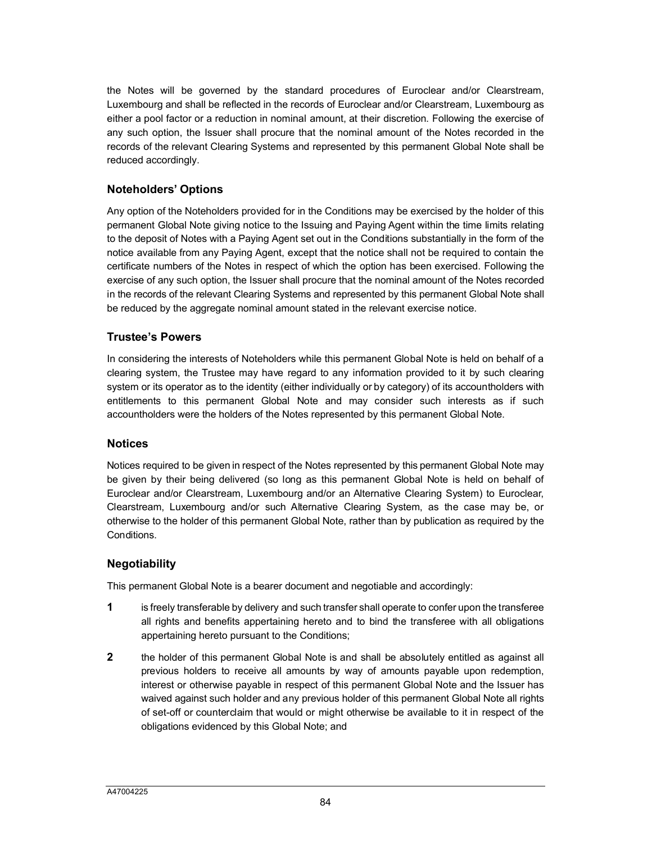the Notes will be governed by the standard procedures of Euroclear and/or Clearstream, Luxembourg and shall be reflected in the records of Euroclear and/or Clearstream, Luxembourg as either a pool factor or a reduction in nominal amount, at their discretion. Following the exercise of any such option, the Issuer shall procure that the nominal amount of the Notes recorded in the records of the relevant Clearing Systems and represented by this permanent Global Note shall be reduced accordingly.

## **Noteholders' Options**

Any option of the Noteholders provided for in the Conditions may be exercised by the holder of this permanent Global Note giving notice to the Issuing and Paying Agent within the time limits relating to the deposit of Notes with a Paying Agent set out in the Conditions substantially in the form of the notice available from any Paying Agent, except that the notice shall not be required to contain the certificate numbers of the Notes in respect of which the option has been exercised. Following the exercise of any such option, the Issuer shall procure that the nominal amount of the Notes recorded in the records of the relevant Clearing Systems and represented by this permanent Global Note shall be reduced by the aggregate nominal amount stated in the relevant exercise notice.

## **Trustee's Powers**

In considering the interests of Noteholders while this permanent Global Note is held on behalf of a clearing system, the Trustee may have regard to any information provided to it by such clearing system or its operator as to the identity (either individually or by category) of its accountholders with entitlements to this permanent Global Note and may consider such interests as if such accountholders were the holders of the Notes represented by this permanent Global Note.

#### **Notices**

Notices required to be given in respect of the Notes represented by this permanent Global Note may be given by their being delivered (so long as this permanent Global Note is held on behalf of Euroclear and/or Clearstream, Luxembourg and/or an Alternative Clearing System) to Euroclear, Clearstream, Luxembourg and/or such Alternative Clearing System, as the case may be, or otherwise to the holder of this permanent Global Note, rather than by publication as required by the Conditions.

## **Negotiability**

This permanent Global Note is a bearer document and negotiable and accordingly:

- **1** is freely transferable by delivery and such transfer shall operate to confer upon the transferee all rights and benefits appertaining hereto and to bind the transferee with all obligations appertaining hereto pursuant to the Conditions;
- **2** the holder of this permanent Global Note is and shall be absolutely entitled as against all previous holders to receive all amounts by way of amounts payable upon redemption, interest or otherwise payable in respect of this permanent Global Note and the Issuer has waived against such holder and any previous holder of this permanent Global Note all rights of set-off or counterclaim that would or might otherwise be available to it in respect of the obligations evidenced by this Global Note; and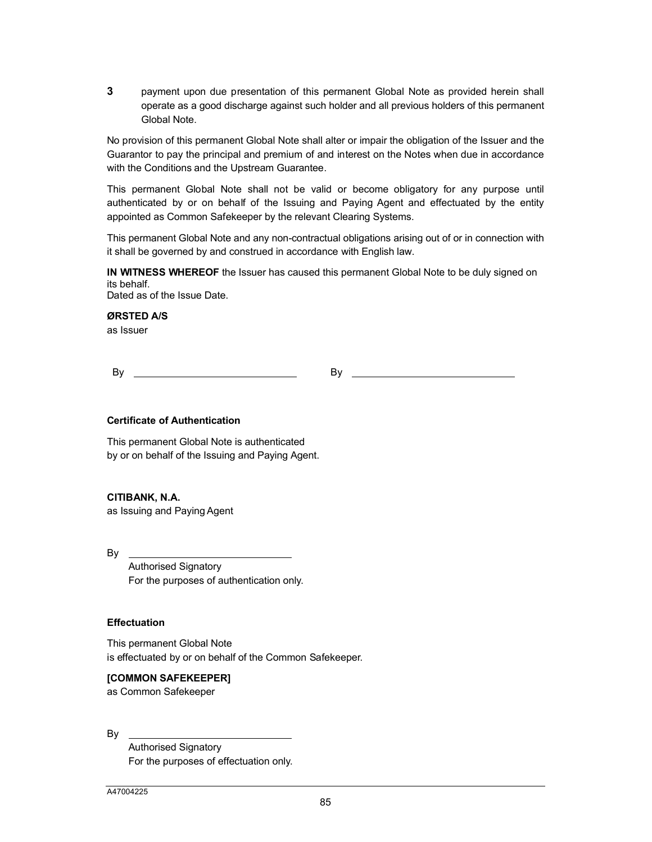**3** payment upon due presentation of this permanent Global Note as provided herein shall operate as a good discharge against such holder and all previous holders of this permanent Global Note.

No provision of this permanent Global Note shall alter or impair the obligation of the Issuer and the Guarantor to pay the principal and premium of and interest on the Notes when due in accordance with the Conditions and the Upstream Guarantee.

This permanent Global Note shall not be valid or become obligatory for any purpose until authenticated by or on behalf of the Issuing and Paying Agent and effectuated by the entity appointed as Common Safekeeper by the relevant Clearing Systems.

This permanent Global Note and any non-contractual obligations arising out of or in connection with it shall be governed by and construed in accordance with English law.

**IN WITNESS WHEREOF** the Issuer has caused this permanent Global Note to be duly signed on its behalf. Dated as of the Issue Date.

**ØRSTED A/S**

as Issuer

By By

#### **Certificate of Authentication**

This permanent Global Note is authenticated by or on behalf of the Issuing and Paying Agent.

#### **CITIBANK, N.A.**

as Issuing and Paying Agent

By

Authorised Signatory For the purposes of authentication only.

#### **Effectuation**

This permanent Global Note is effectuated by or on behalf of the Common Safekeeper.

#### **[COMMON SAFEKEEPER]**

as Common Safekeeper

By

Authorised Signatory For the purposes of effectuation only.

A47004225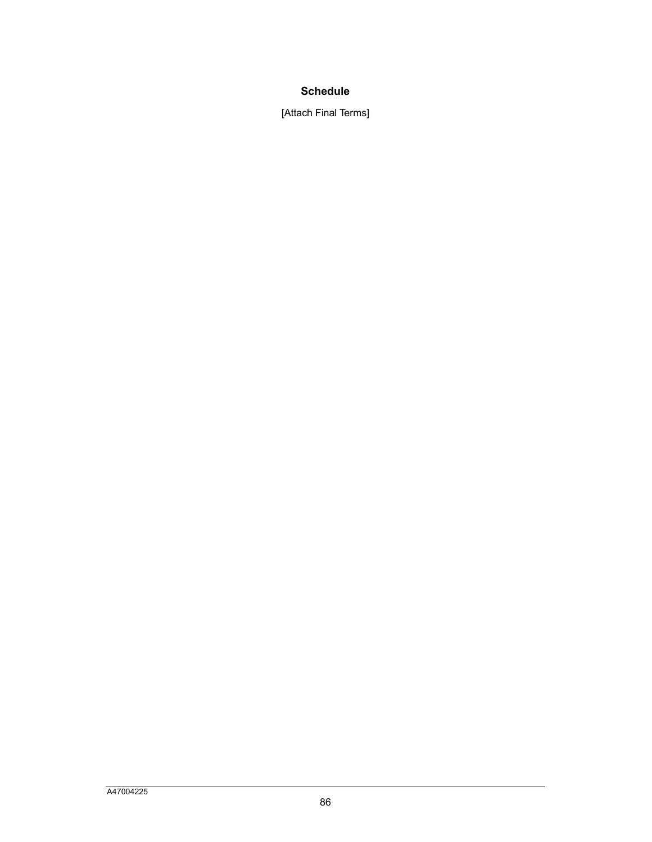# **Schedule**

[Attach Final Terms]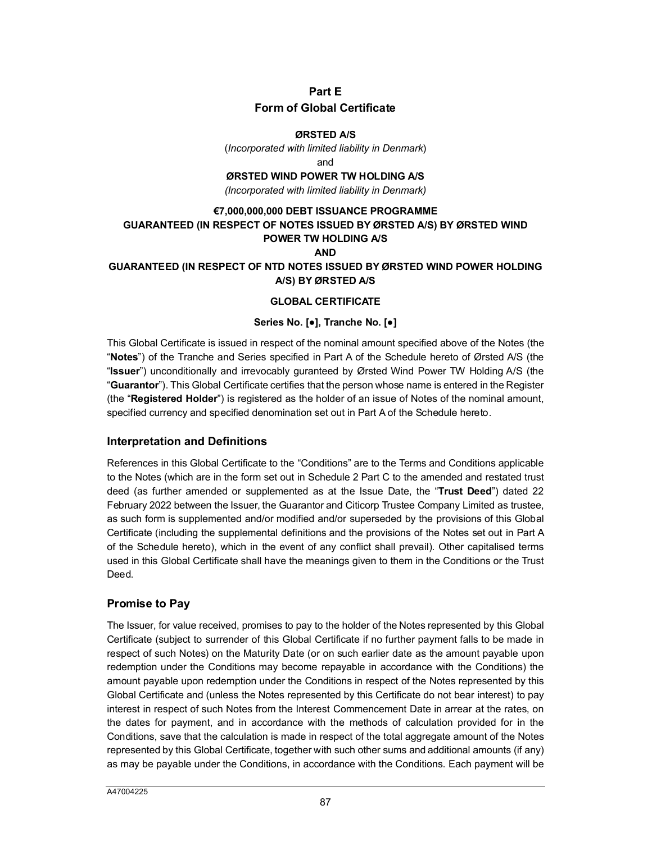# **Part E Form of Global Certificate**

#### **ØRSTED A/S**

(*Incorporated with limited liability in Denmark*)

and

**ØRSTED WIND POWER TW HOLDING A/S**

*(Incorporated with limited liability in Denmark)*

# **€7,000,000,000 DEBT ISSUANCE PROGRAMME GUARANTEED (IN RESPECT OF NOTES ISSUED BY ØRSTED A/S) BY ØRSTED WIND POWER TW HOLDING A/S**

#### **AND**

## **GUARANTEED (IN RESPECT OF NTD NOTES ISSUED BY ØRSTED WIND POWER HOLDING A/S) BY ØRSTED A/S**

#### **GLOBAL CERTIFICATE**

#### **Series No. [●], Tranche No. [●]**

This Global Certificate is issued in respect of the nominal amount specified above of the Notes (the "**Notes**") of the Tranche and Series specified in Part A of the Schedule hereto of Ørsted A/S (the "**Issuer**") unconditionally and irrevocably guranteed by Ørsted Wind Power TW Holding A/S (the "**Guarantor**"). This Global Certificate certifies that the person whose name is entered in the Register (the "**Registered Holder**") is registered as the holder of an issue of Notes of the nominal amount, specified currency and specified denomination set out in Part A of the Schedule hereto.

## **Interpretation and Definitions**

References in this Global Certificate to the "Conditions" are to the Terms and Conditions applicable to the Notes (which are in the form set out in Schedule 2 Part C to the amended and restated trust deed (as further amended or supplemented as at the Issue Date, the "**Trust Deed**") dated 22 February 2022 between the Issuer, the Guarantor and Citicorp Trustee Company Limited as trustee, as such form is supplemented and/or modified and/or superseded by the provisions of this Global Certificate (including the supplemental definitions and the provisions of the Notes set out in Part A of the Schedule hereto), which in the event of any conflict shall prevail). Other capitalised terms used in this Global Certificate shall have the meanings given to them in the Conditions or the Trust Deed.

## **Promise to Pay**

The Issuer, for value received, promises to pay to the holder of the Notes represented by this Global Certificate (subject to surrender of this Global Certificate if no further payment falls to be made in respect of such Notes) on the Maturity Date (or on such earlier date as the amount payable upon redemption under the Conditions may become repayable in accordance with the Conditions) the amount payable upon redemption under the Conditions in respect of the Notes represented by this Global Certificate and (unless the Notes represented by this Certificate do not bear interest) to pay interest in respect of such Notes from the Interest Commencement Date in arrear at the rates, on the dates for payment, and in accordance with the methods of calculation provided for in the Conditions, save that the calculation is made in respect of the total aggregate amount of the Notes represented by this Global Certificate, together with such other sums and additional amounts (if any) as may be payable under the Conditions, in accordance with the Conditions. Each payment will be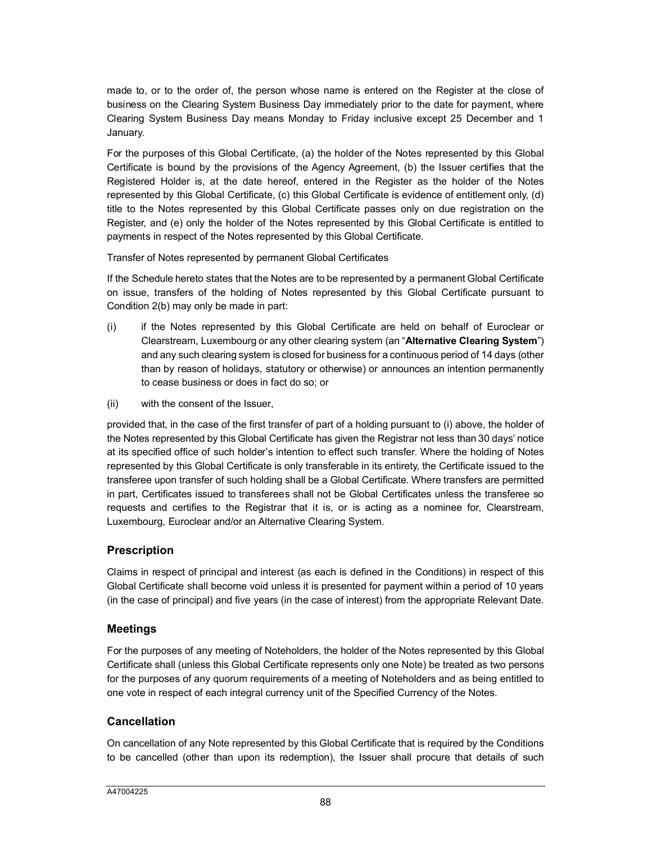made to, or to the order of, the person whose name is entered on the Register at the close of business on the Clearing System Business Day immediately prior to the date for payment, where Clearing System Business Day means Monday to Friday inclusive except 25 December and 1 January.

For the purposes of this Global Certificate, (a) the holder of the Notes represented by this Global Certificate is bound by the provisions of the Agency Agreement, (b) the Issuer certifies that the Registered Holder is, at the date hereof, entered in the Register as the holder of the Notes represented by this Global Certificate, (c) this Global Certificate is evidence of entitlement only, (d) title to the Notes represented by this Global Certificate passes only on due registration on the Register, and (e) only the holder of the Notes represented by this Global Certificate is entitled to payments in respect of the Notes represented by this Global Certificate.

Transfer of Notes represented by permanent Global Certificates

If the Schedule hereto states that the Notes are to be represented by a permanent Global Certificate on issue, transfers of the holding of Notes represented by this Global Certificate pursuant to Condition 2(b) may only be made in part:

- (i) if the Notes represented by this Global Certificate are held on behalf of Euroclear or Clearstream, Luxembourg or any other clearing system (an "**Alternative Clearing System**") and any such clearing system is closed for business for a continuous period of 14 days (other than by reason of holidays, statutory or otherwise) or announces an intention permanently to cease business or does in fact do so; or
- (ii) with the consent of the Issuer,

provided that, in the case of the first transfer of part of a holding pursuant to (i) above, the holder of the Notes represented by this Global Certificate has given the Registrar not less than 30 days' notice at its specified office of such holder's intention to effect such transfer. Where the holding of Notes represented by this Global Certificate is only transferable in its entirety, the Certificate issued to the transferee upon transfer of such holding shall be a Global Certificate. Where transfers are permitted in part, Certificates issued to transferees shall not be Global Certificates unless the transferee so requests and certifies to the Registrar that it is, or is acting as a nominee for, Clearstream, Luxembourg, Euroclear and/or an Alternative Clearing System.

# **Prescription**

Claims in respect of principal and interest (as each is defined in the Conditions) in respect of this Global Certificate shall become void unless it is presented for payment within a period of 10 years (in the case of principal) and five years (in the case of interest) from the appropriate Relevant Date.

# **Meetings**

For the purposes of any meeting of Noteholders, the holder of the Notes represented by this Global Certificate shall (unless this Global Certificate represents only one Note) be treated as two persons for the purposes of any quorum requirements of a meeting of Noteholders and as being entitled to one vote in respect of each integral currency unit of the Specified Currency of the Notes.

# **Cancellation**

On cancellation of any Note represented by this Global Certificate that is required by the Conditions to be cancelled (other than upon its redemption), the Issuer shall procure that details of such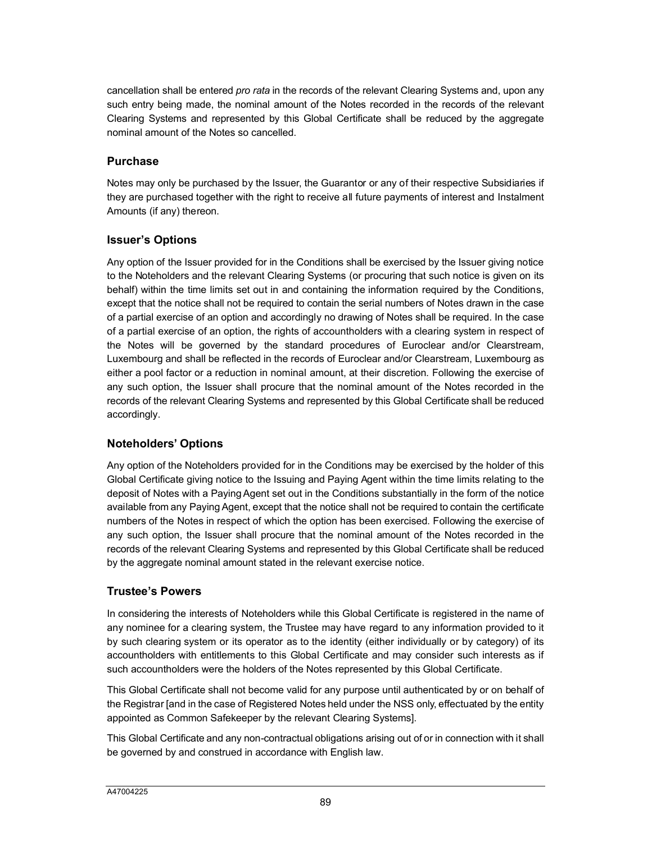cancellation shall be entered *pro rata* in the records of the relevant Clearing Systems and, upon any such entry being made, the nominal amount of the Notes recorded in the records of the relevant Clearing Systems and represented by this Global Certificate shall be reduced by the aggregate nominal amount of the Notes so cancelled.

# **Purchase**

Notes may only be purchased by the Issuer, the Guarantor or any of their respective Subsidiaries if they are purchased together with the right to receive all future payments of interest and Instalment Amounts (if any) thereon.

# **Issuer's Options**

Any option of the Issuer provided for in the Conditions shall be exercised by the Issuer giving notice to the Noteholders and the relevant Clearing Systems (or procuring that such notice is given on its behalf) within the time limits set out in and containing the information required by the Conditions, except that the notice shall not be required to contain the serial numbers of Notes drawn in the case of a partial exercise of an option and accordingly no drawing of Notes shall be required. In the case of a partial exercise of an option, the rights of accountholders with a clearing system in respect of the Notes will be governed by the standard procedures of Euroclear and/or Clearstream, Luxembourg and shall be reflected in the records of Euroclear and/or Clearstream, Luxembourg as either a pool factor or a reduction in nominal amount, at their discretion. Following the exercise of any such option, the Issuer shall procure that the nominal amount of the Notes recorded in the records of the relevant Clearing Systems and represented by this Global Certificate shall be reduced accordingly.

# **Noteholders' Options**

Any option of the Noteholders provided for in the Conditions may be exercised by the holder of this Global Certificate giving notice to the Issuing and Paying Agent within the time limits relating to the deposit of Notes with a Paying Agent set out in the Conditions substantially in the form of the notice available from any Paying Agent, except that the notice shall not be required to contain the certificate numbers of the Notes in respect of which the option has been exercised. Following the exercise of any such option, the Issuer shall procure that the nominal amount of the Notes recorded in the records of the relevant Clearing Systems and represented by this Global Certificate shall be reduced by the aggregate nominal amount stated in the relevant exercise notice.

# **Trustee's Powers**

In considering the interests of Noteholders while this Global Certificate is registered in the name of any nominee for a clearing system, the Trustee may have regard to any information provided to it by such clearing system or its operator as to the identity (either individually or by category) of its accountholders with entitlements to this Global Certificate and may consider such interests as if such accountholders were the holders of the Notes represented by this Global Certificate.

This Global Certificate shall not become valid for any purpose until authenticated by or on behalf of the Registrar [and in the case of Registered Notes held under the NSS only, effectuated by the entity appointed as Common Safekeeper by the relevant Clearing Systems].

This Global Certificate and any non-contractual obligations arising out of or in connection with it shall be governed by and construed in accordance with English law.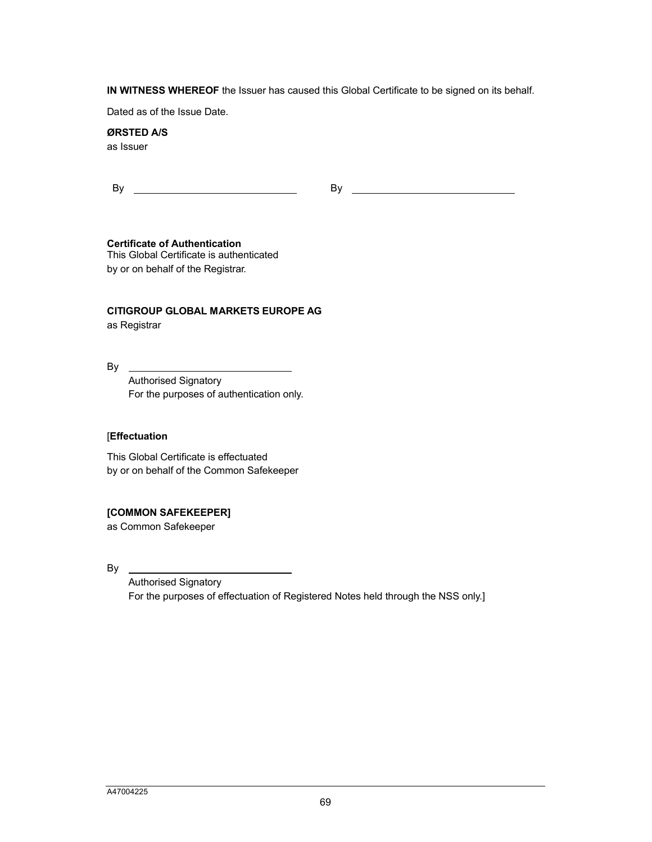**IN WITNESS WHEREOF** the Issuer has caused this Global Certificate to be signed on its behalf.

Dated as of the Issue Date.

# **ØRSTED A/S**

as Issuer

#### **Certificate of Authentication**

This Global Certificate is authenticated by or on behalf of the Registrar.

## **CITIGROUP GLOBAL MARKETS EUROPE AG**

as Registrar

By

Authorised Signatory For the purposes of authentication only.

#### [**Effectuation**

This Global Certificate is effectuated by or on behalf of the Common Safekeeper

#### **[COMMON SAFEKEEPER]**

as Common Safekeeper

By

Authorised Signatory For the purposes of effectuation of Registered Notes held through the NSS only.]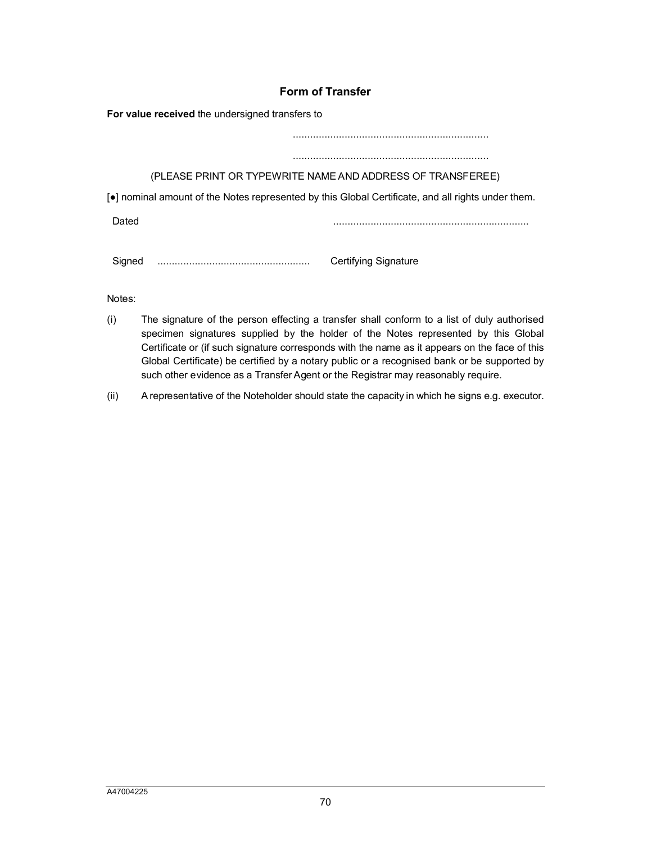# **Form of Transfer**

**For value received** the undersigned transfers to

....................................................................

# ....................................................................

(PLEASE PRINT OR TYPEWRITE NAME AND ADDRESS OF TRANSFEREE)

[●] nominal amount of the Notes represented by this Global Certificate, and all rights under them.

Dated ....................................................................

Signed ..................................................... Certifying Signature

Notes:

- (i) The signature of the person effecting a transfer shall conform to a list of duly authorised specimen signatures supplied by the holder of the Notes represented by this Global Certificate or (if such signature corresponds with the name as it appears on the face of this Global Certificate) be certified by a notary public or a recognised bank or be supported by such other evidence as a Transfer Agent or the Registrar may reasonably require.
- (ii) A representative of the Noteholder should state the capacity in which he signs e.g. executor.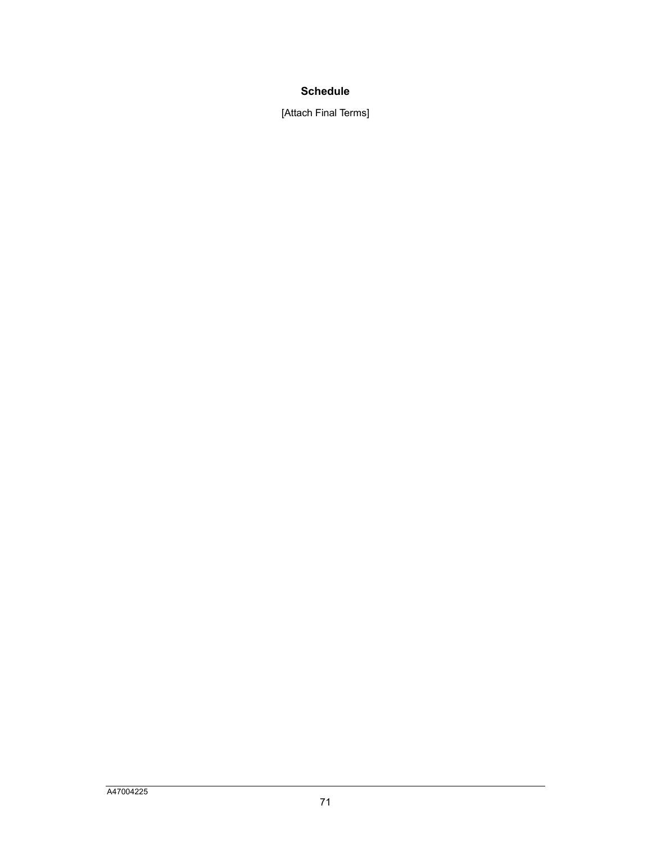# **Schedule**

[Attach Final Terms]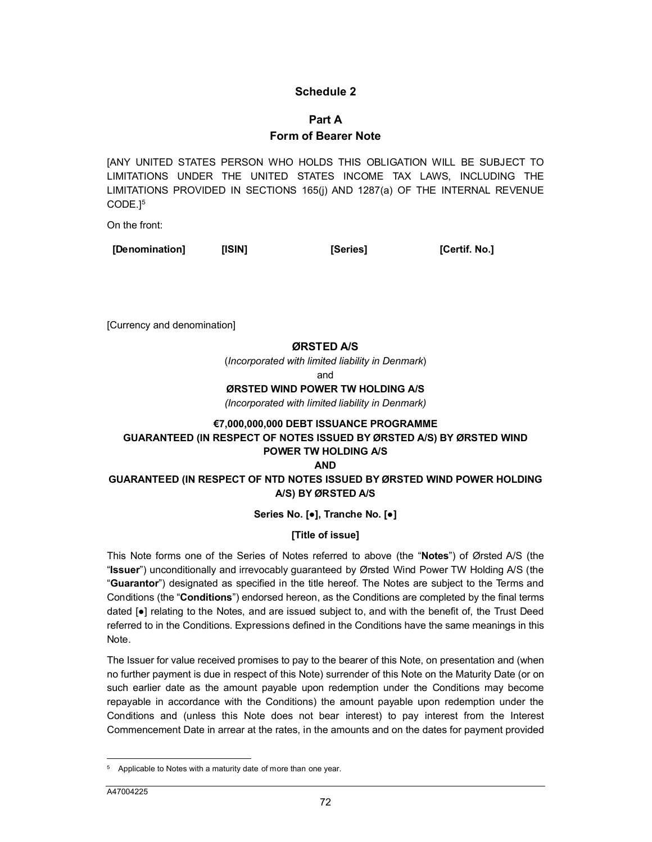## **Schedule 2**

# **Part A Form of Bearer Note**

[A[N](#page-65-0)Y UNITED STATES PERSON WHO HOLDS THIS OBLIGATION WILL BE SUBJECT TO LIMITATIONS UNDER THE UNITED STATES INCOME TAX LAWS, INCLUDING THE LIMITATIONS PROVIDED IN SECTIONS 165(j) AND 1287(a) OF THE INTERNAL REVENUE CODE.] 5

On the front:

**[Denomination] [ISIN] [Series] [Certif. No.]**

[Currency and denomination]

#### **ØRSTED A/S**

(*Incorporated with limited liability in Denmark*)

and

#### **ØRSTED WIND POWER TW HOLDING A/S**

*(Incorporated with limited liability in Denmark)*

#### **€7,000,000,000 DEBT ISSUANCE PROGRAMME GUARANTEED (IN RESPECT OF NOTES ISSUED BY ØRSTED A/S) BY ØRSTED WIND POWER TW HOLDING A/S AND**

## **GUARANTEED (IN RESPECT OF NTD NOTES ISSUED BY ØRSTED WIND POWER HOLDING A/S) BY ØRSTED A/S**

## **Series No. [●], Tranche No. [●]**

## **[Title of issue]**

This Note forms one of the Series of Notes referred to above (the "**Notes**") of Ørsted A/S (the "**Issuer**") unconditionally and irrevocably guaranteed by Ørsted Wind Power TW Holding A/S (the "**Guarantor**") designated as specified in the title hereof. The Notes are subject to the Terms and Conditions (the "**Conditions**") endorsed hereon, as the Conditions are completed by the final terms dated [●] relating to the Notes, and are issued subject to, and with the benefit of, the Trust Deed referred to in the Conditions. Expressions defined in the Conditions have the same meanings in this Note.

The Issuer for value received promises to pay to the bearer of this Note, on presentation and (when no further payment is due in respect of this Note) surrender of this Note on the Maturity Date (or on such earlier date as the amount payable upon redemption under the Conditions may become repayable in accordance with the Conditions) the amount payable upon redemption under the Conditions and (unless this Note does not bear interest) to pay interest from the Interest Commencement Date in arrear at the rates, in the amounts and on the dates for payment provided

 $\overline{a}$ 

<span id="page-65-0"></span><sup>5</sup> Applicable to Notes with a maturity date of more than one year.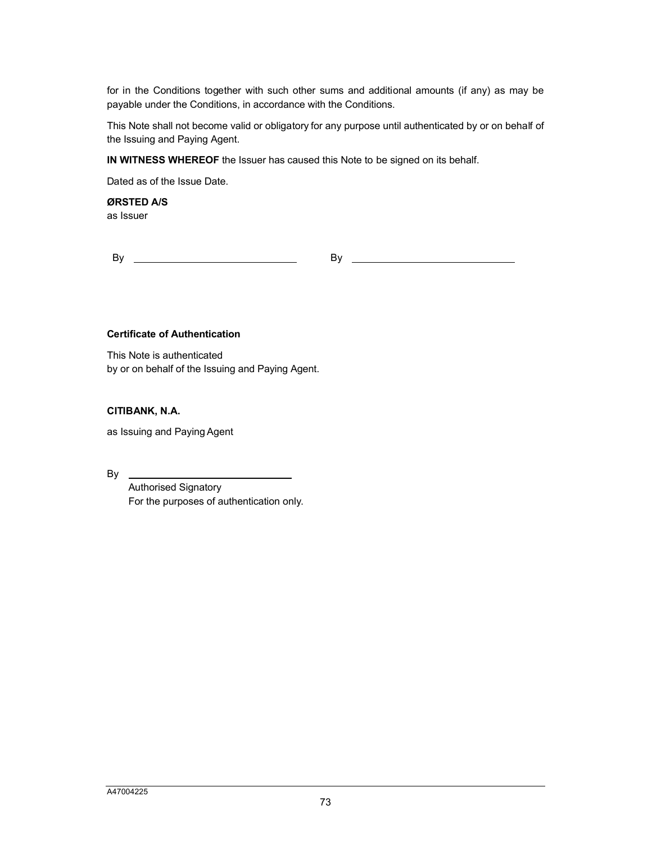for in the Conditions together with such other sums and additional amounts (if any) as may be payable under the Conditions, in accordance with the Conditions.

This Note shall not become valid or obligatory for any purpose until authenticated by or on behalf of the Issuing and Paying Agent.

**IN WITNESS WHEREOF** the Issuer has caused this Note to be signed on its behalf.

Dated as of the Issue Date.

**ØRSTED A/S** as Issuer

By By

#### **Certificate of Authentication**

This Note is authenticated by or on behalf of the Issuing and Paying Agent.

**CITIBANK, N.A.**

as Issuing and Paying Agent

By

Authorised Signatory For the purposes of authentication only.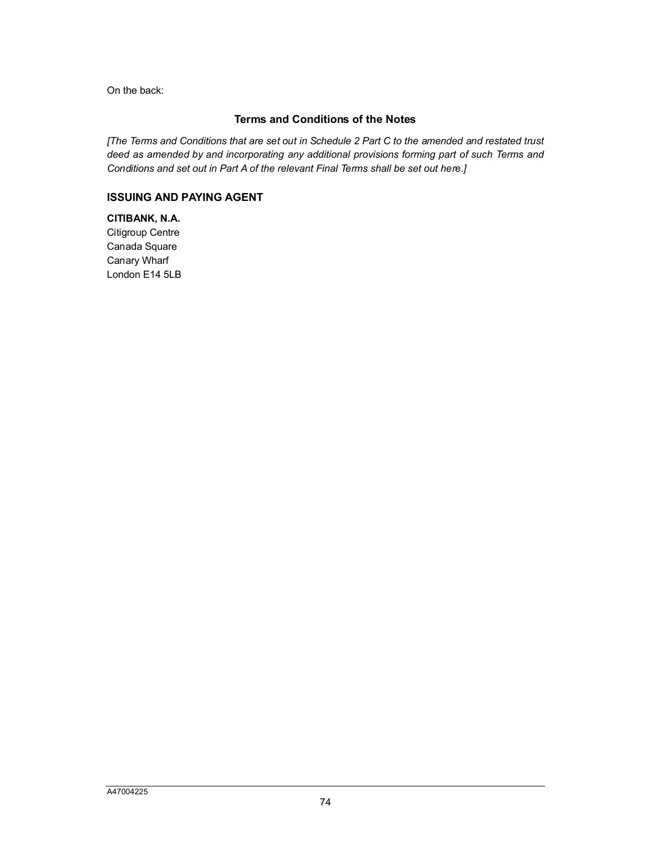On the back:

## **Terms and Conditions of the Notes**

*[The Terms and Conditions that are set out in Schedule 2 Part C to the amended and restated trust deed as amended by and incorporating any additional provisions forming part of such Terms and Conditions and set out in Part A of the relevant Final Terms shall be set out here.]*

## **ISSUING AND PAYING AGENT**

**CITIBANK, N.A.** Citigroup Centre Canada Square Canary Wharf London E14 5LB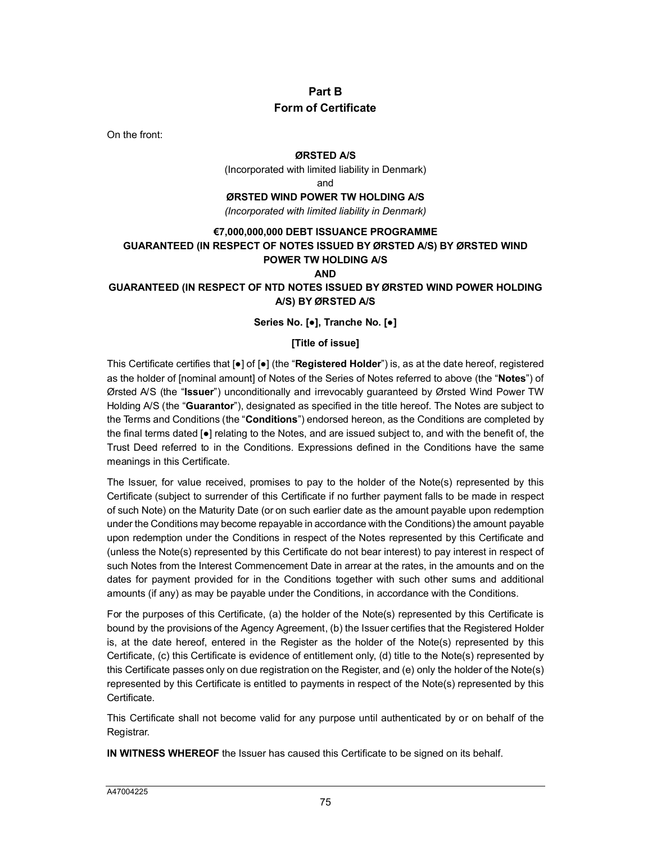# **Part B Form of Certificate**

On the front:

#### **ØRSTED A/S**

(Incorporated with limited liability in Denmark)

and

#### **ØRSTED WIND POWER TW HOLDING A/S**

*(Incorporated with limited liability in Denmark)*

#### **€7,000,000,000 DEBT ISSUANCE PROGRAMME GUARANTEED (IN RESPECT OF NOTES ISSUED BY ØRSTED A/S) BY ØRSTED WIND POWER TW HOLDING A/S AND**

#### **GUARANTEED (IN RESPECT OF NTD NOTES ISSUED BY ØRSTED WIND POWER HOLDING A/S) BY ØRSTED A/S**

**Series No. [●], Tranche No. [●]**

#### **[Title of issue]**

This Certificate certifies that [●] of [●] (the "**Registered Holder**") is, as at the date hereof, registered as the holder of [nominal amount] of Notes of the Series of Notes referred to above (the "**Notes**") of Ørsted A/S (the "**Issuer**") unconditionally and irrevocably guaranteed by Ørsted Wind Power TW Holding A/S (the "**Guarantor**"), designated as specified in the title hereof. The Notes are subject to the Terms and Conditions (the "**Conditions**") endorsed hereon, as the Conditions are completed by the final terms dated [●] relating to the Notes, and are issued subject to, and with the benefit of, the Trust Deed referred to in the Conditions. Expressions defined in the Conditions have the same meanings in this Certificate.

The Issuer, for value received, promises to pay to the holder of the Note(s) represented by this Certificate (subject to surrender of this Certificate if no further payment falls to be made in respect of such Note) on the Maturity Date (or on such earlier date as the amount payable upon redemption under the Conditions may become repayable in accordance with the Conditions) the amount payable upon redemption under the Conditions in respect of the Notes represented by this Certificate and (unless the Note(s) represented by this Certificate do not bear interest) to pay interest in respect of such Notes from the Interest Commencement Date in arrear at the rates, in the amounts and on the dates for payment provided for in the Conditions together with such other sums and additional amounts (if any) as may be payable under the Conditions, in accordance with the Conditions.

For the purposes of this Certificate, (a) the holder of the Note(s) represented by this Certificate is bound by the provisions of the Agency Agreement, (b) the Issuer certifies that the Registered Holder is, at the date hereof, entered in the Register as the holder of the Note(s) represented by this Certificate, (c) this Certificate is evidence of entitlement only, (d) title to the Note(s) represented by this Certificate passes only on due registration on the Register, and (e) only the holder of the Note(s) represented by this Certificate is entitled to payments in respect of the Note(s) represented by this Certificate.

This Certificate shall not become valid for any purpose until authenticated by or on behalf of the Registrar.

**IN WITNESS WHEREOF** the Issuer has caused this Certificate to be signed on its behalf.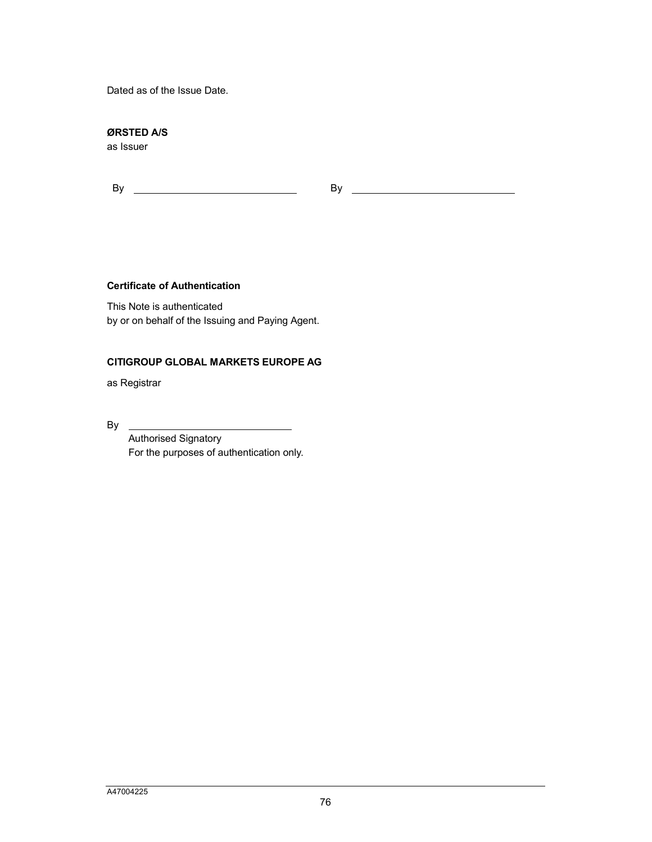Dated as of the Issue Date.

## **ØRSTED A/S**

as Issuer

By By

#### **Certificate of Authentication**

This Note is authenticated by or on behalf of the Issuing and Paying Agent.

#### **CITIGROUP GLOBAL MARKETS EUROPE AG**

as Registrar

By

Authorised Signatory For the purposes of authentication only.

 $\mathbb{R}$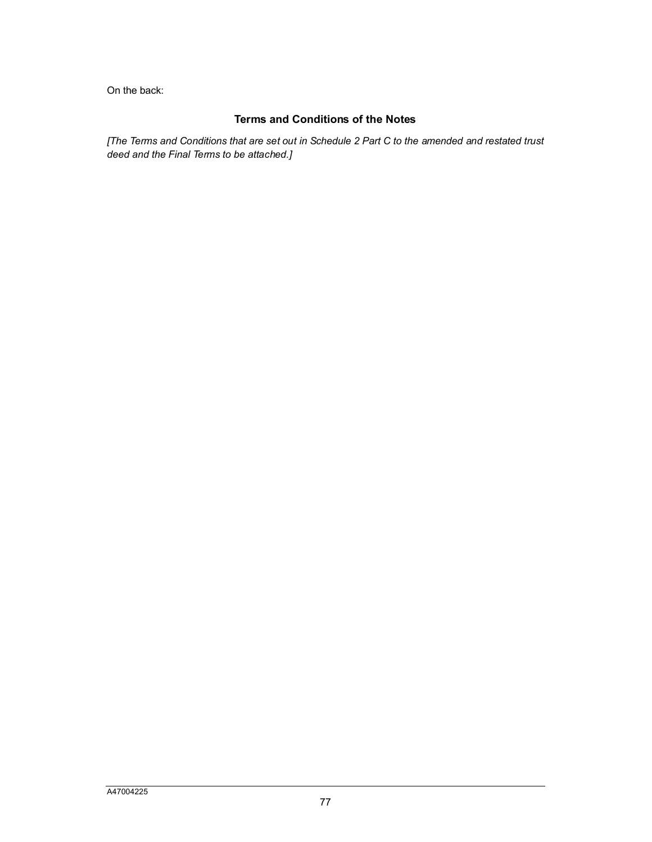On the back:

# **Terms and Conditions of the Notes**

*[The Terms and Conditions that are set out in Schedule 2 Part C to the amended and restated trust deed and the Final Terms to be attached.]*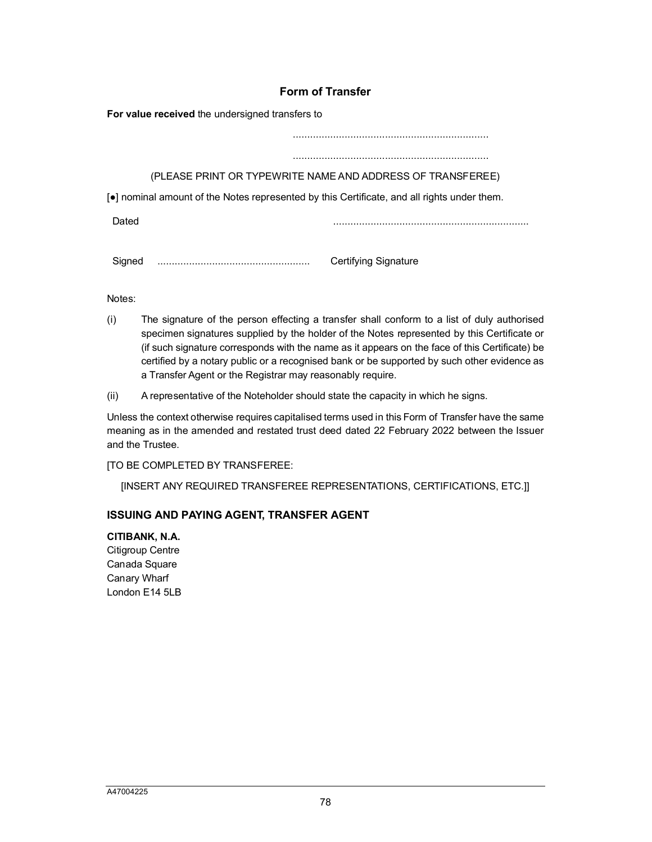# **Form of Transfer**

**For value received** the undersigned transfers to

.................................................................... .................................................................... (PLEASE PRINT OR TYPEWRITE NAME AND ADDRESS OF TRANSFEREE) [●] nominal amount of the Notes represented by this Certificate, and all rights under them. Dated ....................................................................

Signed ..................................................... Certifying Signature

Notes:

- (i) The signature of the person effecting a transfer shall conform to a list of duly authorised specimen signatures supplied by the holder of the Notes represented by this Certificate or (if such signature corresponds with the name as it appears on the face of this Certificate) be certified by a notary public or a recognised bank or be supported by such other evidence as a Transfer Agent or the Registrar may reasonably require.
- (ii) A representative of the Noteholder should state the capacity in which he signs.

Unless the context otherwise requires capitalised terms used in this Form of Transfer have the same meaning as in the amended and restated trust deed dated 22 February 2022 between the Issuer and the Trustee.

[TO BE COMPLETED BY TRANSFEREE:

[INSERT ANY REQUIRED TRANSFEREE REPRESENTATIONS, CERTIFICATIONS, ETC.]]

## **ISSUING AND PAYING AGENT, TRANSFER AGENT**

**CITIBANK, N.A.** Citigroup Centre Canada Square Canary Wharf London E14 5LB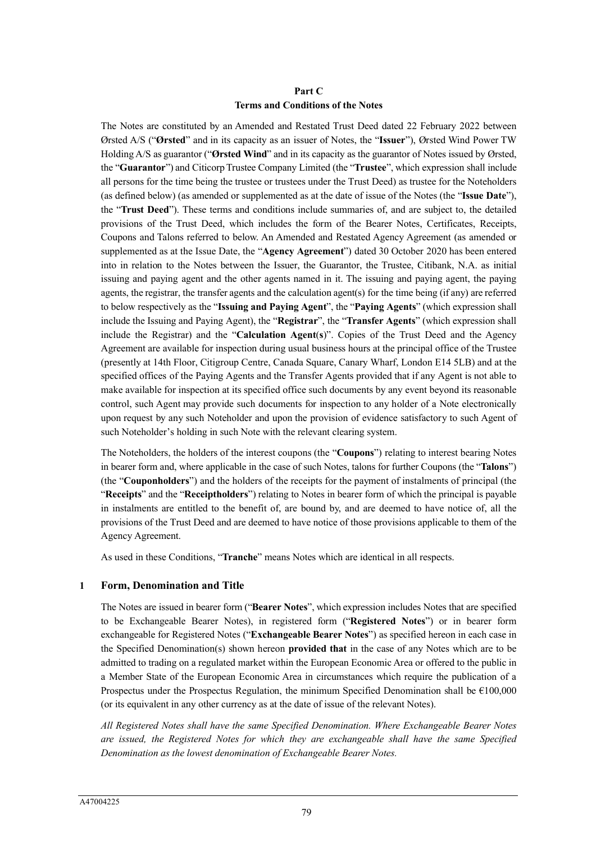# **Part C Terms and Conditions of the Notes**

The Notes are constituted by an Amended and Restated Trust Deed dated 22 February 2022 between Ørsted A/S ("**Ørsted**" and in its capacity as an issuer of Notes, the "**Issuer**"), Ørsted Wind Power TW Holding A/S as guarantor ("**Ørsted Wind**" and in its capacity as the guarantor of Notes issued by Ørsted, the "**Guarantor**") and Citicorp Trustee Company Limited (the "**Trustee**", which expression shall include all persons for the time being the trustee or trustees under the Trust Deed) as trustee for the Noteholders (as defined below) (as amended or supplemented as at the date of issue of the Notes (the "**Issue Date**"), the "**Trust Deed**"). These terms and conditions include summaries of, and are subject to, the detailed provisions of the Trust Deed, which includes the form of the Bearer Notes, Certificates, Receipts, Coupons and Talons referred to below. An Amended and Restated Agency Agreement (as amended or supplemented as at the Issue Date, the "**Agency Agreement**") dated 30 October 2020 has been entered into in relation to the Notes between the Issuer, the Guarantor, the Trustee, Citibank, N.A. as initial issuing and paying agent and the other agents named in it. The issuing and paying agent, the paying agents, the registrar, the transfer agents and the calculation agent(s) for the time being (if any) are referred to below respectively as the "**Issuing and Paying Agent**", the "**Paying Agents**" (which expression shall include the Issuing and Paying Agent), the "**Registrar**", the "**Transfer Agents**" (which expression shall include the Registrar) and the "**Calculation Agent**(**s**)". Copies of the Trust Deed and the Agency Agreement are available for inspection during usual business hours at the principal office of the Trustee (presently at 14th Floor, Citigroup Centre, Canada Square, Canary Wharf, London E14 5LB) and at the specified offices of the Paying Agents and the Transfer Agents provided that if any Agent is not able to make available for inspection at its specified office such documents by any event beyond its reasonable control, such Agent may provide such documents for inspection to any holder of a Note electronically upon request by any such Noteholder and upon the provision of evidence satisfactory to such Agent of such Noteholder's holding in such Note with the relevant clearing system.

The Noteholders, the holders of the interest coupons (the "**Coupons**") relating to interest bearing Notes in bearer form and, where applicable in the case of such Notes, talons for further Coupons (the "**Talons**") (the "**Couponholders**") and the holders of the receipts for the payment of instalments of principal (the "**Receipts**" and the "**Receiptholders**") relating to Notes in bearer form of which the principal is payable in instalments are entitled to the benefit of, are bound by, and are deemed to have notice of, all the provisions of the Trust Deed and are deemed to have notice of those provisions applicable to them of the Agency Agreement.

As used in these Conditions, "**Tranche**" means Notes which are identical in all respects.

### **1 Form, Denomination and Title**

The Notes are issued in bearer form ("**Bearer Notes**", which expression includes Notes that are specified to be Exchangeable Bearer Notes), in registered form ("**Registered Notes**") or in bearer form exchangeable for Registered Notes ("**Exchangeable Bearer Notes**") as specified hereon in each case in the Specified Denomination(s) shown hereon **provided that** in the case of any Notes which are to be admitted to trading on a regulated market within the European Economic Area or offered to the public in a Member State of the European Economic Area in circumstances which require the publication of a Prospectus under the Prospectus Regulation, the minimum Specified Denomination shall be  $\epsilon$ 100,000 (or its equivalent in any other currency as at the date of issue of the relevant Notes).

*All Registered Notes shall have the same Specified Denomination. Where Exchangeable Bearer Notes are issued, the Registered Notes for which they are exchangeable shall have the same Specified Denomination as the lowest denomination of Exchangeable Bearer Notes.*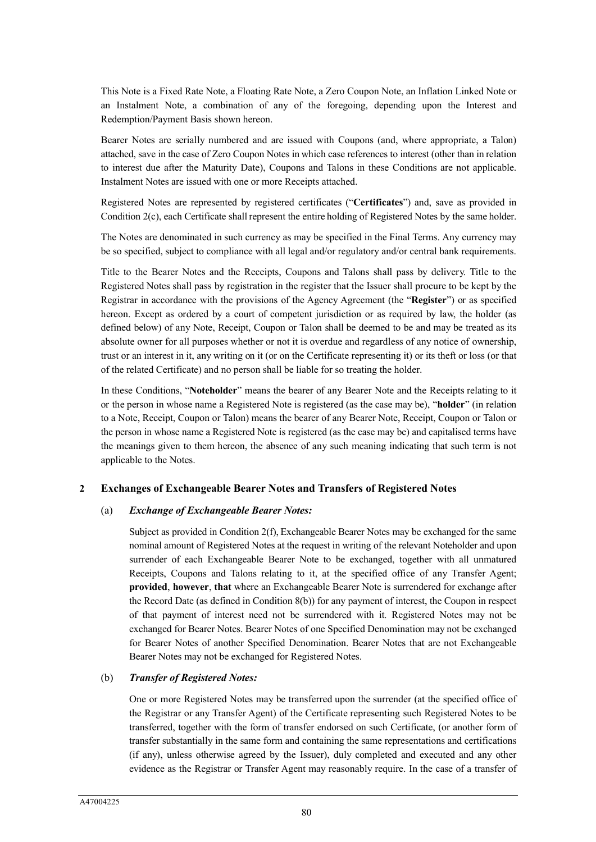This Note is a Fixed Rate Note, a Floating Rate Note, a Zero Coupon Note, an Inflation Linked Note or an Instalment Note, a combination of any of the foregoing, depending upon the Interest and Redemption/Payment Basis shown hereon.

Bearer Notes are serially numbered and are issued with Coupons (and, where appropriate, a Talon) attached, save in the case of Zero Coupon Notes in which case references to interest (other than in relation to interest due after the Maturity Date), Coupons and Talons in these Conditions are not applicable. Instalment Notes are issued with one or more Receipts attached.

Registered Notes are represented by registered certificates ("**Certificates**") and, save as provided in Condition 2(c), each Certificate shall represent the entire holding of Registered Notes by the same holder.

The Notes are denominated in such currency as may be specified in the Final Terms. Any currency may be so specified, subject to compliance with all legal and/or regulatory and/or central bank requirements.

Title to the Bearer Notes and the Receipts, Coupons and Talons shall pass by delivery. Title to the Registered Notes shall pass by registration in the register that the Issuer shall procure to be kept by the Registrar in accordance with the provisions of the Agency Agreement (the "**Register**") or as specified hereon. Except as ordered by a court of competent jurisdiction or as required by law, the holder (as defined below) of any Note, Receipt, Coupon or Talon shall be deemed to be and may be treated as its absolute owner for all purposes whether or not it is overdue and regardless of any notice of ownership, trust or an interest in it, any writing on it (or on the Certificate representing it) or its theft or loss (or that of the related Certificate) and no person shall be liable for so treating the holder.

In these Conditions, "**Noteholder**" means the bearer of any Bearer Note and the Receipts relating to it or the person in whose name a Registered Note is registered (as the case may be), "**holder**" (in relation to a Note, Receipt, Coupon or Talon) means the bearer of any Bearer Note, Receipt, Coupon or Talon or the person in whose name a Registered Note is registered (as the case may be) and capitalised terms have the meanings given to them hereon, the absence of any such meaning indicating that such term is not applicable to the Notes.

### **2 Exchanges of Exchangeable Bearer Notes and Transfers of Registered Notes**

### (a) *Exchange of Exchangeable Bearer Notes:*

Subject as provided in Condition 2(f), Exchangeable Bearer Notes may be exchanged for the same nominal amount of Registered Notes at the request in writing of the relevant Noteholder and upon surrender of each Exchangeable Bearer Note to be exchanged, together with all unmatured Receipts, Coupons and Talons relating to it, at the specified office of any Transfer Agent; **provided**, **however**, **that** where an Exchangeable Bearer Note is surrendered for exchange after the Record Date (as defined in Condition 8(b)) for any payment of interest, the Coupon in respect of that payment of interest need not be surrendered with it. Registered Notes may not be exchanged for Bearer Notes. Bearer Notes of one Specified Denomination may not be exchanged for Bearer Notes of another Specified Denomination. Bearer Notes that are not Exchangeable Bearer Notes may not be exchanged for Registered Notes.

### (b) *Transfer of Registered Notes:*

One or more Registered Notes may be transferred upon the surrender (at the specified office of the Registrar or any Transfer Agent) of the Certificate representing such Registered Notes to be transferred, together with the form of transfer endorsed on such Certificate, (or another form of transfer substantially in the same form and containing the same representations and certifications (if any), unless otherwise agreed by the Issuer), duly completed and executed and any other evidence as the Registrar or Transfer Agent may reasonably require. In the case of a transfer of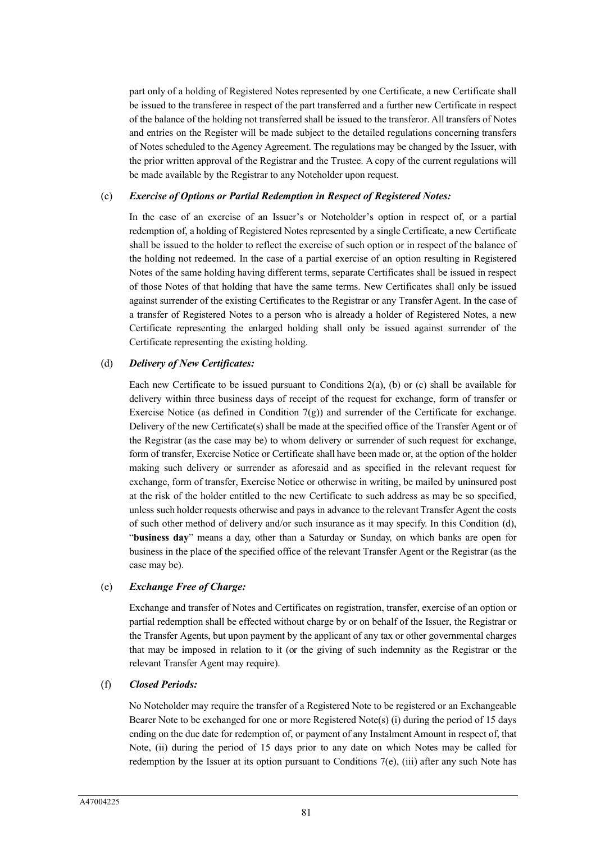part only of a holding of Registered Notes represented by one Certificate, a new Certificate shall be issued to the transferee in respect of the part transferred and a further new Certificate in respect of the balance of the holding not transferred shall be issued to the transferor. All transfers of Notes and entries on the Register will be made subject to the detailed regulations concerning transfers of Notes scheduled to the Agency Agreement. The regulations may be changed by the Issuer, with the prior written approval of the Registrar and the Trustee. A copy of the current regulations will be made available by the Registrar to any Noteholder upon request.

#### (c) *Exercise of Options or Partial Redemption in Respect of Registered Notes:*

In the case of an exercise of an Issuer's or Noteholder's option in respect of, or a partial redemption of, a holding of Registered Notes represented by a single Certificate, a new Certificate shall be issued to the holder to reflect the exercise of such option or in respect of the balance of the holding not redeemed. In the case of a partial exercise of an option resulting in Registered Notes of the same holding having different terms, separate Certificates shall be issued in respect of those Notes of that holding that have the same terms. New Certificates shall only be issued against surrender of the existing Certificates to the Registrar or any Transfer Agent. In the case of a transfer of Registered Notes to a person who is already a holder of Registered Notes, a new Certificate representing the enlarged holding shall only be issued against surrender of the Certificate representing the existing holding.

#### (d) *Delivery of New Certificates:*

Each new Certificate to be issued pursuant to Conditions 2(a), (b) or (c) shall be available for delivery within three business days of receipt of the request for exchange, form of transfer or Exercise Notice (as defined in Condition  $7(g)$ ) and surrender of the Certificate for exchange. Delivery of the new Certificate(s) shall be made at the specified office of the Transfer Agent or of the Registrar (as the case may be) to whom delivery or surrender of such request for exchange, form of transfer, Exercise Notice or Certificate shall have been made or, at the option of the holder making such delivery or surrender as aforesaid and as specified in the relevant request for exchange, form of transfer, Exercise Notice or otherwise in writing, be mailed by uninsured post at the risk of the holder entitled to the new Certificate to such address as may be so specified, unless such holder requests otherwise and pays in advance to the relevant Transfer Agent the costs of such other method of delivery and/or such insurance as it may specify. In this Condition (d), "**business day**" means a day, other than a Saturday or Sunday, on which banks are open for business in the place of the specified office of the relevant Transfer Agent or the Registrar (as the case may be).

### (e) *Exchange Free of Charge:*

Exchange and transfer of Notes and Certificates on registration, transfer, exercise of an option or partial redemption shall be effected without charge by or on behalf of the Issuer, the Registrar or the Transfer Agents, but upon payment by the applicant of any tax or other governmental charges that may be imposed in relation to it (or the giving of such indemnity as the Registrar or the relevant Transfer Agent may require).

#### (f) *Closed Periods:*

No Noteholder may require the transfer of a Registered Note to be registered or an Exchangeable Bearer Note to be exchanged for one or more Registered Note(s) (i) during the period of 15 days ending on the due date for redemption of, or payment of any Instalment Amount in respect of, that Note, (ii) during the period of 15 days prior to any date on which Notes may be called for redemption by the Issuer at its option pursuant to Conditions 7(e), (iii) after any such Note has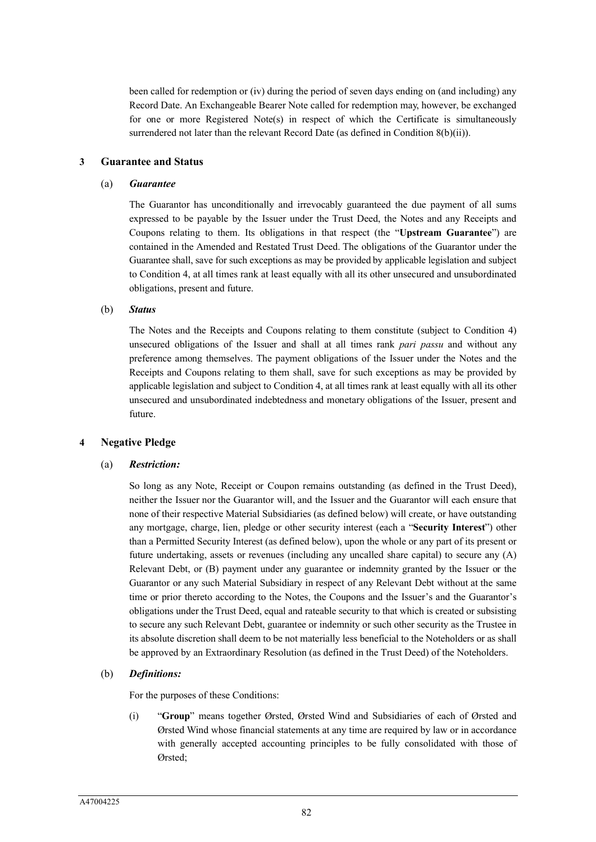been called for redemption or (iv) during the period of seven days ending on (and including) any Record Date. An Exchangeable Bearer Note called for redemption may, however, be exchanged for one or more Registered Note(s) in respect of which the Certificate is simultaneously surrendered not later than the relevant Record Date (as defined in Condition 8(b)(ii)).

### **3 Guarantee and Status**

#### (a) *Guarantee*

The Guarantor has unconditionally and irrevocably guaranteed the due payment of all sums expressed to be payable by the Issuer under the Trust Deed, the Notes and any Receipts and Coupons relating to them. Its obligations in that respect (the "**Upstream Guarantee**") are contained in the Amended and Restated Trust Deed. The obligations of the Guarantor under the Guarantee shall, save for such exceptions as may be provided by applicable legislation and subject to Condition 4, at all times rank at least equally with all its other unsecured and unsubordinated obligations, present and future.

#### (b) *Status*

The Notes and the Receipts and Coupons relating to them constitute (subject to Condition 4) unsecured obligations of the Issuer and shall at all times rank *pari passu* and without any preference among themselves. The payment obligations of the Issuer under the Notes and the Receipts and Coupons relating to them shall, save for such exceptions as may be provided by applicable legislation and subject to Condition 4, at all times rank at least equally with all its other unsecured and unsubordinated indebtedness and monetary obligations of the Issuer, present and future.

### **4 Negative Pledge**

### (a) *Restriction:*

So long as any Note, Receipt or Coupon remains outstanding (as defined in the Trust Deed), neither the Issuer nor the Guarantor will, and the Issuer and the Guarantor will each ensure that none of their respective Material Subsidiaries (as defined below) will create, or have outstanding any mortgage, charge, lien, pledge or other security interest (each a "**Security Interest**") other than a Permitted Security Interest (as defined below), upon the whole or any part of its present or future undertaking, assets or revenues (including any uncalled share capital) to secure any (A) Relevant Debt, or (B) payment under any guarantee or indemnity granted by the Issuer or the Guarantor or any such Material Subsidiary in respect of any Relevant Debt without at the same time or prior thereto according to the Notes, the Coupons and the Issuer's and the Guarantor's obligations under the Trust Deed, equal and rateable security to that which is created or subsisting to secure any such Relevant Debt, guarantee or indemnity or such other security as the Trustee in its absolute discretion shall deem to be not materially less beneficial to the Noteholders or as shall be approved by an Extraordinary Resolution (as defined in the Trust Deed) of the Noteholders.

### (b) *Definitions:*

For the purposes of these Conditions:

(i) "**Group**" means together Ørsted, Ørsted Wind and Subsidiaries of each of Ørsted and Ørsted Wind whose financial statements at any time are required by law or in accordance with generally accepted accounting principles to be fully consolidated with those of Ørsted;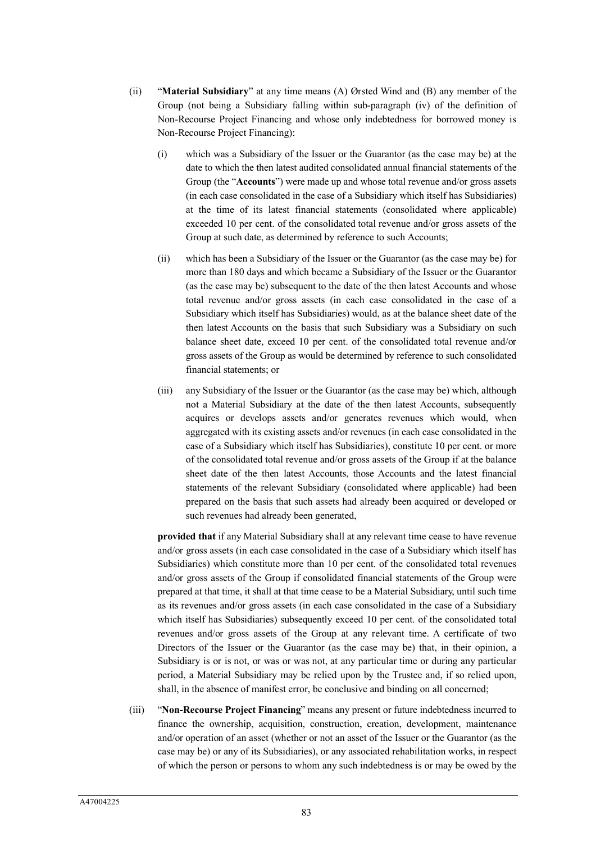- (ii) "**Material Subsidiary**" at any time means (A) Ørsted Wind and (B) any member of the Group (not being a Subsidiary falling within sub-paragraph (iv) of the definition of Non-Recourse Project Financing and whose only indebtedness for borrowed money is Non-Recourse Project Financing):
	- (i) which was a Subsidiary of the Issuer or the Guarantor (as the case may be) at the date to which the then latest audited consolidated annual financial statements of the Group (the "**Accounts**") were made up and whose total revenue and/or gross assets (in each case consolidated in the case of a Subsidiary which itself has Subsidiaries) at the time of its latest financial statements (consolidated where applicable) exceeded 10 per cent. of the consolidated total revenue and/or gross assets of the Group at such date, as determined by reference to such Accounts;
	- (ii) which has been a Subsidiary of the Issuer or the Guarantor (as the case may be) for more than 180 days and which became a Subsidiary of the Issuer or the Guarantor (as the case may be) subsequent to the date of the then latest Accounts and whose total revenue and/or gross assets (in each case consolidated in the case of a Subsidiary which itself has Subsidiaries) would, as at the balance sheet date of the then latest Accounts on the basis that such Subsidiary was a Subsidiary on such balance sheet date, exceed 10 per cent. of the consolidated total revenue and/or gross assets of the Group as would be determined by reference to such consolidated financial statements; or
	- (iii) any Subsidiary of the Issuer or the Guarantor (as the case may be) which, although not a Material Subsidiary at the date of the then latest Accounts, subsequently acquires or develops assets and/or generates revenues which would, when aggregated with its existing assets and/or revenues (in each case consolidated in the case of a Subsidiary which itself has Subsidiaries), constitute 10 per cent. or more of the consolidated total revenue and/or gross assets of the Group if at the balance sheet date of the then latest Accounts, those Accounts and the latest financial statements of the relevant Subsidiary (consolidated where applicable) had been prepared on the basis that such assets had already been acquired or developed or such revenues had already been generated,

**provided that** if any Material Subsidiary shall at any relevant time cease to have revenue and/or gross assets (in each case consolidated in the case of a Subsidiary which itself has Subsidiaries) which constitute more than 10 per cent. of the consolidated total revenues and/or gross assets of the Group if consolidated financial statements of the Group were prepared at that time, it shall at that time cease to be a Material Subsidiary, until such time as its revenues and/or gross assets (in each case consolidated in the case of a Subsidiary which itself has Subsidiaries) subsequently exceed 10 per cent. of the consolidated total revenues and/or gross assets of the Group at any relevant time. A certificate of two Directors of the Issuer or the Guarantor (as the case may be) that, in their opinion, a Subsidiary is or is not, or was or was not, at any particular time or during any particular period, a Material Subsidiary may be relied upon by the Trustee and, if so relied upon, shall, in the absence of manifest error, be conclusive and binding on all concerned;

(iii) "**Non-Recourse Project Financing**" means any present or future indebtedness incurred to finance the ownership, acquisition, construction, creation, development, maintenance and/or operation of an asset (whether or not an asset of the Issuer or the Guarantor (as the case may be) or any of its Subsidiaries), or any associated rehabilitation works, in respect of which the person or persons to whom any such indebtedness is or may be owed by the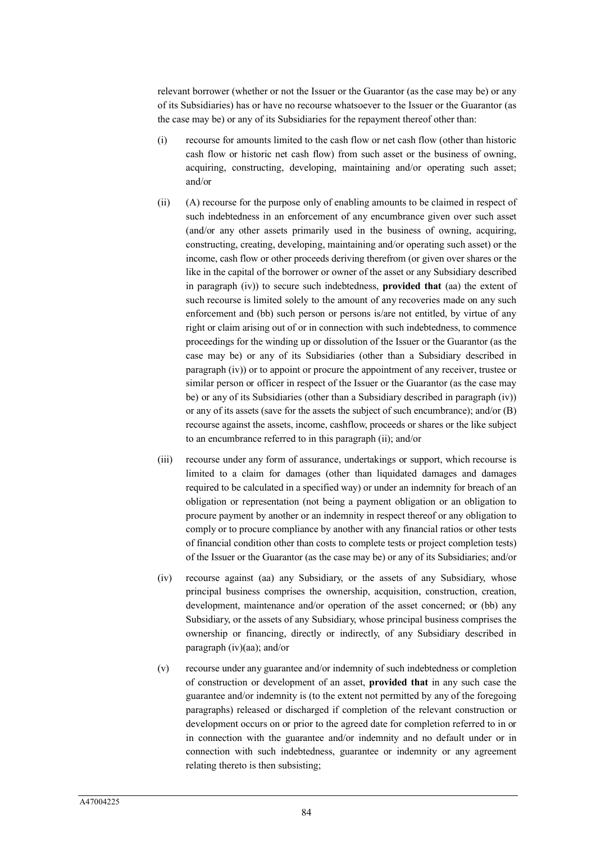relevant borrower (whether or not the Issuer or the Guarantor (as the case may be) or any of its Subsidiaries) has or have no recourse whatsoever to the Issuer or the Guarantor (as the case may be) or any of its Subsidiaries for the repayment thereof other than:

- (i) recourse for amounts limited to the cash flow or net cash flow (other than historic cash flow or historic net cash flow) from such asset or the business of owning, acquiring, constructing, developing, maintaining and/or operating such asset; and/or
- (ii) (A) recourse for the purpose only of enabling amounts to be claimed in respect of such indebtedness in an enforcement of any encumbrance given over such asset (and/or any other assets primarily used in the business of owning, acquiring, constructing, creating, developing, maintaining and/or operating such asset) or the income, cash flow or other proceeds deriving therefrom (or given over shares or the like in the capital of the borrower or owner of the asset or any Subsidiary described in paragraph (iv)) to secure such indebtedness, **provided that** (aa) the extent of such recourse is limited solely to the amount of any recoveries made on any such enforcement and (bb) such person or persons is/are not entitled, by virtue of any right or claim arising out of or in connection with such indebtedness, to commence proceedings for the winding up or dissolution of the Issuer or the Guarantor (as the case may be) or any of its Subsidiaries (other than a Subsidiary described in paragraph (iv)) or to appoint or procure the appointment of any receiver, trustee or similar person or officer in respect of the Issuer or the Guarantor (as the case may be) or any of its Subsidiaries (other than a Subsidiary described in paragraph (iv)) or any of its assets (save for the assets the subject of such encumbrance); and/or (B) recourse against the assets, income, cashflow, proceeds or shares or the like subject to an encumbrance referred to in this paragraph (ii); and/or
- (iii) recourse under any form of assurance, undertakings or support, which recourse is limited to a claim for damages (other than liquidated damages and damages required to be calculated in a specified way) or under an indemnity for breach of an obligation or representation (not being a payment obligation or an obligation to procure payment by another or an indemnity in respect thereof or any obligation to comply or to procure compliance by another with any financial ratios or other tests of financial condition other than costs to complete tests or project completion tests) of the Issuer or the Guarantor (as the case may be) or any of its Subsidiaries; and/or
- (iv) recourse against (aa) any Subsidiary, or the assets of any Subsidiary, whose principal business comprises the ownership, acquisition, construction, creation, development, maintenance and/or operation of the asset concerned; or (bb) any Subsidiary, or the assets of any Subsidiary, whose principal business comprises the ownership or financing, directly or indirectly, of any Subsidiary described in paragraph (iv)(aa); and/or
- (v) recourse under any guarantee and/or indemnity of such indebtedness or completion of construction or development of an asset, **provided that** in any such case the guarantee and/or indemnity is (to the extent not permitted by any of the foregoing paragraphs) released or discharged if completion of the relevant construction or development occurs on or prior to the agreed date for completion referred to in or in connection with the guarantee and/or indemnity and no default under or in connection with such indebtedness, guarantee or indemnity or any agreement relating thereto is then subsisting;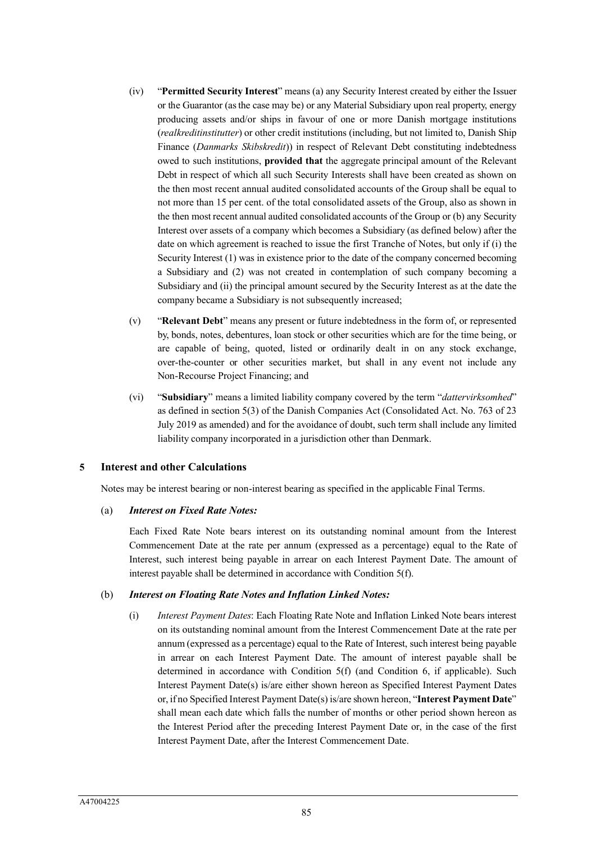- (iv) "**Permitted Security Interest**" means (a) any Security Interest created by either the Issuer or the Guarantor (as the case may be) or any Material Subsidiary upon real property, energy producing assets and/or ships in favour of one or more Danish mortgage institutions (*realkreditinstitutter*) or other credit institutions (including, but not limited to, Danish Ship Finance (*Danmarks Skibskredit*)) in respect of Relevant Debt constituting indebtedness owed to such institutions, **provided that** the aggregate principal amount of the Relevant Debt in respect of which all such Security Interests shall have been created as shown on the then most recent annual audited consolidated accounts of the Group shall be equal to not more than 15 per cent. of the total consolidated assets of the Group, also as shown in the then most recent annual audited consolidated accounts of the Group or (b) any Security Interest over assets of a company which becomes a Subsidiary (as defined below) after the date on which agreement is reached to issue the first Tranche of Notes, but only if (i) the Security Interest (1) was in existence prior to the date of the company concerned becoming a Subsidiary and (2) was not created in contemplation of such company becoming a Subsidiary and (ii) the principal amount secured by the Security Interest as at the date the company became a Subsidiary is not subsequently increased;
- (v) "**Relevant Debt**" means any present or future indebtedness in the form of, or represented by, bonds, notes, debentures, loan stock or other securities which are for the time being, or are capable of being, quoted, listed or ordinarily dealt in on any stock exchange, over-the-counter or other securities market, but shall in any event not include any Non-Recourse Project Financing; and
- (vi) "**Subsidiary**" means a limited liability company covered by the term "*dattervirksomhed*" as defined in section 5(3) of the Danish Companies Act (Consolidated Act. No. 763 of 23 July 2019 as amended) and for the avoidance of doubt, such term shall include any limited liability company incorporated in a jurisdiction other than Denmark.

### **5 Interest and other Calculations**

Notes may be interest bearing or non-interest bearing as specified in the applicable Final Terms.

### (a) *Interest on Fixed Rate Notes:*

Each Fixed Rate Note bears interest on its outstanding nominal amount from the Interest Commencement Date at the rate per annum (expressed as a percentage) equal to the Rate of Interest, such interest being payable in arrear on each Interest Payment Date. The amount of interest payable shall be determined in accordance with Condition 5(f).

### (b) *Interest on Floating Rate Notes and Inflation Linked Notes:*

(i) *Interest Payment Dates*: Each Floating Rate Note and Inflation Linked Note bears interest on its outstanding nominal amount from the Interest Commencement Date at the rate per annum (expressed as a percentage) equal to the Rate of Interest, such interest being payable in arrear on each Interest Payment Date. The amount of interest payable shall be determined in accordance with Condition 5(f) (and Condition 6, if applicable). Such Interest Payment Date(s) is/are either shown hereon as Specified Interest Payment Dates or, if no Specified Interest Payment Date(s) is/are shown hereon, "**Interest Payment Date**" shall mean each date which falls the number of months or other period shown hereon as the Interest Period after the preceding Interest Payment Date or, in the case of the first Interest Payment Date, after the Interest Commencement Date.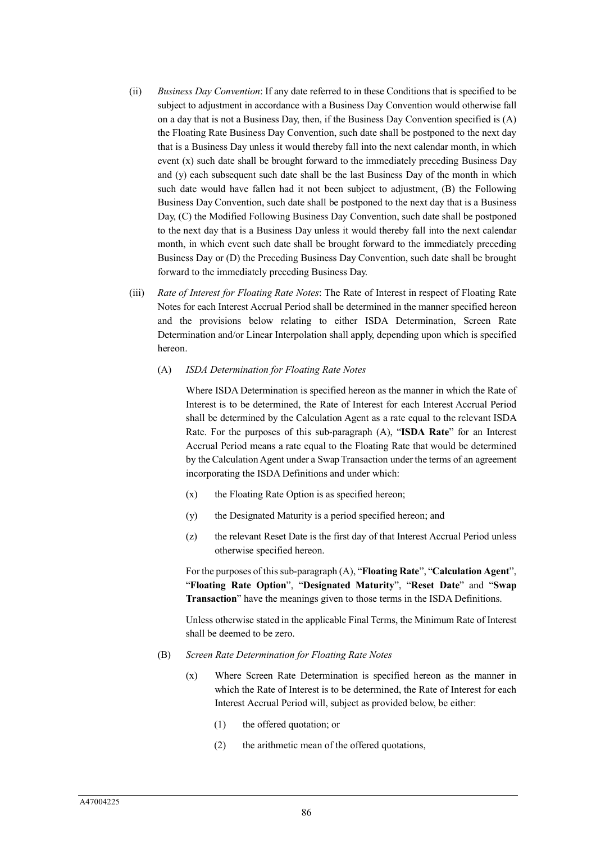- (ii) *Business Day Convention*: If any date referred to in these Conditions that is specified to be subject to adjustment in accordance with a Business Day Convention would otherwise fall on a day that is not a Business Day, then, if the Business Day Convention specified is (A) the Floating Rate Business Day Convention, such date shall be postponed to the next day that is a Business Day unless it would thereby fall into the next calendar month, in which event (x) such date shall be brought forward to the immediately preceding Business Day and (y) each subsequent such date shall be the last Business Day of the month in which such date would have fallen had it not been subject to adjustment, (B) the Following Business Day Convention, such date shall be postponed to the next day that is a Business Day, (C) the Modified Following Business Day Convention, such date shall be postponed to the next day that is a Business Day unless it would thereby fall into the next calendar month, in which event such date shall be brought forward to the immediately preceding Business Day or (D) the Preceding Business Day Convention, such date shall be brought forward to the immediately preceding Business Day.
- (iii) *Rate of Interest for Floating Rate Notes*: The Rate of Interest in respect of Floating Rate Notes for each Interest Accrual Period shall be determined in the manner specified hereon and the provisions below relating to either ISDA Determination, Screen Rate Determination and/or Linear Interpolation shall apply, depending upon which is specified hereon.
	- (A) *ISDA Determination for Floating Rate Notes*

Where ISDA Determination is specified hereon as the manner in which the Rate of Interest is to be determined, the Rate of Interest for each Interest Accrual Period shall be determined by the Calculation Agent as a rate equal to the relevant ISDA Rate. For the purposes of this sub-paragraph (A), "**ISDA Rate**" for an Interest Accrual Period means a rate equal to the Floating Rate that would be determined by the Calculation Agent under a Swap Transaction under the terms of an agreement incorporating the ISDA Definitions and under which:

- (x) the Floating Rate Option is as specified hereon;
- (y) the Designated Maturity is a period specified hereon; and
- (z) the relevant Reset Date is the first day of that Interest Accrual Period unless otherwise specified hereon.

For the purposes of this sub-paragraph (A), "**Floating Rate**", "**Calculation Agent**", "**Floating Rate Option**", "**Designated Maturity**", "**Reset Date**" and "**Swap Transaction**" have the meanings given to those terms in the ISDA Definitions.

Unless otherwise stated in the applicable Final Terms, the Minimum Rate of Interest shall be deemed to be zero.

- (B) *Screen Rate Determination for Floating Rate Notes*
	- (x) Where Screen Rate Determination is specified hereon as the manner in which the Rate of Interest is to be determined, the Rate of Interest for each Interest Accrual Period will, subject as provided below, be either:
		- (1) the offered quotation; or
		- (2) the arithmetic mean of the offered quotations,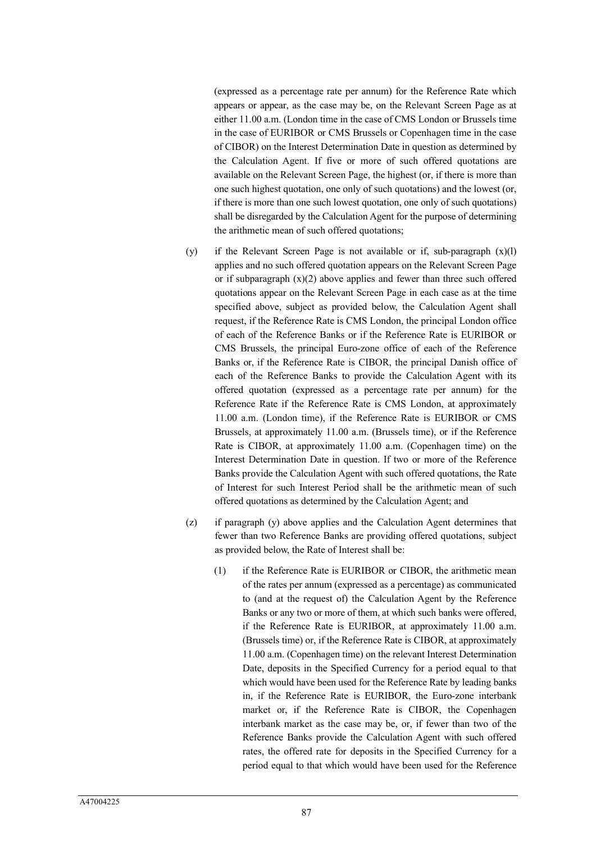(expressed as a percentage rate per annum) for the Reference Rate which appears or appear, as the case may be, on the Relevant Screen Page as at either 11.00 a.m. (London time in the case of CMS London or Brussels time in the case of EURIBOR or CMS Brussels or Copenhagen time in the case of CIBOR) on the Interest Determination Date in question as determined by the Calculation Agent. If five or more of such offered quotations are available on the Relevant Screen Page, the highest (or, if there is more than one such highest quotation, one only of such quotations) and the lowest (or, if there is more than one such lowest quotation, one only of such quotations) shall be disregarded by the Calculation Agent for the purpose of determining the arithmetic mean of such offered quotations;

- (y) if the Relevant Screen Page is not available or if, sub-paragraph (x)(l) applies and no such offered quotation appears on the Relevant Screen Page or if subparagraph  $(x)(2)$  above applies and fewer than three such offered quotations appear on the Relevant Screen Page in each case as at the time specified above, subject as provided below, the Calculation Agent shall request, if the Reference Rate is CMS London, the principal London office of each of the Reference Banks or if the Reference Rate is EURIBOR or CMS Brussels, the principal Euro-zone office of each of the Reference Banks or, if the Reference Rate is CIBOR, the principal Danish office of each of the Reference Banks to provide the Calculation Agent with its offered quotation (expressed as a percentage rate per annum) for the Reference Rate if the Reference Rate is CMS London, at approximately 11.00 a.m. (London time), if the Reference Rate is EURIBOR or CMS Brussels, at approximately 11.00 a.m. (Brussels time), or if the Reference Rate is CIBOR, at approximately 11.00 a.m. (Copenhagen time) on the Interest Determination Date in question. If two or more of the Reference Banks provide the Calculation Agent with such offered quotations, the Rate of Interest for such Interest Period shall be the arithmetic mean of such offered quotations as determined by the Calculation Agent; and
- (z) if paragraph (y) above applies and the Calculation Agent determines that fewer than two Reference Banks are providing offered quotations, subject as provided below, the Rate of Interest shall be:
	- (1) if the Reference Rate is EURIBOR or CIBOR, the arithmetic mean of the rates per annum (expressed as a percentage) as communicated to (and at the request of) the Calculation Agent by the Reference Banks or any two or more of them, at which such banks were offered, if the Reference Rate is EURIBOR, at approximately 11.00 a.m. (Brussels time) or, if the Reference Rate is CIBOR, at approximately 11.00 a.m. (Copenhagen time) on the relevant Interest Determination Date, deposits in the Specified Currency for a period equal to that which would have been used for the Reference Rate by leading banks in, if the Reference Rate is EURIBOR, the Euro-zone interbank market or, if the Reference Rate is CIBOR, the Copenhagen interbank market as the case may be, or, if fewer than two of the Reference Banks provide the Calculation Agent with such offered rates, the offered rate for deposits in the Specified Currency for a period equal to that which would have been used for the Reference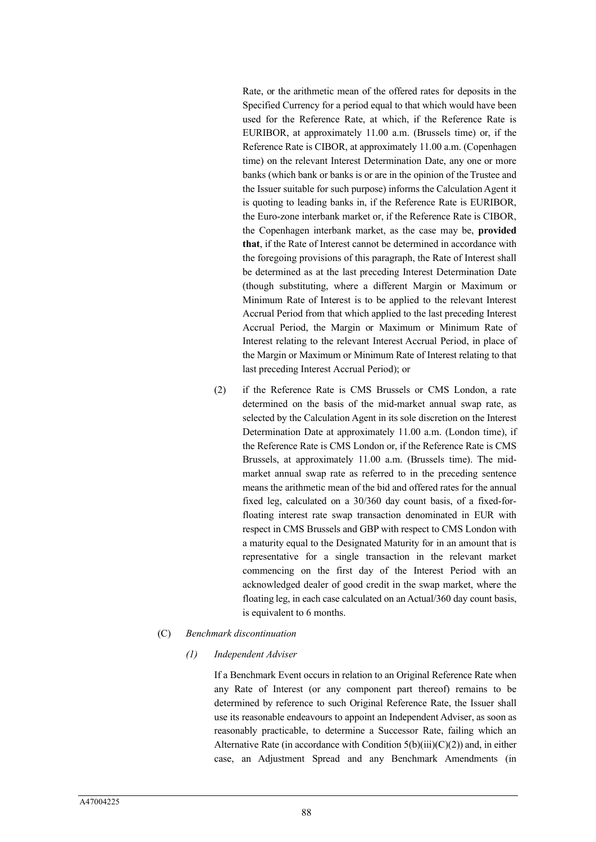Rate, or the arithmetic mean of the offered rates for deposits in the Specified Currency for a period equal to that which would have been used for the Reference Rate, at which, if the Reference Rate is EURIBOR, at approximately 11.00 a.m. (Brussels time) or, if the Reference Rate is CIBOR, at approximately 11.00 a.m. (Copenhagen time) on the relevant Interest Determination Date, any one or more banks (which bank or banks is or are in the opinion of the Trustee and the Issuer suitable for such purpose) informs the Calculation Agent it is quoting to leading banks in, if the Reference Rate is EURIBOR, the Euro-zone interbank market or, if the Reference Rate is CIBOR, the Copenhagen interbank market, as the case may be, **provided that**, if the Rate of Interest cannot be determined in accordance with the foregoing provisions of this paragraph, the Rate of Interest shall be determined as at the last preceding Interest Determination Date (though substituting, where a different Margin or Maximum or Minimum Rate of Interest is to be applied to the relevant Interest Accrual Period from that which applied to the last preceding Interest Accrual Period, the Margin or Maximum or Minimum Rate of Interest relating to the relevant Interest Accrual Period, in place of the Margin or Maximum or Minimum Rate of Interest relating to that last preceding Interest Accrual Period); or

(2) if the Reference Rate is CMS Brussels or CMS London, a rate determined on the basis of the mid-market annual swap rate, as selected by the Calculation Agent in its sole discretion on the Interest Determination Date at approximately 11.00 a.m. (London time), if the Reference Rate is CMS London or, if the Reference Rate is CMS Brussels, at approximately 11.00 a.m. (Brussels time). The midmarket annual swap rate as referred to in the preceding sentence means the arithmetic mean of the bid and offered rates for the annual fixed leg, calculated on a 30/360 day count basis, of a fixed-forfloating interest rate swap transaction denominated in EUR with respect in CMS Brussels and GBP with respect to CMS London with a maturity equal to the Designated Maturity for in an amount that is representative for a single transaction in the relevant market commencing on the first day of the Interest Period with an acknowledged dealer of good credit in the swap market, where the floating leg, in each case calculated on an Actual/360 day count basis, is equivalent to 6 months.

#### (C) *Benchmark discontinuation*

#### *(1) Independent Adviser*

If a Benchmark Event occurs in relation to an Original Reference Rate when any Rate of Interest (or any component part thereof) remains to be determined by reference to such Original Reference Rate, the Issuer shall use its reasonable endeavours to appoint an Independent Adviser, as soon as reasonably practicable, to determine a Successor Rate, failing which an Alternative Rate (in accordance with Condition  $5(b)(iii)(C)(2))$  and, in either case, an Adjustment Spread and any Benchmark Amendments (in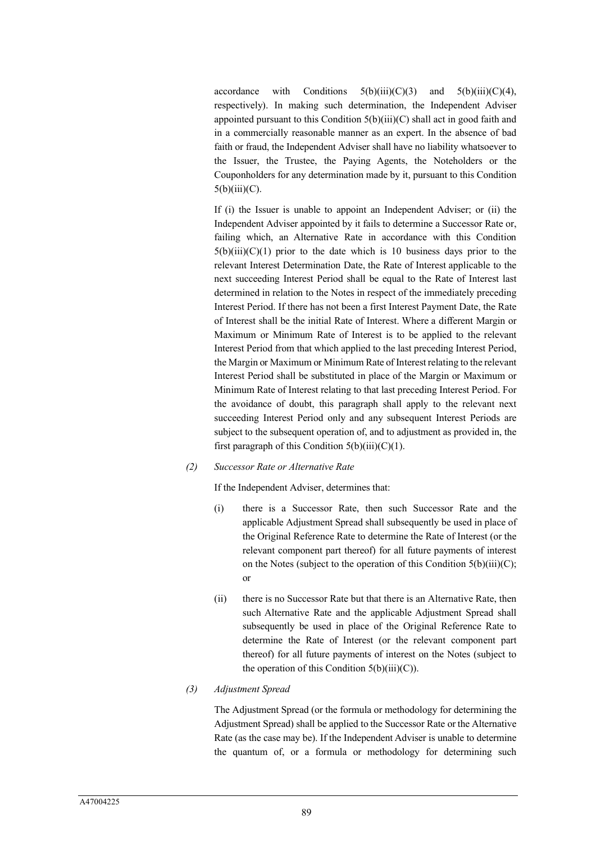accordance with Conditions  $5(b)(iii)(C)(3)$  and  $5(b)(iii)(C)(4)$ , respectively). In making such determination, the Independent Adviser appointed pursuant to this Condition  $5(b)(iii)(C)$  shall act in good faith and in a commercially reasonable manner as an expert. In the absence of bad faith or fraud, the Independent Adviser shall have no liability whatsoever to the Issuer, the Trustee, the Paying Agents, the Noteholders or the Couponholders for any determination made by it, pursuant to this Condition  $5(b)(iii)(C).$ 

If (i) the Issuer is unable to appoint an Independent Adviser; or (ii) the Independent Adviser appointed by it fails to determine a Successor Rate or, failing which, an Alternative Rate in accordance with this Condition  $5(b)(iii)(C)(1)$  prior to the date which is 10 business days prior to the relevant Interest Determination Date, the Rate of Interest applicable to the next succeeding Interest Period shall be equal to the Rate of Interest last determined in relation to the Notes in respect of the immediately preceding Interest Period. If there has not been a first Interest Payment Date, the Rate of Interest shall be the initial Rate of Interest. Where a different Margin or Maximum or Minimum Rate of Interest is to be applied to the relevant Interest Period from that which applied to the last preceding Interest Period, the Margin or Maximum or Minimum Rate of Interest relating to the relevant Interest Period shall be substituted in place of the Margin or Maximum or Minimum Rate of Interest relating to that last preceding Interest Period. For the avoidance of doubt, this paragraph shall apply to the relevant next succeeding Interest Period only and any subsequent Interest Periods are subject to the subsequent operation of, and to adjustment as provided in, the first paragraph of this Condition  $5(b)(iii)(C)(1)$ .

#### *(2) Successor Rate or Alternative Rate*

If the Independent Adviser, determines that:

- (i) there is a Successor Rate, then such Successor Rate and the applicable Adjustment Spread shall subsequently be used in place of the Original Reference Rate to determine the Rate of Interest (or the relevant component part thereof) for all future payments of interest on the Notes (subject to the operation of this Condition  $5(b)(iii)(C)$ ; or
- (ii) there is no Successor Rate but that there is an Alternative Rate, then such Alternative Rate and the applicable Adjustment Spread shall subsequently be used in place of the Original Reference Rate to determine the Rate of Interest (or the relevant component part thereof) for all future payments of interest on the Notes (subject to the operation of this Condition  $5(b)(iii)(C)$ ).

### *(3) Adjustment Spread*

The Adjustment Spread (or the formula or methodology for determining the Adjustment Spread) shall be applied to the Successor Rate or the Alternative Rate (as the case may be). If the Independent Adviser is unable to determine the quantum of, or a formula or methodology for determining such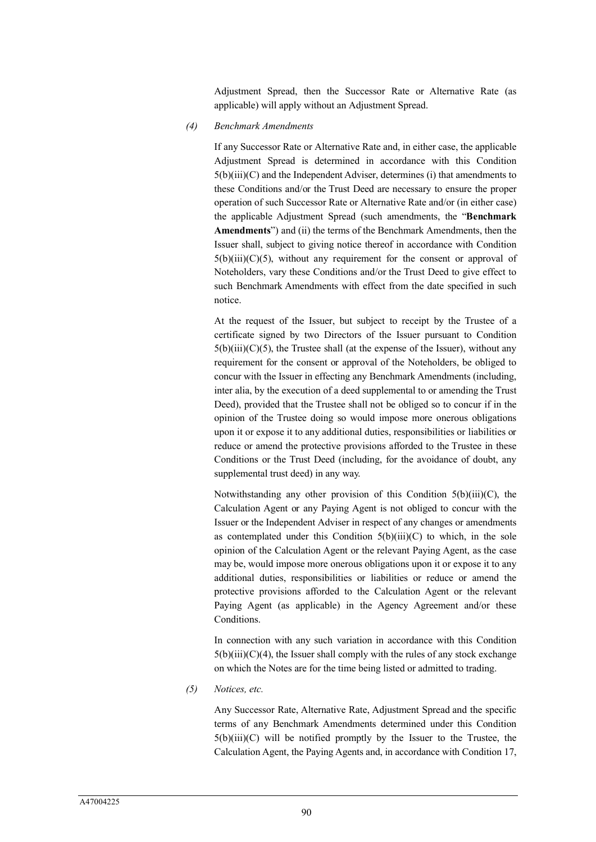Adjustment Spread, then the Successor Rate or Alternative Rate (as applicable) will apply without an Adjustment Spread.

*(4) Benchmark Amendments*

If any Successor Rate or Alternative Rate and, in either case, the applicable Adjustment Spread is determined in accordance with this Condition 5(b)(iii)(C) and the Independent Adviser, determines (i) that amendments to these Conditions and/or the Trust Deed are necessary to ensure the proper operation of such Successor Rate or Alternative Rate and/or (in either case) the applicable Adjustment Spread (such amendments, the "**Benchmark Amendments**") and (ii) the terms of the Benchmark Amendments, then the Issuer shall, subject to giving notice thereof in accordance with Condition  $5(b)(iii)(C)(5)$ , without any requirement for the consent or approval of Noteholders, vary these Conditions and/or the Trust Deed to give effect to such Benchmark Amendments with effect from the date specified in such notice.

At the request of the Issuer, but subject to receipt by the Trustee of a certificate signed by two Directors of the Issuer pursuant to Condition  $5(b)(iii)(C)(5)$ , the Trustee shall (at the expense of the Issuer), without any requirement for the consent or approval of the Noteholders, be obliged to concur with the Issuer in effecting any Benchmark Amendments (including, inter alia, by the execution of a deed supplemental to or amending the Trust Deed), provided that the Trustee shall not be obliged so to concur if in the opinion of the Trustee doing so would impose more onerous obligations upon it or expose it to any additional duties, responsibilities or liabilities or reduce or amend the protective provisions afforded to the Trustee in these Conditions or the Trust Deed (including, for the avoidance of doubt, any supplemental trust deed) in any way.

Notwithstanding any other provision of this Condition  $5(b)(iii)(C)$ , the Calculation Agent or any Paying Agent is not obliged to concur with the Issuer or the Independent Adviser in respect of any changes or amendments as contemplated under this Condition  $5(b)(iii)(C)$  to which, in the sole opinion of the Calculation Agent or the relevant Paying Agent, as the case may be, would impose more onerous obligations upon it or expose it to any additional duties, responsibilities or liabilities or reduce or amend the protective provisions afforded to the Calculation Agent or the relevant Paying Agent (as applicable) in the Agency Agreement and/or these Conditions.

In connection with any such variation in accordance with this Condition  $5(b)(iii)(C)(4)$ , the Issuer shall comply with the rules of any stock exchange on which the Notes are for the time being listed or admitted to trading.

*(5) Notices, etc.*

Any Successor Rate, Alternative Rate, Adjustment Spread and the specific terms of any Benchmark Amendments determined under this Condition  $5(b)(iii)(C)$  will be notified promptly by the Issuer to the Trustee, the Calculation Agent, the Paying Agents and, in accordance with Condition 17,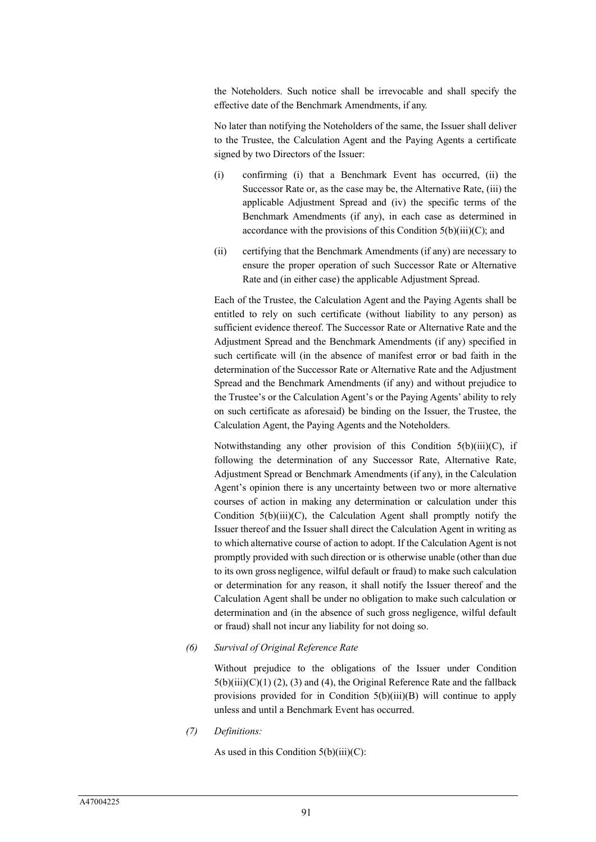the Noteholders. Such notice shall be irrevocable and shall specify the effective date of the Benchmark Amendments, if any.

No later than notifying the Noteholders of the same, the Issuer shall deliver to the Trustee, the Calculation Agent and the Paying Agents a certificate signed by two Directors of the Issuer:

- (i) confirming (i) that a Benchmark Event has occurred, (ii) the Successor Rate or, as the case may be, the Alternative Rate, (iii) the applicable Adjustment Spread and (iv) the specific terms of the Benchmark Amendments (if any), in each case as determined in accordance with the provisions of this Condition  $5(b)(iii)(C)$ ; and
- (ii) certifying that the Benchmark Amendments (if any) are necessary to ensure the proper operation of such Successor Rate or Alternative Rate and (in either case) the applicable Adjustment Spread.

Each of the Trustee, the Calculation Agent and the Paying Agents shall be entitled to rely on such certificate (without liability to any person) as sufficient evidence thereof. The Successor Rate or Alternative Rate and the Adjustment Spread and the Benchmark Amendments (if any) specified in such certificate will (in the absence of manifest error or bad faith in the determination of the Successor Rate or Alternative Rate and the Adjustment Spread and the Benchmark Amendments (if any) and without prejudice to the Trustee's or the Calculation Agent's or the Paying Agents' ability to rely on such certificate as aforesaid) be binding on the Issuer, the Trustee, the Calculation Agent, the Paying Agents and the Noteholders.

Notwithstanding any other provision of this Condition 5(b)(iii)(C), if following the determination of any Successor Rate, Alternative Rate, Adjustment Spread or Benchmark Amendments (if any), in the Calculation Agent's opinion there is any uncertainty between two or more alternative courses of action in making any determination or calculation under this Condition  $5(b)(iii)(C)$ , the Calculation Agent shall promptly notify the Issuer thereof and the Issuer shall direct the Calculation Agent in writing as to which alternative course of action to adopt. If the Calculation Agent is not promptly provided with such direction or is otherwise unable (other than due to its own gross negligence, wilful default or fraud) to make such calculation or determination for any reason, it shall notify the Issuer thereof and the Calculation Agent shall be under no obligation to make such calculation or determination and (in the absence of such gross negligence, wilful default or fraud) shall not incur any liability for not doing so.

*(6) Survival of Original Reference Rate*

Without prejudice to the obligations of the Issuer under Condition  $5(b)(iii)(C)(1)(2)$ , (3) and (4), the Original Reference Rate and the fallback provisions provided for in Condition 5(b)(iii)(B) will continue to apply unless and until a Benchmark Event has occurred.

*(7) Definitions:*

As used in this Condition  $5(b)(iii)(C)$ :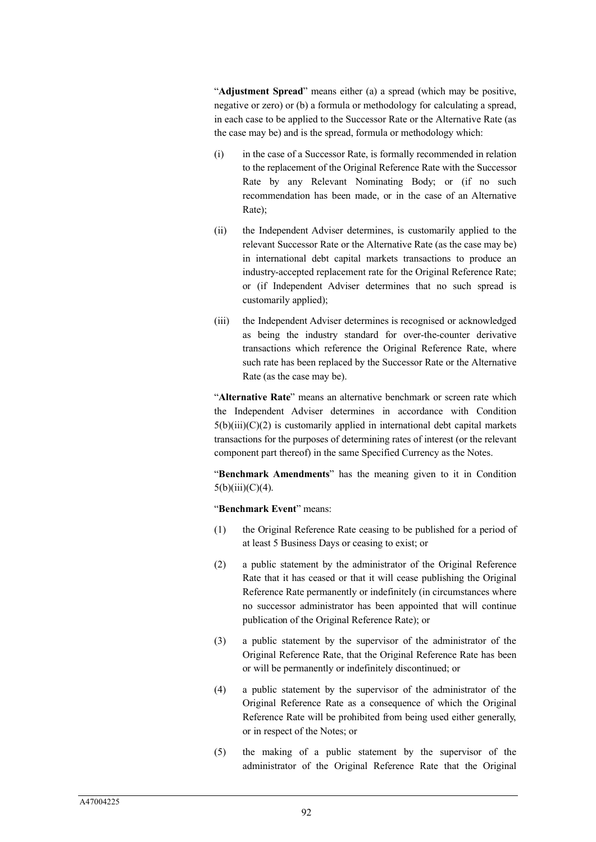"**Adjustment Spread**" means either (a) a spread (which may be positive, negative or zero) or (b) a formula or methodology for calculating a spread, in each case to be applied to the Successor Rate or the Alternative Rate (as the case may be) and is the spread, formula or methodology which:

- (i) in the case of a Successor Rate, is formally recommended in relation to the replacement of the Original Reference Rate with the Successor Rate by any Relevant Nominating Body; or (if no such recommendation has been made, or in the case of an Alternative Rate);
- (ii) the Independent Adviser determines, is customarily applied to the relevant Successor Rate or the Alternative Rate (as the case may be) in international debt capital markets transactions to produce an industry-accepted replacement rate for the Original Reference Rate; or (if Independent Adviser determines that no such spread is customarily applied);
- (iii) the Independent Adviser determines is recognised or acknowledged as being the industry standard for over-the-counter derivative transactions which reference the Original Reference Rate, where such rate has been replaced by the Successor Rate or the Alternative Rate (as the case may be).

"**Alternative Rate**" means an alternative benchmark or screen rate which the Independent Adviser determines in accordance with Condition  $5(b)(iii)(C)(2)$  is customarily applied in international debt capital markets transactions for the purposes of determining rates of interest (or the relevant component part thereof) in the same Specified Currency as the Notes.

"**Benchmark Amendments**" has the meaning given to it in Condition  $5(b)(iii)(C)(4)$ .

"**Benchmark Event**" means:

- (1) the Original Reference Rate ceasing to be published for a period of at least 5 Business Days or ceasing to exist; or
- (2) a public statement by the administrator of the Original Reference Rate that it has ceased or that it will cease publishing the Original Reference Rate permanently or indefinitely (in circumstances where no successor administrator has been appointed that will continue publication of the Original Reference Rate); or
- (3) a public statement by the supervisor of the administrator of the Original Reference Rate, that the Original Reference Rate has been or will be permanently or indefinitely discontinued; or
- (4) a public statement by the supervisor of the administrator of the Original Reference Rate as a consequence of which the Original Reference Rate will be prohibited from being used either generally, or in respect of the Notes; or
- (5) the making of a public statement by the supervisor of the administrator of the Original Reference Rate that the Original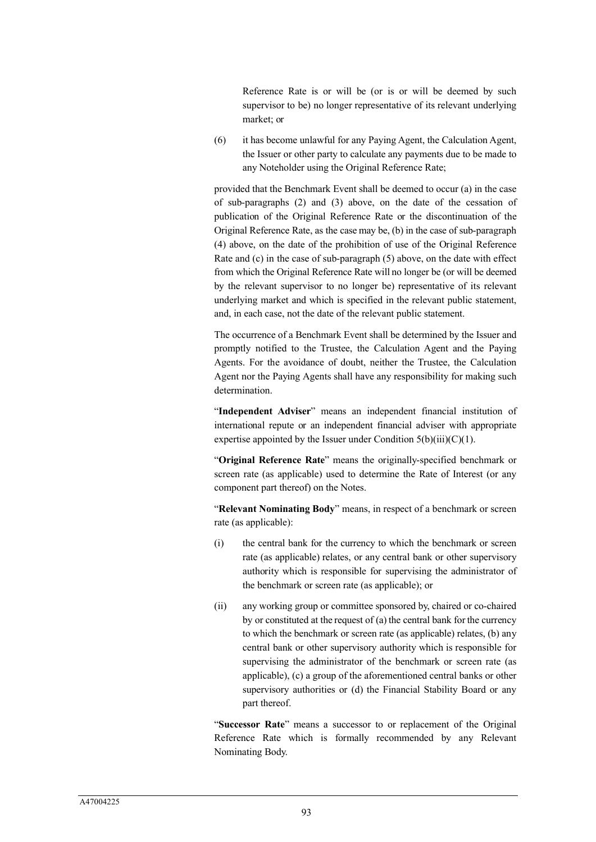Reference Rate is or will be (or is or will be deemed by such supervisor to be) no longer representative of its relevant underlying market; or

(6) it has become unlawful for any Paying Agent, the Calculation Agent, the Issuer or other party to calculate any payments due to be made to any Noteholder using the Original Reference Rate;

provided that the Benchmark Event shall be deemed to occur (a) in the case of sub-paragraphs (2) and (3) above, on the date of the cessation of publication of the Original Reference Rate or the discontinuation of the Original Reference Rate, as the case may be, (b) in the case of sub-paragraph (4) above, on the date of the prohibition of use of the Original Reference Rate and (c) in the case of sub-paragraph (5) above, on the date with effect from which the Original Reference Rate will no longer be (or will be deemed by the relevant supervisor to no longer be) representative of its relevant underlying market and which is specified in the relevant public statement, and, in each case, not the date of the relevant public statement.

The occurrence of a Benchmark Event shall be determined by the Issuer and promptly notified to the Trustee, the Calculation Agent and the Paying Agents. For the avoidance of doubt, neither the Trustee, the Calculation Agent nor the Paying Agents shall have any responsibility for making such determination.

"**Independent Adviser**" means an independent financial institution of international repute or an independent financial adviser with appropriate expertise appointed by the Issuer under Condition  $5(b)(iii)(C)(1)$ .

"**Original Reference Rate**" means the originally-specified benchmark or screen rate (as applicable) used to determine the Rate of Interest (or any component part thereof) on the Notes.

"**Relevant Nominating Body**" means, in respect of a benchmark or screen rate (as applicable):

- (i) the central bank for the currency to which the benchmark or screen rate (as applicable) relates, or any central bank or other supervisory authority which is responsible for supervising the administrator of the benchmark or screen rate (as applicable); or
- (ii) any working group or committee sponsored by, chaired or co-chaired by or constituted at the request of (a) the central bank for the currency to which the benchmark or screen rate (as applicable) relates, (b) any central bank or other supervisory authority which is responsible for supervising the administrator of the benchmark or screen rate (as applicable), (c) a group of the aforementioned central banks or other supervisory authorities or (d) the Financial Stability Board or any part thereof.

"**Successor Rate**" means a successor to or replacement of the Original Reference Rate which is formally recommended by any Relevant Nominating Body.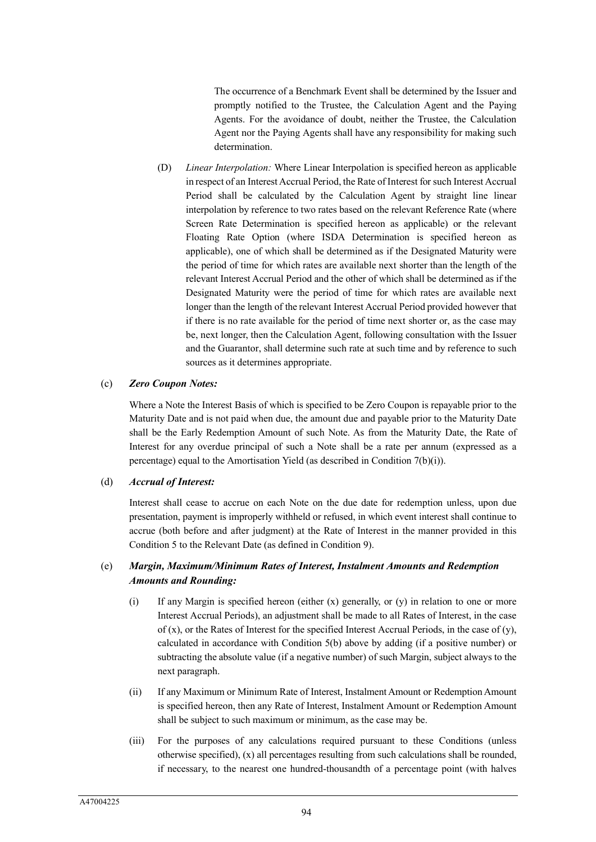The occurrence of a Benchmark Event shall be determined by the Issuer and promptly notified to the Trustee, the Calculation Agent and the Paying Agents. For the avoidance of doubt, neither the Trustee, the Calculation Agent nor the Paying Agents shall have any responsibility for making such determination.

(D) *Linear Interpolation:* Where Linear Interpolation is specified hereon as applicable in respect of an Interest Accrual Period, the Rate of Interest for such Interest Accrual Period shall be calculated by the Calculation Agent by straight line linear interpolation by reference to two rates based on the relevant Reference Rate (where Screen Rate Determination is specified hereon as applicable) or the relevant Floating Rate Option (where ISDA Determination is specified hereon as applicable), one of which shall be determined as if the Designated Maturity were the period of time for which rates are available next shorter than the length of the relevant Interest Accrual Period and the other of which shall be determined as if the Designated Maturity were the period of time for which rates are available next longer than the length of the relevant Interest Accrual Period provided however that if there is no rate available for the period of time next shorter or, as the case may be, next longer, then the Calculation Agent, following consultation with the Issuer and the Guarantor, shall determine such rate at such time and by reference to such sources as it determines appropriate.

#### (c) *Zero Coupon Notes:*

Where a Note the Interest Basis of which is specified to be Zero Coupon is repayable prior to the Maturity Date and is not paid when due, the amount due and payable prior to the Maturity Date shall be the Early Redemption Amount of such Note. As from the Maturity Date, the Rate of Interest for any overdue principal of such a Note shall be a rate per annum (expressed as a percentage) equal to the Amortisation Yield (as described in Condition 7(b)(i)).

### (d) *Accrual of Interest:*

Interest shall cease to accrue on each Note on the due date for redemption unless, upon due presentation, payment is improperly withheld or refused, in which event interest shall continue to accrue (both before and after judgment) at the Rate of Interest in the manner provided in this Condition 5 to the Relevant Date (as defined in Condition 9).

# (e) *Margin, Maximum/Minimum Rates of Interest, Instalment Amounts and Redemption Amounts and Rounding:*

- (i) If any Margin is specified hereon (either (x) generally, or (y) in relation to one or more Interest Accrual Periods), an adjustment shall be made to all Rates of Interest, in the case of  $(x)$ , or the Rates of Interest for the specified Interest Accrual Periods, in the case of  $(y)$ , calculated in accordance with Condition 5(b) above by adding (if a positive number) or subtracting the absolute value (if a negative number) of such Margin, subject always to the next paragraph.
- (ii) If any Maximum or Minimum Rate of Interest, Instalment Amount or Redemption Amount is specified hereon, then any Rate of Interest, Instalment Amount or Redemption Amount shall be subject to such maximum or minimum, as the case may be.
- (iii) For the purposes of any calculations required pursuant to these Conditions (unless otherwise specified),  $(x)$  all percentages resulting from such calculations shall be rounded, if necessary, to the nearest one hundred-thousandth of a percentage point (with halves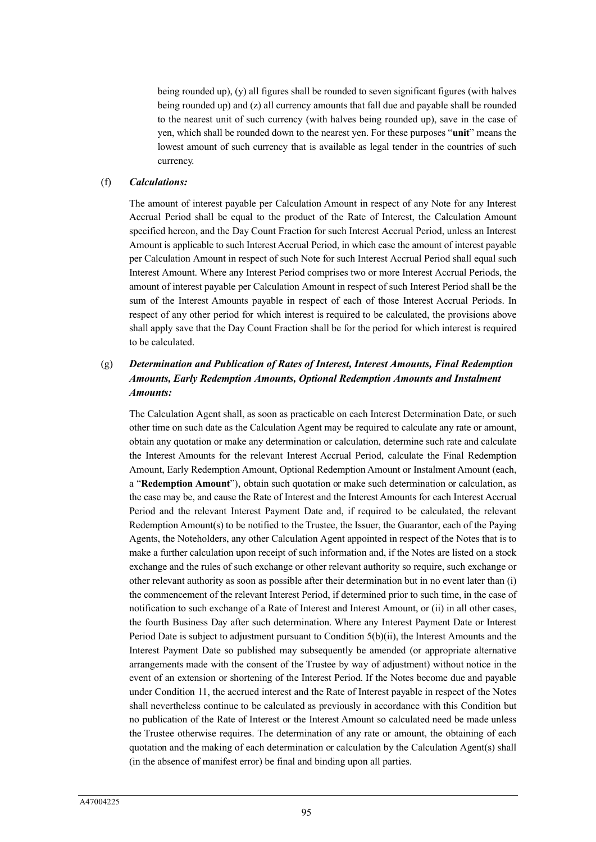being rounded up), (y) all figures shall be rounded to seven significant figures (with halves being rounded up) and (z) all currency amounts that fall due and payable shall be rounded to the nearest unit of such currency (with halves being rounded up), save in the case of yen, which shall be rounded down to the nearest yen. For these purposes "**unit**" means the lowest amount of such currency that is available as legal tender in the countries of such currency.

#### (f) *Calculations:*

The amount of interest payable per Calculation Amount in respect of any Note for any Interest Accrual Period shall be equal to the product of the Rate of Interest, the Calculation Amount specified hereon, and the Day Count Fraction for such Interest Accrual Period, unless an Interest Amount is applicable to such Interest Accrual Period, in which case the amount of interest payable per Calculation Amount in respect of such Note for such Interest Accrual Period shall equal such Interest Amount. Where any Interest Period comprises two or more Interest Accrual Periods, the amount of interest payable per Calculation Amount in respect of such Interest Period shall be the sum of the Interest Amounts payable in respect of each of those Interest Accrual Periods. In respect of any other period for which interest is required to be calculated, the provisions above shall apply save that the Day Count Fraction shall be for the period for which interest is required to be calculated.

# (g) *Determination and Publication of Rates of Interest, Interest Amounts, Final Redemption Amounts, Early Redemption Amounts, Optional Redemption Amounts and Instalment Amounts:*

The Calculation Agent shall, as soon as practicable on each Interest Determination Date, or such other time on such date as the Calculation Agent may be required to calculate any rate or amount, obtain any quotation or make any determination or calculation, determine such rate and calculate the Interest Amounts for the relevant Interest Accrual Period, calculate the Final Redemption Amount, Early Redemption Amount, Optional Redemption Amount or Instalment Amount (each, a "**Redemption Amount**"), obtain such quotation or make such determination or calculation, as the case may be, and cause the Rate of Interest and the Interest Amounts for each Interest Accrual Period and the relevant Interest Payment Date and, if required to be calculated, the relevant Redemption Amount(s) to be notified to the Trustee, the Issuer, the Guarantor, each of the Paying Agents, the Noteholders, any other Calculation Agent appointed in respect of the Notes that is to make a further calculation upon receipt of such information and, if the Notes are listed on a stock exchange and the rules of such exchange or other relevant authority so require, such exchange or other relevant authority as soon as possible after their determination but in no event later than (i) the commencement of the relevant Interest Period, if determined prior to such time, in the case of notification to such exchange of a Rate of Interest and Interest Amount, or (ii) in all other cases, the fourth Business Day after such determination. Where any Interest Payment Date or Interest Period Date is subject to adjustment pursuant to Condition 5(b)(ii), the Interest Amounts and the Interest Payment Date so published may subsequently be amended (or appropriate alternative arrangements made with the consent of the Trustee by way of adjustment) without notice in the event of an extension or shortening of the Interest Period. If the Notes become due and payable under Condition 11, the accrued interest and the Rate of Interest payable in respect of the Notes shall nevertheless continue to be calculated as previously in accordance with this Condition but no publication of the Rate of Interest or the Interest Amount so calculated need be made unless the Trustee otherwise requires. The determination of any rate or amount, the obtaining of each quotation and the making of each determination or calculation by the Calculation Agent(s) shall (in the absence of manifest error) be final and binding upon all parties.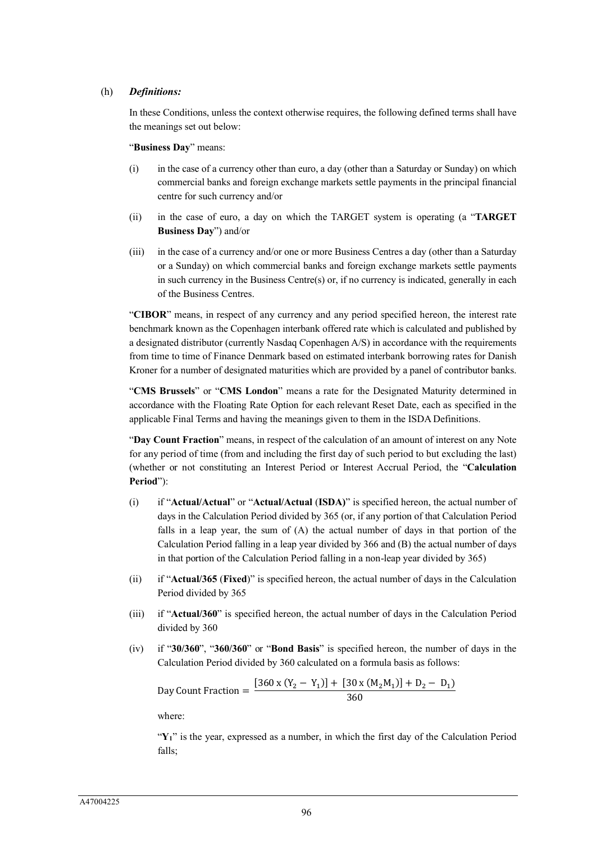#### (h) *Definitions:*

In these Conditions, unless the context otherwise requires, the following defined terms shall have the meanings set out below:

"**Business Day**" means:

- (i) in the case of a currency other than euro, a day (other than a Saturday or Sunday) on which commercial banks and foreign exchange markets settle payments in the principal financial centre for such currency and/or
- (ii) in the case of euro, a day on which the TARGET system is operating (a "**TARGET Business Day**") and/or
- (iii) in the case of a currency and/or one or more Business Centres a day (other than a Saturday or a Sunday) on which commercial banks and foreign exchange markets settle payments in such currency in the Business Centre $(s)$  or, if no currency is indicated, generally in each of the Business Centres.

"**CIBOR**" means, in respect of any currency and any period specified hereon, the interest rate benchmark known as the Copenhagen interbank offered rate which is calculated and published by a designated distributor (currently Nasdaq Copenhagen A/S) in accordance with the requirements from time to time of Finance Denmark based on estimated interbank borrowing rates for Danish Kroner for a number of designated maturities which are provided by a panel of contributor banks.

"**CMS Brussels**" or "**CMS London**" means a rate for the Designated Maturity determined in accordance with the Floating Rate Option for each relevant Reset Date, each as specified in the applicable Final Terms and having the meanings given to them in the ISDA Definitions.

"**Day Count Fraction**" means, in respect of the calculation of an amount of interest on any Note for any period of time (from and including the first day of such period to but excluding the last) (whether or not constituting an Interest Period or Interest Accrual Period, the "**Calculation Period**"):

- (i) if "**Actual/Actual**" or "**Actual/Actual** (**ISDA)**" is specified hereon, the actual number of days in the Calculation Period divided by 365 (or, if any portion of that Calculation Period falls in a leap year, the sum of (A) the actual number of days in that portion of the Calculation Period falling in a leap year divided by 366 and (B) the actual number of days in that portion of the Calculation Period falling in a non-leap year divided by 365)
- (ii) if "**Actual/365** (**Fixed**)" is specified hereon, the actual number of days in the Calculation Period divided by 365
- (iii) if "**Actual/360**" is specified hereon, the actual number of days in the Calculation Period divided by 360
- (iv) if "**30/360**", "**360/360**" or "**Bond Basis**" is specified hereon, the number of days in the Calculation Period divided by 360 calculated on a formula basis as follows:

Day Count Fraction =  $\frac{[360 \times (Y_2 - Y_1)] + [30 \times (M_2M_1)] + D_2 - D_1]}{360}$ 360

where:

"**Y1**" is the year, expressed as a number, in which the first day of the Calculation Period falls;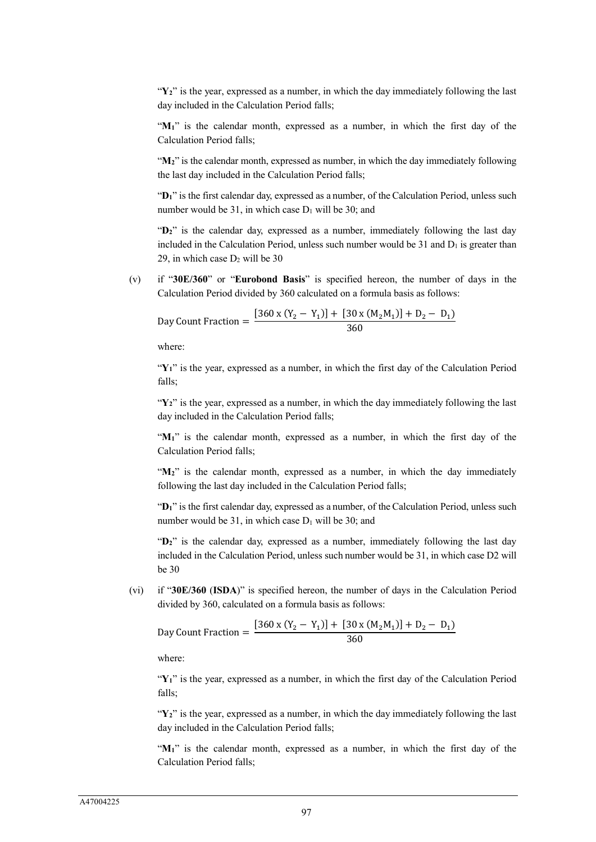"Y<sub>2</sub>" is the year, expressed as a number, in which the day immediately following the last day included in the Calculation Period falls;

"M<sub>1</sub>" is the calendar month, expressed as a number, in which the first day of the Calculation Period falls;

"M<sub>2</sub>" is the calendar month, expressed as number, in which the day immediately following the last day included in the Calculation Period falls;

"**D1**" is the first calendar day, expressed as a number, of the Calculation Period, unless such number would be 31, in which case  $D_1$  will be 30; and

"D<sub>2</sub>" is the calendar day, expressed as a number, immediately following the last day included in the Calculation Period, unless such number would be 31 and  $D_1$  is greater than 29, in which case  $D_2$  will be 30

(v) if "**30E/360**" or "**Eurobond Basis**" is specified hereon, the number of days in the Calculation Period divided by 360 calculated on a formula basis as follows:

Day Count Fraction =  $\frac{[360 \times (Y_2 - Y_1)] + [30 \times (M_2M_1)] + D_2 - D_1]}{360}$ 360

where:

"**Y1**" is the year, expressed as a number, in which the first day of the Calculation Period falls;

"Y<sub>2</sub>" is the year, expressed as a number, in which the day immediately following the last day included in the Calculation Period falls;

"**M1**" is the calendar month, expressed as a number, in which the first day of the Calculation Period falls;

"M<sub>2</sub>" is the calendar month, expressed as a number, in which the day immediately following the last day included in the Calculation Period falls;

"**D1**" is the first calendar day, expressed as a number, of the Calculation Period, unless such number would be 31, in which case  $D_1$  will be 30; and

"D<sub>2</sub>" is the calendar day, expressed as a number, immediately following the last day included in the Calculation Period, unless such number would be 31, in which case D2 will be 30

(vi) if "**30E/360** (**ISDA**)" is specified hereon, the number of days in the Calculation Period divided by 360, calculated on a formula basis as follows:

Day Count Fraction = 
$$
\frac{[360 \times (Y_2 - Y_1)] + [30 \times (M_2M_1)] + D_2 - D_1]}{360}
$$

where:

"**Y1**" is the year, expressed as a number, in which the first day of the Calculation Period falls;

"**Y2**" is the year, expressed as a number, in which the day immediately following the last day included in the Calculation Period falls;

"M<sub>1</sub>" is the calendar month, expressed as a number, in which the first day of the Calculation Period falls;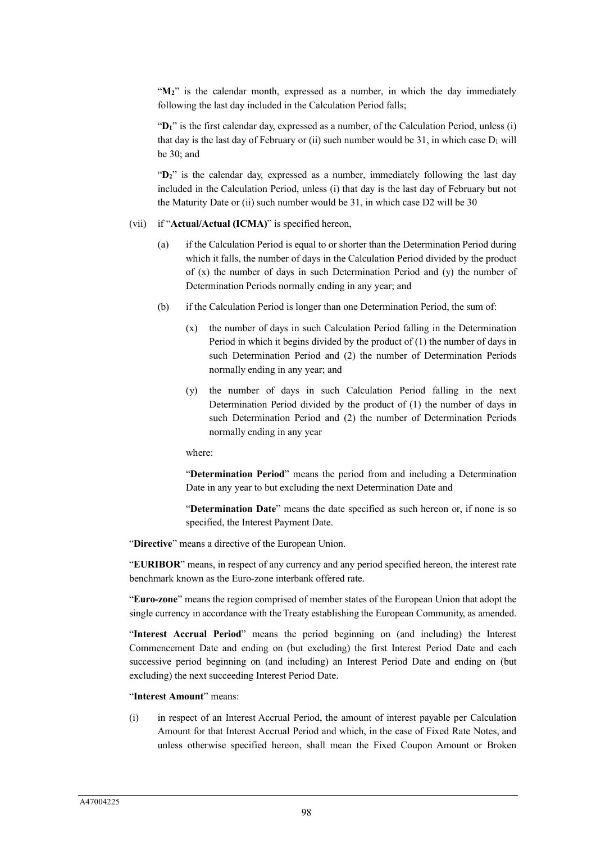"M<sub>2</sub>" is the calendar month, expressed as a number, in which the day immediately following the last day included in the Calculation Period falls;

"D<sub>1</sub>" is the first calendar day, expressed as a number, of the Calculation Period, unless (i) that day is the last day of February or (ii) such number would be 31, in which case  $D_1$  will be 30; and

"**D2**" is the calendar day, expressed as a number, immediately following the last day included in the Calculation Period, unless (i) that day is the last day of February but not the Maturity Date or (ii) such number would be 31, in which case D2 will be 30

#### (vii) if "**Actual/Actual (ICMA)**" is specified hereon,

- (a) if the Calculation Period is equal to or shorter than the Determination Period during which it falls, the number of days in the Calculation Period divided by the product of  $(x)$  the number of days in such Determination Period and  $(y)$  the number of Determination Periods normally ending in any year; and
- (b) if the Calculation Period is longer than one Determination Period, the sum of:
	- (x) the number of days in such Calculation Period falling in the Determination Period in which it begins divided by the product of (1) the number of days in such Determination Period and (2) the number of Determination Periods normally ending in any year; and
	- (y) the number of days in such Calculation Period falling in the next Determination Period divided by the product of (1) the number of days in such Determination Period and (2) the number of Determination Periods normally ending in any year

where:

"**Determination Period**" means the period from and including a Determination Date in any year to but excluding the next Determination Date and

"**Determination Date**" means the date specified as such hereon or, if none is so specified, the Interest Payment Date.

"**Directive**" means a directive of the European Union.

"**EURIBOR**" means, in respect of any currency and any period specified hereon, the interest rate benchmark known as the Euro-zone interbank offered rate.

"**Euro-zone**" means the region comprised of member states of the European Union that adopt the single currency in accordance with the Treaty establishing the European Community, as amended.

"**Interest Accrual Period**" means the period beginning on (and including) the Interest Commencement Date and ending on (but excluding) the first Interest Period Date and each successive period beginning on (and including) an Interest Period Date and ending on (but excluding) the next succeeding Interest Period Date.

#### "**Interest Amount**" means:

(i) in respect of an Interest Accrual Period, the amount of interest payable per Calculation Amount for that Interest Accrual Period and which, in the case of Fixed Rate Notes, and unless otherwise specified hereon, shall mean the Fixed Coupon Amount or Broken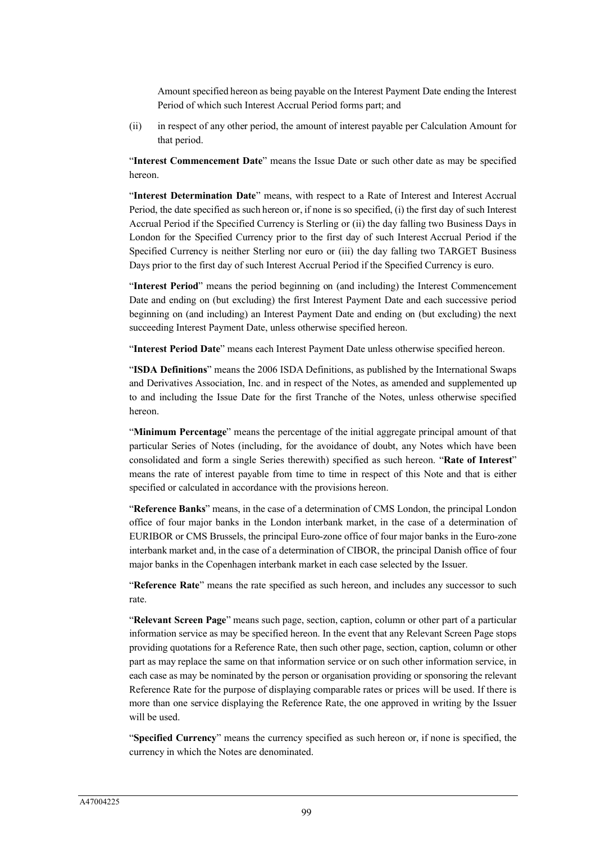Amount specified hereon as being payable on the Interest Payment Date ending the Interest Period of which such Interest Accrual Period forms part; and

(ii) in respect of any other period, the amount of interest payable per Calculation Amount for that period.

"**Interest Commencement Date**" means the Issue Date or such other date as may be specified hereon.

"**Interest Determination Date**" means, with respect to a Rate of Interest and Interest Accrual Period, the date specified as such hereon or, if none is so specified, (i) the first day of such Interest Accrual Period if the Specified Currency is Sterling or (ii) the day falling two Business Days in London for the Specified Currency prior to the first day of such Interest Accrual Period if the Specified Currency is neither Sterling nor euro or (iii) the day falling two TARGET Business Days prior to the first day of such Interest Accrual Period if the Specified Currency is euro.

"**Interest Period**" means the period beginning on (and including) the Interest Commencement Date and ending on (but excluding) the first Interest Payment Date and each successive period beginning on (and including) an Interest Payment Date and ending on (but excluding) the next succeeding Interest Payment Date, unless otherwise specified hereon.

"**Interest Period Date**" means each Interest Payment Date unless otherwise specified hereon.

"**ISDA Definitions**" means the 2006 ISDA Definitions, as published by the International Swaps and Derivatives Association, Inc. and in respect of the Notes, as amended and supplemented up to and including the Issue Date for the first Tranche of the Notes, unless otherwise specified hereon.

"**Minimum Percentage**" means the percentage of the initial aggregate principal amount of that particular Series of Notes (including, for the avoidance of doubt, any Notes which have been consolidated and form a single Series therewith) specified as such hereon. "**Rate of Interest**" means the rate of interest payable from time to time in respect of this Note and that is either specified or calculated in accordance with the provisions hereon.

"**Reference Banks**" means, in the case of a determination of CMS London, the principal London office of four major banks in the London interbank market, in the case of a determination of EURIBOR or CMS Brussels, the principal Euro-zone office of four major banks in the Euro-zone interbank market and, in the case of a determination of CIBOR, the principal Danish office of four major banks in the Copenhagen interbank market in each case selected by the Issuer.

"**Reference Rate**" means the rate specified as such hereon, and includes any successor to such rate.

"**Relevant Screen Page**" means such page, section, caption, column or other part of a particular information service as may be specified hereon. In the event that any Relevant Screen Page stops providing quotations for a Reference Rate, then such other page, section, caption, column or other part as may replace the same on that information service or on such other information service, in each case as may be nominated by the person or organisation providing or sponsoring the relevant Reference Rate for the purpose of displaying comparable rates or prices will be used. If there is more than one service displaying the Reference Rate, the one approved in writing by the Issuer will be used.

"**Specified Currency**" means the currency specified as such hereon or, if none is specified, the currency in which the Notes are denominated.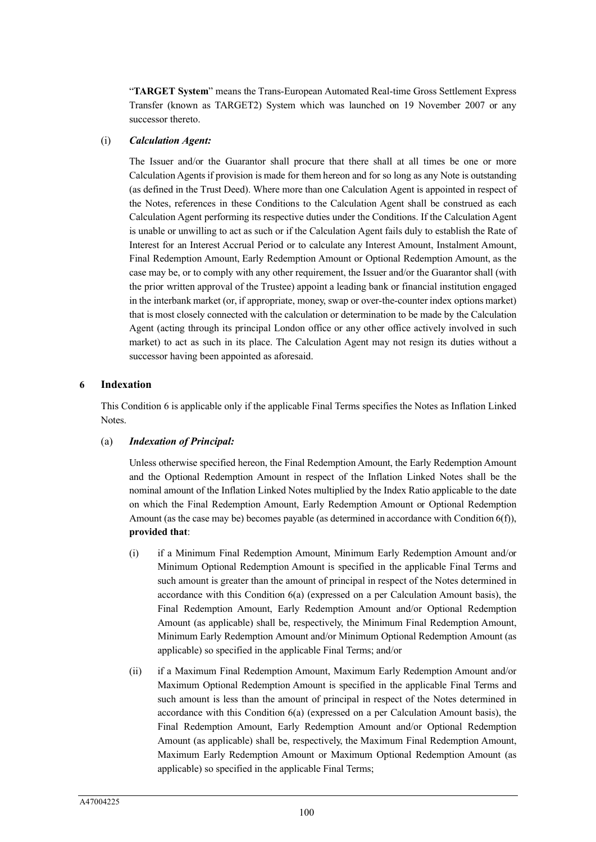"**TARGET System**" means the Trans-European Automated Real-time Gross Settlement Express Transfer (known as TARGET2) System which was launched on 19 November 2007 or any successor thereto.

#### (i) *Calculation Agent:*

The Issuer and/or the Guarantor shall procure that there shall at all times be one or more Calculation Agents if provision is made for them hereon and for so long as any Note is outstanding (as defined in the Trust Deed). Where more than one Calculation Agent is appointed in respect of the Notes, references in these Conditions to the Calculation Agent shall be construed as each Calculation Agent performing its respective duties under the Conditions. If the Calculation Agent is unable or unwilling to act as such or if the Calculation Agent fails duly to establish the Rate of Interest for an Interest Accrual Period or to calculate any Interest Amount, Instalment Amount, Final Redemption Amount, Early Redemption Amount or Optional Redemption Amount, as the case may be, or to comply with any other requirement, the Issuer and/or the Guarantor shall (with the prior written approval of the Trustee) appoint a leading bank or financial institution engaged in the interbank market (or, if appropriate, money, swap or over-the-counter index options market) that is most closely connected with the calculation or determination to be made by the Calculation Agent (acting through its principal London office or any other office actively involved in such market) to act as such in its place. The Calculation Agent may not resign its duties without a successor having been appointed as aforesaid.

#### **6 Indexation**

This Condition 6 is applicable only if the applicable Final Terms specifies the Notes as Inflation Linked Notes.

#### (a) *Indexation of Principal:*

Unless otherwise specified hereon, the Final Redemption Amount, the Early Redemption Amount and the Optional Redemption Amount in respect of the Inflation Linked Notes shall be the nominal amount of the Inflation Linked Notes multiplied by the Index Ratio applicable to the date on which the Final Redemption Amount, Early Redemption Amount or Optional Redemption Amount (as the case may be) becomes payable (as determined in accordance with Condition 6(f)), **provided that**:

- (i) if a Minimum Final Redemption Amount, Minimum Early Redemption Amount and/or Minimum Optional Redemption Amount is specified in the applicable Final Terms and such amount is greater than the amount of principal in respect of the Notes determined in accordance with this Condition 6(a) (expressed on a per Calculation Amount basis), the Final Redemption Amount, Early Redemption Amount and/or Optional Redemption Amount (as applicable) shall be, respectively, the Minimum Final Redemption Amount, Minimum Early Redemption Amount and/or Minimum Optional Redemption Amount (as applicable) so specified in the applicable Final Terms; and/or
- (ii) if a Maximum Final Redemption Amount, Maximum Early Redemption Amount and/or Maximum Optional Redemption Amount is specified in the applicable Final Terms and such amount is less than the amount of principal in respect of the Notes determined in accordance with this Condition 6(a) (expressed on a per Calculation Amount basis), the Final Redemption Amount, Early Redemption Amount and/or Optional Redemption Amount (as applicable) shall be, respectively, the Maximum Final Redemption Amount, Maximum Early Redemption Amount or Maximum Optional Redemption Amount (as applicable) so specified in the applicable Final Terms;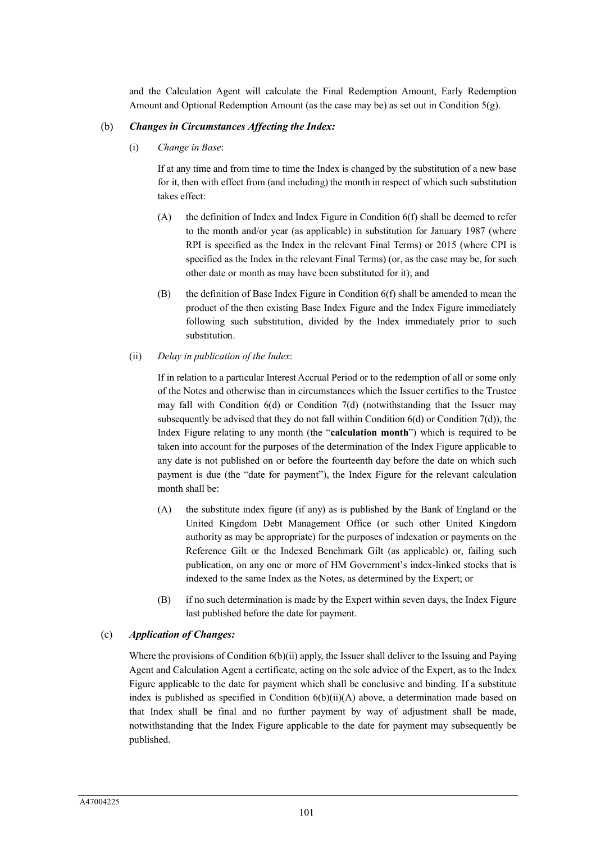and the Calculation Agent will calculate the Final Redemption Amount, Early Redemption Amount and Optional Redemption Amount (as the case may be) as set out in Condition  $5(g)$ .

#### (b) *Changes in Circumstances Affecting the Index:*

(i) *Change in Base*:

If at any time and from time to time the Index is changed by the substitution of a new base for it, then with effect from (and including) the month in respect of which such substitution takes effect:

- (A) the definition of Index and Index Figure in Condition 6(f) shall be deemed to refer to the month and/or year (as applicable) in substitution for January 1987 (where RPI is specified as the Index in the relevant Final Terms) or 2015 (where CPI is specified as the Index in the relevant Final Terms) (or, as the case may be, for such other date or month as may have been substituted for it); and
- (B) the definition of Base Index Figure in Condition 6(f) shall be amended to mean the product of the then existing Base Index Figure and the Index Figure immediately following such substitution, divided by the Index immediately prior to such substitution.

#### (ii) *Delay in publication of the Index*:

If in relation to a particular Interest Accrual Period or to the redemption of all or some only of the Notes and otherwise than in circumstances which the Issuer certifies to the Trustee may fall with Condition 6(d) or Condition 7(d) (notwithstanding that the Issuer may subsequently be advised that they do not fall within Condition  $6(d)$  or Condition 7(d)), the Index Figure relating to any month (the "**calculation month**") which is required to be taken into account for the purposes of the determination of the Index Figure applicable to any date is not published on or before the fourteenth day before the date on which such payment is due (the "date for payment"), the Index Figure for the relevant calculation month shall be:

- (A) the substitute index figure (if any) as is published by the Bank of England or the United Kingdom Debt Management Office (or such other United Kingdom authority as may be appropriate) for the purposes of indexation or payments on the Reference Gilt or the Indexed Benchmark Gilt (as applicable) or, failing such publication, on any one or more of HM Government's index-linked stocks that is indexed to the same Index as the Notes, as determined by the Expert; or
- (B) if no such determination is made by the Expert within seven days, the Index Figure last published before the date for payment.

# (c) *Application of Changes:*

Where the provisions of Condition 6(b)(ii) apply, the Issuer shall deliver to the Issuing and Paying Agent and Calculation Agent a certificate, acting on the sole advice of the Expert, as to the Index Figure applicable to the date for payment which shall be conclusive and binding. If a substitute index is published as specified in Condition 6(b)(ii)(A) above, a determination made based on that Index shall be final and no further payment by way of adjustment shall be made, notwithstanding that the Index Figure applicable to the date for payment may subsequently be published.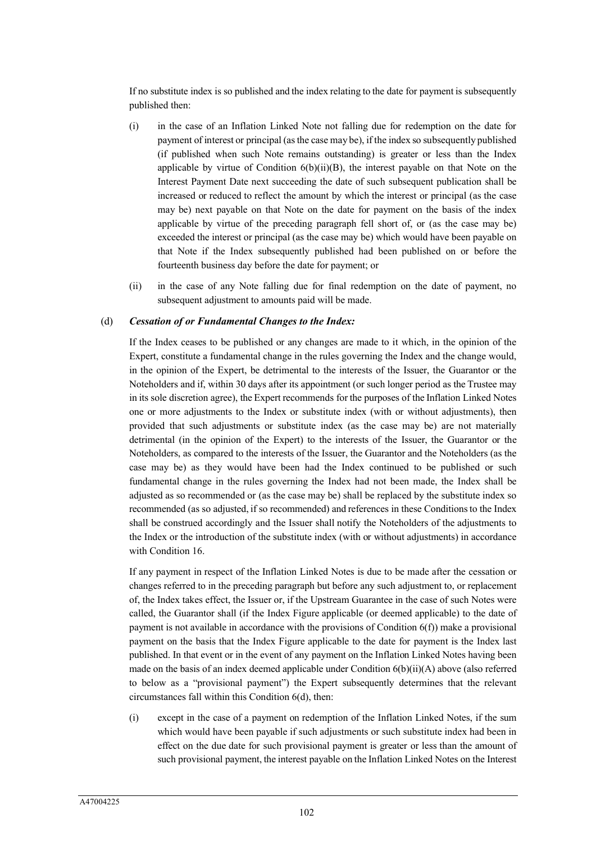If no substitute index is so published and the index relating to the date for payment is subsequently published then:

- (i) in the case of an Inflation Linked Note not falling due for redemption on the date for payment of interest or principal (as the case may be), if the index so subsequently published (if published when such Note remains outstanding) is greater or less than the Index applicable by virtue of Condition  $6(b)(ii)(B)$ , the interest payable on that Note on the Interest Payment Date next succeeding the date of such subsequent publication shall be increased or reduced to reflect the amount by which the interest or principal (as the case may be) next payable on that Note on the date for payment on the basis of the index applicable by virtue of the preceding paragraph fell short of, or (as the case may be) exceeded the interest or principal (as the case may be) which would have been payable on that Note if the Index subsequently published had been published on or before the fourteenth business day before the date for payment; or
- (ii) in the case of any Note falling due for final redemption on the date of payment, no subsequent adjustment to amounts paid will be made.

#### (d) *Cessation of or Fundamental Changes to the Index:*

If the Index ceases to be published or any changes are made to it which, in the opinion of the Expert, constitute a fundamental change in the rules governing the Index and the change would, in the opinion of the Expert, be detrimental to the interests of the Issuer, the Guarantor or the Noteholders and if, within 30 days after its appointment (or such longer period as the Trustee may in its sole discretion agree), the Expert recommends for the purposes of the Inflation Linked Notes one or more adjustments to the Index or substitute index (with or without adjustments), then provided that such adjustments or substitute index (as the case may be) are not materially detrimental (in the opinion of the Expert) to the interests of the Issuer, the Guarantor or the Noteholders, as compared to the interests of the Issuer, the Guarantor and the Noteholders (as the case may be) as they would have been had the Index continued to be published or such fundamental change in the rules governing the Index had not been made, the Index shall be adjusted as so recommended or (as the case may be) shall be replaced by the substitute index so recommended (as so adjusted, if so recommended) and references in these Conditions to the Index shall be construed accordingly and the Issuer shall notify the Noteholders of the adjustments to the Index or the introduction of the substitute index (with or without adjustments) in accordance with Condition 16.

If any payment in respect of the Inflation Linked Notes is due to be made after the cessation or changes referred to in the preceding paragraph but before any such adjustment to, or replacement of, the Index takes effect, the Issuer or, if the Upstream Guarantee in the case of such Notes were called, the Guarantor shall (if the Index Figure applicable (or deemed applicable) to the date of payment is not available in accordance with the provisions of Condition 6(f)) make a provisional payment on the basis that the Index Figure applicable to the date for payment is the Index last published. In that event or in the event of any payment on the Inflation Linked Notes having been made on the basis of an index deemed applicable under Condition  $6(b)(ii)(A)$  above (also referred to below as a "provisional payment") the Expert subsequently determines that the relevant circumstances fall within this Condition 6(d), then:

(i) except in the case of a payment on redemption of the Inflation Linked Notes, if the sum which would have been payable if such adjustments or such substitute index had been in effect on the due date for such provisional payment is greater or less than the amount of such provisional payment, the interest payable on the Inflation Linked Notes on the Interest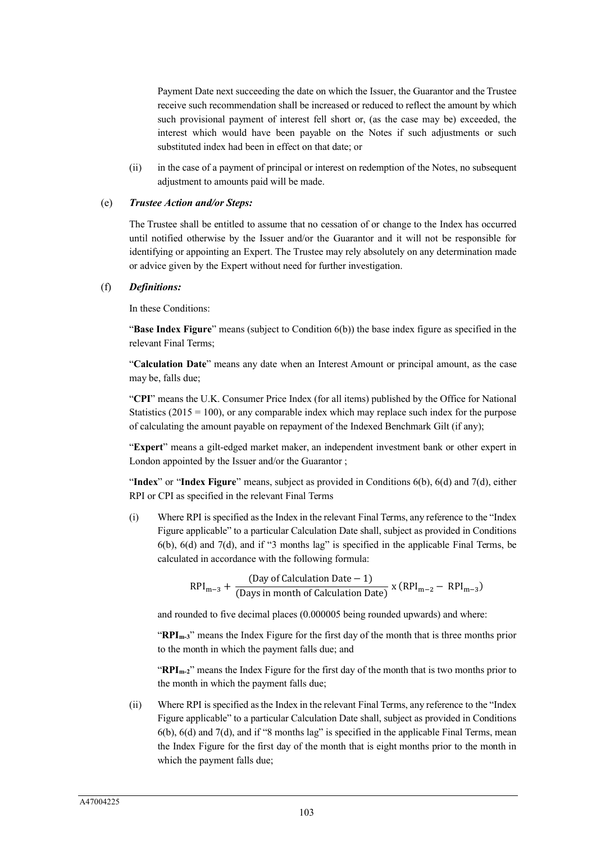Payment Date next succeeding the date on which the Issuer, the Guarantor and the Trustee receive such recommendation shall be increased or reduced to reflect the amount by which such provisional payment of interest fell short or, (as the case may be) exceeded, the interest which would have been payable on the Notes if such adjustments or such substituted index had been in effect on that date; or

(ii) in the case of a payment of principal or interest on redemption of the Notes, no subsequent adjustment to amounts paid will be made.

#### (e) *Trustee Action and/or Steps:*

The Trustee shall be entitled to assume that no cessation of or change to the Index has occurred until notified otherwise by the Issuer and/or the Guarantor and it will not be responsible for identifying or appointing an Expert. The Trustee may rely absolutely on any determination made or advice given by the Expert without need for further investigation.

#### (f) *Definitions:*

In these Conditions:

"**Base Index Figure**" means (subject to Condition 6(b)) the base index figure as specified in the relevant Final Terms;

"**Calculation Date**" means any date when an Interest Amount or principal amount, as the case may be, falls due;

"**CPI**" means the U.K. Consumer Price Index (for all items) published by the Office for National Statistics ( $2015 = 100$ ), or any comparable index which may replace such index for the purpose of calculating the amount payable on repayment of the Indexed Benchmark Gilt (if any);

"**Expert**" means a gilt-edged market maker, an independent investment bank or other expert in London appointed by the Issuer and/or the Guarantor ;

"**Index**" or "**Index Figure**" means, subject as provided in Conditions 6(b), 6(d) and 7(d), either RPI or CPI as specified in the relevant Final Terms

(i) Where RPI is specified as the Index in the relevant Final Terms, any reference to the "Index Figure applicable" to a particular Calculation Date shall, subject as provided in Conditions 6(b), 6(d) and 7(d), and if "3 months lag" is specified in the applicable Final Terms, be calculated in accordance with the following formula:

$$
RPI_{m-3} + \frac{(Day\ of\ Calculation\ Date - 1)}{(Days\ in\ month\ of\ Calculation\ Date)} \times (RPI_{m-2} - RPI_{m-3})
$$

and rounded to five decimal places (0.000005 being rounded upwards) and where:

"**RPIm-3**" means the Index Figure for the first day of the month that is three months prior to the month in which the payment falls due; and

"**RPIm-2**" means the Index Figure for the first day of the month that is two months prior to the month in which the payment falls due;

(ii) Where RPI is specified as the Index in the relevant Final Terms, any reference to the "Index Figure applicable" to a particular Calculation Date shall, subject as provided in Conditions  $6(b)$ ,  $6(d)$  and  $7(d)$ , and if "8 months lag" is specified in the applicable Final Terms, mean the Index Figure for the first day of the month that is eight months prior to the month in which the payment falls due;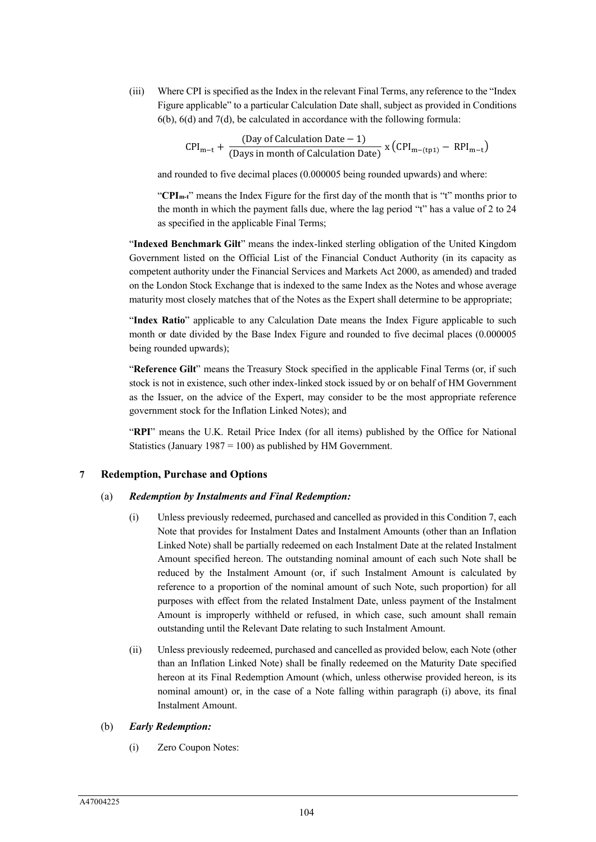(iii) Where CPI is specified as the Index in the relevant Final Terms, any reference to the "Index Figure applicable" to a particular Calculation Date shall, subject as provided in Conditions 6(b), 6(d) and 7(d), be calculated in accordance with the following formula:

$$
CPI_{m-t} + \frac{(Day\ of\ Calculation\ Date - 1)}{(Days\ in\ month\ of\ Calculation\ Date)} \ x (CPI_{m-(tp1)} - RPI_{m-t})
$$

and rounded to five decimal places (0.000005 being rounded upwards) and where:

"**CPIm-t**" means the Index Figure for the first day of the month that is "t" months prior to the month in which the payment falls due, where the lag period "t" has a value of 2 to 24 as specified in the applicable Final Terms;

"**Indexed Benchmark Gilt**" means the index-linked sterling obligation of the United Kingdom Government listed on the Official List of the Financial Conduct Authority (in its capacity as competent authority under the Financial Services and Markets Act 2000, as amended) and traded on the London Stock Exchange that is indexed to the same Index as the Notes and whose average maturity most closely matches that of the Notes as the Expert shall determine to be appropriate;

"**Index Ratio**" applicable to any Calculation Date means the Index Figure applicable to such month or date divided by the Base Index Figure and rounded to five decimal places (0.000005 being rounded upwards);

"**Reference Gilt**" means the Treasury Stock specified in the applicable Final Terms (or, if such stock is not in existence, such other index-linked stock issued by or on behalf of HM Government as the Issuer, on the advice of the Expert, may consider to be the most appropriate reference government stock for the Inflation Linked Notes); and

"**RPI**" means the U.K. Retail Price Index (for all items) published by the Office for National Statistics (January 1987 = 100) as published by HM Government.

#### **7 Redemption, Purchase and Options**

#### (a) *Redemption by Instalments and Final Redemption:*

- (i) Unless previously redeemed, purchased and cancelled as provided in this Condition 7, each Note that provides for Instalment Dates and Instalment Amounts (other than an Inflation Linked Note) shall be partially redeemed on each Instalment Date at the related Instalment Amount specified hereon. The outstanding nominal amount of each such Note shall be reduced by the Instalment Amount (or, if such Instalment Amount is calculated by reference to a proportion of the nominal amount of such Note, such proportion) for all purposes with effect from the related Instalment Date, unless payment of the Instalment Amount is improperly withheld or refused, in which case, such amount shall remain outstanding until the Relevant Date relating to such Instalment Amount.
- (ii) Unless previously redeemed, purchased and cancelled as provided below, each Note (other than an Inflation Linked Note) shall be finally redeemed on the Maturity Date specified hereon at its Final Redemption Amount (which, unless otherwise provided hereon, is its nominal amount) or, in the case of a Note falling within paragraph (i) above, its final Instalment Amount.

#### (b) *Early Redemption:*

(i) Zero Coupon Notes: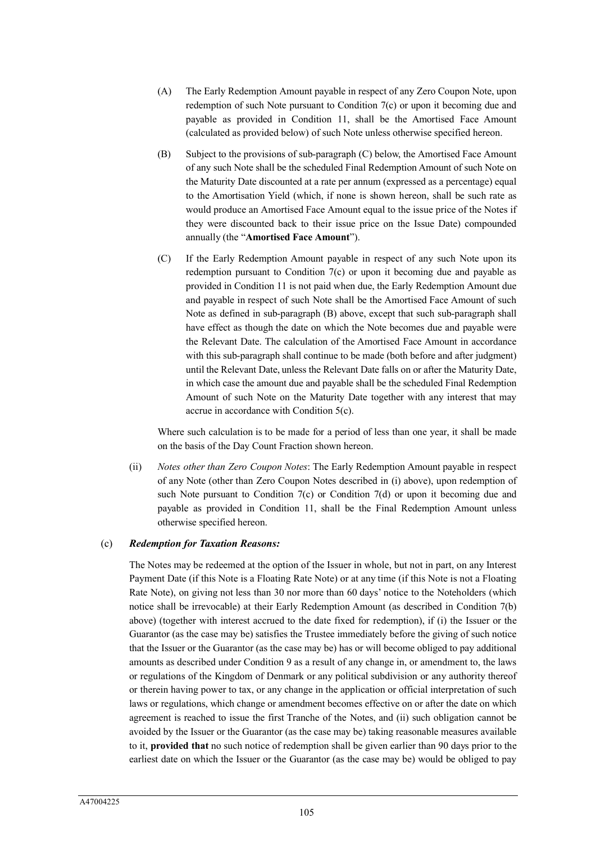- (A) The Early Redemption Amount payable in respect of any Zero Coupon Note, upon redemption of such Note pursuant to Condition 7(c) or upon it becoming due and payable as provided in Condition 11, shall be the Amortised Face Amount (calculated as provided below) of such Note unless otherwise specified hereon.
- (B) Subject to the provisions of sub-paragraph (C) below, the Amortised Face Amount of any such Note shall be the scheduled Final Redemption Amount of such Note on the Maturity Date discounted at a rate per annum (expressed as a percentage) equal to the Amortisation Yield (which, if none is shown hereon, shall be such rate as would produce an Amortised Face Amount equal to the issue price of the Notes if they were discounted back to their issue price on the Issue Date) compounded annually (the "**Amortised Face Amount**").
- (C) If the Early Redemption Amount payable in respect of any such Note upon its redemption pursuant to Condition 7(c) or upon it becoming due and payable as provided in Condition 11 is not paid when due, the Early Redemption Amount due and payable in respect of such Note shall be the Amortised Face Amount of such Note as defined in sub-paragraph (B) above, except that such sub-paragraph shall have effect as though the date on which the Note becomes due and payable were the Relevant Date. The calculation of the Amortised Face Amount in accordance with this sub-paragraph shall continue to be made (both before and after judgment) until the Relevant Date, unless the Relevant Date falls on or after the Maturity Date, in which case the amount due and payable shall be the scheduled Final Redemption Amount of such Note on the Maturity Date together with any interest that may accrue in accordance with Condition 5(c).

Where such calculation is to be made for a period of less than one year, it shall be made on the basis of the Day Count Fraction shown hereon.

(ii) *Notes other than Zero Coupon Notes*: The Early Redemption Amount payable in respect of any Note (other than Zero Coupon Notes described in (i) above), upon redemption of such Note pursuant to Condition 7(c) or Condition 7(d) or upon it becoming due and payable as provided in Condition 11, shall be the Final Redemption Amount unless otherwise specified hereon.

#### (c) *Redemption for Taxation Reasons:*

The Notes may be redeemed at the option of the Issuer in whole, but not in part, on any Interest Payment Date (if this Note is a Floating Rate Note) or at any time (if this Note is not a Floating Rate Note), on giving not less than 30 nor more than 60 days' notice to the Noteholders (which notice shall be irrevocable) at their Early Redemption Amount (as described in Condition 7(b) above) (together with interest accrued to the date fixed for redemption), if (i) the Issuer or the Guarantor (as the case may be) satisfies the Trustee immediately before the giving of such notice that the Issuer or the Guarantor (as the case may be) has or will become obliged to pay additional amounts as described under Condition 9 as a result of any change in, or amendment to, the laws or regulations of the Kingdom of Denmark or any political subdivision or any authority thereof or therein having power to tax, or any change in the application or official interpretation of such laws or regulations, which change or amendment becomes effective on or after the date on which agreement is reached to issue the first Tranche of the Notes, and (ii) such obligation cannot be avoided by the Issuer or the Guarantor (as the case may be) taking reasonable measures available to it, **provided that** no such notice of redemption shall be given earlier than 90 days prior to the earliest date on which the Issuer or the Guarantor (as the case may be) would be obliged to pay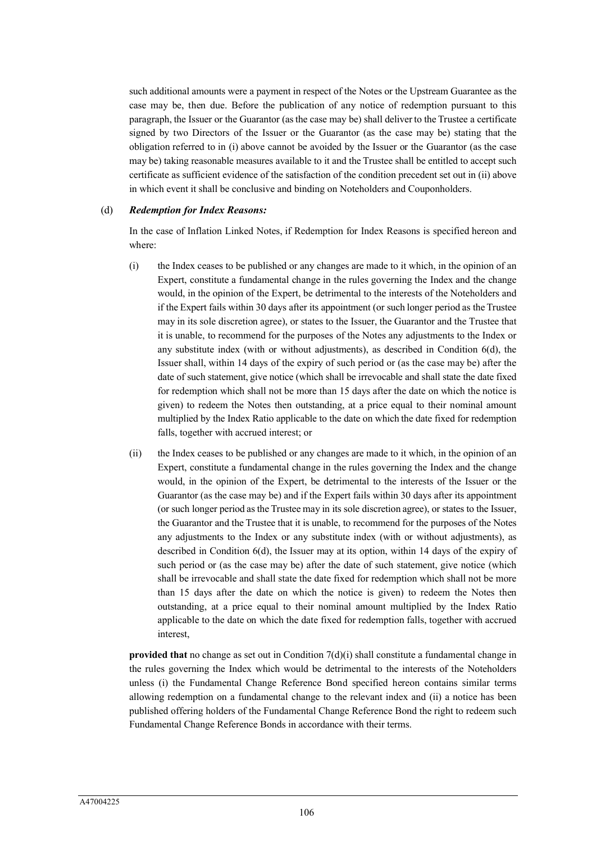such additional amounts were a payment in respect of the Notes or the Upstream Guarantee as the case may be, then due. Before the publication of any notice of redemption pursuant to this paragraph, the Issuer or the Guarantor (as the case may be) shall deliver to the Trustee a certificate signed by two Directors of the Issuer or the Guarantor (as the case may be) stating that the obligation referred to in (i) above cannot be avoided by the Issuer or the Guarantor (as the case may be) taking reasonable measures available to it and the Trustee shall be entitled to accept such certificate as sufficient evidence of the satisfaction of the condition precedent set out in (ii) above in which event it shall be conclusive and binding on Noteholders and Couponholders.

#### (d) *Redemption for Index Reasons:*

In the case of Inflation Linked Notes, if Redemption for Index Reasons is specified hereon and where:

- (i) the Index ceases to be published or any changes are made to it which, in the opinion of an Expert, constitute a fundamental change in the rules governing the Index and the change would, in the opinion of the Expert, be detrimental to the interests of the Noteholders and if the Expert fails within 30 days after its appointment (or such longer period as the Trustee may in its sole discretion agree), or states to the Issuer, the Guarantor and the Trustee that it is unable, to recommend for the purposes of the Notes any adjustments to the Index or any substitute index (with or without adjustments), as described in Condition 6(d), the Issuer shall, within 14 days of the expiry of such period or (as the case may be) after the date of such statement, give notice (which shall be irrevocable and shall state the date fixed for redemption which shall not be more than 15 days after the date on which the notice is given) to redeem the Notes then outstanding, at a price equal to their nominal amount multiplied by the Index Ratio applicable to the date on which the date fixed for redemption falls, together with accrued interest; or
- (ii) the Index ceases to be published or any changes are made to it which, in the opinion of an Expert, constitute a fundamental change in the rules governing the Index and the change would, in the opinion of the Expert, be detrimental to the interests of the Issuer or the Guarantor (as the case may be) and if the Expert fails within 30 days after its appointment (or such longer period as the Trustee may in its sole discretion agree), or states to the Issuer, the Guarantor and the Trustee that it is unable, to recommend for the purposes of the Notes any adjustments to the Index or any substitute index (with or without adjustments), as described in Condition 6(d), the Issuer may at its option, within 14 days of the expiry of such period or (as the case may be) after the date of such statement, give notice (which shall be irrevocable and shall state the date fixed for redemption which shall not be more than 15 days after the date on which the notice is given) to redeem the Notes then outstanding, at a price equal to their nominal amount multiplied by the Index Ratio applicable to the date on which the date fixed for redemption falls, together with accrued interest,

**provided that** no change as set out in Condition 7(d)(i) shall constitute a fundamental change in the rules governing the Index which would be detrimental to the interests of the Noteholders unless (i) the Fundamental Change Reference Bond specified hereon contains similar terms allowing redemption on a fundamental change to the relevant index and (ii) a notice has been published offering holders of the Fundamental Change Reference Bond the right to redeem such Fundamental Change Reference Bonds in accordance with their terms.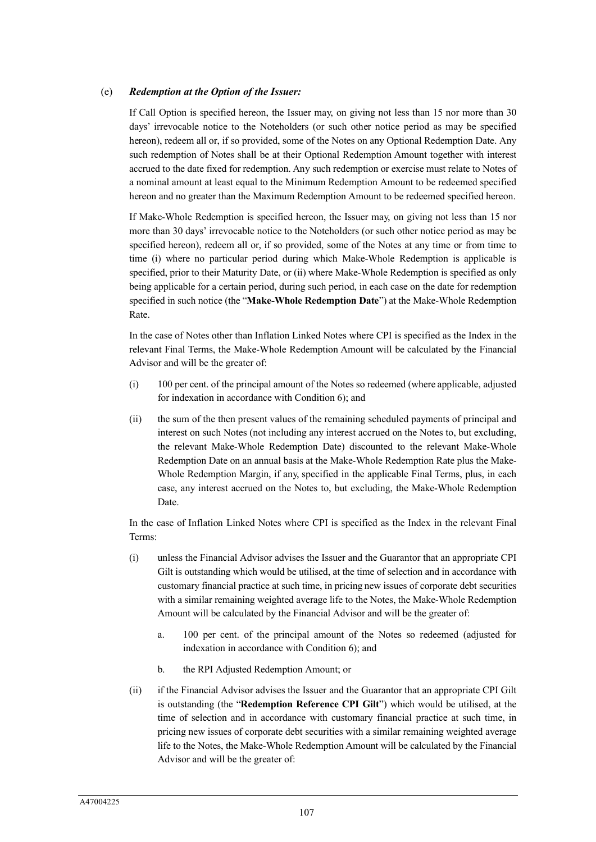### (e) *Redemption at the Option of the Issuer:*

If Call Option is specified hereon, the Issuer may, on giving not less than 15 nor more than 30 days' irrevocable notice to the Noteholders (or such other notice period as may be specified hereon), redeem all or, if so provided, some of the Notes on any Optional Redemption Date. Any such redemption of Notes shall be at their Optional Redemption Amount together with interest accrued to the date fixed for redemption. Any such redemption or exercise must relate to Notes of a nominal amount at least equal to the Minimum Redemption Amount to be redeemed specified hereon and no greater than the Maximum Redemption Amount to be redeemed specified hereon.

If Make-Whole Redemption is specified hereon, the Issuer may, on giving not less than 15 nor more than 30 days' irrevocable notice to the Noteholders (or such other notice period as may be specified hereon), redeem all or, if so provided, some of the Notes at any time or from time to time (i) where no particular period during which Make-Whole Redemption is applicable is specified, prior to their Maturity Date, or (ii) where Make-Whole Redemption is specified as only being applicable for a certain period, during such period, in each case on the date for redemption specified in such notice (the "**Make-Whole Redemption Date**") at the Make-Whole Redemption Rate.

In the case of Notes other than Inflation Linked Notes where CPI is specified as the Index in the relevant Final Terms, the Make-Whole Redemption Amount will be calculated by the Financial Advisor and will be the greater of:

- (i) 100 per cent. of the principal amount of the Notes so redeemed (where applicable, adjusted for indexation in accordance with Condition 6); and
- (ii) the sum of the then present values of the remaining scheduled payments of principal and interest on such Notes (not including any interest accrued on the Notes to, but excluding, the relevant Make-Whole Redemption Date) discounted to the relevant Make-Whole Redemption Date on an annual basis at the Make-Whole Redemption Rate plus the Make-Whole Redemption Margin, if any, specified in the applicable Final Terms, plus, in each case, any interest accrued on the Notes to, but excluding, the Make-Whole Redemption Date.

In the case of Inflation Linked Notes where CPI is specified as the Index in the relevant Final Terms:

- (i) unless the Financial Advisor advises the Issuer and the Guarantor that an appropriate CPI Gilt is outstanding which would be utilised, at the time of selection and in accordance with customary financial practice at such time, in pricing new issues of corporate debt securities with a similar remaining weighted average life to the Notes, the Make-Whole Redemption Amount will be calculated by the Financial Advisor and will be the greater of:
	- a. 100 per cent. of the principal amount of the Notes so redeemed (adjusted for indexation in accordance with Condition 6); and
	- b. the RPI Adjusted Redemption Amount; or
- (ii) if the Financial Advisor advises the Issuer and the Guarantor that an appropriate CPI Gilt is outstanding (the "**Redemption Reference CPI Gilt**") which would be utilised, at the time of selection and in accordance with customary financial practice at such time, in pricing new issues of corporate debt securities with a similar remaining weighted average life to the Notes, the Make-Whole Redemption Amount will be calculated by the Financial Advisor and will be the greater of: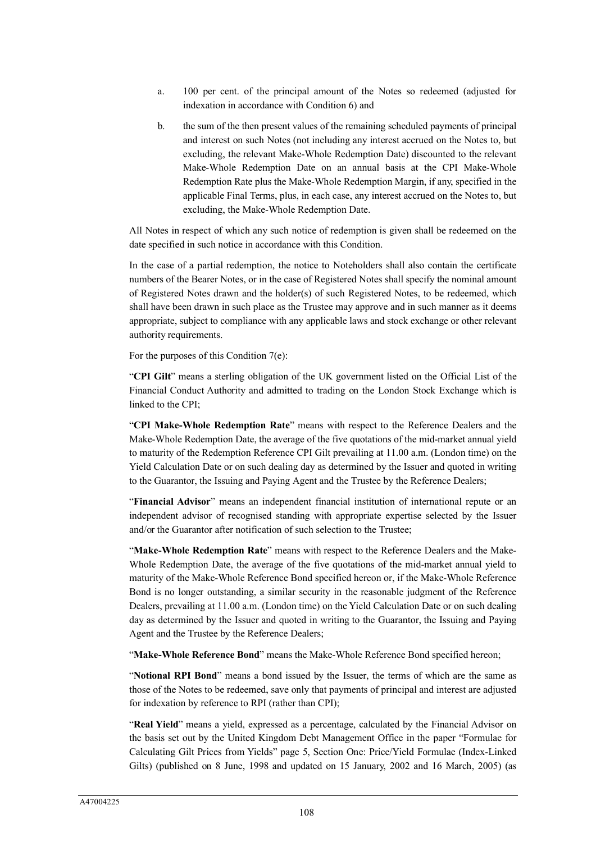- a. 100 per cent. of the principal amount of the Notes so redeemed (adjusted for indexation in accordance with Condition 6) and
- b. the sum of the then present values of the remaining scheduled payments of principal and interest on such Notes (not including any interest accrued on the Notes to, but excluding, the relevant Make-Whole Redemption Date) discounted to the relevant Make-Whole Redemption Date on an annual basis at the CPI Make-Whole Redemption Rate plus the Make-Whole Redemption Margin, if any, specified in the applicable Final Terms, plus, in each case, any interest accrued on the Notes to, but excluding, the Make-Whole Redemption Date.

All Notes in respect of which any such notice of redemption is given shall be redeemed on the date specified in such notice in accordance with this Condition.

In the case of a partial redemption, the notice to Noteholders shall also contain the certificate numbers of the Bearer Notes, or in the case of Registered Notes shall specify the nominal amount of Registered Notes drawn and the holder(s) of such Registered Notes, to be redeemed, which shall have been drawn in such place as the Trustee may approve and in such manner as it deems appropriate, subject to compliance with any applicable laws and stock exchange or other relevant authority requirements.

For the purposes of this Condition 7(e):

"**CPI Gilt**" means a sterling obligation of the UK government listed on the Official List of the Financial Conduct Authority and admitted to trading on the London Stock Exchange which is linked to the CPI;

"**CPI Make-Whole Redemption Rate**" means with respect to the Reference Dealers and the Make-Whole Redemption Date, the average of the five quotations of the mid-market annual yield to maturity of the Redemption Reference CPI Gilt prevailing at 11.00 a.m. (London time) on the Yield Calculation Date or on such dealing day as determined by the Issuer and quoted in writing to the Guarantor, the Issuing and Paying Agent and the Trustee by the Reference Dealers;

"**Financial Advisor**" means an independent financial institution of international repute or an independent advisor of recognised standing with appropriate expertise selected by the Issuer and/or the Guarantor after notification of such selection to the Trustee;

"**Make-Whole Redemption Rate**" means with respect to the Reference Dealers and the Make-Whole Redemption Date, the average of the five quotations of the mid-market annual yield to maturity of the Make-Whole Reference Bond specified hereon or, if the Make-Whole Reference Bond is no longer outstanding, a similar security in the reasonable judgment of the Reference Dealers, prevailing at 11.00 a.m. (London time) on the Yield Calculation Date or on such dealing day as determined by the Issuer and quoted in writing to the Guarantor, the Issuing and Paying Agent and the Trustee by the Reference Dealers;

"**Make-Whole Reference Bond**" means the Make-Whole Reference Bond specified hereon;

"**Notional RPI Bond**" means a bond issued by the Issuer, the terms of which are the same as those of the Notes to be redeemed, save only that payments of principal and interest are adjusted for indexation by reference to RPI (rather than CPI);

"**Real Yield**" means a yield, expressed as a percentage, calculated by the Financial Advisor on the basis set out by the United Kingdom Debt Management Office in the paper "Formulae for Calculating Gilt Prices from Yields" page 5, Section One: Price/Yield Formulae (Index-Linked Gilts) (published on 8 June, 1998 and updated on 15 January, 2002 and 16 March, 2005) (as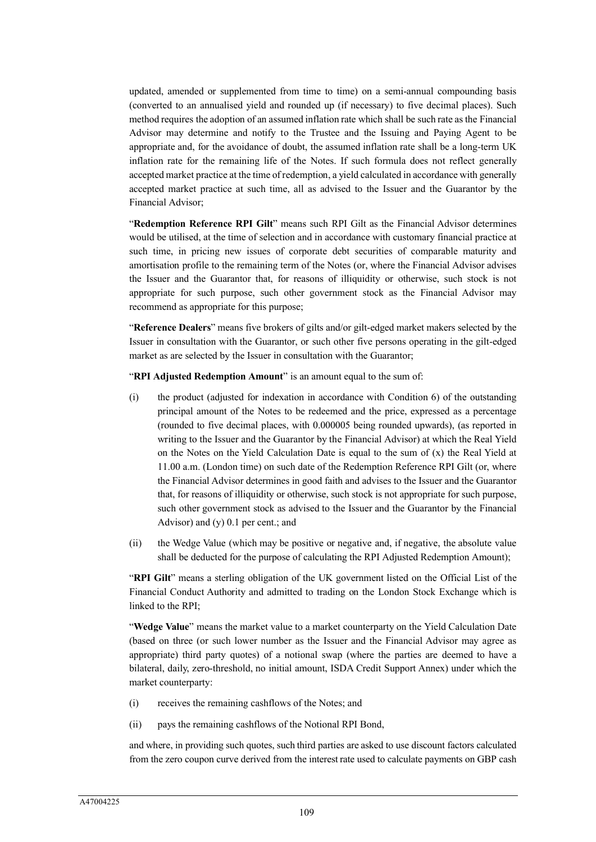updated, amended or supplemented from time to time) on a semi-annual compounding basis (converted to an annualised yield and rounded up (if necessary) to five decimal places). Such method requires the adoption of an assumed inflation rate which shall be such rate as the Financial Advisor may determine and notify to the Trustee and the Issuing and Paying Agent to be appropriate and, for the avoidance of doubt, the assumed inflation rate shall be a long-term UK inflation rate for the remaining life of the Notes. If such formula does not reflect generally accepted market practice at the time of redemption, a yield calculated in accordance with generally accepted market practice at such time, all as advised to the Issuer and the Guarantor by the Financial Advisor;

"**Redemption Reference RPI Gilt**" means such RPI Gilt as the Financial Advisor determines would be utilised, at the time of selection and in accordance with customary financial practice at such time, in pricing new issues of corporate debt securities of comparable maturity and amortisation profile to the remaining term of the Notes (or, where the Financial Advisor advises the Issuer and the Guarantor that, for reasons of illiquidity or otherwise, such stock is not appropriate for such purpose, such other government stock as the Financial Advisor may recommend as appropriate for this purpose;

"**Reference Dealers**" means five brokers of gilts and/or gilt-edged market makers selected by the Issuer in consultation with the Guarantor, or such other five persons operating in the gilt-edged market as are selected by the Issuer in consultation with the Guarantor;

"**RPI Adjusted Redemption Amount**" is an amount equal to the sum of:

- (i) the product (adjusted for indexation in accordance with Condition 6) of the outstanding principal amount of the Notes to be redeemed and the price, expressed as a percentage (rounded to five decimal places, with 0.000005 being rounded upwards), (as reported in writing to the Issuer and the Guarantor by the Financial Advisor) at which the Real Yield on the Notes on the Yield Calculation Date is equal to the sum of (x) the Real Yield at 11.00 a.m. (London time) on such date of the Redemption Reference RPI Gilt (or, where the Financial Advisor determines in good faith and advises to the Issuer and the Guarantor that, for reasons of illiquidity or otherwise, such stock is not appropriate for such purpose, such other government stock as advised to the Issuer and the Guarantor by the Financial Advisor) and (y) 0.1 per cent.; and
- (ii) the Wedge Value (which may be positive or negative and, if negative, the absolute value shall be deducted for the purpose of calculating the RPI Adjusted Redemption Amount);

"**RPI Gilt**" means a sterling obligation of the UK government listed on the Official List of the Financial Conduct Authority and admitted to trading on the London Stock Exchange which is linked to the RPI;

"**Wedge Value**" means the market value to a market counterparty on the Yield Calculation Date (based on three (or such lower number as the Issuer and the Financial Advisor may agree as appropriate) third party quotes) of a notional swap (where the parties are deemed to have a bilateral, daily, zero-threshold, no initial amount, ISDA Credit Support Annex) under which the market counterparty:

- (i) receives the remaining cashflows of the Notes; and
- (ii) pays the remaining cashflows of the Notional RPI Bond,

and where, in providing such quotes, such third parties are asked to use discount factors calculated from the zero coupon curve derived from the interest rate used to calculate payments on GBP cash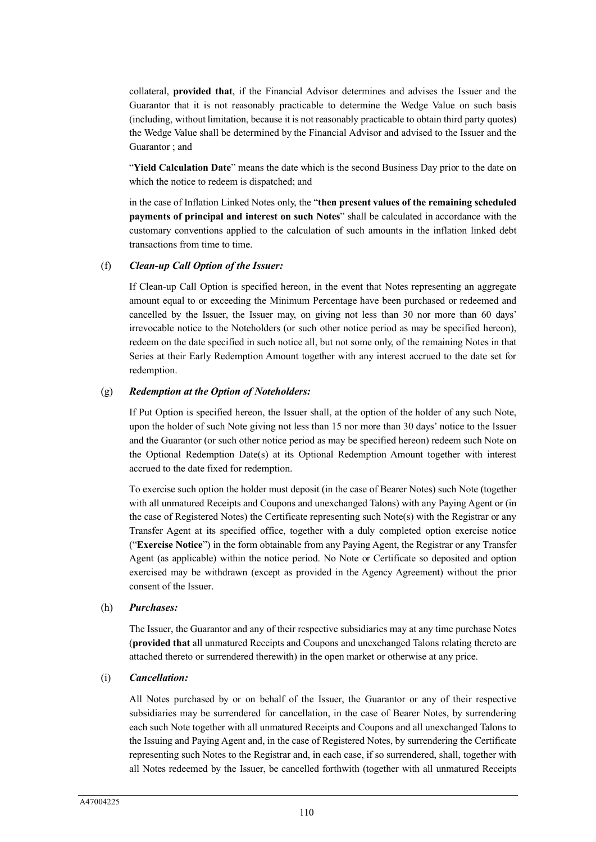collateral, **provided that**, if the Financial Advisor determines and advises the Issuer and the Guarantor that it is not reasonably practicable to determine the Wedge Value on such basis (including, without limitation, because it is not reasonably practicable to obtain third party quotes) the Wedge Value shall be determined by the Financial Advisor and advised to the Issuer and the Guarantor ; and

"**Yield Calculation Date**" means the date which is the second Business Day prior to the date on which the notice to redeem is dispatched; and

in the case of Inflation Linked Notes only, the "**then present values of the remaining scheduled payments of principal and interest on such Notes**" shall be calculated in accordance with the customary conventions applied to the calculation of such amounts in the inflation linked debt transactions from time to time.

#### (f) *Clean-up Call Option of the Issuer:*

If Clean-up Call Option is specified hereon, in the event that Notes representing an aggregate amount equal to or exceeding the Minimum Percentage have been purchased or redeemed and cancelled by the Issuer, the Issuer may, on giving not less than 30 nor more than 60 days' irrevocable notice to the Noteholders (or such other notice period as may be specified hereon), redeem on the date specified in such notice all, but not some only, of the remaining Notes in that Series at their Early Redemption Amount together with any interest accrued to the date set for redemption.

#### (g) *Redemption at the Option of Noteholders:*

If Put Option is specified hereon, the Issuer shall, at the option of the holder of any such Note, upon the holder of such Note giving not less than 15 nor more than 30 days' notice to the Issuer and the Guarantor (or such other notice period as may be specified hereon) redeem such Note on the Optional Redemption Date(s) at its Optional Redemption Amount together with interest accrued to the date fixed for redemption.

To exercise such option the holder must deposit (in the case of Bearer Notes) such Note (together with all unmatured Receipts and Coupons and unexchanged Talons) with any Paying Agent or (in the case of Registered Notes) the Certificate representing such Note(s) with the Registrar or any Transfer Agent at its specified office, together with a duly completed option exercise notice ("**Exercise Notice**") in the form obtainable from any Paying Agent, the Registrar or any Transfer Agent (as applicable) within the notice period. No Note or Certificate so deposited and option exercised may be withdrawn (except as provided in the Agency Agreement) without the prior consent of the Issuer.

### (h) *Purchases:*

The Issuer, the Guarantor and any of their respective subsidiaries may at any time purchase Notes (**provided that** all unmatured Receipts and Coupons and unexchanged Talons relating thereto are attached thereto or surrendered therewith) in the open market or otherwise at any price.

### (i) *Cancellation:*

All Notes purchased by or on behalf of the Issuer, the Guarantor or any of their respective subsidiaries may be surrendered for cancellation, in the case of Bearer Notes, by surrendering each such Note together with all unmatured Receipts and Coupons and all unexchanged Talons to the Issuing and Paying Agent and, in the case of Registered Notes, by surrendering the Certificate representing such Notes to the Registrar and, in each case, if so surrendered, shall, together with all Notes redeemed by the Issuer, be cancelled forthwith (together with all unmatured Receipts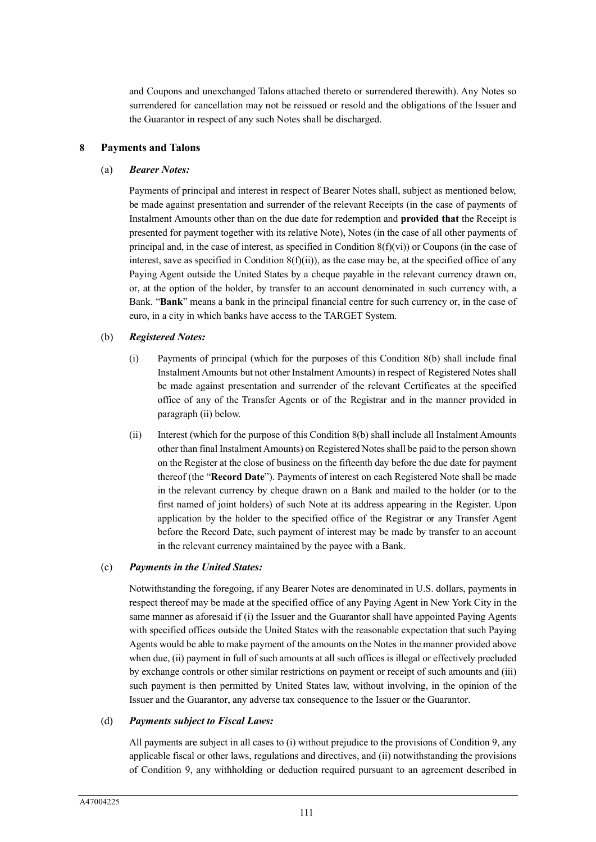and Coupons and unexchanged Talons attached thereto or surrendered therewith). Any Notes so surrendered for cancellation may not be reissued or resold and the obligations of the Issuer and the Guarantor in respect of any such Notes shall be discharged.

#### **8 Payments and Talons**

#### (a) *Bearer Notes:*

Payments of principal and interest in respect of Bearer Notes shall, subject as mentioned below, be made against presentation and surrender of the relevant Receipts (in the case of payments of Instalment Amounts other than on the due date for redemption and **provided that** the Receipt is presented for payment together with its relative Note), Notes (in the case of all other payments of principal and, in the case of interest, as specified in Condition 8(f)(vi)) or Coupons (in the case of interest, save as specified in Condition  $8(f)(ii)$ , as the case may be, at the specified office of any Paying Agent outside the United States by a cheque payable in the relevant currency drawn on, or, at the option of the holder, by transfer to an account denominated in such currency with, a Bank. "**Bank**" means a bank in the principal financial centre for such currency or, in the case of euro, in a city in which banks have access to the TARGET System.

#### (b) *Registered Notes:*

- (i) Payments of principal (which for the purposes of this Condition 8(b) shall include final Instalment Amounts but not other Instalment Amounts) in respect of Registered Notes shall be made against presentation and surrender of the relevant Certificates at the specified office of any of the Transfer Agents or of the Registrar and in the manner provided in paragraph (ii) below.
- (ii) Interest (which for the purpose of this Condition 8(b) shall include all Instalment Amounts other than final Instalment Amounts) on Registered Notes shall be paid to the person shown on the Register at the close of business on the fifteenth day before the due date for payment thereof (the "**Record Date**"). Payments of interest on each Registered Note shall be made in the relevant currency by cheque drawn on a Bank and mailed to the holder (or to the first named of joint holders) of such Note at its address appearing in the Register. Upon application by the holder to the specified office of the Registrar or any Transfer Agent before the Record Date, such payment of interest may be made by transfer to an account in the relevant currency maintained by the payee with a Bank.

#### (c) *Payments in the United States:*

Notwithstanding the foregoing, if any Bearer Notes are denominated in U.S. dollars, payments in respect thereof may be made at the specified office of any Paying Agent in New York City in the same manner as aforesaid if (i) the Issuer and the Guarantor shall have appointed Paying Agents with specified offices outside the United States with the reasonable expectation that such Paying Agents would be able to make payment of the amounts on the Notes in the manner provided above when due, (ii) payment in full of such amounts at all such offices is illegal or effectively precluded by exchange controls or other similar restrictions on payment or receipt of such amounts and (iii) such payment is then permitted by United States law, without involving, in the opinion of the Issuer and the Guarantor, any adverse tax consequence to the Issuer or the Guarantor.

### (d) *Payments subject to Fiscal Laws:*

All payments are subject in all cases to (i) without prejudice to the provisions of Condition 9, any applicable fiscal or other laws, regulations and directives, and (ii) notwithstanding the provisions of Condition 9, any withholding or deduction required pursuant to an agreement described in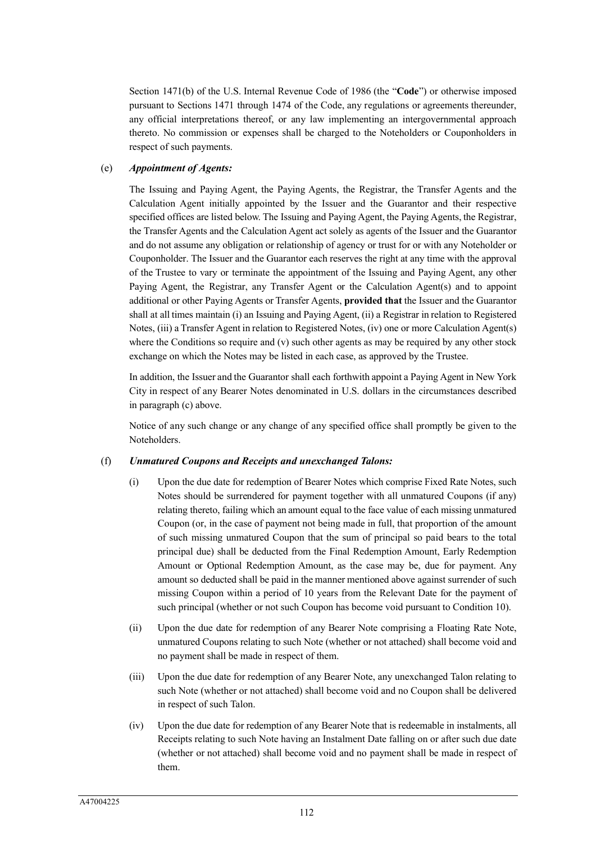Section 1471(b) of the U.S. Internal Revenue Code of 1986 (the "**Code**") or otherwise imposed pursuant to Sections 1471 through 1474 of the Code, any regulations or agreements thereunder, any official interpretations thereof, or any law implementing an intergovernmental approach thereto. No commission or expenses shall be charged to the Noteholders or Couponholders in respect of such payments.

## (e) *Appointment of Agents:*

The Issuing and Paying Agent, the Paying Agents, the Registrar, the Transfer Agents and the Calculation Agent initially appointed by the Issuer and the Guarantor and their respective specified offices are listed below. The Issuing and Paying Agent, the Paying Agents, the Registrar, the Transfer Agents and the Calculation Agent act solely as agents of the Issuer and the Guarantor and do not assume any obligation or relationship of agency or trust for or with any Noteholder or Couponholder. The Issuer and the Guarantor each reserves the right at any time with the approval of the Trustee to vary or terminate the appointment of the Issuing and Paying Agent, any other Paying Agent, the Registrar, any Transfer Agent or the Calculation Agent(s) and to appoint additional or other Paying Agents or Transfer Agents, **provided that** the Issuer and the Guarantor shall at all times maintain (i) an Issuing and Paying Agent, (ii) a Registrar in relation to Registered Notes, (iii) a Transfer Agent in relation to Registered Notes, (iv) one or more Calculation Agent(s) where the Conditions so require and (v) such other agents as may be required by any other stock exchange on which the Notes may be listed in each case, as approved by the Trustee.

In addition, the Issuer and the Guarantor shall each forthwith appoint a Paying Agent in New York City in respect of any Bearer Notes denominated in U.S. dollars in the circumstances described in paragraph (c) above.

Notice of any such change or any change of any specified office shall promptly be given to the Noteholders.

### (f) *Unmatured Coupons and Receipts and unexchanged Talons:*

- (i) Upon the due date for redemption of Bearer Notes which comprise Fixed Rate Notes, such Notes should be surrendered for payment together with all unmatured Coupons (if any) relating thereto, failing which an amount equal to the face value of each missing unmatured Coupon (or, in the case of payment not being made in full, that proportion of the amount of such missing unmatured Coupon that the sum of principal so paid bears to the total principal due) shall be deducted from the Final Redemption Amount, Early Redemption Amount or Optional Redemption Amount, as the case may be, due for payment. Any amount so deducted shall be paid in the manner mentioned above against surrender of such missing Coupon within a period of 10 years from the Relevant Date for the payment of such principal (whether or not such Coupon has become void pursuant to Condition 10).
- (ii) Upon the due date for redemption of any Bearer Note comprising a Floating Rate Note, unmatured Coupons relating to such Note (whether or not attached) shall become void and no payment shall be made in respect of them.
- (iii) Upon the due date for redemption of any Bearer Note, any unexchanged Talon relating to such Note (whether or not attached) shall become void and no Coupon shall be delivered in respect of such Talon.
- (iv) Upon the due date for redemption of any Bearer Note that is redeemable in instalments, all Receipts relating to such Note having an Instalment Date falling on or after such due date (whether or not attached) shall become void and no payment shall be made in respect of them.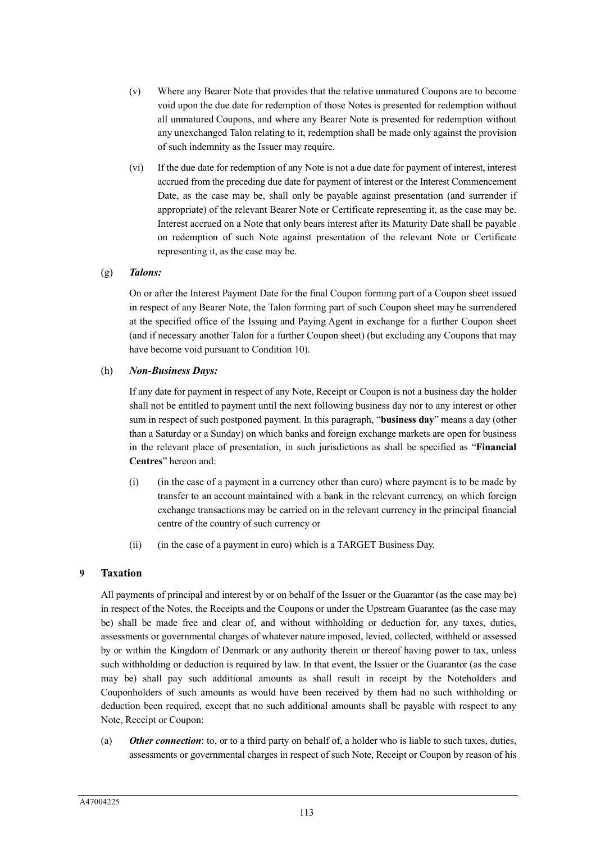- (v) Where any Bearer Note that provides that the relative unmatured Coupons are to become void upon the due date for redemption of those Notes is presented for redemption without all unmatured Coupons, and where any Bearer Note is presented for redemption without any unexchanged Talon relating to it, redemption shall be made only against the provision of such indemnity as the Issuer may require.
- (vi) If the due date for redemption of any Note is not a due date for payment of interest, interest accrued from the preceding due date for payment of interest or the Interest Commencement Date, as the case may be, shall only be payable against presentation (and surrender if appropriate) of the relevant Bearer Note or Certificate representing it, as the case may be. Interest accrued on a Note that only bears interest after its Maturity Date shall be payable on redemption of such Note against presentation of the relevant Note or Certificate representing it, as the case may be.

### (g) *Talons:*

On or after the Interest Payment Date for the final Coupon forming part of a Coupon sheet issued in respect of any Bearer Note, the Talon forming part of such Coupon sheet may be surrendered at the specified office of the Issuing and Paying Agent in exchange for a further Coupon sheet (and if necessary another Talon for a further Coupon sheet) (but excluding any Coupons that may have become void pursuant to Condition 10).

#### (h) *Non-Business Days:*

If any date for payment in respect of any Note, Receipt or Coupon is not a business day the holder shall not be entitled to payment until the next following business day nor to any interest or other sum in respect of such postponed payment. In this paragraph, "**business day**" means a day (other than a Saturday or a Sunday) on which banks and foreign exchange markets are open for business in the relevant place of presentation, in such jurisdictions as shall be specified as "**Financial Centres**" hereon and:

- (i) (in the case of a payment in a currency other than euro) where payment is to be made by transfer to an account maintained with a bank in the relevant currency, on which foreign exchange transactions may be carried on in the relevant currency in the principal financial centre of the country of such currency or
- (ii) (in the case of a payment in euro) which is a TARGET Business Day.

### **9 Taxation**

All payments of principal and interest by or on behalf of the Issuer or the Guarantor (as the case may be) in respect of the Notes, the Receipts and the Coupons or under the Upstream Guarantee (as the case may be) shall be made free and clear of, and without withholding or deduction for, any taxes, duties, assessments or governmental charges of whatever nature imposed, levied, collected, withheld or assessed by or within the Kingdom of Denmark or any authority therein or thereof having power to tax, unless such withholding or deduction is required by law. In that event, the Issuer or the Guarantor (as the case may be) shall pay such additional amounts as shall result in receipt by the Noteholders and Couponholders of such amounts as would have been received by them had no such withholding or deduction been required, except that no such additional amounts shall be payable with respect to any Note, Receipt or Coupon:

(a) *Other connection*: to, or to a third party on behalf of, a holder who is liable to such taxes, duties, assessments or governmental charges in respect of such Note, Receipt or Coupon by reason of his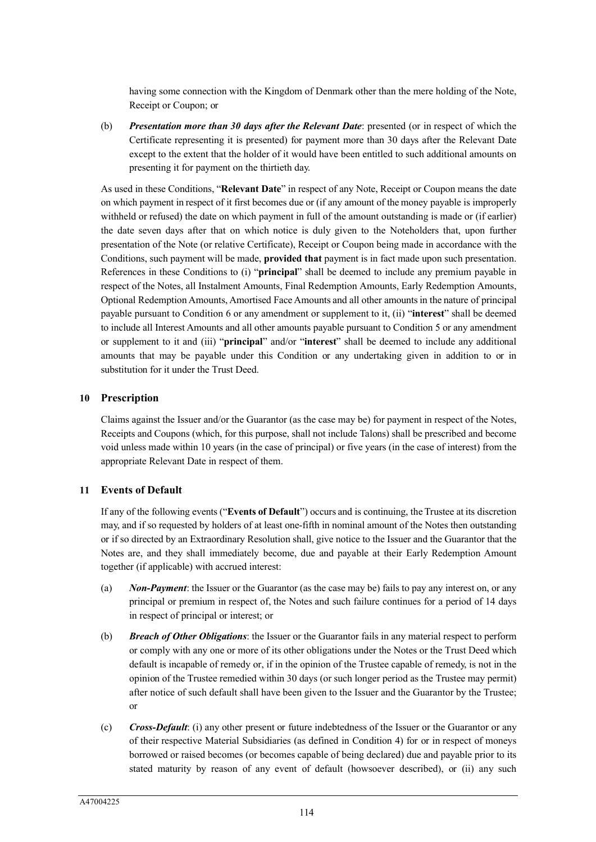having some connection with the Kingdom of Denmark other than the mere holding of the Note, Receipt or Coupon; or

(b) *Presentation more than 30 days after the Relevant Date*: presented (or in respect of which the Certificate representing it is presented) for payment more than 30 days after the Relevant Date except to the extent that the holder of it would have been entitled to such additional amounts on presenting it for payment on the thirtieth day.

As used in these Conditions, "**Relevant Date**" in respect of any Note, Receipt or Coupon means the date on which payment in respect of it first becomes due or (if any amount of the money payable is improperly withheld or refused) the date on which payment in full of the amount outstanding is made or (if earlier) the date seven days after that on which notice is duly given to the Noteholders that, upon further presentation of the Note (or relative Certificate), Receipt or Coupon being made in accordance with the Conditions, such payment will be made, **provided that** payment is in fact made upon such presentation. References in these Conditions to (i) "**principal**" shall be deemed to include any premium payable in respect of the Notes, all Instalment Amounts, Final Redemption Amounts, Early Redemption Amounts, Optional Redemption Amounts, Amortised Face Amounts and all other amounts in the nature of principal payable pursuant to Condition 6 or any amendment or supplement to it, (ii) "**interest**" shall be deemed to include all Interest Amounts and all other amounts payable pursuant to Condition 5 or any amendment or supplement to it and (iii) "**principal**" and/or "**interest**" shall be deemed to include any additional amounts that may be payable under this Condition or any undertaking given in addition to or in substitution for it under the Trust Deed.

# **10 Prescription**

Claims against the Issuer and/or the Guarantor (as the case may be) for payment in respect of the Notes, Receipts and Coupons (which, for this purpose, shall not include Talons) shall be prescribed and become void unless made within 10 years (in the case of principal) or five years (in the case of interest) from the appropriate Relevant Date in respect of them.

# **11 Events of Default**

If any of the following events ("**Events of Default**") occurs and is continuing, the Trustee at its discretion may, and if so requested by holders of at least one-fifth in nominal amount of the Notes then outstanding or if so directed by an Extraordinary Resolution shall, give notice to the Issuer and the Guarantor that the Notes are, and they shall immediately become, due and payable at their Early Redemption Amount together (if applicable) with accrued interest:

- (a) *Non-Payment*: the Issuer or the Guarantor (as the case may be) fails to pay any interest on, or any principal or premium in respect of, the Notes and such failure continues for a period of 14 days in respect of principal or interest; or
- (b) *Breach of Other Obligations*: the Issuer or the Guarantor fails in any material respect to perform or comply with any one or more of its other obligations under the Notes or the Trust Deed which default is incapable of remedy or, if in the opinion of the Trustee capable of remedy, is not in the opinion of the Trustee remedied within 30 days (or such longer period as the Trustee may permit) after notice of such default shall have been given to the Issuer and the Guarantor by the Trustee; or
- (c) *Cross-Default*: (i) any other present or future indebtedness of the Issuer or the Guarantor or any of their respective Material Subsidiaries (as defined in Condition 4) for or in respect of moneys borrowed or raised becomes (or becomes capable of being declared) due and payable prior to its stated maturity by reason of any event of default (howsoever described), or (ii) any such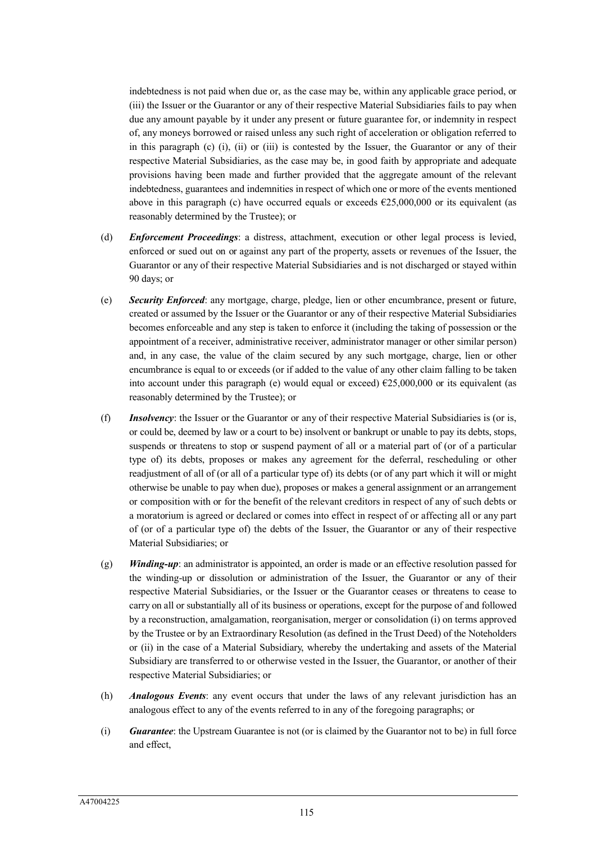indebtedness is not paid when due or, as the case may be, within any applicable grace period, or (iii) the Issuer or the Guarantor or any of their respective Material Subsidiaries fails to pay when due any amount payable by it under any present or future guarantee for, or indemnity in respect of, any moneys borrowed or raised unless any such right of acceleration or obligation referred to in this paragraph (c) (i), (ii) or (iii) is contested by the Issuer, the Guarantor or any of their respective Material Subsidiaries, as the case may be, in good faith by appropriate and adequate provisions having been made and further provided that the aggregate amount of the relevant indebtedness, guarantees and indemnities in respect of which one or more of the events mentioned above in this paragraph (c) have occurred equals or exceeds  $\epsilon$ 25,000,000 or its equivalent (as reasonably determined by the Trustee); or

- (d) *Enforcement Proceedings*: a distress, attachment, execution or other legal process is levied, enforced or sued out on or against any part of the property, assets or revenues of the Issuer, the Guarantor or any of their respective Material Subsidiaries and is not discharged or stayed within 90 days; or
- (e) *Security Enforced*: any mortgage, charge, pledge, lien or other encumbrance, present or future, created or assumed by the Issuer or the Guarantor or any of their respective Material Subsidiaries becomes enforceable and any step is taken to enforce it (including the taking of possession or the appointment of a receiver, administrative receiver, administrator manager or other similar person) and, in any case, the value of the claim secured by any such mortgage, charge, lien or other encumbrance is equal to or exceeds (or if added to the value of any other claim falling to be taken into account under this paragraph (e) would equal or exceed)  $£25,000,000$  or its equivalent (as reasonably determined by the Trustee); or
- (f) *Insolvency*: the Issuer or the Guarantor or any of their respective Material Subsidiaries is (or is, or could be, deemed by law or a court to be) insolvent or bankrupt or unable to pay its debts, stops, suspends or threatens to stop or suspend payment of all or a material part of (or of a particular type of) its debts, proposes or makes any agreement for the deferral, rescheduling or other readjustment of all of (or all of a particular type of) its debts (or of any part which it will or might otherwise be unable to pay when due), proposes or makes a general assignment or an arrangement or composition with or for the benefit of the relevant creditors in respect of any of such debts or a moratorium is agreed or declared or comes into effect in respect of or affecting all or any part of (or of a particular type of) the debts of the Issuer, the Guarantor or any of their respective Material Subsidiaries; or
- (g) *Winding-up*: an administrator is appointed, an order is made or an effective resolution passed for the winding-up or dissolution or administration of the Issuer, the Guarantor or any of their respective Material Subsidiaries, or the Issuer or the Guarantor ceases or threatens to cease to carry on all or substantially all of its business or operations, except for the purpose of and followed by a reconstruction, amalgamation, reorganisation, merger or consolidation (i) on terms approved by the Trustee or by an Extraordinary Resolution (as defined in the Trust Deed) of the Noteholders or (ii) in the case of a Material Subsidiary, whereby the undertaking and assets of the Material Subsidiary are transferred to or otherwise vested in the Issuer, the Guarantor, or another of their respective Material Subsidiaries; or
- (h) *Analogous Events*: any event occurs that under the laws of any relevant jurisdiction has an analogous effect to any of the events referred to in any of the foregoing paragraphs; or
- (i) *Guarantee*: the Upstream Guarantee is not (or is claimed by the Guarantor not to be) in full force and effect,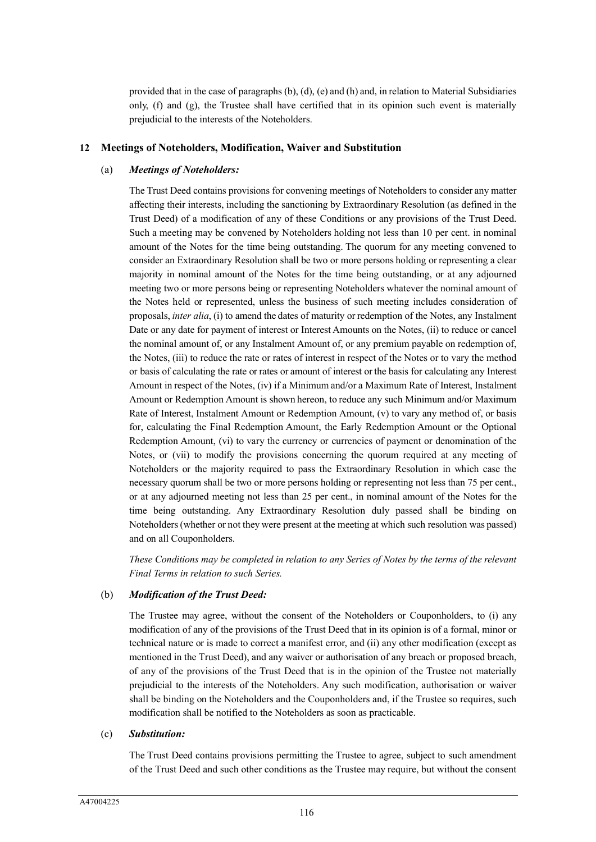provided that in the case of paragraphs (b), (d), (e) and (h) and, in relation to Material Subsidiaries only, (f) and (g), the Trustee shall have certified that in its opinion such event is materially prejudicial to the interests of the Noteholders.

#### **12 Meetings of Noteholders, Modification, Waiver and Substitution**

#### (a) *Meetings of Noteholders:*

The Trust Deed contains provisions for convening meetings of Noteholders to consider any matter affecting their interests, including the sanctioning by Extraordinary Resolution (as defined in the Trust Deed) of a modification of any of these Conditions or any provisions of the Trust Deed. Such a meeting may be convened by Noteholders holding not less than 10 per cent. in nominal amount of the Notes for the time being outstanding. The quorum for any meeting convened to consider an Extraordinary Resolution shall be two or more persons holding or representing a clear majority in nominal amount of the Notes for the time being outstanding, or at any adjourned meeting two or more persons being or representing Noteholders whatever the nominal amount of the Notes held or represented, unless the business of such meeting includes consideration of proposals, *inter alia*, (i) to amend the dates of maturity or redemption of the Notes, any Instalment Date or any date for payment of interest or Interest Amounts on the Notes, (ii) to reduce or cancel the nominal amount of, or any Instalment Amount of, or any premium payable on redemption of, the Notes, (iii) to reduce the rate or rates of interest in respect of the Notes or to vary the method or basis of calculating the rate or rates or amount of interest or the basis for calculating any Interest Amount in respect of the Notes, (iv) if a Minimum and/or a Maximum Rate of Interest, Instalment Amount or Redemption Amount is shown hereon, to reduce any such Minimum and/or Maximum Rate of Interest, Instalment Amount or Redemption Amount, (v) to vary any method of, or basis for, calculating the Final Redemption Amount, the Early Redemption Amount or the Optional Redemption Amount, (vi) to vary the currency or currencies of payment or denomination of the Notes, or (vii) to modify the provisions concerning the quorum required at any meeting of Noteholders or the majority required to pass the Extraordinary Resolution in which case the necessary quorum shall be two or more persons holding or representing not less than 75 per cent., or at any adjourned meeting not less than 25 per cent., in nominal amount of the Notes for the time being outstanding. Any Extraordinary Resolution duly passed shall be binding on Noteholders (whether or not they were present at the meeting at which such resolution was passed) and on all Couponholders.

*These Conditions may be completed in relation to any Series of Notes by the terms of the relevant Final Terms in relation to such Series.*

#### (b) *Modification of the Trust Deed:*

The Trustee may agree, without the consent of the Noteholders or Couponholders, to (i) any modification of any of the provisions of the Trust Deed that in its opinion is of a formal, minor or technical nature or is made to correct a manifest error, and (ii) any other modification (except as mentioned in the Trust Deed), and any waiver or authorisation of any breach or proposed breach, of any of the provisions of the Trust Deed that is in the opinion of the Trustee not materially prejudicial to the interests of the Noteholders. Any such modification, authorisation or waiver shall be binding on the Noteholders and the Couponholders and, if the Trustee so requires, such modification shall be notified to the Noteholders as soon as practicable.

#### (c) *Substitution:*

The Trust Deed contains provisions permitting the Trustee to agree, subject to such amendment of the Trust Deed and such other conditions as the Trustee may require, but without the consent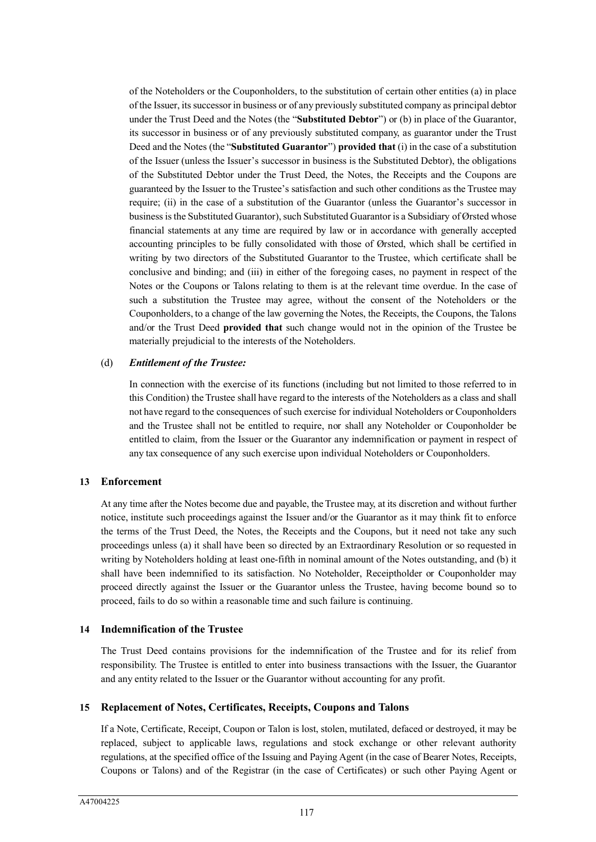of the Noteholders or the Couponholders, to the substitution of certain other entities (a) in place of the Issuer, its successor in business or of any previously substituted company as principal debtor under the Trust Deed and the Notes (the "**Substituted Debtor**") or (b) in place of the Guarantor, its successor in business or of any previously substituted company, as guarantor under the Trust Deed and the Notes (the "**Substituted Guarantor**") **provided that** (i) in the case of a substitution of the Issuer (unless the Issuer's successor in business is the Substituted Debtor), the obligations of the Substituted Debtor under the Trust Deed, the Notes, the Receipts and the Coupons are guaranteed by the Issuer to the Trustee's satisfaction and such other conditions as the Trustee may require; (ii) in the case of a substitution of the Guarantor (unless the Guarantor's successor in business is the Substituted Guarantor), such Substituted Guarantor is a Subsidiary of Ørsted whose financial statements at any time are required by law or in accordance with generally accepted accounting principles to be fully consolidated with those of Ørsted, which shall be certified in writing by two directors of the Substituted Guarantor to the Trustee, which certificate shall be conclusive and binding; and (iii) in either of the foregoing cases, no payment in respect of the Notes or the Coupons or Talons relating to them is at the relevant time overdue. In the case of such a substitution the Trustee may agree, without the consent of the Noteholders or the Couponholders, to a change of the law governing the Notes, the Receipts, the Coupons, the Talons and/or the Trust Deed **provided that** such change would not in the opinion of the Trustee be materially prejudicial to the interests of the Noteholders.

## (d) *Entitlement of the Trustee:*

In connection with the exercise of its functions (including but not limited to those referred to in this Condition) the Trustee shall have regard to the interests of the Noteholders as a class and shall not have regard to the consequences of such exercise for individual Noteholders or Couponholders and the Trustee shall not be entitled to require, nor shall any Noteholder or Couponholder be entitled to claim, from the Issuer or the Guarantor any indemnification or payment in respect of any tax consequence of any such exercise upon individual Noteholders or Couponholders.

# **13 Enforcement**

At any time after the Notes become due and payable, the Trustee may, at its discretion and without further notice, institute such proceedings against the Issuer and/or the Guarantor as it may think fit to enforce the terms of the Trust Deed, the Notes, the Receipts and the Coupons, but it need not take any such proceedings unless (a) it shall have been so directed by an Extraordinary Resolution or so requested in writing by Noteholders holding at least one-fifth in nominal amount of the Notes outstanding, and (b) it shall have been indemnified to its satisfaction. No Noteholder, Receiptholder or Couponholder may proceed directly against the Issuer or the Guarantor unless the Trustee, having become bound so to proceed, fails to do so within a reasonable time and such failure is continuing.

## **14 Indemnification of the Trustee**

The Trust Deed contains provisions for the indemnification of the Trustee and for its relief from responsibility. The Trustee is entitled to enter into business transactions with the Issuer, the Guarantor and any entity related to the Issuer or the Guarantor without accounting for any profit.

## **15 Replacement of Notes, Certificates, Receipts, Coupons and Talons**

If a Note, Certificate, Receipt, Coupon or Talon is lost, stolen, mutilated, defaced or destroyed, it may be replaced, subject to applicable laws, regulations and stock exchange or other relevant authority regulations, at the specified office of the Issuing and Paying Agent (in the case of Bearer Notes, Receipts, Coupons or Talons) and of the Registrar (in the case of Certificates) or such other Paying Agent or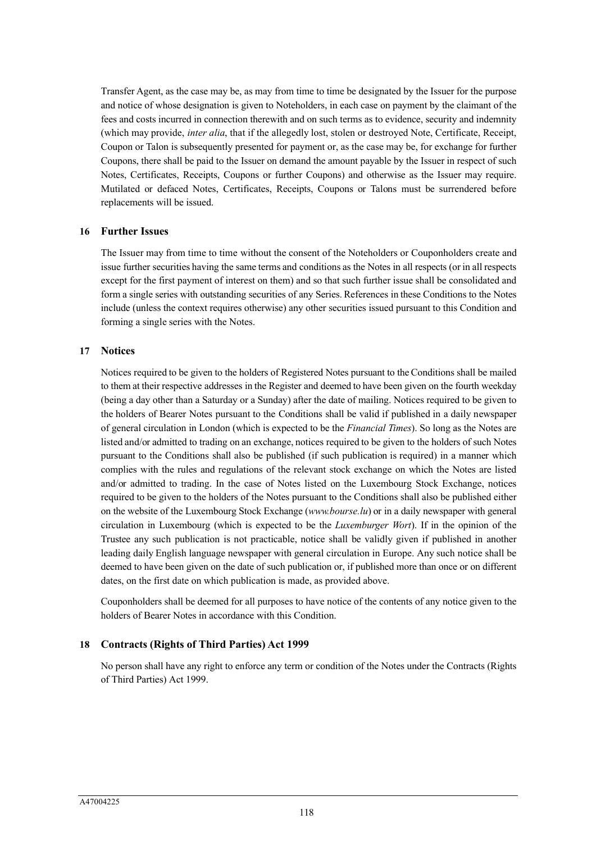Transfer Agent, as the case may be, as may from time to time be designated by the Issuer for the purpose and notice of whose designation is given to Noteholders, in each case on payment by the claimant of the fees and costs incurred in connection therewith and on such terms as to evidence, security and indemnity (which may provide, *inter alia*, that if the allegedly lost, stolen or destroyed Note, Certificate, Receipt, Coupon or Talon is subsequently presented for payment or, as the case may be, for exchange for further Coupons, there shall be paid to the Issuer on demand the amount payable by the Issuer in respect of such Notes, Certificates, Receipts, Coupons or further Coupons) and otherwise as the Issuer may require. Mutilated or defaced Notes, Certificates, Receipts, Coupons or Talons must be surrendered before replacements will be issued.

## **16 Further Issues**

The Issuer may from time to time without the consent of the Noteholders or Couponholders create and issue further securities having the same terms and conditions as the Notes in all respects (or in all respects except for the first payment of interest on them) and so that such further issue shall be consolidated and form a single series with outstanding securities of any Series. References in these Conditions to the Notes include (unless the context requires otherwise) any other securities issued pursuant to this Condition and forming a single series with the Notes.

## **17 Notices**

Notices required to be given to the holders of Registered Notes pursuant to the Conditions shall be mailed to them at their respective addresses in the Register and deemed to have been given on the fourth weekday (being a day other than a Saturday or a Sunday) after the date of mailing. Notices required to be given to the holders of Bearer Notes pursuant to the Conditions shall be valid if published in a daily newspaper of general circulation in London (which is expected to be the *Financial Times*). So long as the Notes are listed and/or admitted to trading on an exchange, notices required to be given to the holders of such Notes pursuant to the Conditions shall also be published (if such publication is required) in a manner which complies with the rules and regulations of the relevant stock exchange on which the Notes are listed and/or admitted to trading. In the case of Notes listed on the Luxembourg Stock Exchange, notices required to be given to the holders of the Notes pursuant to the Conditions shall also be published either on the website of the Luxembourg Stock Exchange (*www.bourse.lu*) or in a daily newspaper with general circulation in Luxembourg (which is expected to be the *Luxemburger Wort*). If in the opinion of the Trustee any such publication is not practicable, notice shall be validly given if published in another leading daily English language newspaper with general circulation in Europe. Any such notice shall be deemed to have been given on the date of such publication or, if published more than once or on different dates, on the first date on which publication is made, as provided above.

Couponholders shall be deemed for all purposes to have notice of the contents of any notice given to the holders of Bearer Notes in accordance with this Condition.

## **18 Contracts (Rights of Third Parties) Act 1999**

No person shall have any right to enforce any term or condition of the Notes under the Contracts (Rights of Third Parties) Act 1999.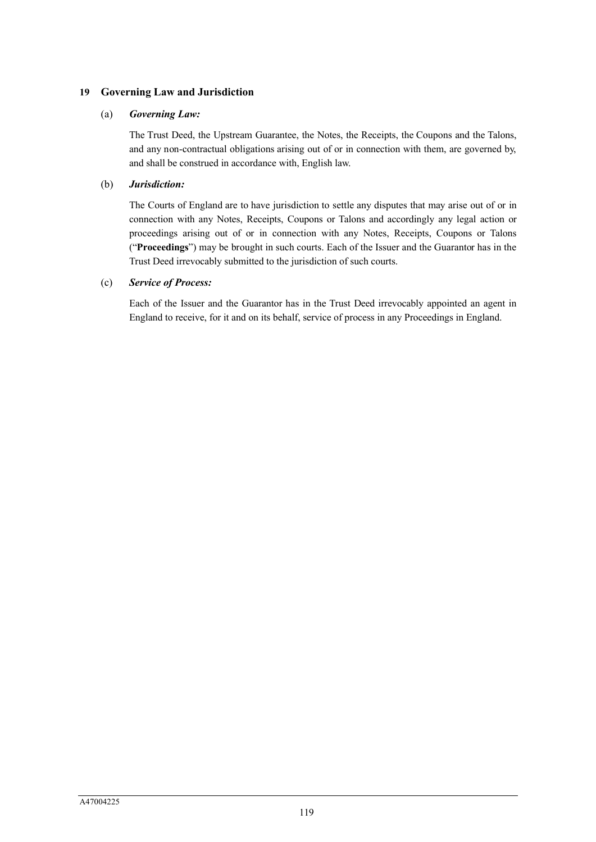# **19 Governing Law and Jurisdiction**

## (a) *Governing Law:*

The Trust Deed, the Upstream Guarantee, the Notes, the Receipts, the Coupons and the Talons, and any non-contractual obligations arising out of or in connection with them, are governed by, and shall be construed in accordance with, English law.

# (b) *Jurisdiction:*

The Courts of England are to have jurisdiction to settle any disputes that may arise out of or in connection with any Notes, Receipts, Coupons or Talons and accordingly any legal action or proceedings arising out of or in connection with any Notes, Receipts, Coupons or Talons ("**Proceedings**") may be brought in such courts. Each of the Issuer and the Guarantor has in the Trust Deed irrevocably submitted to the jurisdiction of such courts.

# (c) *Service of Process:*

Each of the Issuer and the Guarantor has in the Trust Deed irrevocably appointed an agent in England to receive, for it and on its behalf, service of process in any Proceedings in England.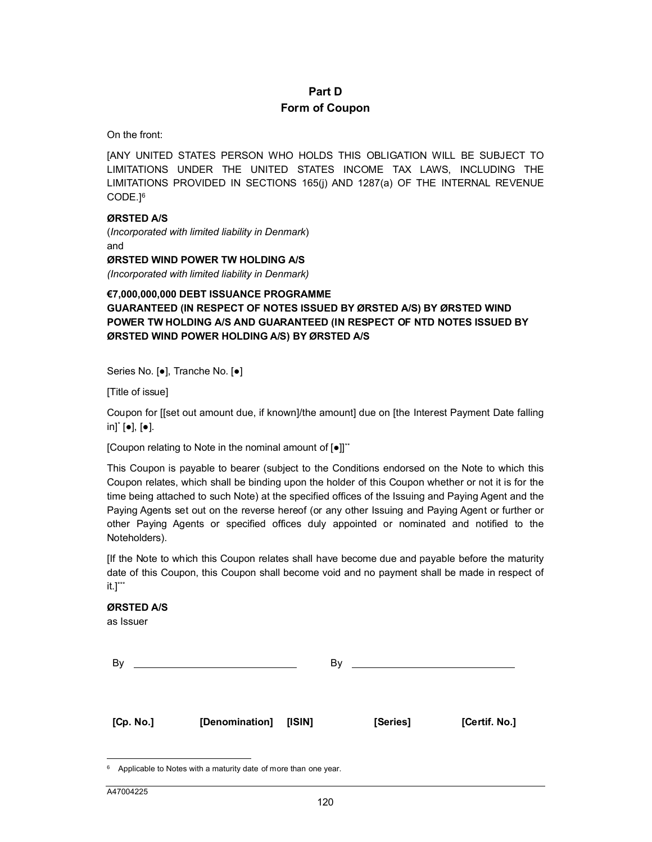# **Part D Form of Coupon**

#### On the front:

[A[N](#page-113-0)Y UNITED STATES PERSON WHO HOLDS THIS OBLIGATION WILL BE SUBJECT TO LIMITATIONS UNDER THE UNITED STATES INCOME TAX LAWS, INCLUDING THE LIMITATIONS PROVIDED IN SECTIONS 165(j) AND 1287(a) OF THE INTERNAL REVENUE CODE.] 6

#### **ØRSTED A/S**

(*Incorporated with limited liability in Denmark*) and **ØRSTED WIND POWER TW HOLDING A/S**

*(Incorporated with limited liability in Denmark)*

# **€7,000,000,000 DEBT ISSUANCE PROGRAMME GUARANTEED (IN RESPECT OF NOTES ISSUED BY ØRSTED A/S) BY ØRSTED WIND POWER TW HOLDING A/S AND GUARANTEED (IN RESPECT OF NTD NOTES ISSUED BY ØRSTED WIND POWER HOLDING A/S) BY ØRSTED A/S**

Series No. [●], Tranche No. [●]

[Title of issue]

Coupon for [[set out amount due, if known]/the amount] due on [the Interest Payment Date falling in]\* [●], [●].

[Coupon relating to Note in the nominal amount of [●]] \*\*

This Coupon is payable to bearer (subject to the Conditions endorsed on the Note to which this Coupon relates, which shall be binding upon the holder of this Coupon whether or not it is for the time being attached to such Note) at the specified offices of the Issuing and Paying Agent and the Paying Agents set out on the reverse hereof (or any other Issuing and Paying Agent or further or other Paying Agents or specified offices duly appointed or nominated and notified to the Noteholders).

[If the Note to which this Coupon relates shall have become due and payable before the maturity date of this Coupon, this Coupon shall become void and no payment shall be made in respect of  $\mathsf{it.1}^{***}$ 

#### **ØRSTED A/S**

as Issuer

| Bv        |                       | Bv |          |               |
|-----------|-----------------------|----|----------|---------------|
|           |                       |    |          |               |
| [Cp. No.] | [Denomination] [ISIN] |    | [Series] | [Certif. No.] |

 $\overline{a}$ 

<span id="page-113-0"></span> $6$  Applicable to Notes with a maturity date of more than one year.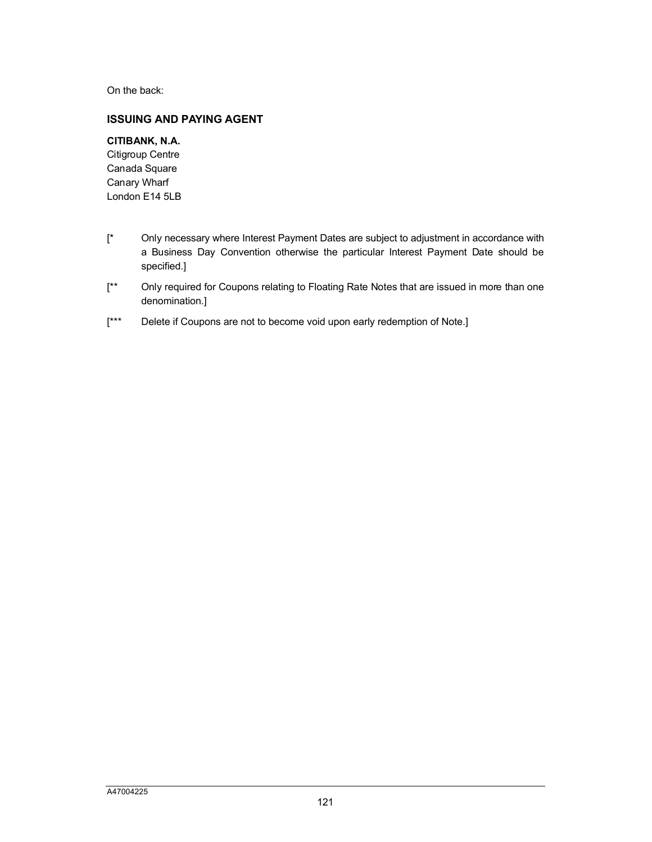On the back:

# **ISSUING AND PAYING AGENT**

# **CITIBANK, N.A.**

Citigroup Centre Canada Square Canary Wharf London E14 5LB

- [\* Only necessary where Interest Payment Dates are subject to adjustment in accordance with a Business Day Convention otherwise the particular Interest Payment Date should be specified.]
- [\*\* Only required for Coupons relating to Floating Rate Notes that are issued in more than one denomination.]
- [\*\*\* Delete if Coupons are not to become void upon early redemption of Note.]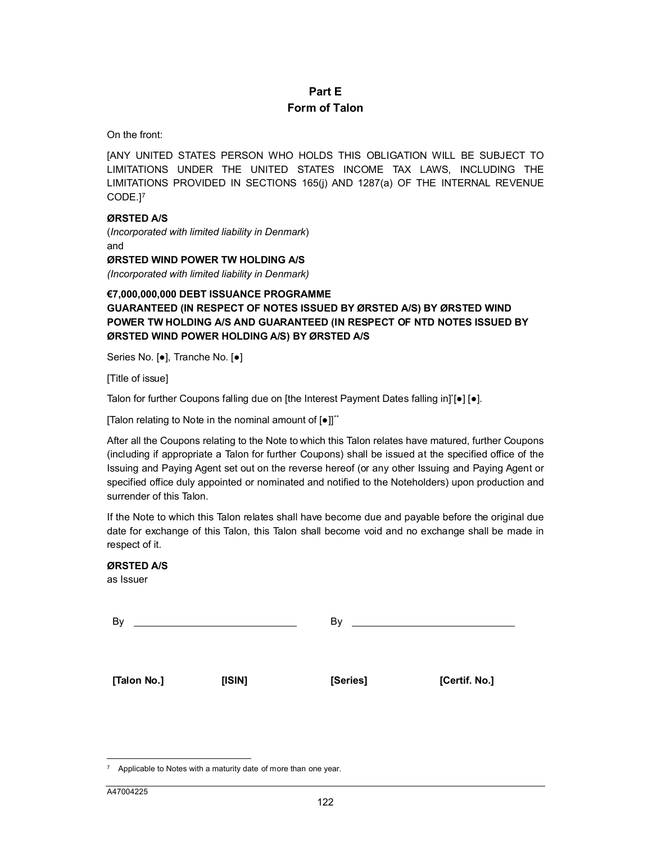# **Part E Form of Talon**

On the front:

[A[N](#page-115-0)Y UNITED STATES PERSON WHO HOLDS THIS OBLIGATION WILL BE SUBJECT TO LIMITATIONS UNDER THE UNITED STATES INCOME TAX LAWS, INCLUDING THE LIMITATIONS PROVIDED IN SECTIONS 165(j) AND 1287(a) OF THE INTERNAL REVENUE CODE.] 7

#### **ØRSTED A/S**

(*Incorporated with limited liability in Denmark*) and

**ØRSTED WIND POWER TW HOLDING A/S**

*(Incorporated with limited liability in Denmark)*

# **€7,000,000,000 DEBT ISSUANCE PROGRAMME GUARANTEED (IN RESPECT OF NOTES ISSUED BY ØRSTED A/S) BY ØRSTED WIND POWER TW HOLDING A/S AND GUARANTEED (IN RESPECT OF NTD NOTES ISSUED BY ØRSTED WIND POWER HOLDING A/S) BY ØRSTED A/S**

Series No. [●], Tranche No. [●]

[Title of issue]

Talon for further Coupons falling due on [the Interest Payment Dates falling in]\*[●] [●].

[Talon relating to Note in the nominal amount of [●]]<sup>\*\*</sup>

After all the Coupons relating to the Note to which this Talon relates have matured, further Coupons (including if appropriate a Talon for further Coupons) shall be issued at the specified office of the Issuing and Paying Agent set out on the reverse hereof (or any other Issuing and Paying Agent or specified office duly appointed or nominated and notified to the Noteholders) upon production and surrender of this Talon.

If the Note to which this Talon relates shall have become due and payable before the original due date for exchange of this Talon, this Talon shall become void and no exchange shall be made in respect of it.

#### **ØRSTED A/S**

as Issuer

By By **[Talon No.] [ISIN] [Series] [Certif. No.]**

 $\overline{a}$ 

<span id="page-115-0"></span> $7$  Applicable to Notes with a maturity date of more than one year.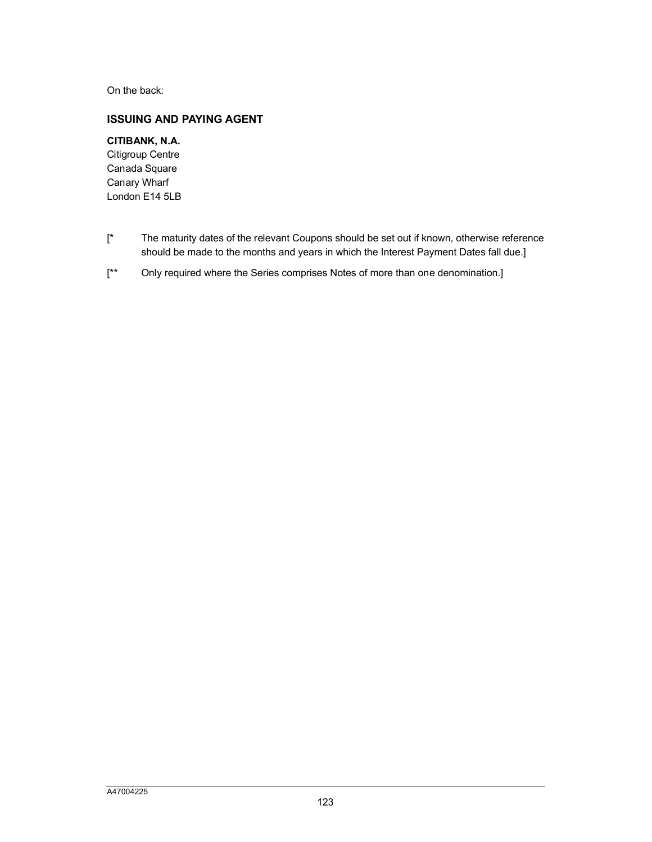On the back:

# **ISSUING AND PAYING AGENT**

# **CITIBANK, N.A.**

Citigroup Centre Canada Square Canary Wharf London E14 5LB

- [\* The maturity dates of the relevant Coupons should be set out if known, otherwise reference should be made to the months and years in which the Interest Payment Dates fall due.]
- [\*\* Only required where the Series comprises Notes of more than one denomination.]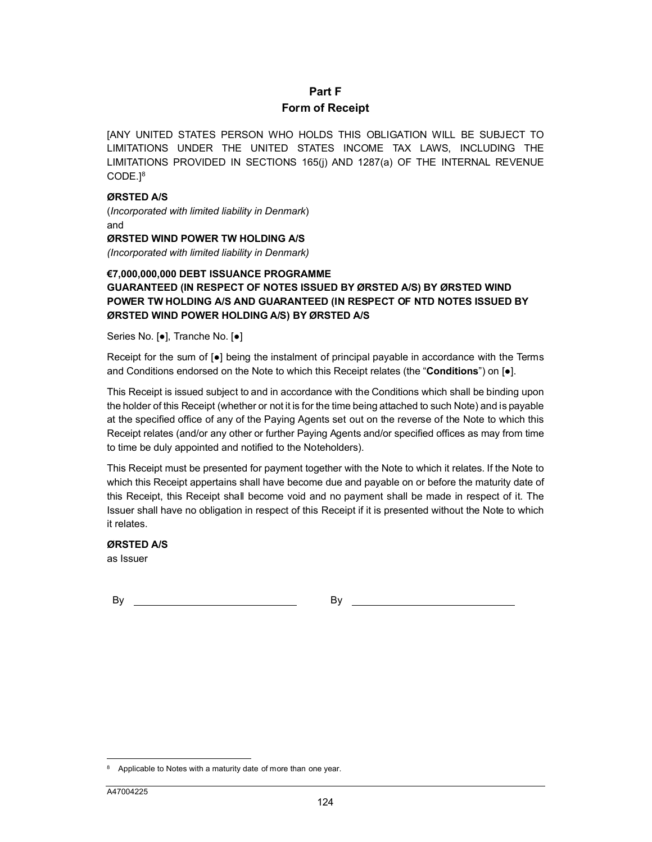# **Part F Form of Receipt**

[A[N](#page-117-0)Y UNITED STATES PERSON WHO HOLDS THIS OBLIGATION WILL BE SUBJECT TO LIMITATIONS UNDER THE UNITED STATES INCOME TAX LAWS, INCLUDING THE LIMITATIONS PROVIDED IN SECTIONS 165(j) AND 1287(a) OF THE INTERNAL REVENUE CODE.] 8

#### **ØRSTED A/S**

(*Incorporated with limited liability in Denmark*) and

**ØRSTED WIND POWER TW HOLDING A/S**

*(Incorporated with limited liability in Denmark)*

#### **€7,000,000,000 DEBT ISSUANCE PROGRAMME**

# **GUARANTEED (IN RESPECT OF NOTES ISSUED BY ØRSTED A/S) BY ØRSTED WIND POWER TW HOLDING A/S AND GUARANTEED (IN RESPECT OF NTD NOTES ISSUED BY ØRSTED WIND POWER HOLDING A/S) BY ØRSTED A/S**

Series No. [●], Tranche No. [●]

Receipt for the sum of [●] being the instalment of principal payable in accordance with the Terms and Conditions endorsed on the Note to which this Receipt relates (the "**Conditions**") on [●].

This Receipt is issued subject to and in accordance with the Conditions which shall be binding upon the holder of this Receipt (whether or not it is for the time being attached to such Note) and is payable at the specified office of any of the Paying Agents set out on the reverse of the Note to which this Receipt relates (and/or any other or further Paying Agents and/or specified offices as may from time to time be duly appointed and notified to the Noteholders).

This Receipt must be presented for payment together with the Note to which it relates. If the Note to which this Receipt appertains shall have become due and payable on or before the maturity date of this Receipt, this Receipt shall become void and no payment shall be made in respect of it. The Issuer shall have no obligation in respect of this Receipt if it is presented without the Note to which it relates.

# **ØRSTED A/S**

as Issuer

By By

 $\overline{a}$ 

<span id="page-117-0"></span><sup>&</sup>lt;sup>8</sup> Applicable to Notes with a maturity date of more than one year.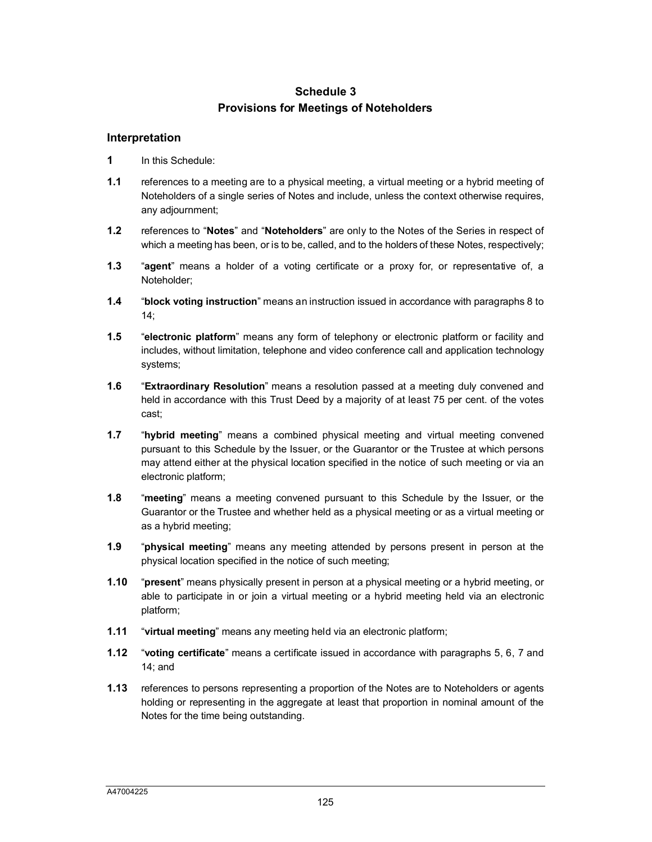# **Schedule 3 Provisions for Meetings of Noteholders**

## **Interpretation**

- **1** In this Schedule:
- **1.1** references to a meeting are to a physical meeting, a virtual meeting or a hybrid meeting of Noteholders of a single series of Notes and include, unless the context otherwise requires, any adjournment;
- **1.2** references to "**Notes**" and "**Noteholders**" are only to the Notes of the Series in respect of which a meeting has been, or is to be, called, and to the holders of these Notes, respectively;
- **1.3** "**agent**" means a holder of a voting certificate or a proxy for, or representative of, a Noteholder;
- **1.4** "**block voting instruction**" means an instruction issued in accordance with paragraphs 8 to 14;
- **1.5** "**electronic platform**" means any form of telephony or electronic platform or facility and includes, without limitation, telephone and video conference call and application technology systems;
- **1.6** "**Extraordinary Resolution**" means a resolution passed at a meeting duly convened and held in accordance with this Trust Deed by a majority of at least 75 per cent. of the votes cast;
- **1.7** "**hybrid meeting**" means a combined physical meeting and virtual meeting convened pursuant to this Schedule by the Issuer, or the Guarantor or the Trustee at which persons may attend either at the physical location specified in the notice of such meeting or via an electronic platform;
- **1.8** "**meeting**" means a meeting convened pursuant to this Schedule by the Issuer, or the Guarantor or the Trustee and whether held as a physical meeting or as a virtual meeting or as a hybrid meeting;
- **1.9** "**physical meeting**" means any meeting attended by persons present in person at the physical location specified in the notice of such meeting;
- **1.10** "**present**" means physically present in person at a physical meeting or a hybrid meeting, or able to participate in or join a virtual meeting or a hybrid meeting held via an electronic platform;
- **1.11** "**virtual meeting**" means any meeting held via an electronic platform;
- **1.12** "**voting certificate**" means a certificate issued in accordance with paragraphs 5, 6, 7 and 14; and
- **1.13** references to persons representing a proportion of the Notes are to Noteholders or agents holding or representing in the aggregate at least that proportion in nominal amount of the Notes for the time being outstanding.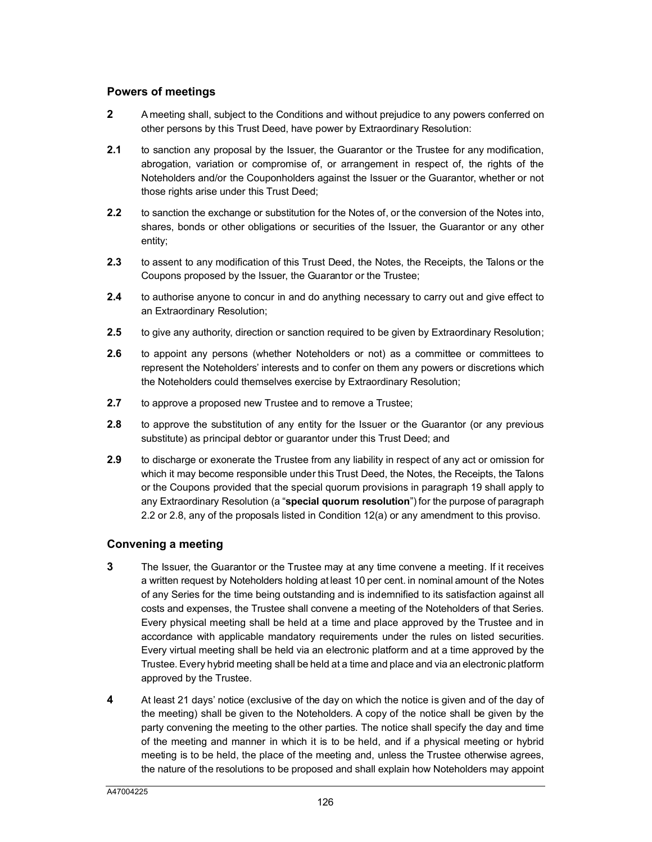# **Powers of meetings**

- **2** A meeting shall, subject to the Conditions and without prejudice to any powers conferred on other persons by this Trust Deed, have power by Extraordinary Resolution:
- **2.1** to sanction any proposal by the Issuer, the Guarantor or the Trustee for any modification, abrogation, variation or compromise of, or arrangement in respect of, the rights of the Noteholders and/or the Couponholders against the Issuer or the Guarantor, whether or not those rights arise under this Trust Deed;
- **2.2** to sanction the exchange or substitution for the Notes of, or the conversion of the Notes into, shares, bonds or other obligations or securities of the Issuer, the Guarantor or any other entity;
- **2.3** to assent to any modification of this Trust Deed, the Notes, the Receipts, the Talons or the Coupons proposed by the Issuer, the Guarantor or the Trustee;
- **2.4** to authorise anyone to concur in and do anything necessary to carry out and give effect to an Extraordinary Resolution;
- **2.5** to give any authority, direction or sanction required to be given by Extraordinary Resolution;
- **2.6** to appoint any persons (whether Noteholders or not) as a committee or committees to represent the Noteholders' interests and to confer on them any powers or discretions which the Noteholders could themselves exercise by Extraordinary Resolution;
- **2.7** to approve a proposed new Trustee and to remove a Trustee;
- **2.8** to approve the substitution of any entity for the Issuer or the Guarantor (or any previous substitute) as principal debtor or guarantor under this Trust Deed; and
- **2.9** to discharge or exonerate the Trustee from any liability in respect of any act or omission for which it may become responsible under this Trust Deed, the Notes, the Receipts, the Talons or the Coupons provided that the special quorum provisions in paragraph 19 shall apply to any Extraordinary Resolution (a "**special quorum resolution**") for the purpose of paragraph 2.2 or 2.8, any of the proposals listed in Condition 12(a) or any amendment to this proviso.

## **Convening a meeting**

- **3** The Issuer, the Guarantor or the Trustee may at any time convene a meeting. If it receives a written request by Noteholders holding at least 10 per cent. in nominal amount of the Notes of any Series for the time being outstanding and is indemnified to its satisfaction against all costs and expenses, the Trustee shall convene a meeting of the Noteholders of that Series. Every physical meeting shall be held at a time and place approved by the Trustee and in accordance with applicable mandatory requirements under the rules on listed securities. Every virtual meeting shall be held via an electronic platform and at a time approved by the Trustee. Every hybrid meeting shall be held at a time and place and via an electronic platform approved by the Trustee.
- **4** At least 21 days' notice (exclusive of the day on which the notice is given and of the day of the meeting) shall be given to the Noteholders. A copy of the notice shall be given by the party convening the meeting to the other parties. The notice shall specify the day and time of the meeting and manner in which it is to be held, and if a physical meeting or hybrid meeting is to be held, the place of the meeting and, unless the Trustee otherwise agrees, the nature of the resolutions to be proposed and shall explain how Noteholders may appoint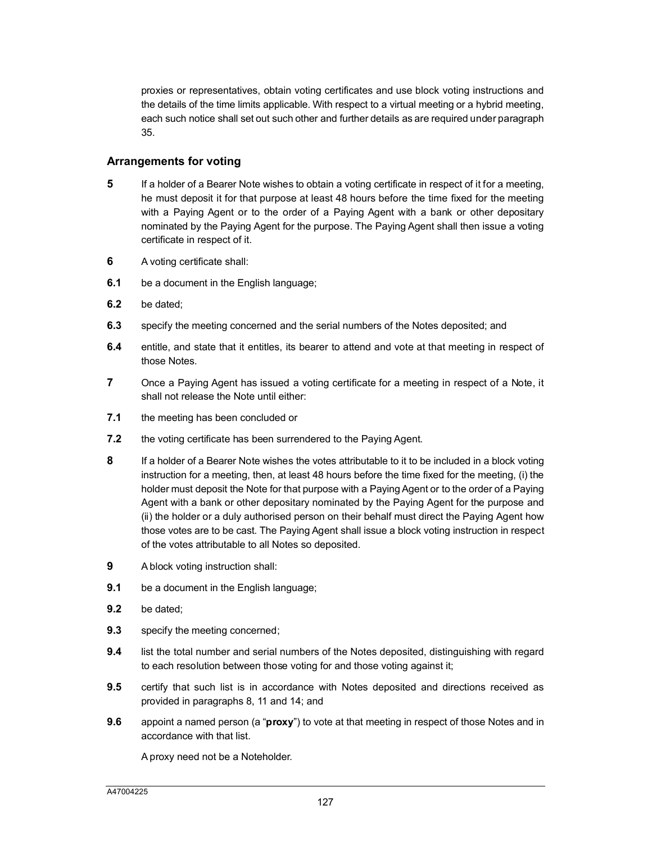proxies or representatives, obtain voting certificates and use block voting instructions and the details of the time limits applicable. With respect to a virtual meeting or a hybrid meeting, each such notice shall set out such other and further details as are required under paragraph 35.

## **Arrangements for voting**

- **5** If a holder of a Bearer Note wishes to obtain a voting certificate in respect of it for a meeting, he must deposit it for that purpose at least 48 hours before the time fixed for the meeting with a Paying Agent or to the order of a Paying Agent with a bank or other depositary nominated by the Paying Agent for the purpose. The Paying Agent shall then issue a voting certificate in respect of it.
- **6** A voting certificate shall:
- **6.1** be a document in the English language;
- **6.2** be dated;
- **6.3** specify the meeting concerned and the serial numbers of the Notes deposited; and
- **6.4** entitle, and state that it entitles, its bearer to attend and vote at that meeting in respect of those Notes.
- **7** Once a Paying Agent has issued a voting certificate for a meeting in respect of a Note, it shall not release the Note until either:
- **7.1** the meeting has been concluded or
- **7.2** the voting certificate has been surrendered to the Paying Agent.
- **8** If a holder of a Bearer Note wishes the votes attributable to it to be included in a block voting instruction for a meeting, then, at least 48 hours before the time fixed for the meeting, (i) the holder must deposit the Note for that purpose with a Paying Agent or to the order of a Paying Agent with a bank or other depositary nominated by the Paying Agent for the purpose and (ii) the holder or a duly authorised person on their behalf must direct the Paying Agent how those votes are to be cast. The Paying Agent shall issue a block voting instruction in respect of the votes attributable to all Notes so deposited.
- **9** A block voting instruction shall:
- **9.1** be a document in the English language;
- **9.2** be dated;
- **9.3** specify the meeting concerned;
- **9.4** list the total number and serial numbers of the Notes deposited, distinguishing with regard to each resolution between those voting for and those voting against it;
- **9.5** certify that such list is in accordance with Notes deposited and directions received as provided in paragraphs 8, 11 and 14; and
- **9.6** appoint a named person (a "**proxy**") to vote at that meeting in respect of those Notes and in accordance with that list.

A proxy need not be a Noteholder.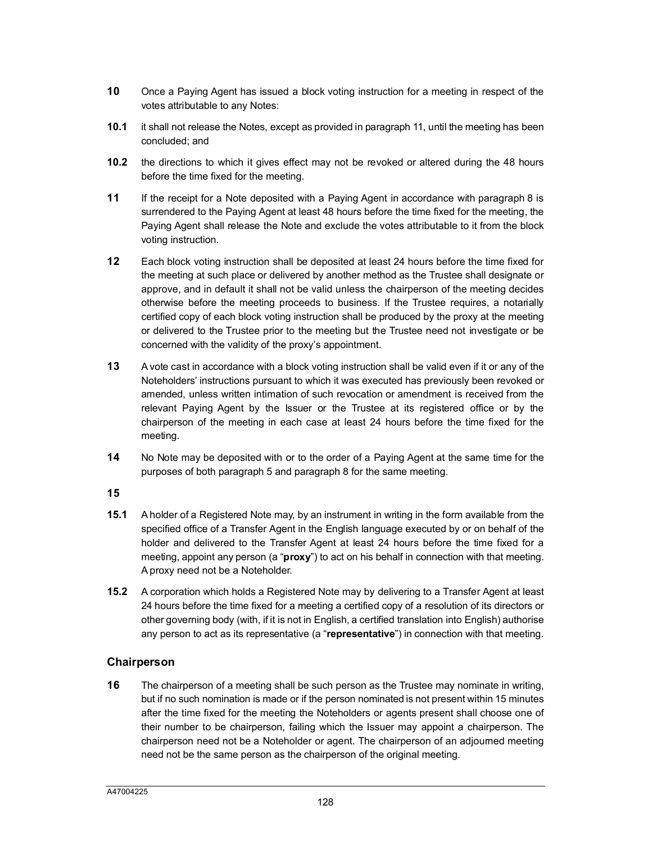- **10** Once a Paying Agent has issued a block voting instruction for a meeting in respect of the votes attributable to any Notes:
- **10.1** it shall not release the Notes, except as provided in paragraph 11, until the meeting has been concluded; and
- **10.2** the directions to which it gives effect may not be revoked or altered during the 48 hours before the time fixed for the meeting.
- **11** If the receipt for a Note deposited with a Paying Agent in accordance with paragraph 8 is surrendered to the Paying Agent at least 48 hours before the time fixed for the meeting, the Paying Agent shall release the Note and exclude the votes attributable to it from the block voting instruction.
- **12** Each block voting instruction shall be deposited at least 24 hours before the time fixed for the meeting at such place or delivered by another method as the Trustee shall designate or approve, and in default it shall not be valid unless the chairperson of the meeting decides otherwise before the meeting proceeds to business. If the Trustee requires, a notarially certified copy of each block voting instruction shall be produced by the proxy at the meeting or delivered to the Trustee prior to the meeting but the Trustee need not investigate or be concerned with the validity of the proxy's appointment.
- **13** A vote cast in accordance with a block voting instruction shall be valid even if it or any of the Noteholders' instructions pursuant to which it was executed has previously been revoked or amended, unless written intimation of such revocation or amendment is received from the relevant Paying Agent by the Issuer or the Trustee at its registered office or by the chairperson of the meeting in each case at least 24 hours before the time fixed for the meeting.
- **14** No Note may be deposited with or to the order of a Paying Agent at the same time for the purposes of both paragraph 5 and paragraph 8 for the same meeting.
- **15**
- **15.1** A holder of a Registered Note may, by an instrument in writing in the form available from the specified office of a Transfer Agent in the English language executed by or on behalf of the holder and delivered to the Transfer Agent at least 24 hours before the time fixed for a meeting, appoint any person (a "**proxy**") to act on his behalf in connection with that meeting. A proxy need not be a Noteholder.
- **15.2** A corporation which holds a Registered Note may by delivering to a Transfer Agent at least 24 hours before the time fixed for a meeting a certified copy of a resolution of its directors or other governing body (with, if it is not in English, a certified translation into English) authorise any person to act as its representative (a "**representative**") in connection with that meeting.

# **Chairperson**

**16** The chairperson of a meeting shall be such person as the Trustee may nominate in writing, but if no such nomination is made or if the person nominated is not present within 15 minutes after the time fixed for the meeting the Noteholders or agents present shall choose one of their number to be chairperson, failing which the Issuer may appoint a chairperson. The chairperson need not be a Noteholder or agent. The chairperson of an adjourned meeting need not be the same person as the chairperson of the original meeting.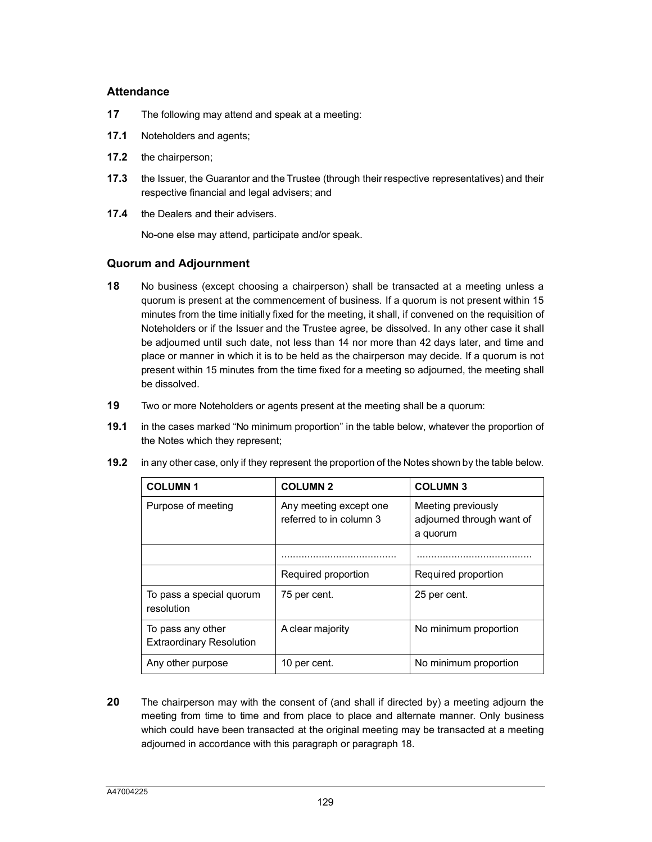#### **Attendance**

- **17** The following may attend and speak at a meeting:
- **17.1** Noteholders and agents;
- **17.2** the chairperson;
- **17.3** the Issuer, the Guarantor and the Trustee (through their respective representatives) and their respective financial and legal advisers; and
- **17.4** the Dealers and their advisers.

No-one else may attend, participate and/or speak.

## **Quorum and Adjournment**

- **18** No business (except choosing a chairperson) shall be transacted at a meeting unless a quorum is present at the commencement of business. If a quorum is not present within 15 minutes from the time initially fixed for the meeting, it shall, if convened on the requisition of Noteholders or if the Issuer and the Trustee agree, be dissolved. In any other case it shall be adjourned until such date, not less than 14 nor more than 42 days later, and time and place or manner in which it is to be held as the chairperson may decide. If a quorum is not present within 15 minutes from the time fixed for a meeting so adjourned, the meeting shall be dissolved.
- **19** Two or more Noteholders or agents present at the meeting shall be a quorum:
- **19.1** in the cases marked "No minimum proportion" in the table below, whatever the proportion of the Notes which they represent;
- **19.2** in any other case, only if they represent the proportion of the Notes shown by the table below.

| <b>COLUMN1</b>                                       | <b>COLUMN 2</b>                                   | <b>COLUMN 3</b>                                             |  |
|------------------------------------------------------|---------------------------------------------------|-------------------------------------------------------------|--|
| Purpose of meeting                                   | Any meeting except one<br>referred to in column 3 | Meeting previously<br>adjourned through want of<br>a quorum |  |
|                                                      |                                                   |                                                             |  |
|                                                      | Required proportion                               | Required proportion                                         |  |
| To pass a special quorum<br>resolution               | 75 per cent.                                      | 25 per cent.                                                |  |
| To pass any other<br><b>Extraordinary Resolution</b> | A clear majority                                  | No minimum proportion                                       |  |
| Any other purpose                                    | 10 per cent.                                      | No minimum proportion                                       |  |

**20** The chairperson may with the consent of (and shall if directed by) a meeting adjourn the meeting from time to time and from place to place and alternate manner. Only business which could have been transacted at the original meeting may be transacted at a meeting adjourned in accordance with this paragraph or paragraph 18.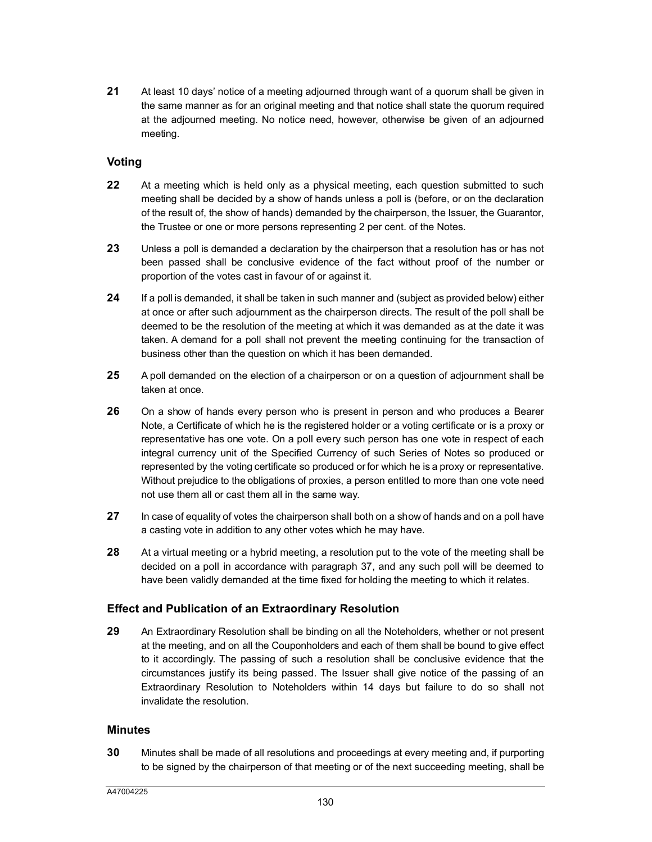**21** At least 10 days' notice of a meeting adjourned through want of a quorum shall be given in the same manner as for an original meeting and that notice shall state the quorum required at the adjourned meeting. No notice need, however, otherwise be given of an adjourned meeting.

# **Voting**

- **22** At a meeting which is held only as a physical meeting, each question submitted to such meeting shall be decided by a show of hands unless a poll is (before, or on the declaration of the result of, the show of hands) demanded by the chairperson, the Issuer, the Guarantor, the Trustee or one or more persons representing 2 per cent. of the Notes.
- **23** Unless a poll is demanded a declaration by the chairperson that a resolution has or has not been passed shall be conclusive evidence of the fact without proof of the number or proportion of the votes cast in favour of or against it.
- **24** If a poll is demanded, it shall be taken in such manner and (subject as provided below) either at once or after such adjournment as the chairperson directs. The result of the poll shall be deemed to be the resolution of the meeting at which it was demanded as at the date it was taken. A demand for a poll shall not prevent the meeting continuing for the transaction of business other than the question on which it has been demanded.
- **25** A poll demanded on the election of a chairperson or on a question of adjournment shall be taken at once.
- **26** On a show of hands every person who is present in person and who produces a Bearer Note, a Certificate of which he is the registered holder or a voting certificate or is a proxy or representative has one vote. On a poll every such person has one vote in respect of each integral currency unit of the Specified Currency of such Series of Notes so produced or represented by the voting certificate so produced or for which he is a proxy or representative. Without prejudice to the obligations of proxies, a person entitled to more than one vote need not use them all or cast them all in the same way.
- **27** In case of equality of votes the chairperson shall both on a show of hands and on a poll have a casting vote in addition to any other votes which he may have.
- **28** At a virtual meeting or a hybrid meeting, a resol[ution](#page-125-0) put to the vote of the meeting shall be decided on a poll in accordance with paragraph 37, and any such poll will be deemed to have been validly demanded at the time fixed for holding the meeting to which it relates.

## **Effect and Publication of an Extraordinary Resolution**

**29** An Extraordinary Resolution shall be binding on all the Noteholders, whether or not present at the meeting, and on all the Couponholders and each of them shall be bound to give effect to it accordingly. The passing of such a resolution shall be conclusive evidence that the circumstances justify its being passed. The Issuer shall give notice of the passing of an Extraordinary Resolution to Noteholders within 14 days but failure to do so shall not invalidate the resolution.

## **Minutes**

**30** Minutes shall be made of all resolutions and proceedings at every meeting and, if purporting to be signed by the chairperson of that meeting or of the next succeeding meeting, shall be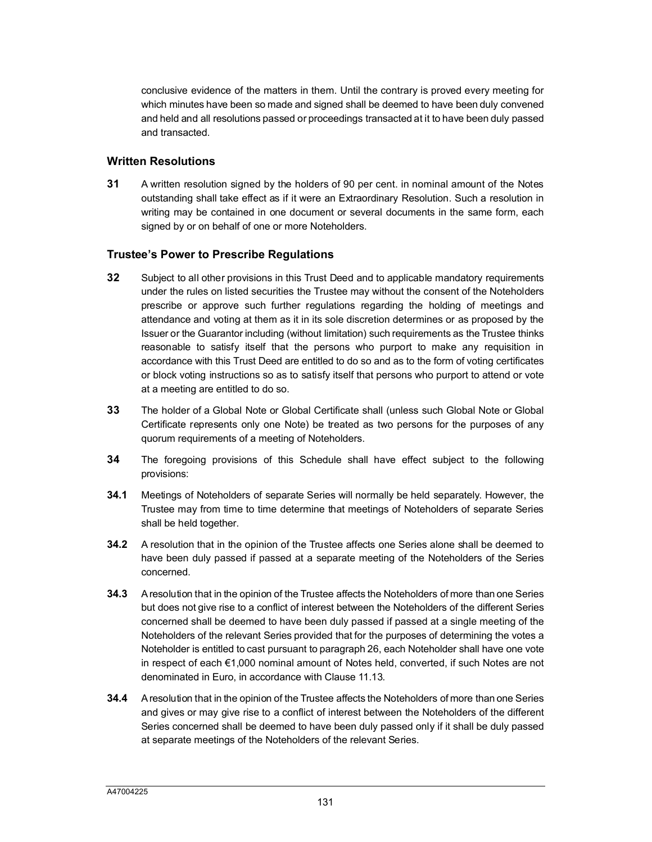conclusive evidence of the matters in them. Until the contrary is proved every meeting for which minutes have been so made and signed shall be deemed to have been duly convened and held and all resolutions passed or proceedings transacted at it to have been duly passed and transacted.

## **Written Resolutions**

**31** A written resolution signed by the holders of 90 per cent. in nominal amount of the Notes outstanding shall take effect as if it were an Extraordinary Resolution. Such a resolution in writing may be contained in one document or several documents in the same form, each signed by or on behalf of one or more Noteholders.

# **Trustee's Power to Prescribe Regulations**

- **32** Subject to all other provisions in this Trust Deed and to applicable mandatory requirements under the rules on listed securities the Trustee may without the consent of the Noteholders prescribe or approve such further regulations regarding the holding of meetings and attendance and voting at them as it in its sole discretion determines or as proposed by the Issuer or the Guarantor including (without limitation) such requirements as the Trustee thinks reasonable to satisfy itself that the persons who purport to make any requisition in accordance with this Trust Deed are entitled to do so and as to the form of voting certificates or block voting instructions so as to satisfy itself that persons who purport to attend or vote at a meeting are entitled to do so.
- **33** The holder of a Global Note or Global Certificate shall (unless such Global Note or Global Certificate represents only one Note) be treated as two persons for the purposes of any quorum requirements of a meeting of Noteholders.
- **34** The foregoing provisions of this Schedule shall have effect subject to the following provisions:
- **34.1** Meetings of Noteholders of separate Series will normally be held separately. However, the Trustee may from time to time determine that meetings of Noteholders of separate Series shall be held together.
- **34.2** A resolution that in the opinion of the Trustee affects one Series alone shall be deemed to have been duly passed if passed at a separate meeting of the Noteholders of the Series concerned.
- **34.3** A resolution that in the opinion of the Trustee affects the Noteholders of more than one Series but does not give rise to a conflict of interest between the Noteholders of the different Series concerned shall be deemed to have been duly passed if passed at a single meeting of the Noteholders of the relevant Series provided that for the purposes of determining the votes a Noteholder is entitled to cast pursuant to paragraph 26, each Noteholder shall have one vote in respect of each €1,000 nominal amount of Notes held, converted, if such Notes are not denominated in Euro, in accordance with Clau[se 11.13](#page-21-0).
- **34.4** A resolution that in the opinion of the Trustee affects the Noteholders of more than one Series and gives or may give rise to a conflict of interest between the Noteholders of the different Series concerned shall be deemed to have been duly passed only if it shall be duly passed at separate meetings of the Noteholders of the relevant Series.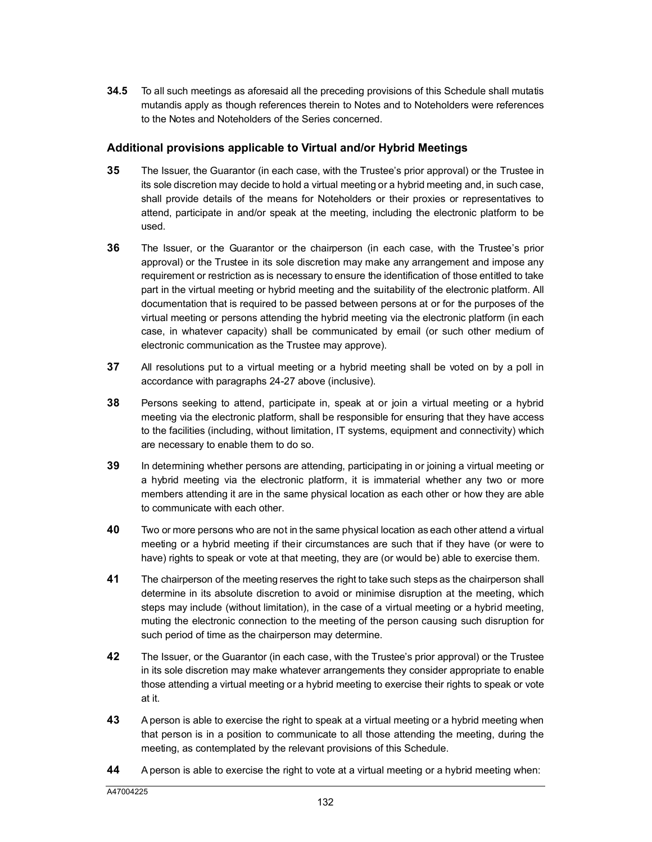**34.5** To all such meetings as aforesaid all the preceding provisions of this Schedule shall mutatis mutandis apply as though references therein to Notes and to Noteholders were references to the Notes and Noteholders of the Series concerned.

# **Additional provisions applicable to Virtual and/or Hybrid Meetings**

- **35** The Issuer, the Guarantor (in each case, with the Trustee's prior approval) or the Trustee in its sole discretion may decide to hold a virtual meeting or a hybrid meeting and, in such case, shall provide details of the means for Noteholders or their proxies or representatives to attend, participate in and/or speak at the meeting, including the electronic platform to be used.
- **36** The Issuer, or the Guarantor or the chairperson (in each case, with the Trustee's prior approval) or the Trustee in its sole discretion may make any arrangement and impose any requirement or restriction as is necessary to ensure the identification of those entitled to take part in the virtual meeting or hybrid meeting and the suitability of the electronic platform. All documentation that is required to be passed between persons at or for the purposes of the virtual meeting or persons attending the hybrid meeting via the electronic platform (in each case, in whatever capacity) shall be communicated by email (or such other medium of electronic communication as the Trustee may approve).
- <span id="page-125-0"></span>**37** All resolutions put to a virtual meeting or a hybrid meeting shall be voted on by a poll in accordance with paragraphs 24-27 above (inclusive).
- **38** Persons seeking to attend, participate in, speak at or join a virtual meeting or a hybrid meeting via the electronic platform, shall be responsible for ensuring that they have access to the facilities (including, without limitation, IT systems, equipment and connectivity) which are necessary to enable them to do so.
- **39** In determining whether persons are attending, participating in or joining a virtual meeting or a hybrid meeting via the electronic platform, it is immaterial whether any two or more members attending it are in the same physical location as each other or how they are able to communicate with each other.
- **40** Two or more persons who are not in the same physical location as each other attend a virtual meeting or a hybrid meeting if their circumstances are such that if they have (or were to have) rights to speak or vote at that meeting, they are (or would be) able to exercise them.
- **41** The chairperson of the meeting reserves the right to take such steps as the chairperson shall determine in its absolute discretion to avoid or minimise disruption at the meeting, which steps may include (without limitation), in the case of a virtual meeting or a hybrid meeting, muting the electronic connection to the meeting of the person causing such disruption for such period of time as the chairperson may determine.
- **42** The Issuer, or the Guarantor (in each case, with the Trustee's prior approval) or the Trustee in its sole discretion may make whatever arrangements they consider appropriate to enable those attending a virtual meeting or a hybrid meeting to exercise their rights to speak or vote at it.
- **43** A person is able to exercise the right to speak at a virtual meeting or a hybrid meeting when that person is in a position to communicate to all those attending the meeting, during the meeting, as contemplated by the relevant provisions of this Schedule.
- **44** A person is able to exercise the right to vote at a virtual meeting or a hybrid meeting when: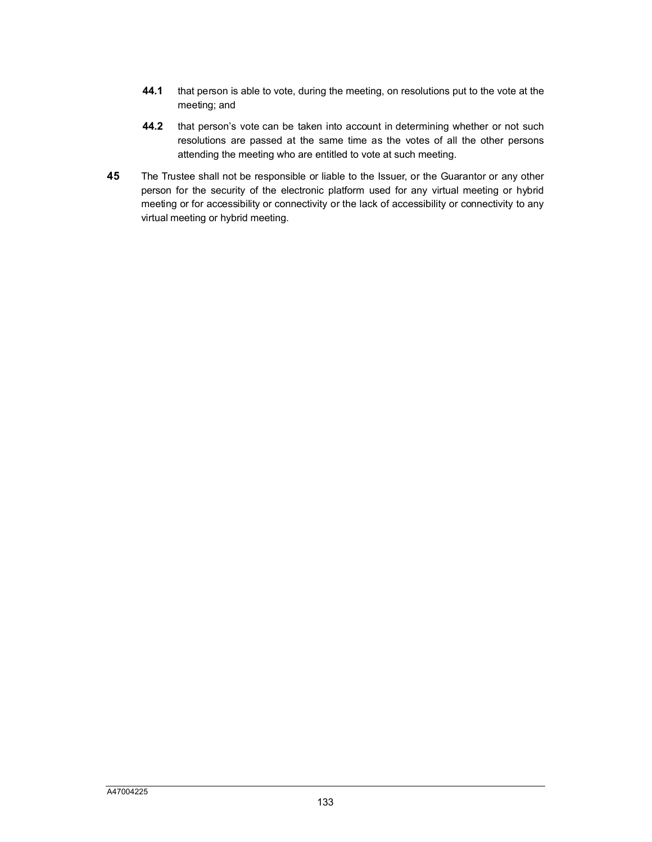- **44.1** that person is able to vote, during the meeting, on resolutions put to the vote at the meeting; and
- **44.2** that person's vote can be taken into account in determining whether or not such resolutions are passed at the same time as the votes of all the other persons attending the meeting who are entitled to vote at such meeting.
- **45** The Trustee shall not be responsible or liable to the Issuer, or the Guarantor or any other person for the security of the electronic platform used for any virtual meeting or hybrid meeting or for accessibility or connectivity or the lack of accessibility or connectivity to any virtual meeting or hybrid meeting.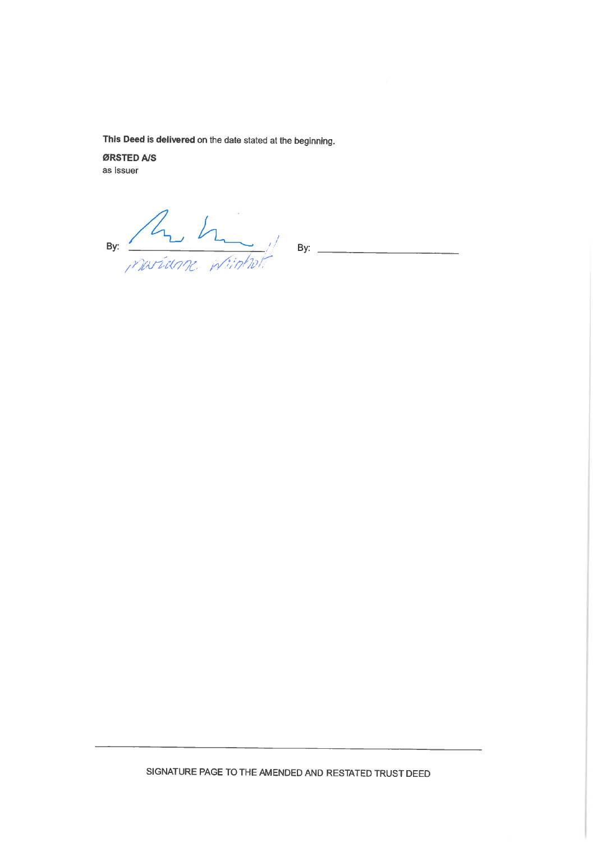This Deed is delivered on the date stated at the beginning.

ØRSTED A/S as issuer

By: A haviance interstate By: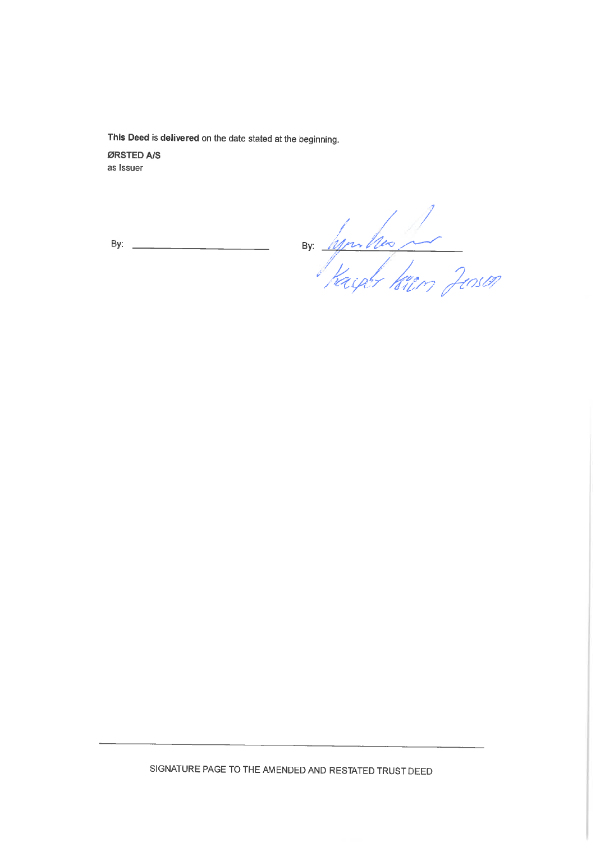This Deed is delivered on the date stated at the beginning.

ØRSTED A/S as Issuer

By:

By hymbres of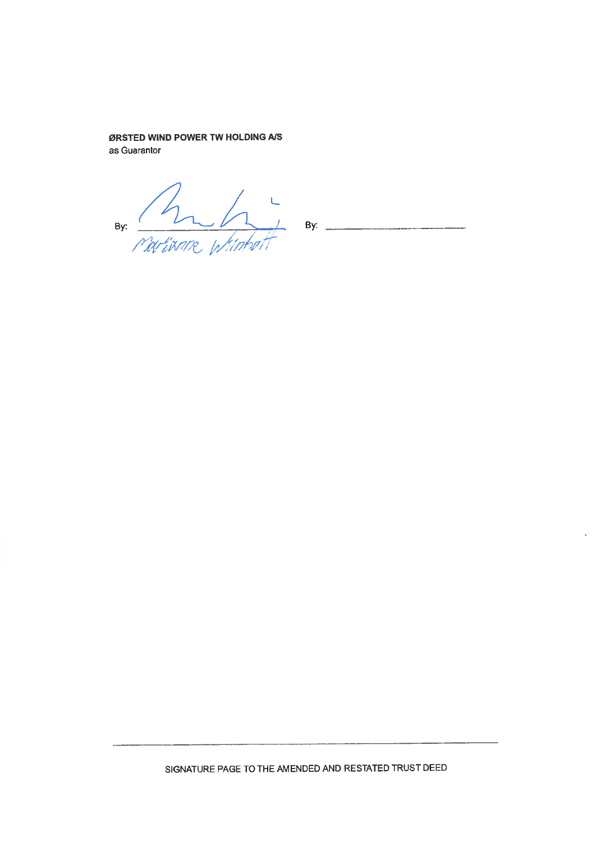# ØRSTED WIND POWER TW HOLDING A/S

as Guarantor

By:  $\frac{h}{\sqrt{2\pi}}$ J<br>Wiinbell

By:  $\overline{z}$ 

k,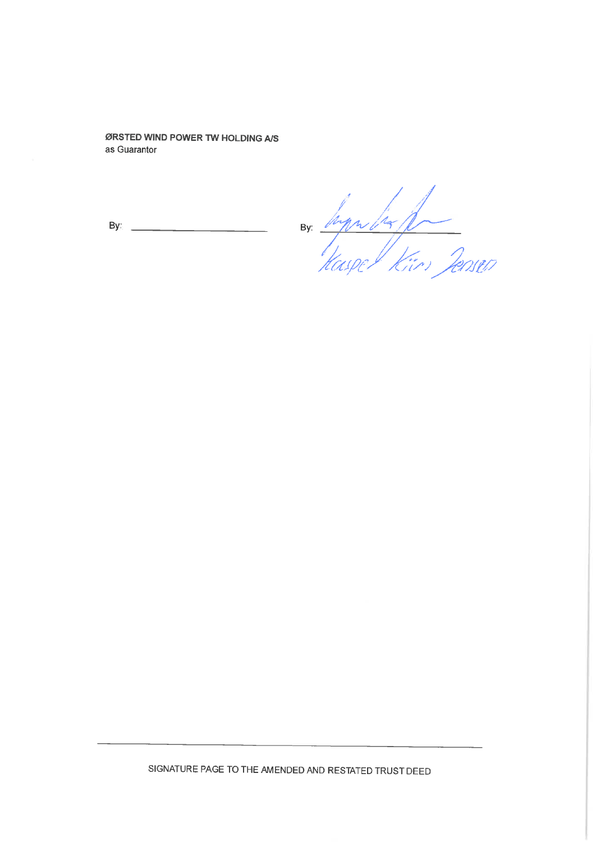ØRSTED WIND POWER TW HOLDING A/S as Guarantor

By.

By: hypulis for